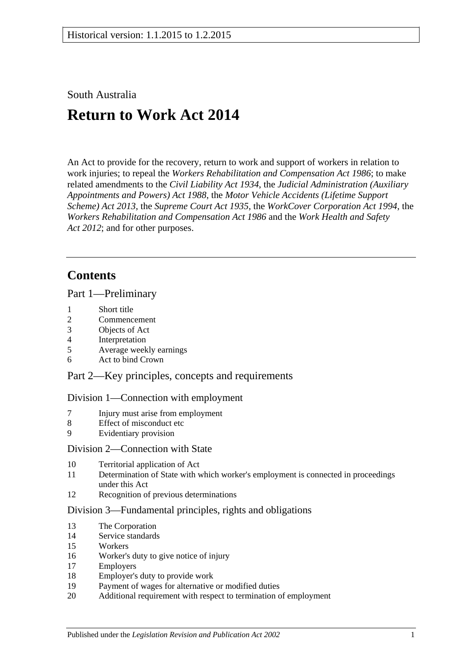South Australia

# **Return to Work Act 2014**

An Act to provide for the recovery, return to work and support of workers in relation to work injuries; to repeal the *[Workers Rehabilitation and Compensation Act](http://www.legislation.sa.gov.au/index.aspx?action=legref&type=act&legtitle=Workers%20Rehabilitation%20and%20Compensation%20Act%201986) 1986*; to make related amendments to the *[Civil Liability Act](http://www.legislation.sa.gov.au/index.aspx?action=legref&type=act&legtitle=Civil%20Liability%20Act%201934) 1934*, the *[Judicial Administration \(Auxiliary](http://www.legislation.sa.gov.au/index.aspx?action=legref&type=act&legtitle=Judicial%20Administration%20(Auxiliary%20Appointments%20and%20Powers)%20Act%201988)  [Appointments and Powers\) Act](http://www.legislation.sa.gov.au/index.aspx?action=legref&type=act&legtitle=Judicial%20Administration%20(Auxiliary%20Appointments%20and%20Powers)%20Act%201988) 1988*, the *[Motor Vehicle Accidents \(Lifetime Support](http://www.legislation.sa.gov.au/index.aspx?action=legref&type=act&legtitle=Motor%20Vehicle%20Accidents%20(Lifetime%20Support%20Scheme)%20Act%202013)  [Scheme\) Act](http://www.legislation.sa.gov.au/index.aspx?action=legref&type=act&legtitle=Motor%20Vehicle%20Accidents%20(Lifetime%20Support%20Scheme)%20Act%202013) 2013*, the *[Supreme Court Act](http://www.legislation.sa.gov.au/index.aspx?action=legref&type=act&legtitle=Supreme%20Court%20Act%201935) 1935*, the *[WorkCover Corporation Act](http://www.legislation.sa.gov.au/index.aspx?action=legref&type=act&legtitle=WorkCover%20Corporation%20Act%201994) 1994*, the *[Workers Rehabilitation and Compensation Act](http://www.legislation.sa.gov.au/index.aspx?action=legref&type=act&legtitle=Workers%20Rehabilitation%20and%20Compensation%20Act%201986) 1986* and the *[Work Health and Safety](http://www.legislation.sa.gov.au/index.aspx?action=legref&type=act&legtitle=Work%20Health%20and%20Safety%20Act%202012)  Act [2012](http://www.legislation.sa.gov.au/index.aspx?action=legref&type=act&legtitle=Work%20Health%20and%20Safety%20Act%202012)*; and for other purposes.

## **Contents**

Part [1—Preliminary](#page-9-0)

- 1 [Short title](#page-9-1)
- 2 [Commencement](#page-10-0)
- 3 [Objects of Act](#page-10-1)
- 4 [Interpretation](#page-10-2)
- 5 [Average weekly earnings](#page-20-0)
- 6 [Act to bind Crown](#page-23-0)

Part [2—Key principles, concepts and requirements](#page-23-1)

## Division [1—Connection with employment](#page-23-2)

- 7 [Injury must arise from employment](#page-23-3)
- 8 [Effect of misconduct etc](#page-25-0)
- 9 [Evidentiary provision](#page-26-0)

### Division [2—Connection with State](#page-26-1)

- 10 [Territorial application of Act](#page-26-2)
- 11 [Determination of State with which worker's employment is connected in proceedings](#page-28-0)  [under this Act](#page-28-0)
- 12 [Recognition of previous determinations](#page-28-1)

### Division [3—Fundamental principles, rights and obligations](#page-29-0)

- 13 [The Corporation](#page-29-1)
- 14 [Service standards](#page-29-2)
- 15 [Workers](#page-29-3)
- 16 [Worker's duty to give notice of injury](#page-30-0)
- 17 [Employers](#page-32-0)
- 18 [Employer's duty to provide work](#page-32-1)
- 19 [Payment of wages for alternative or modified duties](#page-35-0)
- 20 Additional requirement with [respect to termination of employment](#page-35-1)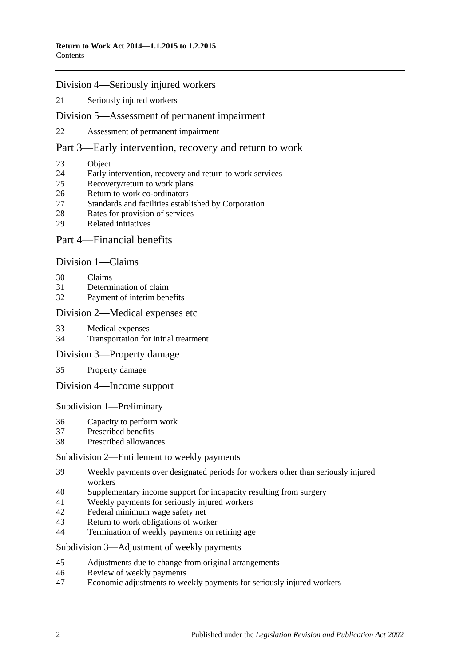### Division [4—Seriously injured workers](#page-35-2)

[Seriously injured workers](#page-35-3)

### Division [5—Assessment of permanent impairment](#page-36-0)

[Assessment of permanent impairment](#page-36-1)

### Part [3—Early intervention, recovery and return to work](#page-39-0)

- [Object](#page-39-1)
- [Early intervention, recovery and return to work services](#page-39-2)
- [Recovery/return to work plans](#page-40-0)
- [Return to work co-ordinators](#page-42-0)
- [Standards and facilities established by Corporation](#page-43-0)
- [Rates for provision of services](#page-43-1)
- [Related initiatives](#page-44-0)

## Part [4—Financial benefits](#page-44-1)

### Division [1—Claims](#page-44-2)

- [Claims](#page-44-3)
- [Determination of claim](#page-45-0)
- [Payment of interim benefits](#page-47-0)

### Division [2—Medical expenses etc](#page-47-1)

- [Medical expenses](#page-47-2)
- [Transportation for initial treatment](#page-50-0)
- Division [3—Property damage](#page-51-0)
- [Property damage](#page-51-1)
- Division [4—Income support](#page-51-2)

Subdivision [1—Preliminary](#page-51-3)

- [Capacity to perform work](#page-51-4)
- [Prescribed benefits](#page-52-0)
- [Prescribed allowances](#page-52-1)

### Subdivision [2—Entitlement to weekly payments](#page-52-2)

- [Weekly payments over designated periods for workers other than seriously injured](#page-52-3)  [workers](#page-52-3)
- [Supplementary income support for incapacity resulting from surgery](#page-53-0)
- [Weekly payments for seriously injured workers](#page-53-1)
- [Federal minimum wage safety net](#page-54-0)
- [Return to work obligations of worker](#page-55-0)
- [Termination of weekly payments on retiring age](#page-55-1)

Subdivision [3—Adjustment of weekly payments](#page-56-0)

- [Adjustments due to change from original arrangements](#page-56-1)
- [Review of weekly payments](#page-57-0)
- [Economic adjustments to weekly payments for seriously injured workers](#page-57-1)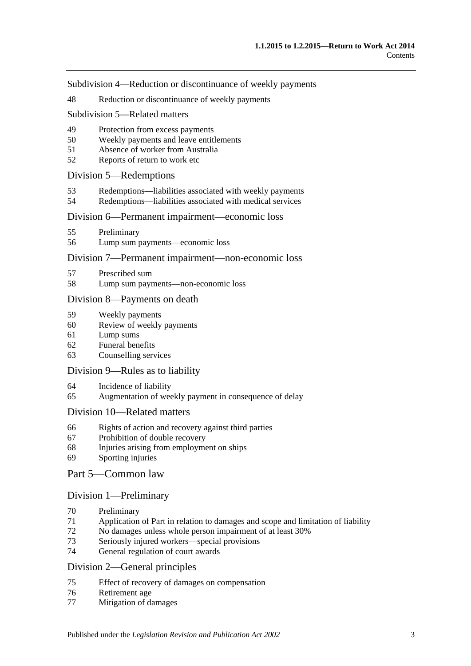Subdivision [4—Reduction or discontinuance of](#page-58-0) weekly payments

[Reduction or discontinuance of weekly payments](#page-58-1)

### Subdivision [5—Related matters](#page-63-0)

- [Protection from excess payments](#page-63-1)
- [Weekly payments and leave entitlements](#page-64-0)
- [Absence of worker from Australia](#page-64-1)
- [Reports of return to work etc](#page-65-0)

## Division [5—Redemptions](#page-65-1)

- [Redemptions—liabilities associated with weekly payments](#page-65-2)
- [Redemptions—liabilities associated with medical services](#page-66-0)

### Division [6—Permanent impairment—economic loss](#page-67-0)

- [Preliminary](#page-67-1)
- [Lump sum payments—economic loss](#page-68-0)

### Division [7—Permanent impairment—non-economic loss](#page-69-0)

- [Prescribed sum](#page-69-1)
- [Lump sum payments—non-economic loss](#page-69-2)

### Division [8—Payments on death](#page-70-0)

- [Weekly payments](#page-70-1)
- [Review of weekly payments](#page-73-0)
- [Lump sums](#page-73-1)
- [Funeral benefits](#page-75-0)
- [Counselling services](#page-75-1)

### Division [9—Rules as to liability](#page-76-0)

- [Incidence of liability](#page-76-1)
- [Augmentation of weekly payment in consequence of delay](#page-78-0)

### Division [10—Related matters](#page-78-1)

- [Rights of action and recovery against third parties](#page-78-2)
- [Prohibition of double recovery](#page-82-0)
- [Injuries arising from employment on ships](#page-82-1)
- [Sporting injuries](#page-82-2)

### Part [5—Common law](#page-83-0)

## Division [1—Preliminary](#page-83-1)

- [Preliminary](#page-83-2)
- [Application of Part in relation to damages and scope and limitation of liability](#page-83-3)
- [No damages unless whole person impairment of at least](#page-85-0) 30%
- [Seriously injured workers—special provisions](#page-85-1)
- [General regulation of court awards](#page-86-0)

### Division [2—General principles](#page-86-1)

- [Effect of recovery of damages on compensation](#page-86-2)
- [Retirement age](#page-88-0)
- [Mitigation of damages](#page-88-1)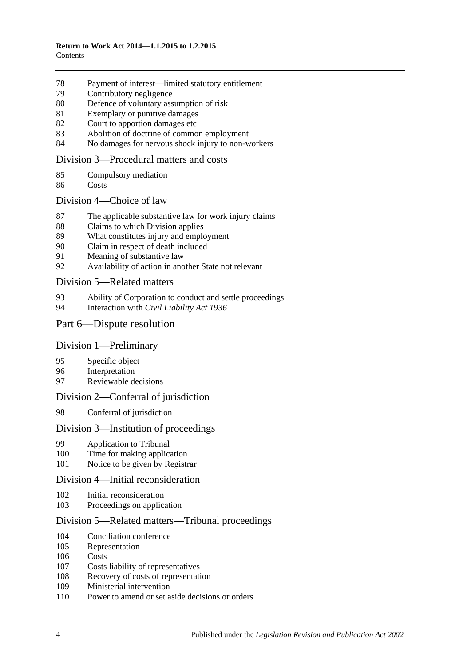- [Payment of interest—limited statutory entitlement](#page-88-2)
- [Contributory negligence](#page-89-0)
- [Defence of voluntary assumption of risk](#page-89-1)
- [Exemplary or punitive damages](#page-89-2)
- [Court to apportion damages etc](#page-89-3)
- [Abolition of doctrine of common employment](#page-90-0)
- [No damages for nervous shock injury to non-workers](#page-90-1)

### Division [3—Procedural matters and costs](#page-90-2)

- [Compulsory mediation](#page-90-3)
- [Costs](#page-91-0)

### Division [4—Choice of law](#page-91-1)

- [The applicable substantive law for work injury claims](#page-91-2)
- [Claims to which Division applies](#page-92-0)
- [What constitutes injury and employment](#page-92-1)
- [Claim in respect of death included](#page-93-0)
- [Meaning of substantive law](#page-93-1)
- [Availability of action in another State not relevant](#page-93-2)

### Division [5—Related matters](#page-94-0)

- 93 Ability of Corporation to [conduct and settle proceedings](#page-94-1)<br>94 Interaction with *Civil Liability Act 1936*
- Interaction with *[Civil Liability Act](#page-95-0) 1936*

## Part [6—Dispute resolution](#page-95-1)

### Division [1—Preliminary](#page-95-2)

- [Specific object](#page-95-3)
- [Interpretation](#page-95-4)
- [Reviewable decisions](#page-95-5)

### Division [2—Conferral of jurisdiction](#page-96-0)

[Conferral of jurisdiction](#page-96-1)

## Division [3—Institution of proceedings](#page-96-2)

- [Application to Tribunal](#page-96-3)
- [Time for making application](#page-97-0)
- [Notice to be given by Registrar](#page-97-1)

### Division [4—Initial reconsideration](#page-97-2)

- [Initial reconsideration](#page-97-3)
- [Proceedings on application](#page-98-0)

### Division [5—Related matters—Tribunal proceedings](#page-98-1)

- [Conciliation conference](#page-98-2)
- [Representation](#page-99-0)
- [Costs](#page-99-1)
- [Costs liability of representatives](#page-100-0)
- [Recovery of costs of representation](#page-101-0)
- [Ministerial intervention](#page-101-1)
- [Power to amend or set aside decisions or orders](#page-102-0)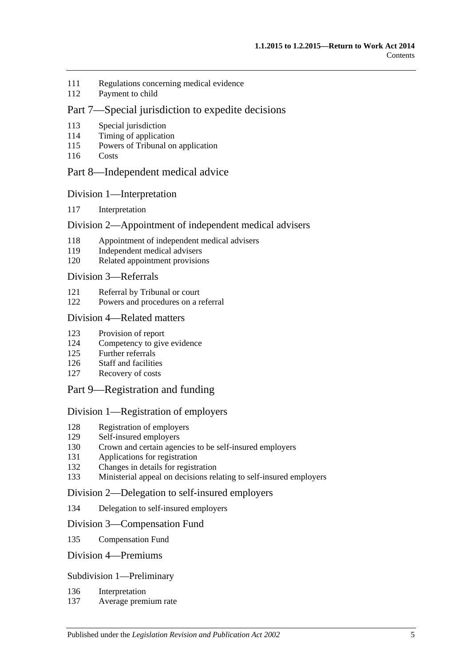- [Regulations concerning medical evidence](#page-102-1)
- [Payment to child](#page-102-2)

## Part [7—Special jurisdiction to expedite decisions](#page-102-3)

- [Special jurisdiction](#page-102-4)
- [Timing of application](#page-102-5)
- [Powers of Tribunal on application](#page-102-6)
- [Costs](#page-103-0)

## Part [8—Independent medical advice](#page-103-1)

### Division [1—Interpretation](#page-103-2)

[Interpretation](#page-103-3)

## Division [2—Appointment of independent medical advisers](#page-103-4)

- [Appointment of independent medical advisers](#page-103-5)
- [Independent medical advisers](#page-104-0)
- [Related appointment provisions](#page-104-1)

### Division [3—Referrals](#page-105-0)

- [Referral by Tribunal or court](#page-105-1)
- [Powers and procedures on a referral](#page-105-2)

### Division [4—Related matters](#page-107-0)

- [Provision of report](#page-107-1)
- [Competency to give evidence](#page-108-0)
- [Further referrals](#page-108-1)
- [Staff and facilities](#page-108-2)
- [Recovery of costs](#page-108-3)
- Part [9—Registration and funding](#page-108-4)

### Division [1—Registration of employers](#page-108-5)

- [Registration of employers](#page-108-6)
- [Self-insured employers](#page-109-0)<br>130 Crown and certain agen
- [Crown and certain agencies to be self-insured employers](#page-112-0)
- [Applications for registration](#page-112-1)
- [Changes in details for registration](#page-113-0)
- [Ministerial appeal on decisions relating to self-insured employers](#page-113-1)

### Division [2—Delegation to self-insured employers](#page-114-0)

[Delegation to self-insured employers](#page-114-1)

### Division [3—Compensation Fund](#page-115-0)

[Compensation Fund](#page-115-1)

### Division [4—Premiums](#page-117-0)

### Subdivision [1—Preliminary](#page-117-1)

- [Interpretation](#page-117-2)
- [Average premium rate](#page-117-3)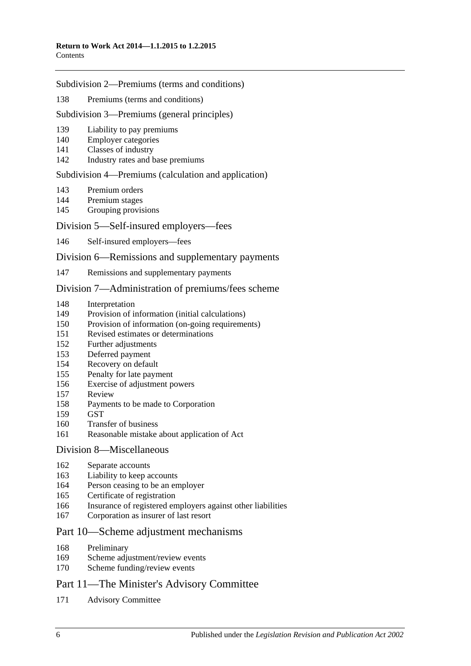### Subdivision [2—Premiums \(terms and conditions\)](#page-117-4)

[Premiums \(terms and conditions\)](#page-117-5)

### Subdivision [3—Premiums \(general principles\)](#page-118-0)

- [Liability to pay premiums](#page-118-1)
- [Employer categories](#page-118-2)
- [Classes of industry](#page-119-0)
- [Industry rates and base premiums](#page-119-1)

### Subdivision [4—Premiums \(calculation and application\)](#page-120-0)

- [Premium orders](#page-120-1)
- [Premium stages](#page-122-0)
- [Grouping provisions](#page-123-0)

## Division [5—Self-insured employers—fees](#page-124-0)

[Self-insured employers—fees](#page-124-1)

### Division [6—Remissions and supplementary payments](#page-125-0)

[Remissions and supplementary payments](#page-125-1)

### Division [7—Administration of premiums/fees scheme](#page-126-0)

- [Interpretation](#page-126-1)
- [Provision of information \(initial calculations\)](#page-126-2)
- [Provision of information \(on-going requirements\)](#page-127-0)
- [Revised estimates or determinations](#page-127-1)
- [Further adjustments](#page-128-0)
- [Deferred payment](#page-128-1)
- [Recovery on default](#page-129-0)
- [Penalty for late payment](#page-129-1)
- [Exercise of adjustment powers](#page-130-0)
- [Review](#page-130-1)
- [Payments to be made to Corporation](#page-131-0)
- [GST](#page-131-1)
- [Transfer of business](#page-131-2)
- [Reasonable mistake about application of Act](#page-132-0)

### Division [8—Miscellaneous](#page-132-1)

- [Separate accounts](#page-132-2)
- [Liability to keep accounts](#page-132-3)
- Person ceasing [to be an employer](#page-133-0)
- [Certificate of registration](#page-133-1)
- [Insurance of registered employers against other liabilities](#page-134-0)
- [Corporation as insurer of last resort](#page-134-1)

## Part [10—Scheme adjustment mechanisms](#page-135-0)

- [Preliminary](#page-135-1)
- [Scheme adjustment/review events](#page-135-2)
- [Scheme funding/review events](#page-137-0)

## Part [11—The Minister's Advisory Committee](#page-138-0)

Advisory [Committee](#page-138-1)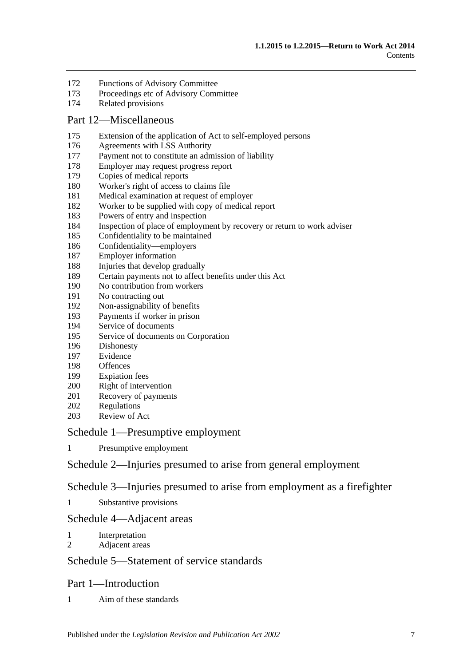- [Functions of Advisory Committee](#page-139-0)
- [Proceedings etc of Advisory Committee](#page-139-1)
- [Related provisions](#page-140-0)

### Part [12—Miscellaneous](#page-140-1)

- [Extension of the application of Act to self-employed persons](#page-140-2)
- [Agreements with LSS Authority](#page-141-0)
- [Payment not to constitute an admission of liability](#page-142-0)
- [Employer may request progress report](#page-142-1)
- [Copies of medical reports](#page-142-2)
- [Worker's right of access to claims file](#page-142-3)
- [Medical examination at request of employer](#page-144-0)
- [Worker to be supplied with copy of medical report](#page-144-1)
- [Powers of entry and inspection](#page-144-2)
- [Inspection of place of employment by recovery or return to work adviser](#page-146-0)
- [Confidentiality to be maintained](#page-147-0)
- [Confidentiality—employers](#page-148-0)
- [Employer information](#page-149-0)
- [Injuries that develop gradually](#page-149-1)
- [Certain payments not to affect benefits under this Act](#page-150-0)
- [No contribution from workers](#page-150-1)
- [No contracting out](#page-150-2)
- [Non-assignability of benefits](#page-151-0)
- [Payments if worker in prison](#page-151-1)
- [Service of documents](#page-151-2)
- [Service of documents on Corporation](#page-152-0)
- [Dishonesty](#page-152-1)
- [Evidence](#page-153-0)
- [Offences](#page-153-1)
- [Expiation fees](#page-154-0)
- [Right of intervention](#page-154-1)
- [Recovery of payments](#page-154-2)
- [Regulations](#page-154-3)
- [Review of Act](#page-155-0)

### Schedule [1—Presumptive employment](#page-155-1)

[Presumptive employment](#page-155-2)

## Schedule [2—Injuries presumed to arise from general employment](#page-157-0)

## Schedule [3—Injuries presumed to arise from employment as a firefighter](#page-158-0)

[Substantive provisions](#page-158-1)

## Schedule [4—Adjacent areas](#page-160-0)

- [Interpretation](#page-160-1)
- [Adjacent areas](#page-160-2)

## Schedule [5—Statement of service standards](#page-161-0)

### Part 1—Introduction

[Aim of these standards](#page-161-1)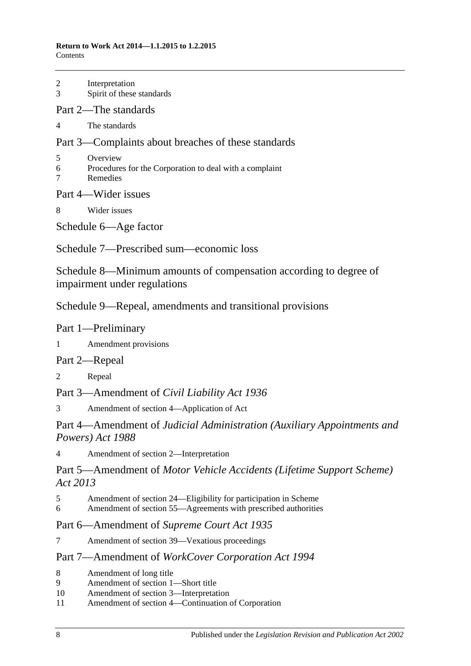#### **Return to Work Act 2014—1.1.2015 to 1.2.2015** Contents

| $\overline{2}$<br>$\overline{3}$                                                                  | Interpretation<br>Spirit of these standards                                     |
|---------------------------------------------------------------------------------------------------|---------------------------------------------------------------------------------|
|                                                                                                   | Part 2—The standards                                                            |
| 4                                                                                                 | The standards                                                                   |
|                                                                                                   | Part 3—Complaints about breaches of these standards                             |
| 5<br>$6\overline{)}$<br>$\overline{7}$                                                            | Overview<br>Procedures for the Corporation to deal with a complaint<br>Remedies |
|                                                                                                   | Part 4—Wider issues                                                             |
| 8                                                                                                 | Wider issues                                                                    |
| Schedule 6—Age factor                                                                             |                                                                                 |
|                                                                                                   | Schedule 7—Prescribed sum—economic loss                                         |
| Schedule 8—Minimum amounts of compensation according to degree of<br>impairment under regulations |                                                                                 |
|                                                                                                   | Schedule 9—Repeal, amendments and transitional provisions                       |
|                                                                                                   | Part 1—Preliminary                                                              |
| $1 \quad$                                                                                         | Amendment provisions                                                            |
| Part 2—Repeal                                                                                     |                                                                                 |
| $\overline{\mathbf{c}}$                                                                           | Repeal                                                                          |

Part 3—Amendment of *Civil Liability Act 1936*

3 [Amendment of section 4—Application of Act](#page-167-3)

Part 4—Amendment of *Judicial Administration (Auxiliary Appointments and Powers) Act 1988*

4 [Amendment of section 2—Interpretation](#page-167-4)

Part 5—Amendment of *Motor Vehicle Accidents (Lifetime Support Scheme) Act 2013*

- 5 [Amendment of section 24—Eligibility for participation in Scheme](#page-167-5)
- 6 [Amendment of section 55—Agreements with prescribed authorities](#page-167-6)

## Part 6—Amendment of *Supreme Court Act 1935*

7 [Amendment of section 39—Vexatious proceedings](#page-168-0)

## Part 7—Amendment of *WorkCover Corporation Act 1994*

- 8 [Amendment of long title](#page-168-1)
- 9 [Amendment of section](#page-168-2) 1—Short title
- 10 [Amendment of section](#page-168-3) 3—Interpretation
- 11 Amendment of section [4—Continuation of Corporation](#page-168-4)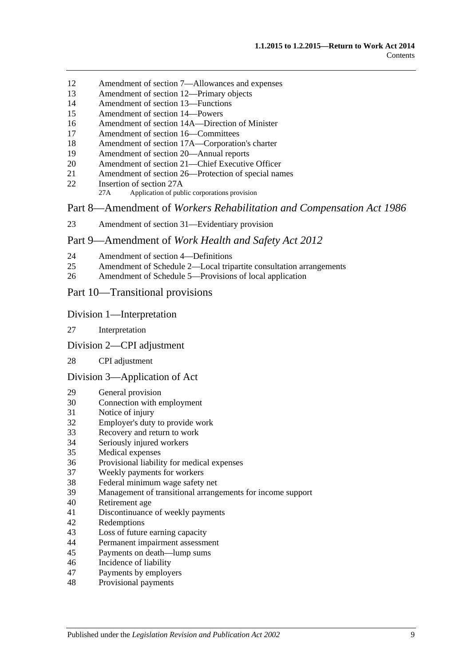- Amendment of section [7—Allowances and expenses](#page-168-5)
- [Amendment of section](#page-169-0) 12—Primary objects
- [Amendment of section](#page-169-1) 13—Functions
- [Amendment of section](#page-170-0) 14—Powers
- [Amendment of section 14A—Direction of Minister](#page-170-1)
- [Amendment of section](#page-170-2) 16—Committees
- Amendment of section [17A—Corporation's charter](#page-171-0)
- [Amendment of section](#page-171-1) 20—Annual reports
- [Amendment of section 21—Chief Executive Officer](#page-171-2)
- Amendment of section [26—Protection of special names](#page-171-3)
- [Insertion of section](#page-171-4) 27A
	- 27A Application of public corporations provision

Part 8—Amendment of *Workers Rehabilitation and Compensation Act 1986*

[Amendment of section 31—Evidentiary provision](#page-172-0)

### Part 9—Amendment of *Work Health and Safety Act 2012*

- [Amendment of section](#page-172-1) 4—Definitions
- Amendment of Schedule [2—Local tripartite consultation arrangements](#page-173-0)
- [Amendment of Schedule 5—Provisions of local application](#page-173-1)

## Part 10—Transitional provisions

### Division 1—Interpretation

- [Interpretation](#page-174-0)
- Division 2—CPI adjustment

### [CPI adjustment](#page-174-1)

### Division 3—Application of Act

- [General provision](#page-174-2)
- [Connection with employment](#page-175-0)<br>31 Notice of injury
- [Notice of injury](#page-175-1)
- [Employer's duty to provide work](#page-175-2)
- [Recovery and return to work](#page-175-3)
- [Seriously injured workers](#page-176-0)
- [Medical expenses](#page-176-1)
- [Provisional liability for medical expenses](#page-176-2)
- [Weekly payments for workers](#page-176-3)
- [Federal minimum wage safety net](#page-178-0)
- [Management of transitional arrangements for income support](#page-178-1)
- [Retirement age](#page-178-2)
- [Discontinuance of weekly payments](#page-178-3)
- [Redemptions](#page-179-0)
- [Loss of future earning capacity](#page-179-1)
- [Permanent impairment assessment](#page-179-2)
- [Payments on death—lump sums](#page-179-3)
- [Incidence of liability](#page-180-0)
- [Payments by employers](#page-180-1)
- [Provisional payments](#page-180-2)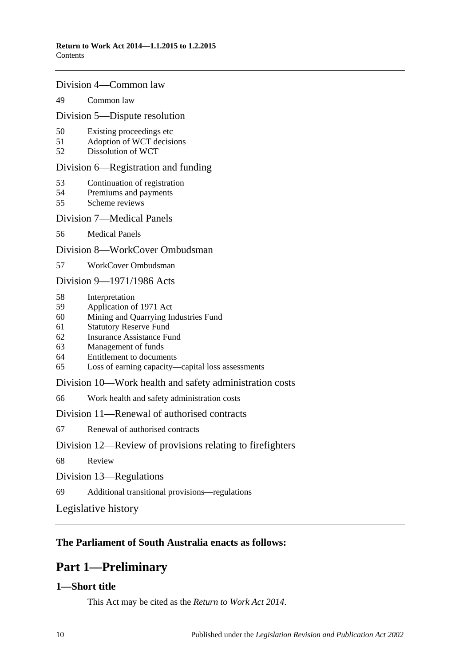### Division 4—Common law

### 49 [Common law](#page-180-3)

### Division 5—Dispute resolution

- 50 [Existing proceedings etc](#page-180-4)
- 51 [Adoption of WCT decisions](#page-181-0)
- 52 [Dissolution of WCT](#page-181-1)

### Division 6—Registration and funding

- 53 [Continuation of registration](#page-181-2)
- 54 [Premiums and payments](#page-181-3)
- 55 [Scheme reviews](#page-182-0)

### Division 7—Medical Panels

56 [Medical Panels](#page-182-1)

### Division 8—WorkCover Ombudsman

57 [WorkCover Ombudsman](#page-183-0)

Division 9—1971/1986 Acts

- 58 [Interpretation](#page-183-1)
- 59 [Application of 1971 Act](#page-183-2)
- 60 [Mining and Quarrying Industries Fund](#page-184-0)
- 61 [Statutory Reserve Fund](#page-185-0)
- 62 [Insurance Assistance Fund](#page-186-0)
- 63 [Management of funds](#page-187-0)
- 64 [Entitlement to documents](#page-187-1)
- 65 [Loss of earning capacity—capital loss assessments](#page-187-2)

Division 10—Work health and safety administration costs

66 [Work health and safety administration costs](#page-187-3)

Division 11—Renewal of authorised contracts

67 [Renewal of authorised contracts](#page-188-0)

### Division 12—Review of provisions relating to firefighters

68 [Review](#page-188-1)

Division 13—Regulations

69 [Additional transitional provisions—regulations](#page-188-2)

[Legislative history](#page-189-0)

## <span id="page-9-0"></span>**The Parliament of South Australia enacts as follows:**

## **Part 1—Preliminary**

## <span id="page-9-1"></span>**1—Short title**

This Act may be cited as the *Return to Work Act 2014*.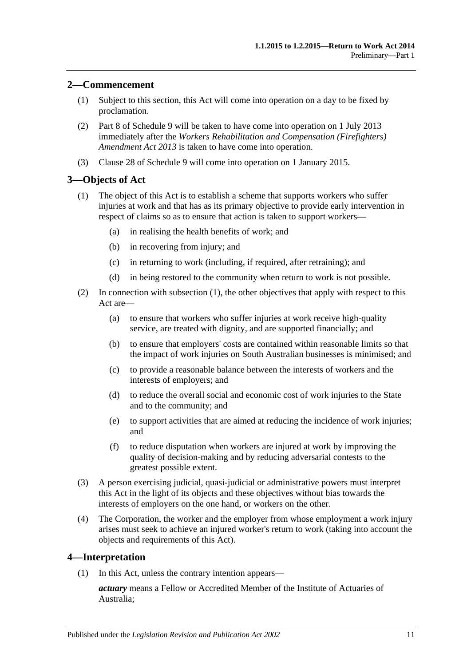## <span id="page-10-0"></span>**2—Commencement**

- (1) Subject to this section, this Act will come into operation on a day to be fixed by proclamation.
- (2) Part 8 of [Schedule](#page-167-0) 9 will be taken to have come into operation on 1 July 2013 immediately after the *[Workers Rehabilitation and Compensation \(Firefighters\)](http://www.legislation.sa.gov.au/index.aspx?action=legref&type=act&legtitle=Workers%20Rehabilitation%20and%20Compensation%20(Firefighters)%20Amendment%20Act%202013)  [Amendment Act](http://www.legislation.sa.gov.au/index.aspx?action=legref&type=act&legtitle=Workers%20Rehabilitation%20and%20Compensation%20(Firefighters)%20Amendment%20Act%202013) 2013* is taken to have come into operation.
- (3) [Clause 28](#page-174-1) of [Schedule](#page-167-0) 9 will come into operation on 1 January 2015.

## <span id="page-10-3"></span><span id="page-10-1"></span>**3—Objects of Act**

- (1) The object of this Act is to establish a scheme that supports workers who suffer injuries at work and that has as its primary objective to provide early intervention in respect of claims so as to ensure that action is taken to support workers—
	- (a) in realising the health benefits of work; and
	- (b) in recovering from injury; and
	- (c) in returning to work (including, if required, after retraining); and
	- (d) in being restored to the community when return to work is not possible.
- (2) In connection with [subsection](#page-10-3) (1), the other objectives that apply with respect to this Act are—
	- (a) to ensure that workers who suffer injuries at work receive high-quality service, are treated with dignity, and are supported financially; and
	- (b) to ensure that employers' costs are contained within reasonable limits so that the impact of work injuries on South Australian businesses is minimised; and
	- (c) to provide a reasonable balance between the interests of workers and the interests of employers; and
	- (d) to reduce the overall social and economic cost of work injuries to the State and to the community; and
	- (e) to support activities that are aimed at reducing the incidence of work injuries; and
	- (f) to reduce disputation when workers are injured at work by improving the quality of decision-making and by reducing adversarial contests to the greatest possible extent.
- (3) A person exercising judicial, quasi-judicial or administrative powers must interpret this Act in the light of its objects and these objectives without bias towards the interests of employers on the one hand, or workers on the other.
- (4) The Corporation, the worker and the employer from whose employment a work injury arises must seek to achieve an injured worker's return to work (taking into account the objects and requirements of this Act).

### <span id="page-10-4"></span><span id="page-10-2"></span>**4—Interpretation**

(1) In this Act, unless the contrary intention appears—

*actuary* means a Fellow or Accredited Member of the Institute of Actuaries of Australia;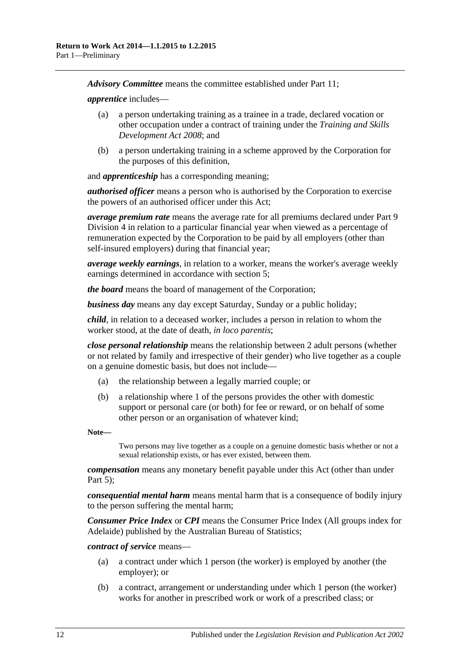*Advisory Committee* means the committee established under [Part](#page-138-0) 11;

*apprentice* includes—

- (a) a person undertaking training as a trainee in a trade, declared vocation or other occupation under a contract of training under the *[Training and Skills](http://www.legislation.sa.gov.au/index.aspx?action=legref&type=act&legtitle=Training%20and%20Skills%20Development%20Act%202008)  [Development Act](http://www.legislation.sa.gov.au/index.aspx?action=legref&type=act&legtitle=Training%20and%20Skills%20Development%20Act%202008) 2008*; and
- (b) a person undertaking training in a scheme approved by the Corporation for the purposes of this definition,

and *apprenticeship* has a corresponding meaning;

*authorised officer* means a person who is authorised by the Corporation to exercise the powers of an authorised officer under this Act;

*average premium rate* means the average rate for all premiums declared under [Part](#page-117-0) 9 [Division](#page-117-0) 4 in relation to a particular financial year when viewed as a percentage of remuneration expected by the Corporation to be paid by all employers (other than self-insured employers) during that financial year;

*average weekly earnings*, in relation to a worker, means the worker's average weekly earnings determined in accordance with [section](#page-20-0) 5;

*the board* means the board of management of the Corporation;

*business day* means any day except Saturday, Sunday or a public holiday;

*child*, in relation to a deceased worker, includes a person in relation to whom the worker stood, at the date of death, *in loco parentis*;

*close personal relationship* means the relationship between 2 adult persons (whether or not related by family and irrespective of their gender) who live together as a couple on a genuine domestic basis, but does not include—

- (a) the relationship between a legally married couple; or
- (b) a relationship where 1 of the persons provides the other with domestic support or personal care (or both) for fee or reward, or on behalf of some other person or an organisation of whatever kind;

**Note—**

Two persons may live together as a couple on a genuine domestic basis whether or not a sexual relationship exists, or has ever existed, between them.

*compensation* means any monetary benefit payable under this Act (other than under [Part](#page-83-0)  $5$ );

*consequential mental harm* means mental harm that is a consequence of bodily injury to the person suffering the mental harm;

*Consumer Price Index* or *CPI* means the Consumer Price Index (All groups index for Adelaide) published by the Australian Bureau of Statistics;

*contract of service* means—

- (a) a contract under which 1 person (the worker) is employed by another (the employer); or
- <span id="page-11-0"></span>(b) a contract, arrangement or understanding under which 1 person (the worker) works for another in prescribed work or work of a prescribed class; or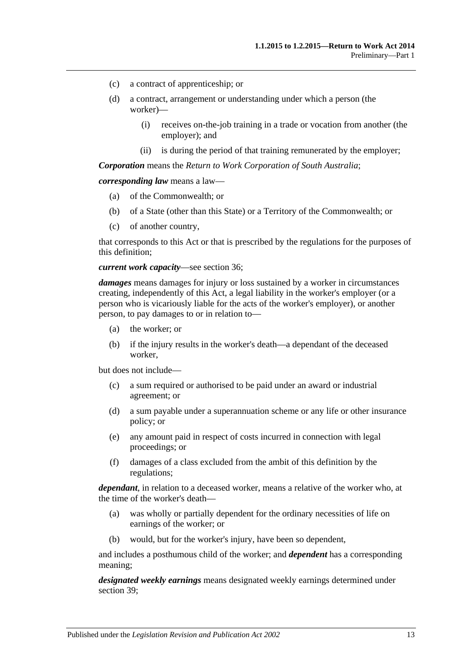- (c) a contract of apprenticeship; or
- (d) a contract, arrangement or understanding under which a person (the worker)—
	- (i) receives on-the-job training in a trade or vocation from another (the employer); and
	- (ii) is during the period of that training remunerated by the employer;

*Corporation* means the *Return to Work Corporation of South Australia*;

*corresponding law* means a law—

- (a) of the Commonwealth; or
- (b) of a State (other than this State) or a Territory of the Commonwealth; or
- (c) of another country,

that corresponds to this Act or that is prescribed by the regulations for the purposes of this definition;

#### *current work capacity*—see [section](#page-51-4) 36;

*damages* means damages for injury or loss sustained by a worker in circumstances creating, independently of this Act, a legal liability in the worker's employer (or a person who is vicariously liable for the acts of the worker's employer), or another person, to pay damages to or in relation to—

- (a) the worker; or
- (b) if the injury results in the worker's death—a dependant of the deceased worker,

but does not include—

- (c) a sum required or authorised to be paid under an award or industrial agreement; or
- (d) a sum payable under a superannuation scheme or any life or other insurance policy; or
- (e) any amount paid in respect of costs incurred in connection with legal proceedings; or
- (f) damages of a class excluded from the ambit of this definition by the regulations;

*dependant*, in relation to a deceased worker, means a relative of the worker who, at the time of the worker's death—

- (a) was wholly or partially dependent for the ordinary necessities of life on earnings of the worker; or
- (b) would, but for the worker's injury, have been so dependent,

and includes a posthumous child of the worker; and *dependent* has a corresponding meaning;

*designated weekly earnings* means designated weekly earnings determined under [section](#page-52-3) 39;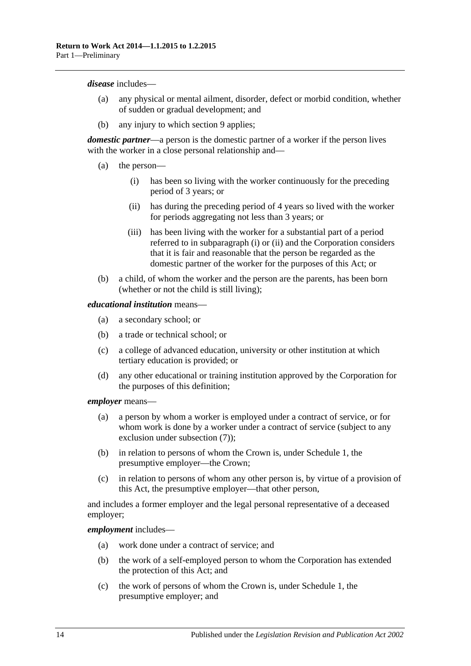#### *disease* includes—

- (a) any physical or mental ailment, disorder, defect or morbid condition, whether of sudden or gradual development; and
- (b) any injury to which [section](#page-26-0) 9 applies;

*domestic partner*—a person is the domestic partner of a worker if the person lives with the worker in a close personal relationship and—

- <span id="page-13-1"></span><span id="page-13-0"></span>(a) the person—
	- (i) has been so living with the worker continuously for the preceding period of 3 years; or
	- (ii) has during the preceding period of 4 years so lived with the worker for periods aggregating not less than 3 years; or
	- (iii) has been living with the worker for a substantial part of a period referred to in [subparagraph](#page-13-0) (i) or [\(ii\)](#page-13-1) and the Corporation considers that it is fair and reasonable that the person be regarded as the domestic partner of the worker for the purposes of this Act; or
- (b) a child, of whom the worker and the person are the parents, has been born (whether or not the child is still living);

#### *educational institution* means—

- (a) a secondary school; or
- (b) a trade or technical school; or
- (c) a college of advanced education, university or other institution at which tertiary education is provided; or
- (d) any other educational or training institution approved by the Corporation for the purposes of this definition;

#### *employer* means—

- (a) a person by whom a worker is employed under a contract of service, or for whom work is done by a worker under a contract of service (subject to any exclusion under [subsection](#page-19-0) (7));
- (b) in relation to persons of whom the Crown is, under [Schedule](#page-155-1) 1, the presumptive employer—the Crown;
- (c) in relation to persons of whom any other person is, by virtue of a provision of this Act, the presumptive employer—that other person,

and includes a former employer and the legal personal representative of a deceased employer;

### *employment* includes—

- (a) work done under a contract of service; and
- (b) the work of a self-employed person to whom the Corporation has extended the protection of this Act; and
- (c) the work of persons of whom the Crown is, under [Schedule](#page-155-1) 1, the presumptive employer; and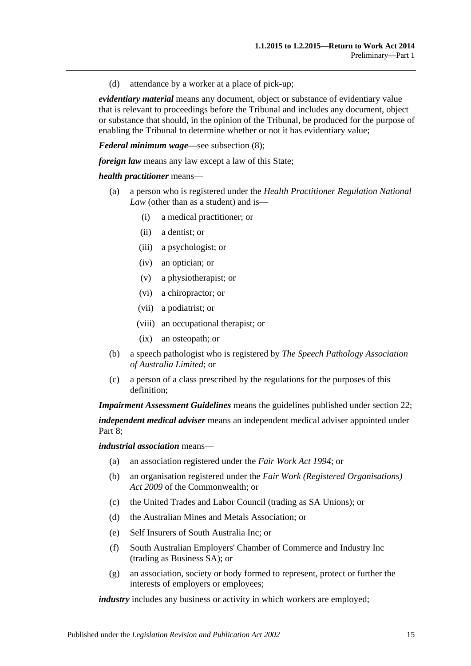(d) attendance by a worker at a place of pick-up;

*evidentiary material* means any document, object or substance of evidentiary value that is relevant to proceedings before the Tribunal and includes any document, object or substance that should, in the opinion of the Tribunal, be produced for the purpose of enabling the Tribunal to determine whether or not it has evidentiary value;

*Federal minimum wage*—see [subsection](#page-19-1) (8);

*foreign law* means any law except a law of this State:

### *health practitioner* means—

- (a) a person who is registered under the *Health Practitioner Regulation National Law* (other than as a student) and is—
	- (i) a medical practitioner; or
	- (ii) a dentist; or
	- (iii) a psychologist; or
	- (iv) an optician; or
	- (v) a physiotherapist; or
	- (vi) a chiropractor; or
	- (vii) a podiatrist; or
	- (viii) an occupational therapist; or
	- (ix) an osteopath; or
- (b) a speech pathologist who is registered by *The Speech Pathology Association of Australia Limited*; or
- (c) a person of a class prescribed by the regulations for the purposes of this definition;

*Impairment Assessment Guidelines* means the guidelines published under [section](#page-36-1) 22; *independent medical adviser* means an independent medical adviser appointed under [Part](#page-103-1) 8;

*industrial association* means—

- (a) an association registered under the *[Fair Work Act](http://www.legislation.sa.gov.au/index.aspx?action=legref&type=act&legtitle=Fair%20Work%20Act%201994) 1994*; or
- (b) an organisation registered under the *Fair Work (Registered Organisations) Act 2009* of the Commonwealth; or
- (c) the United Trades and Labor Council (trading as SA Unions); or
- (d) the Australian Mines and Metals Association; or
- (e) Self Insurers of South Australia Inc; or
- (f) South Australian Employers' Chamber of Commerce and Industry Inc (trading as Business SA); or
- (g) an association, society or body formed to represent, protect or further the interests of employers or employees;

*industry* includes any business or activity in which workers are employed;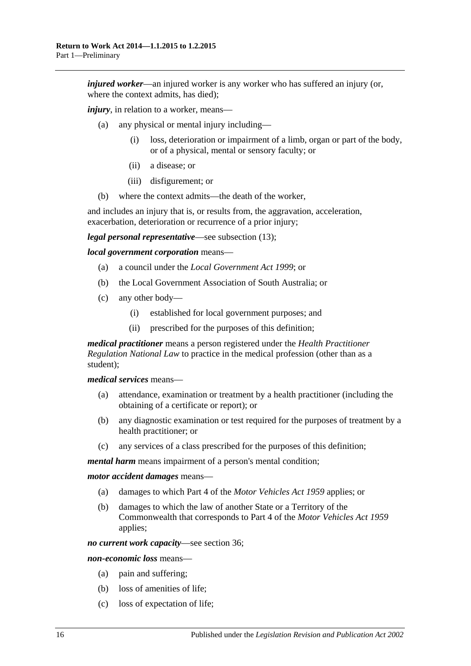*injured worker—an injured worker is any worker who has suffered an injury (or, injured worker—an injured worker* where the context admits, has died);

*injury*, in relation to a worker, means—

- (a) any physical or mental injury including—
	- (i) loss, deterioration or impairment of a limb, organ or part of the body, or of a physical, mental or sensory faculty; or
	- (ii) a disease; or
	- (iii) disfigurement; or
- (b) where the context admits—the death of the worker,

and includes an injury that is, or results from, the aggravation, acceleration, exacerbation, deterioration or recurrence of a prior injury;

*legal personal representative*—see [subsection](#page-20-1) (13);

*local government corporation* means—

- (a) a council under the *[Local Government Act](http://www.legislation.sa.gov.au/index.aspx?action=legref&type=act&legtitle=Local%20Government%20Act%201999) 1999*; or
- (b) the Local Government Association of South Australia; or
- (c) any other body—
	- (i) established for local government purposes; and
	- (ii) prescribed for the purposes of this definition;

*medical practitioner* means a person registered under the *Health Practitioner Regulation National Law* to practice in the medical profession (other than as a student);

*medical services* means—

- (a) attendance, examination or treatment by a health practitioner (including the obtaining of a certificate or report); or
- (b) any diagnostic examination or test required for the purposes of treatment by a health practitioner; or
- (c) any services of a class prescribed for the purposes of this definition;

*mental harm* means impairment of a person's mental condition;

*motor accident damages* means—

- (a) damages to which Part 4 of the *[Motor Vehicles Act](http://www.legislation.sa.gov.au/index.aspx?action=legref&type=act&legtitle=Motor%20Vehicles%20Act%201959) 1959* applies; or
- (b) damages to which the law of another State or a Territory of the Commonwealth that corresponds to Part 4 of the *[Motor Vehicles Act](http://www.legislation.sa.gov.au/index.aspx?action=legref&type=act&legtitle=Motor%20Vehicles%20Act%201959) 1959* applies;

*no current work capacity*—see [section](#page-51-4) 36;

*non-economic loss* means—

- (a) pain and suffering;
- (b) loss of amenities of life;
- (c) loss of expectation of life;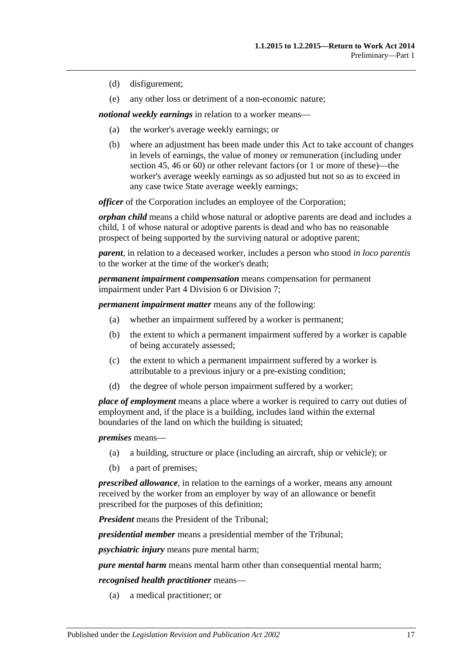- (d) disfigurement;
- (e) any other loss or detriment of a non-economic nature;

*notional weekly earnings* in relation to a worker means—

- (a) the worker's average weekly earnings; or
- (b) where an adjustment has been made under this Act to take account of changes in levels of earnings, the value of money or remuneration (including under [section](#page-56-1) 45, [46](#page-57-0) or [60\)](#page-73-0) or other relevant factors (or 1 or more of these)—the worker's average weekly earnings as so adjusted but not so as to exceed in any case twice State average weekly earnings;

*officer* of the Corporation includes an employee of the Corporation;

*orphan child* means a child whose natural or adoptive parents are dead and includes a child, 1 of whose natural or adoptive parents is dead and who has no reasonable prospect of being supported by the surviving natural or adoptive parent;

*parent*, in relation to a deceased worker, includes a person who stood *in loco parentis* to the worker at the time of the worker's death;

*permanent impairment compensation* means compensation for permanent impairment under Part [4 Division](#page-67-0) 6 or [Division](#page-69-0) 7;

*permanent impairment matter* means any of the following:

- (a) whether an impairment suffered by a worker is permanent;
- (b) the extent to which a permanent impairment suffered by a worker is capable of being accurately assessed;
- (c) the extent to which a permanent impairment suffered by a worker is attributable to a previous injury or a pre-existing condition;
- (d) the degree of whole person impairment suffered by a worker;

*place of employment* means a place where a worker is required to carry out duties of employment and, if the place is a building, includes land within the external boundaries of the land on which the building is situated;

*premises* means—

- (a) a building, structure or place (including an aircraft, ship or vehicle); or
- (b) a part of premises;

*prescribed allowance*, in relation to the earnings of a worker, means any amount received by the worker from an employer by way of an allowance or benefit prescribed for the purposes of this definition;

*President* means the President of the Tribunal;

*presidential member* means a presidential member of the Tribunal;

*psychiatric injury* means pure mental harm;

*pure mental harm* means mental harm other than consequential mental harm;

*recognised health practitioner* means—

(a) a medical practitioner; or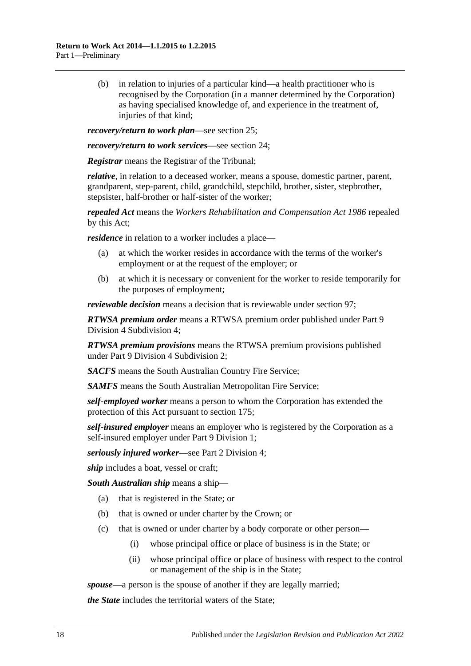(b) in relation to injuries of a particular kind—a health practitioner who is recognised by the Corporation (in a manner determined by the Corporation) as having specialised knowledge of, and experience in the treatment of, injuries of that kind:

*recovery/return to work plan*—see [section](#page-40-0) 25;

*recovery/return to work services*—see [section](#page-39-2) 24;

*Registrar* means the Registrar of the Tribunal;

*relative*, in relation to a deceased worker, means a spouse, domestic partner, parent, grandparent, step-parent, child, grandchild, stepchild, brother, sister, stepbrother, stepsister, half-brother or half-sister of the worker;

*repealed Act* means the *[Workers Rehabilitation and Compensation Act](http://www.legislation.sa.gov.au/index.aspx?action=legref&type=act&legtitle=Workers%20Rehabilitation%20and%20Compensation%20Act%201986) 1986* repealed by this Act;

*residence* in relation to a worker includes a place—

- (a) at which the worker resides in accordance with the terms of the worker's employment or at the request of the employer; or
- (b) at which it is necessary or convenient for the worker to reside temporarily for the purposes of employment;

*reviewable decision* means a decision that is reviewable under [section](#page-95-5) 97;

*RTWSA premium order* means a RTWSA premium order published under [Part](#page-120-0) 9 Division [4 Subdivision](#page-120-0) 4;

*RTWSA premium provisions* means the RTWSA premium provisions published under Part 9 Division [4 Subdivision](#page-117-4) 2;

*SACFS* means the South Australian Country Fire Service;

*SAMFS* means the South Australian Metropolitan Fire Service;

*self-employed worker* means a person to whom the Corporation has extended the protection of this Act pursuant to [section](#page-140-2) 175;

*self-insured employer* means an employer who is registered by the Corporation as a self-insured employer under Part [9 Division](#page-108-5) 1;

*seriously injured worker*—see Part 2 Division 4;

*ship* includes a boat, vessel or craft;

*South Australian ship* means a ship—

- (a) that is registered in the State; or
- (b) that is owned or under charter by the Crown; or
- (c) that is owned or under charter by a body corporate or other person—
	- (i) whose principal office or place of business is in the State; or
	- (ii) whose principal office or place of business with respect to the control or management of the ship is in the State;

*spouse*—a person is the spouse of another if they are legally married;

*the State* includes the territorial waters of the State;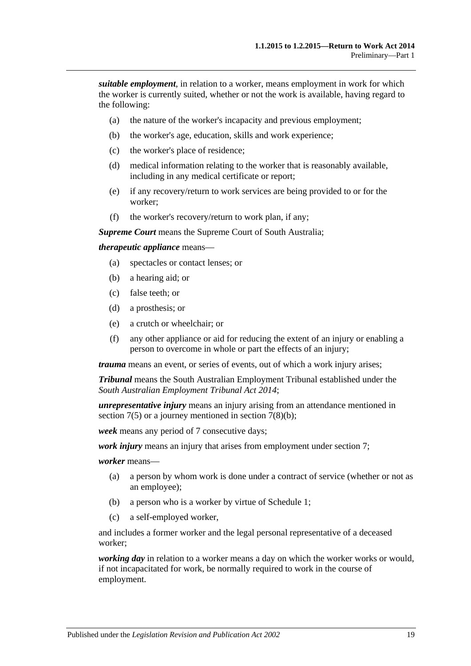*suitable employment*, in relation to a worker, means employment in work for which the worker is currently suited, whether or not the work is available, having regard to the following:

- (a) the nature of the worker's incapacity and previous employment;
- (b) the worker's age, education, skills and work experience;
- (c) the worker's place of residence;
- (d) medical information relating to the worker that is reasonably available, including in any medical certificate or report;
- (e) if any recovery/return to work services are being provided to or for the worker;
- (f) the worker's recovery/return to work plan, if any;

*Supreme Court* means the Supreme Court of South Australia;

### *therapeutic appliance* means—

- (a) spectacles or contact lenses; or
- (b) a hearing aid; or
- (c) false teeth; or
- (d) a prosthesis; or
- (e) a crutch or wheelchair; or
- (f) any other appliance or aid for reducing the extent of an injury or enabling a person to overcome in whole or part the effects of an injury;

*trauma* means an event, or series of events, out of which a work injury arises;

*Tribunal* means the South Australian Employment Tribunal established under the *[South Australian Employment Tribunal Act](http://www.legislation.sa.gov.au/index.aspx?action=legref&type=act&legtitle=South%20Australian%20Employment%20Tribunal%20Act%202014) 2014*;

*unrepresentative injury* means an injury arising from an attendance mentioned in [section](#page-24-0)  $7(5)$  or a journey mentioned in section  $7(8)(b)$ ;

*week* means any period of 7 consecutive days;

*work injury* means an injury that arises from employment under [section](#page-23-3) 7;

*worker* means—

- (a) a person by whom work is done under a contract of service (whether or not as an employee);
- (b) a person who is a worker by virtue of [Schedule](#page-155-1) 1;
- (c) a self-employed worker,

and includes a former worker and the legal personal representative of a deceased worker;

*working day* in relation to a worker means a day on which the worker works or would, if not incapacitated for work, be normally required to work in the course of employment.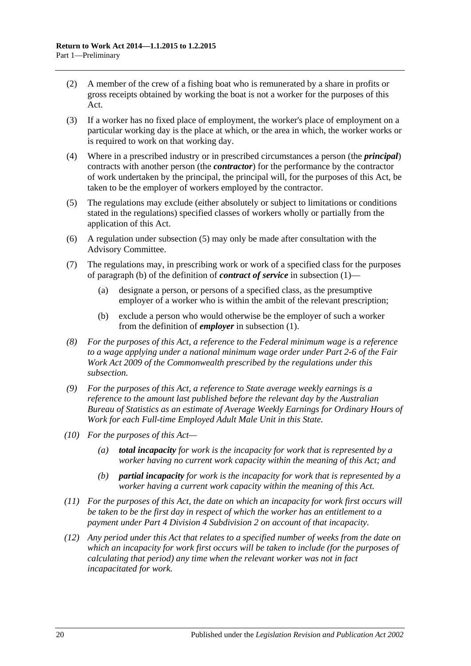- (2) A member of the crew of a fishing boat who is remunerated by a share in profits or gross receipts obtained by working the boat is not a worker for the purposes of this Act.
- (3) If a worker has no fixed place of employment, the worker's place of employment on a particular working day is the place at which, or the area in which, the worker works or is required to work on that working day.
- (4) Where in a prescribed industry or in prescribed circumstances a person (the *principal*) contracts with another person (the *contractor*) for the performance by the contractor of work undertaken by the principal, the principal will, for the purposes of this Act, be taken to be the employer of workers employed by the contractor.
- <span id="page-19-2"></span>(5) The regulations may exclude (either absolutely or subject to limitations or conditions stated in the regulations) specified classes of workers wholly or partially from the application of this Act.
- (6) A regulation under [subsection](#page-19-2) (5) may only be made after consultation with the Advisory Committee.
- <span id="page-19-0"></span>(7) The regulations may, in prescribing work or work of a specified class for the purposes of [paragraph](#page-11-0) (b) of the definition of *contract of service* in [subsection](#page-10-4) (1)—
	- (a) designate a person, or persons of a specified class, as the presumptive employer of a worker who is within the ambit of the relevant prescription;
	- (b) exclude a person who would otherwise be the employer of such a worker from the definition of *employer* in [subsection](#page-10-4) (1).
- <span id="page-19-1"></span>*(8) For the purposes of this Act, a reference to the Federal minimum wage is a reference to a wage applying under a national minimum wage order under Part 2-6 of the Fair Work Act 2009 of the Commonwealth prescribed by the regulations under this subsection.*
- *(9) For the purposes of this Act, a reference to State average weekly earnings is a reference to the amount last published before the relevant day by the Australian Bureau of Statistics as an estimate of Average Weekly Earnings for Ordinary Hours of Work for each Full-time Employed Adult Male Unit in this State.*
- *(10) For the purposes of this Act—*
	- *(a) total incapacity for work is the incapacity for work that is represented by a worker having no current work capacity within the meaning of this Act; and*
	- *(b) partial incapacity for work is the incapacity for work that is represented by a worker having a current work capacity within the meaning of this Act.*
- *(11) For the purposes of this Act, the date on which an incapacity for work first occurs will be taken to be the first day in respect of which the worker has an entitlement to a payment under Part 4 Division [4 Subdivision](#page-52-2) 2 on account of that incapacity.*
- *(12) Any period under this Act that relates to a specified number of weeks from the date on which an incapacity for work first occurs will be taken to include (for the purposes of calculating that period) any time when the relevant worker was not in fact incapacitated for work.*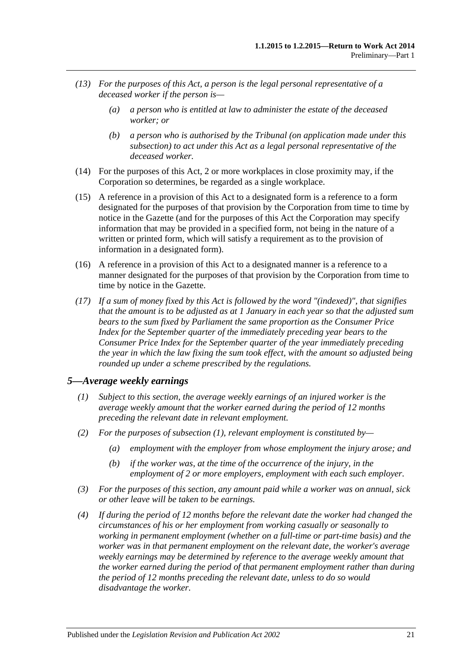- <span id="page-20-1"></span>*(13) For the purposes of this Act, a person is the legal personal representative of a deceased worker if the person is—*
	- *(a) a person who is entitled at law to administer the estate of the deceased worker; or*
	- *(b) a person who is authorised by the Tribunal (on application made under this subsection) to act under this Act as a legal personal representative of the deceased worker.*
- (14) For the purposes of this Act, 2 or more workplaces in close proximity may, if the Corporation so determines, be regarded as a single workplace.
- (15) A reference in a provision of this Act to a designated form is a reference to a form designated for the purposes of that provision by the Corporation from time to time by notice in the Gazette (and for the purposes of this Act the Corporation may specify information that may be provided in a specified form, not being in the nature of a written or printed form, which will satisfy a requirement as to the provision of information in a designated form).
- (16) A reference in a provision of this Act to a designated manner is a reference to a manner designated for the purposes of that provision by the Corporation from time to time by notice in the Gazette.
- *(17) If a sum of money fixed by this Act is followed by the word "(indexed)", that signifies that the amount is to be adjusted as at 1 January in each year so that the adjusted sum bears to the sum fixed by Parliament the same proportion as the Consumer Price Index for the September quarter of the immediately preceding year bears to the Consumer Price Index for the September quarter of the year immediately preceding the year in which the law fixing the sum took effect, with the amount so adjusted being rounded up under a scheme prescribed by the regulations.*

### <span id="page-20-2"></span><span id="page-20-0"></span>*5—Average weekly earnings*

- *(1) Subject to this section, the average weekly earnings of an injured worker is the average weekly amount that the worker earned during the period of 12 months preceding the relevant date in relevant employment.*
- *(2) For the purposes of [subsection](#page-20-2) (1), relevant employment is constituted by—*
	- *(a) employment with the employer from whose employment the injury arose; and*
	- *(b) if the worker was, at the time of the occurrence of the injury, in the employment of 2 or more employers, employment with each such employer.*
- *(3) For the purposes of this section, any amount paid while a worker was on annual, sick or other leave will be taken to be earnings.*
- *(4) If during the period of 12 months before the relevant date the worker had changed the circumstances of his or her employment from working casually or seasonally to working in permanent employment (whether on a full-time or part-time basis) and the worker was in that permanent employment on the relevant date, the worker's average weekly earnings may be determined by reference to the average weekly amount that the worker earned during the period of that permanent employment rather than during the period of 12 months preceding the relevant date, unless to do so would disadvantage the worker.*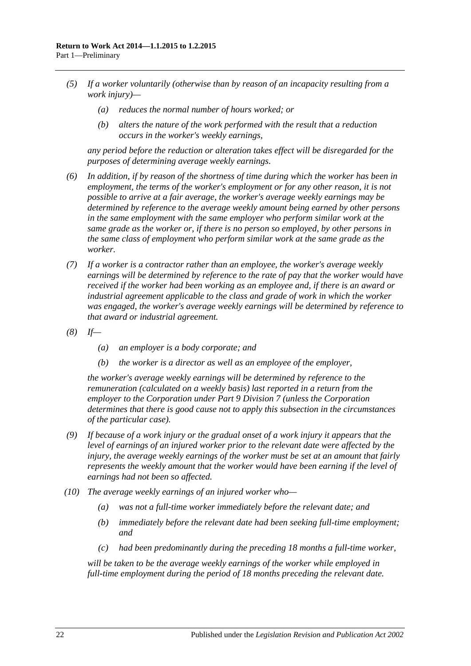- *(5) If a worker voluntarily (otherwise than by reason of an incapacity resulting from a work injury)—*
	- *(a) reduces the normal number of hours worked; or*
	- *(b) alters the nature of the work performed with the result that a reduction occurs in the worker's weekly earnings,*

*any period before the reduction or alteration takes effect will be disregarded for the purposes of determining average weekly earnings.*

- *(6) In addition, if by reason of the shortness of time during which the worker has been in employment, the terms of the worker's employment or for any other reason, it is not possible to arrive at a fair average, the worker's average weekly earnings may be determined by reference to the average weekly amount being earned by other persons in the same employment with the same employer who perform similar work at the same grade as the worker or, if there is no person so employed, by other persons in the same class of employment who perform similar work at the same grade as the worker.*
- *(7) If a worker is a contractor rather than an employee, the worker's average weekly earnings will be determined by reference to the rate of pay that the worker would have received if the worker had been working as an employee and, if there is an award or industrial agreement applicable to the class and grade of work in which the worker was engaged, the worker's average weekly earnings will be determined by reference to that award or industrial agreement.*
- *(8) If—*
	- *(a) an employer is a body corporate; and*
	- *(b) the worker is a director as well as an employee of the employer,*

*the worker's average weekly earnings will be determined by reference to the remuneration (calculated on a weekly basis) last reported in a return from the employer to the Corporation under Part [9 Division](#page-126-0) 7 (unless the Corporation determines that there is good cause not to apply this subsection in the circumstances of the particular case).*

- *(9) If because of a work injury or the gradual onset of a work injury it appears that the level of earnings of an injured worker prior to the relevant date were affected by the injury, the average weekly earnings of the worker must be set at an amount that fairly represents the weekly amount that the worker would have been earning if the level of earnings had not been so affected.*
- *(10) The average weekly earnings of an injured worker who—*
	- *(a) was not a full-time worker immediately before the relevant date; and*
	- *(b) immediately before the relevant date had been seeking full-time employment; and*
	- *(c) had been predominantly during the preceding 18 months a full-time worker,*

*will be taken to be the average weekly earnings of the worker while employed in full-time employment during the period of 18 months preceding the relevant date.*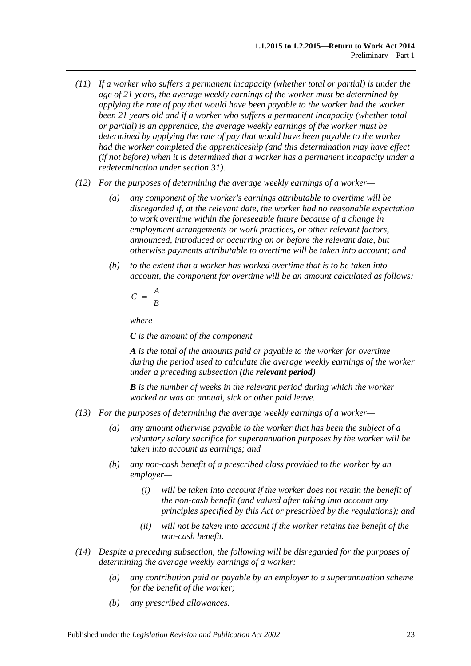- *(11) If a worker who suffers a permanent incapacity (whether total or partial) is under the age of 21 years, the average weekly earnings of the worker must be determined by applying the rate of pay that would have been payable to the worker had the worker been 21 years old and if a worker who suffers a permanent incapacity (whether total or partial) is an apprentice, the average weekly earnings of the worker must be determined by applying the rate of pay that would have been payable to the worker had the worker completed the apprenticeship (and this determination may have effect (if not before) when it is determined that a worker has a permanent incapacity under a redetermination under [section](#page-45-0) 31).*
- *(12) For the purposes of determining the average weekly earnings of a worker—*
	- *(a) any component of the worker's earnings attributable to overtime will be disregarded if, at the relevant date, the worker had no reasonable expectation to work overtime within the foreseeable future because of a change in employment arrangements or work practices, or other relevant factors, announced, introduced or occurring on or before the relevant date, but otherwise payments attributable to overtime will be taken into account; and*
	- *(b) to the extent that a worker has worked overtime that is to be taken into account, the component for overtime will be an amount calculated as follows:*

$$
C = \frac{A}{B}
$$

*where*

*C is the amount of the component*

*A is the total of the amounts paid or payable to the worker for overtime during the period used to calculate the average weekly earnings of the worker under a preceding subsection (the relevant period)*

*B is the number of weeks in the relevant period during which the worker worked or was on annual, sick or other paid leave.*

- *(13) For the purposes of determining the average weekly earnings of a worker—*
	- *(a) any amount otherwise payable to the worker that has been the subject of a voluntary salary sacrifice for superannuation purposes by the worker will be taken into account as earnings; and*
	- *(b) any non-cash benefit of a prescribed class provided to the worker by an employer—*
		- *(i) will be taken into account if the worker does not retain the benefit of the non-cash benefit (and valued after taking into account any principles specified by this Act or prescribed by the regulations); and*
		- *(ii) will not be taken into account if the worker retains the benefit of the non-cash benefit.*
- *(14) Despite a preceding subsection, the following will be disregarded for the purposes of determining the average weekly earnings of a worker:*
	- *(a) any contribution paid or payable by an employer to a superannuation scheme for the benefit of the worker;*
	- *(b) any prescribed allowances.*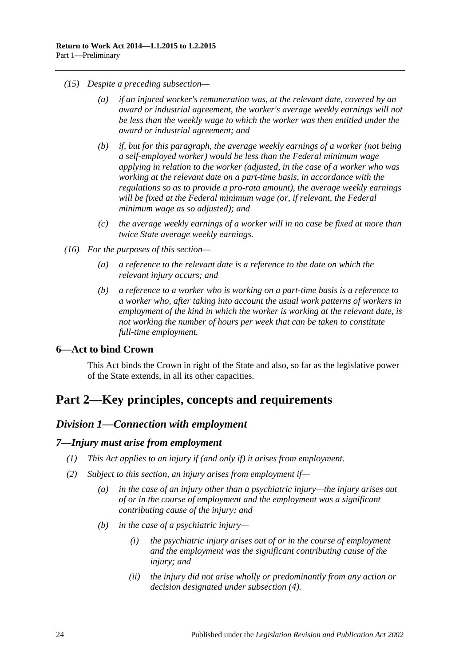- *(15) Despite a preceding subsection—*
	- *(a) if an injured worker's remuneration was, at the relevant date, covered by an award or industrial agreement, the worker's average weekly earnings will not be less than the weekly wage to which the worker was then entitled under the award or industrial agreement; and*
	- *(b) if, but for this paragraph, the average weekly earnings of a worker (not being a self-employed worker) would be less than the Federal minimum wage applying in relation to the worker (adjusted, in the case of a worker who was working at the relevant date on a part-time basis, in accordance with the regulations so as to provide a pro-rata amount), the average weekly earnings will be fixed at the Federal minimum wage (or, if relevant, the Federal minimum wage as so adjusted); and*
	- *(c) the average weekly earnings of a worker will in no case be fixed at more than twice State average weekly earnings.*
- *(16) For the purposes of this section—*
	- *(a) a reference to the relevant date is a reference to the date on which the relevant injury occurs; and*
	- *(b) a reference to a worker who is working on a part-time basis is a reference to a worker who, after taking into account the usual work patterns of workers in employment of the kind in which the worker is working at the relevant date, is not working the number of hours per week that can be taken to constitute full-time employment.*

## <span id="page-23-0"></span>**6—Act to bind Crown**

This Act binds the Crown in right of the State and also, so far as the legislative power of the State extends, in all its other capacities.

## <span id="page-23-2"></span><span id="page-23-1"></span>**Part 2—Key principles, concepts and requirements**

## *Division 1—Connection with employment*

### <span id="page-23-3"></span>*7—Injury must arise from employment*

- *(1) This Act applies to an injury if (and only if) it arises from employment.*
- <span id="page-23-5"></span><span id="page-23-4"></span>*(2) Subject to this section, an injury arises from employment if—*
	- *(a) in the case of an injury other than a psychiatric injury—the injury arises out of or in the course of employment and the employment was a significant contributing cause of the injury; and*
	- *(b) in the case of a psychiatric injury—*
		- *(i) the psychiatric injury arises out of or in the course of employment and the employment was the significant contributing cause of the injury; and*
		- *(ii) the injury did not arise wholly or predominantly from any action or decision designated under [subsection](#page-24-1) (4).*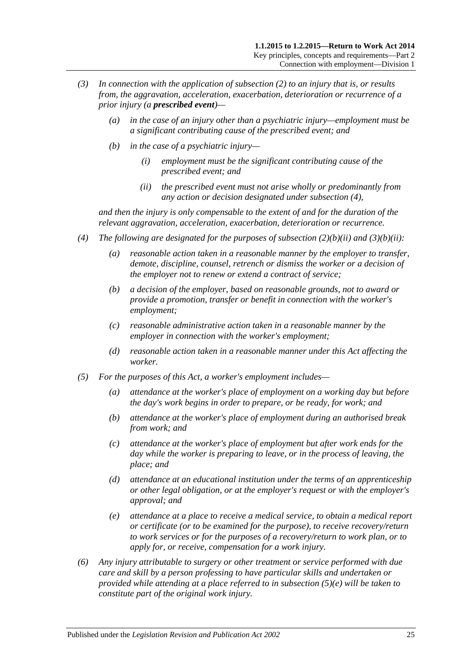- *(3) In connection with the application of [subsection](#page-23-4) (2) to an injury that is, or results from, the aggravation, acceleration, exacerbation, deterioration or recurrence of a prior injury (a prescribed event)—*
	- *(a) in the case of an injury other than a psychiatric injury—employment must be a significant contributing cause of the prescribed event; and*
	- *(b) in the case of a psychiatric injury—*
		- *(i) employment must be the significant contributing cause of the prescribed event; and*
		- *(ii) the prescribed event must not arise wholly or predominantly from any action or decision designated under [subsection](#page-24-1) (4),*

<span id="page-24-2"></span>*and then the injury is only compensable to the extent of and for the duration of the relevant aggravation, acceleration, exacerbation, deterioration or recurrence.*

- <span id="page-24-1"></span>*(4) The following are designated for the purposes of [subsection](#page-23-5) (2)(b)(ii) and [\(3\)\(b\)\(ii\):](#page-24-2)*
	- *(a) reasonable action taken in a reasonable manner by the employer to transfer, demote, discipline, counsel, retrench or dismiss the worker or a decision of the employer not to renew or extend a contract of service;*
	- *(b) a decision of the employer, based on reasonable grounds, not to award or provide a promotion, transfer or benefit in connection with the worker's employment;*
	- *(c) reasonable administrative action taken in a reasonable manner by the employer in connection with the worker's employment;*
	- *(d) reasonable action taken in a reasonable manner under this Act affecting the worker.*
- <span id="page-24-0"></span>*(5) For the purposes of this Act, a worker's employment includes—*
	- *(a) attendance at the worker's place of employment on a working day but before the day's work begins in order to prepare, or be ready, for work; and*
	- *(b) attendance at the worker's place of employment during an authorised break from work; and*
	- *(c) attendance at the worker's place of employment but after work ends for the day while the worker is preparing to leave, or in the process of leaving, the place; and*
	- *(d) attendance at an educational institution under the terms of an apprenticeship or other legal obligation, or at the employer's request or with the employer's approval; and*
	- *(e) attendance at a place to receive a medical service, to obtain a medical report or certificate (or to be examined for the purpose), to receive recovery/return to work services or for the purposes of a recovery/return to work plan, or to apply for, or receive, compensation for a work injury.*
- <span id="page-24-3"></span>*(6) Any injury attributable to surgery or other treatment or service performed with due care and skill by a person professing to have particular skills and undertaken or provided while attending at a place referred to in [subsection](#page-24-3) (5)(e) will be taken to constitute part of the original work injury.*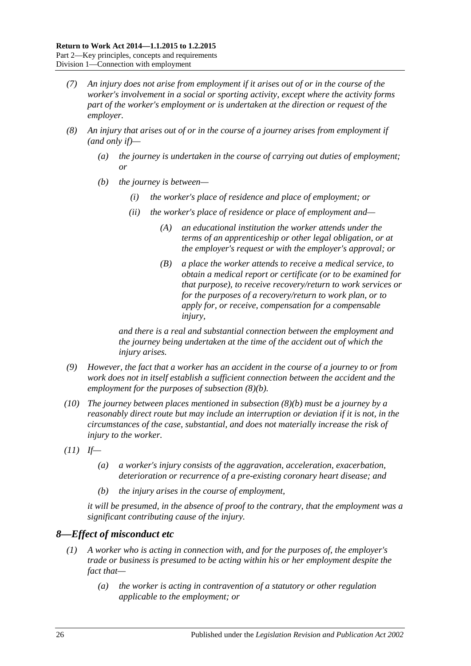- *(7) An injury does not arise from employment if it arises out of or in the course of the worker's involvement in a social or sporting activity, except where the activity forms part of the worker's employment or is undertaken at the direction or request of the employer.*
- <span id="page-25-1"></span>*(8) An injury that arises out of or in the course of a journey arises from employment if (and only if)—*
	- *(a) the journey is undertaken in the course of carrying out duties of employment; or*
	- *(b) the journey is between—*
		- *(i) the worker's place of residence and place of employment; or*
		- *(ii) the worker's place of residence or place of employment and—*
			- *(A) an educational institution the worker attends under the terms of an apprenticeship or other legal obligation, or at the employer's request or with the employer's approval; or*
			- *(B) a place the worker attends to receive a medical service, to obtain a medical report or certificate (or to be examined for that purpose), to receive recovery/return to work services or for the purposes of a recovery/return to work plan, or to apply for, or receive, compensation for a compensable injury,*

*and there is a real and substantial connection between the employment and the journey being undertaken at the time of the accident out of which the injury arises.*

- *(9) However, the fact that a worker has an accident in the course of a journey to or from work does not in itself establish a sufficient connection between the accident and the employment for the purposes of [subsection](#page-25-1) (8)(b).*
- *(10) The journey between places mentioned in [subsection](#page-25-1) (8)(b) must be a journey by a reasonably direct route but may include an interruption or deviation if it is not, in the circumstances of the case, substantial, and does not materially increase the risk of injury to the worker.*
- *(11) If—*
	- *(a) a worker's injury consists of the aggravation, acceleration, exacerbation, deterioration or recurrence of a pre-existing coronary heart disease; and*
	- *(b) the injury arises in the course of employment,*

*it will be presumed, in the absence of proof to the contrary, that the employment was a significant contributing cause of the injury.*

## <span id="page-25-0"></span>*8—Effect of misconduct etc*

- *(1) A worker who is acting in connection with, and for the purposes of, the employer's trade or business is presumed to be acting within his or her employment despite the fact that—*
	- *(a) the worker is acting in contravention of a statutory or other regulation applicable to the employment; or*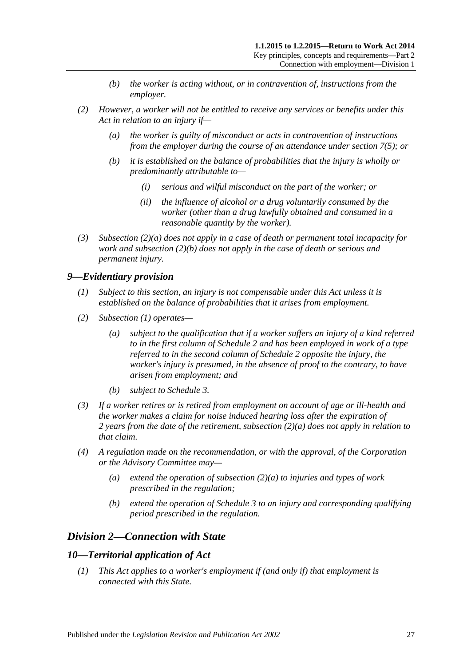- *(b) the worker is acting without, or in contravention of, instructions from the employer.*
- <span id="page-26-4"></span><span id="page-26-3"></span>*(2) However, a worker will not be entitled to receive any services or benefits under this Act in relation to an injury if—*
	- *(a) the worker is guilty of misconduct or acts in contravention of instructions from the employer during the course of an attendance under [section](#page-24-0) 7(5); or*
	- *(b) it is established on the balance of probabilities that the injury is wholly or predominantly attributable to—*
		- *(i) serious and wilful misconduct on the part of the worker; or*
		- *(ii) the influence of alcohol or a drug voluntarily consumed by the worker (other than a drug lawfully obtained and consumed in a reasonable quantity by the worker).*
- *(3) [Subsection](#page-26-3) (2)(a) does not apply in a case of death or permanent total incapacity for work and [subsection](#page-26-4) (2)(b) does not apply in the case of death or serious and permanent injury.*

## <span id="page-26-5"></span><span id="page-26-0"></span>*9—Evidentiary provision*

- *(1) Subject to this section, an injury is not compensable under this Act unless it is established on the balance of probabilities that it arises from employment.*
- <span id="page-26-6"></span>*(2) [Subsection](#page-26-5) (1) operates—*
	- *(a) subject to the qualification that if a worker suffers an injury of a kind referred to in the first column of [Schedule](#page-157-0) 2 and has been employed in work of a type referred to in the second column of [Schedule](#page-157-0) 2 opposite the injury, the worker's injury is presumed, in the absence of proof to the contrary, to have arisen from employment; and*
	- *(b) subject to [Schedule](#page-158-0) 3.*
- *(3) If a worker retires or is retired from employment on account of age or ill-health and the worker makes a claim for noise induced hearing loss after the expiration of 2 years from the date of the retirement, [subsection](#page-26-6) (2)(a) does not apply in relation to that claim.*
- *(4) A regulation made on the recommendation, or with the approval, of the Corporation or the Advisory Committee may—*
	- *(a) extend the operation of [subsection](#page-26-6) (2)(a) to injuries and types of work prescribed in the regulation;*
	- *(b) extend the operation of [Schedule](#page-158-0) 3 to an injury and corresponding qualifying period prescribed in the regulation.*

## <span id="page-26-1"></span>*Division 2—Connection with State*

### <span id="page-26-2"></span>*10—Territorial application of Act*

*(1) This Act applies to a worker's employment if (and only if) that employment is connected with this State.*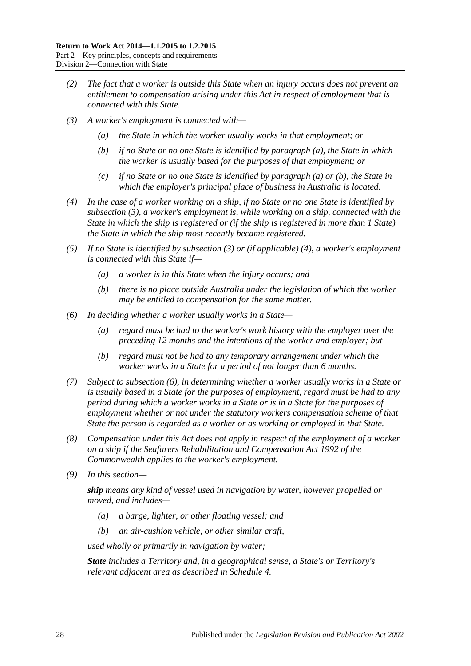- *(2) The fact that a worker is outside this State when an injury occurs does not prevent an entitlement to compensation arising under this Act in respect of employment that is connected with this State.*
- <span id="page-27-2"></span><span id="page-27-1"></span><span id="page-27-0"></span>*(3) A worker's employment is connected with—*
	- *(a) the State in which the worker usually works in that employment; or*
	- *(b) if no State or no one State is identified by [paragraph](#page-27-0) (a), the State in which the worker is usually based for the purposes of that employment; or*
	- *(c) if no State or no one State is identified by [paragraph](#page-27-0) (a) or [\(b\),](#page-27-1) the State in which the employer's principal place of business in Australia is located.*
- <span id="page-27-3"></span>*(4) In the case of a worker working on a ship, if no State or no one State is identified by [subsection](#page-27-2) (3), a worker's employment is, while working on a ship, connected with the State in which the ship is registered or (if the ship is registered in more than 1 State) the State in which the ship most recently became registered.*
- *(5) If no State is identified by [subsection](#page-27-2) (3) or (if applicable) [\(4\),](#page-27-3) a worker's employment is connected with this State if—*
	- *(a) a worker is in this State when the injury occurs; and*
	- *(b) there is no place outside Australia under the legislation of which the worker may be entitled to compensation for the same matter.*
- <span id="page-27-4"></span>*(6) In deciding whether a worker usually works in a State—*
	- *(a) regard must be had to the worker's work history with the employer over the preceding 12 months and the intentions of the worker and employer; but*
	- *(b) regard must not be had to any temporary arrangement under which the worker works in a State for a period of not longer than 6 months.*
- *(7) Subject to [subsection](#page-27-4) (6), in determining whether a worker usually works in a State or is usually based in a State for the purposes of employment, regard must be had to any period during which a worker works in a State or is in a State for the purposes of employment whether or not under the statutory workers compensation scheme of that State the person is regarded as a worker or as working or employed in that State.*
- *(8) Compensation under this Act does not apply in respect of the employment of a worker on a ship if the Seafarers Rehabilitation and Compensation Act 1992 of the Commonwealth applies to the worker's employment.*
- *(9) In this section—*

*ship means any kind of vessel used in navigation by water, however propelled or moved, and includes—*

- *(a) a barge, lighter, or other floating vessel; and*
- *(b) an air-cushion vehicle, or other similar craft,*

*used wholly or primarily in navigation by water;*

*State includes a Territory and, in a geographical sense, a State's or Territory's relevant adjacent area as described in [Schedule](#page-160-0) 4.*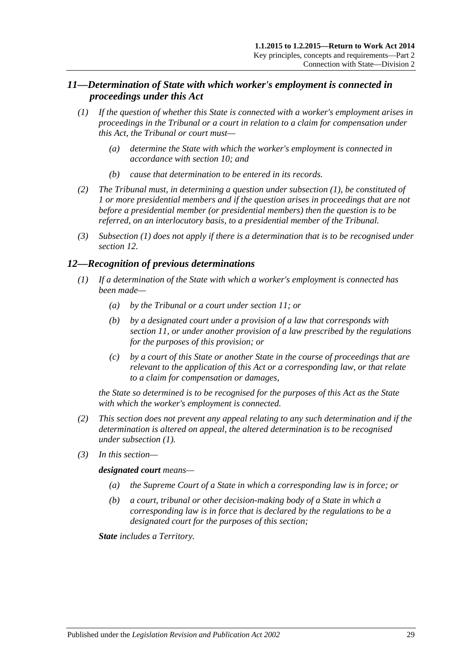## <span id="page-28-0"></span>*11—Determination of State with which worker's employment is connected in proceedings under this Act*

- <span id="page-28-2"></span>*(1) If the question of whether this State is connected with a worker's employment arises in proceedings in the Tribunal or a court in relation to a claim for compensation under this Act, the Tribunal or court must—*
	- *(a) determine the State with which the worker's employment is connected in accordance with [section](#page-26-2) 10; and*
	- *(b) cause that determination to be entered in its records.*
- *(2) The Tribunal must, in determining a question under [subsection](#page-28-2) (1), be constituted of 1 or more presidential members and if the question arises in proceedings that are not before a presidential member (or presidential members) then the question is to be referred, on an interlocutory basis, to a presidential member of the Tribunal.*
- *(3) [Subsection \(1\)](#page-28-2) does not apply if there is a determination that is to be recognised under [section](#page-28-1) 12.*

## <span id="page-28-3"></span><span id="page-28-1"></span>*12—Recognition of previous determinations*

- *(1) If a determination of the State with which a worker's employment is connected has been made—*
	- *(a) by the Tribunal or a court under [section](#page-28-0) 11; or*
	- *(b) by a designated court under a provision of a law that corresponds with [section](#page-28-0) 11, or under another provision of a law prescribed by the regulations for the purposes of this provision; or*
	- *(c) by a court of this State or another State in the course of proceedings that are relevant to the application of this Act or a corresponding law, or that relate to a claim for compensation or damages,*

*the State so determined is to be recognised for the purposes of this Act as the State with which the worker's employment is connected.*

- *(2) This section does not prevent any appeal relating to any such determination and if the determination is altered on appeal, the altered determination is to be recognised under [subsection](#page-28-3) (1).*
- *(3) In this section—*

### *designated court means—*

- *(a) the Supreme Court of a State in which a corresponding law is in force; or*
- *(b) a court, tribunal or other decision-making body of a State in which a corresponding law is in force that is declared by the regulations to be a designated court for the purposes of this section;*

*State includes a Territory.*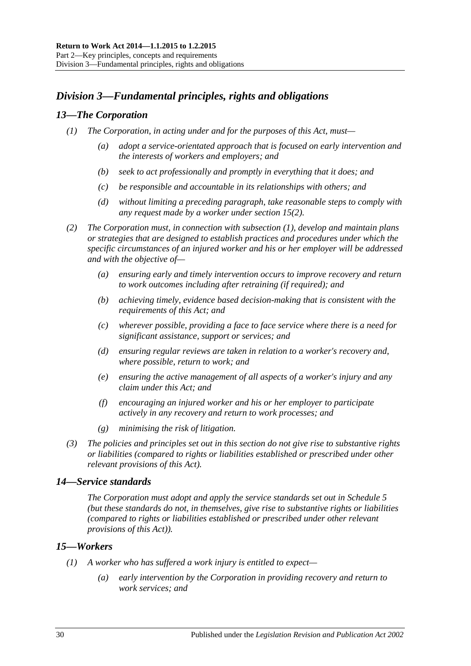## <span id="page-29-0"></span>*Division 3—Fundamental principles, rights and obligations*

## <span id="page-29-4"></span><span id="page-29-1"></span>*13—The Corporation*

- *(1) The Corporation, in acting under and for the purposes of this Act, must—*
	- *(a) adopt a service-orientated approach that is focused on early intervention and the interests of workers and employers; and*
	- *(b) seek to act professionally and promptly in everything that it does; and*
	- *(c) be responsible and accountable in its relationships with others; and*
	- *(d) without limiting a preceding paragraph, take reasonable steps to comply with any request made by a worker under [section](#page-30-1) 15(2).*
- *(2) The Corporation must, in connection with [subsection](#page-29-4) (1), develop and maintain plans or strategies that are designed to establish practices and procedures under which the specific circumstances of an injured worker and his or her employer will be addressed and with the objective of—*
	- *(a) ensuring early and timely intervention occurs to improve recovery and return to work outcomes including after retraining (if required); and*
	- *(b) achieving timely, evidence based decision-making that is consistent with the requirements of this Act; and*
	- *(c) wherever possible, providing a face to face service where there is a need for significant assistance, support or services; and*
	- *(d) ensuring regular reviews are taken in relation to a worker's recovery and, where possible, return to work; and*
	- *(e) ensuring the active management of all aspects of a worker's injury and any claim under this Act; and*
	- *(f) encouraging an injured worker and his or her employer to participate actively in any recovery and return to work processes; and*
	- *(g) minimising the risk of litigation.*
- *(3) The policies and principles set out in this section do not give rise to substantive rights or liabilities (compared to rights or liabilities established or prescribed under other relevant provisions of this Act).*

## <span id="page-29-2"></span>*14—Service standards*

*The Corporation must adopt and apply the service standards set out in [Schedule](#page-161-0) 5 (but these standards do not, in themselves, give rise to substantive rights or liabilities (compared to rights or liabilities established or prescribed under other relevant provisions of this Act)).*

## <span id="page-29-3"></span>*15—Workers*

- *(1) A worker who has suffered a work injury is entitled to expect—*
	- *(a) early intervention by the Corporation in providing recovery and return to work services; and*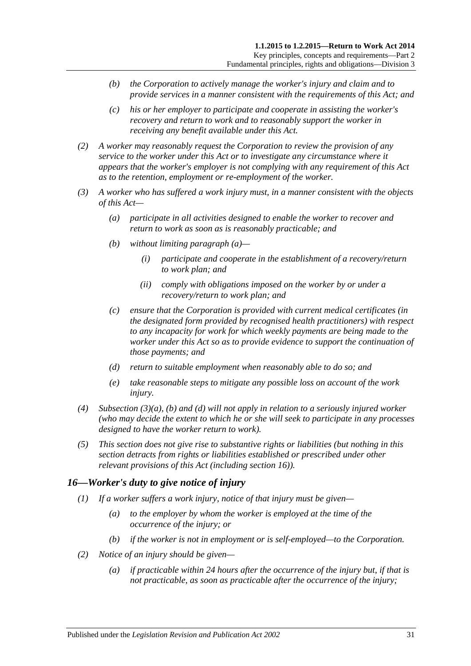- *(b) the Corporation to actively manage the worker's injury and claim and to provide services in a manner consistent with the requirements of this Act; and*
- *(c) his or her employer to participate and cooperate in assisting the worker's recovery and return to work and to reasonably support the worker in receiving any benefit available under this Act.*
- <span id="page-30-1"></span>*(2) A worker may reasonably request the Corporation to review the provision of any service to the worker under this Act or to investigate any circumstance where it appears that the worker's employer is not complying with any requirement of this Act as to the retention, employment or re-employment of the worker.*
- <span id="page-30-3"></span><span id="page-30-2"></span>*(3) A worker who has suffered a work injury must, in a manner consistent with the objects of this Act—*
	- *(a) participate in all activities designed to enable the worker to recover and return to work as soon as is reasonably practicable; and*
	- *(b) without limiting [paragraph](#page-30-2) (a)—*
		- *(i) participate and cooperate in the establishment of a recovery/return to work plan; and*
		- *(ii) comply with obligations imposed on the worker by or under a recovery/return to work plan; and*
	- *(c) ensure that the Corporation is provided with current medical certificates (in the designated form provided by recognised health practitioners) with respect to any incapacity for work for which weekly payments are being made to the worker under this Act so as to provide evidence to support the continuation of those payments; and*
	- *(d) return to suitable employment when reasonably able to do so; and*
	- *(e) take reasonable steps to mitigate any possible loss on account of the work injury.*
- <span id="page-30-4"></span>*(4) [Subsection](#page-30-2) (3)(a), [\(b\)](#page-30-3) and [\(d\)](#page-30-4) will not apply in relation to a seriously injured worker (who may decide the extent to which he or she will seek to participate in any processes designed to have the worker return to work).*
- *(5) This section does not give rise to substantive rights or liabilities (but nothing in this section detracts from rights or liabilities established or prescribed under other relevant provisions of this Act (including [section](#page-30-0) 16)).*

## <span id="page-30-0"></span>*16—Worker's duty to give notice of injury*

- *(1) If a worker suffers a work injury, notice of that injury must be given—*
	- *(a) to the employer by whom the worker is employed at the time of the occurrence of the injury; or*
	- *(b) if the worker is not in employment or is self-employed—to the Corporation.*
- *(2) Notice of an injury should be given—*
	- *(a) if practicable within 24 hours after the occurrence of the injury but, if that is not practicable, as soon as practicable after the occurrence of the injury;*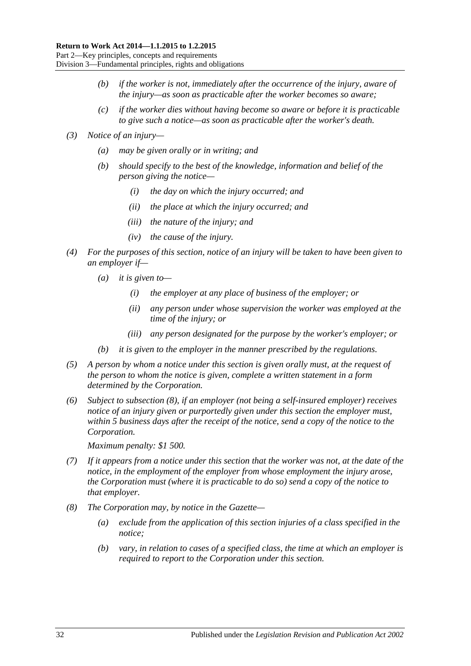- *(b) if the worker is not, immediately after the occurrence of the injury, aware of the injury—as soon as practicable after the worker becomes so aware;*
- *(c) if the worker dies without having become so aware or before it is practicable to give such a notice—as soon as practicable after the worker's death.*
- *(3) Notice of an injury—*
	- *(a) may be given orally or in writing; and*
	- *(b) should specify to the best of the knowledge, information and belief of the person giving the notice—*
		- *(i) the day on which the injury occurred; and*
		- *(ii) the place at which the injury occurred; and*
		- *(iii) the nature of the injury; and*
		- *(iv) the cause of the injury.*
- *(4) For the purposes of this section, notice of an injury will be taken to have been given to an employer if—*
	- *(a) it is given to—*
		- *(i) the employer at any place of business of the employer; or*
		- *(ii) any person under whose supervision the worker was employed at the time of the injury; or*
		- *(iii) any person designated for the purpose by the worker's employer; or*
	- *(b) it is given to the employer in the manner prescribed by the regulations.*
- *(5) A person by whom a notice under this section is given orally must, at the request of the person to whom the notice is given, complete a written statement in a form determined by the Corporation.*
- *(6) Subject to [subsection](#page-31-0) (8), if an employer (not being a self-insured employer) receives notice of an injury given or purportedly given under this section the employer must, within 5 business days after the receipt of the notice, send a copy of the notice to the Corporation.*

*Maximum penalty: \$1 500.*

- *(7) If it appears from a notice under this section that the worker was not, at the date of the notice, in the employment of the employer from whose employment the injury arose, the Corporation must (where it is practicable to do so) send a copy of the notice to that employer.*
- <span id="page-31-0"></span>*(8) The Corporation may, by notice in the Gazette—*
	- *(a) exclude from the application of this section injuries of a class specified in the notice;*
	- *(b) vary, in relation to cases of a specified class, the time at which an employer is required to report to the Corporation under this section.*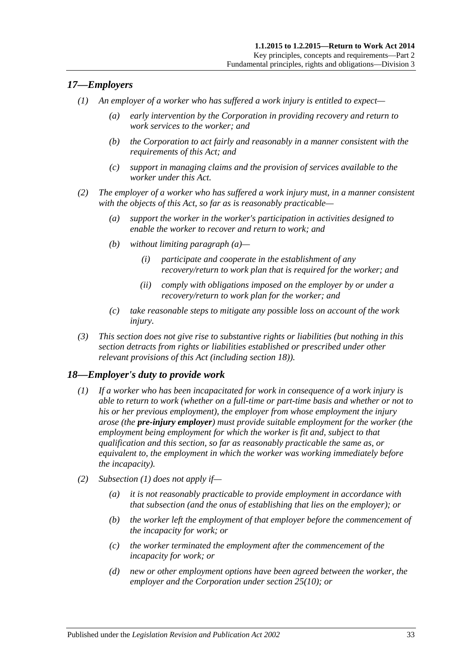## <span id="page-32-0"></span>*17—Employers*

- *(1) An employer of a worker who has suffered a work injury is entitled to expect—*
	- *(a) early intervention by the Corporation in providing recovery and return to work services to the worker; and*
	- *(b) the Corporation to act fairly and reasonably in a manner consistent with the requirements of this Act; and*
	- *(c) support in managing claims and the provision of services available to the worker under this Act.*
- <span id="page-32-2"></span>*(2) The employer of a worker who has suffered a work injury must, in a manner consistent with the objects of this Act, so far as is reasonably practicable—*
	- *(a) support the worker in the worker's participation in activities designed to enable the worker to recover and return to work; and*
	- *(b) without limiting [paragraph](#page-32-2) (a)—*
		- *(i) participate and cooperate in the establishment of any recovery/return to work plan that is required for the worker; and*
		- *(ii) comply with obligations imposed on the employer by or under a recovery/return to work plan for the worker; and*
	- *(c) take reasonable steps to mitigate any possible loss on account of the work injury.*
- *(3) This section does not give rise to substantive rights or liabilities (but nothing in this section detracts from rights or liabilities established or prescribed under other relevant provisions of this Act (including [section](#page-32-1) 18)).*

## <span id="page-32-3"></span><span id="page-32-1"></span>*18—Employer's duty to provide work*

- *(1) If a worker who has been incapacitated for work in consequence of a work injury is able to return to work (whether on a full-time or part-time basis and whether or not to his or her previous employment), the employer from whose employment the injury arose (the pre-injury employer) must provide suitable employment for the worker (the employment being employment for which the worker is fit and, subject to that qualification and this section, so far as reasonably practicable the same as, or equivalent to, the employment in which the worker was working immediately before the incapacity).*
- *(2) [Subsection](#page-32-3) (1) does not apply if—*
	- *(a) it is not reasonably practicable to provide employment in accordance with that subsection (and the onus of establishing that lies on the employer); or*
	- *(b) the worker left the employment of that employer before the commencement of the incapacity for work; or*
	- *(c) the worker terminated the employment after the commencement of the incapacity for work; or*
	- *(d) new or other employment options have been agreed between the worker, the employer and the Corporation under [section](#page-41-0) 25(10); or*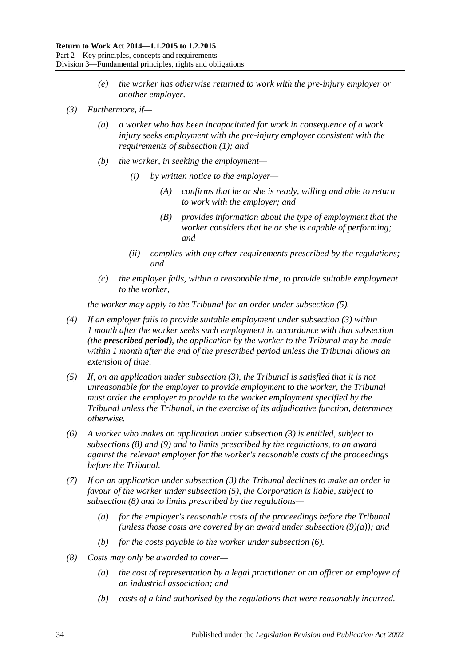- *(e) the worker has otherwise returned to work with the pre-injury employer or another employer.*
- <span id="page-33-4"></span><span id="page-33-1"></span>*(3) Furthermore, if—*
	- *(a) a worker who has been incapacitated for work in consequence of a work injury seeks employment with the pre-injury employer consistent with the requirements of [subsection](#page-32-3) (1); and*
	- *(b) the worker, in seeking the employment—*
		- *(i) by written notice to the employer—*
			- *(A) confirms that he or she is ready, willing and able to return to work with the employer; and*
			- *(B) provides information about the type of employment that the worker considers that he or she is capable of performing; and*
		- *(ii) complies with any other requirements prescribed by the regulations; and*
	- *(c) the employer fails, within a reasonable time, to provide suitable employment to the worker,*

*the worker may apply to the Tribunal for an order under [subsection](#page-33-0) (5).*

- *(4) If an employer fails to provide suitable employment under [subsection](#page-33-1) (3) within 1 month after the worker seeks such employment in accordance with that subsection (the prescribed period), the application by the worker to the Tribunal may be made within 1 month after the end of the prescribed period unless the Tribunal allows an extension of time.*
- <span id="page-33-0"></span>*(5) If, on an application under [subsection](#page-33-1) (3), the Tribunal is satisfied that it is not unreasonable for the employer to provide employment to the worker, the Tribunal must order the employer to provide to the worker employment specified by the Tribunal unless the Tribunal, in the exercise of its adjudicative function, determines otherwise.*
- <span id="page-33-3"></span>*(6) A worker who makes an application under [subsection](#page-33-1) (3) is entitled, subject to [subsections](#page-33-2) (8) and [\(9\)](#page-34-0) and to limits prescribed by the regulations, to an award against the relevant employer for the worker's reasonable costs of the proceedings before the Tribunal.*
- *(7) If on an application under [subsection](#page-33-1) (3) the Tribunal declines to make an order in favour of the worker under [subsection](#page-33-0) (5), the Corporation is liable, subject to [subsection](#page-33-2) (8) and to limits prescribed by the regulations—*
	- *(a) for the employer's reasonable costs of the proceedings before the Tribunal (unless those costs are covered by an award under [subsection](#page-34-1) (9)(a)); and*
	- *(b) for the costs payable to the worker under [subsection](#page-33-3) (6).*
- <span id="page-33-2"></span>*(8) Costs may only be awarded to cover—*
	- *(a) the cost of representation by a legal practitioner or an officer or employee of an industrial association; and*
	- *(b) costs of a kind authorised by the regulations that were reasonably incurred.*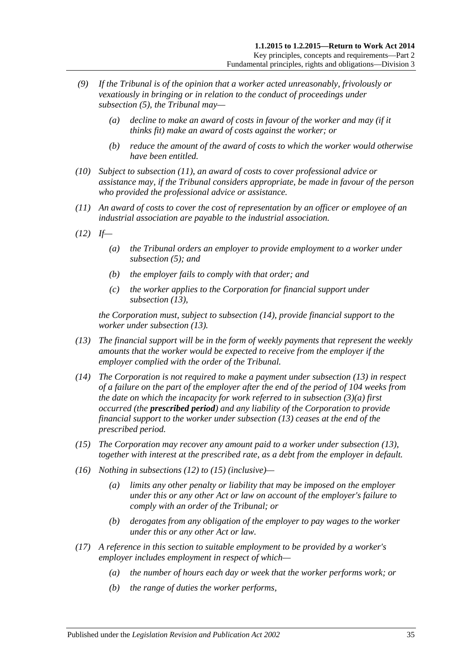- <span id="page-34-1"></span><span id="page-34-0"></span>*(9) If the Tribunal is of the opinion that a worker acted unreasonably, frivolously or vexatiously in bringing or in relation to the conduct of proceedings under [subsection](#page-33-0) (5), the Tribunal may—*
	- *(a) decline to make an award of costs in favour of the worker and may (if it thinks fit) make an award of costs against the worker; or*
	- *(b) reduce the amount of the award of costs to which the worker would otherwise have been entitled.*
- *(10) Subject to [subsection](#page-34-2) (11), an award of costs to cover professional advice or assistance may, if the Tribunal considers appropriate, be made in favour of the person who provided the professional advice or assistance.*
- <span id="page-34-2"></span>*(11) An award of costs to cover the cost of representation by an officer or employee of an industrial association are payable to the industrial association.*
- <span id="page-34-5"></span>*(12) If—*
	- *(a) the Tribunal orders an employer to provide employment to a worker under [subsection](#page-33-0) (5); and*
	- *(b) the employer fails to comply with that order; and*
	- *(c) the worker applies to the Corporation for financial support under [subsection](#page-34-3) (13),*

*the Corporation must, subject to [subsection](#page-34-4) (14), provide financial support to the worker under [subsection](#page-34-3) (13).*

- <span id="page-34-3"></span>*(13) The financial support will be in the form of weekly payments that represent the weekly amounts that the worker would be expected to receive from the employer if the employer complied with the order of the Tribunal.*
- <span id="page-34-4"></span>*(14) The Corporation is not required to make a payment under [subsection](#page-34-3) (13) in respect of a failure on the part of the employer after the end of the period of 104 weeks from the date on which the incapacity for work referred to in [subsection](#page-33-4) (3)(a) first occurred (the prescribed period) and any liability of the Corporation to provide financial support to the worker under [subsection](#page-34-3) (13) ceases at the end of the prescribed period.*
- <span id="page-34-6"></span>*(15) The Corporation may recover any amount paid to a worker under [subsection](#page-34-3) (13), together with interest at the prescribed rate, as a debt from the employer in default.*
- *(16) Nothing in [subsections \(12\)](#page-34-5) to [\(15\)](#page-34-6) (inclusive)—*
	- *(a) limits any other penalty or liability that may be imposed on the employer under this or any other Act or law on account of the employer's failure to comply with an order of the Tribunal; or*
	- *(b) derogates from any obligation of the employer to pay wages to the worker under this or any other Act or law.*
- *(17) A reference in this section to suitable employment to be provided by a worker's employer includes employment in respect of which—*
	- *(a) the number of hours each day or week that the worker performs work; or*
	- *(b) the range of duties the worker performs,*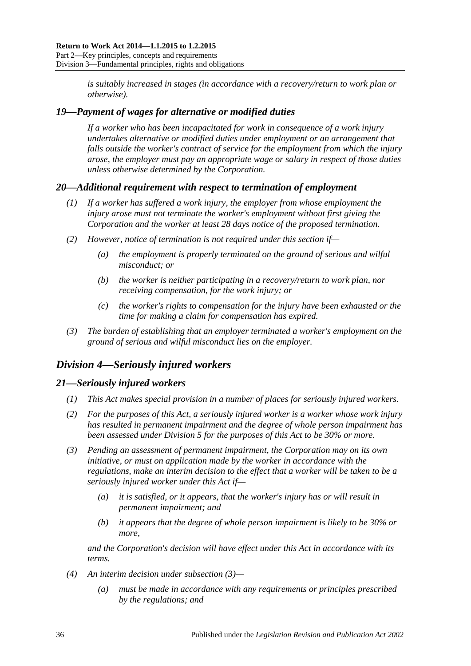*is suitably increased in stages (in accordance with a recovery/return to work plan or otherwise).*

## <span id="page-35-0"></span>*19—Payment of wages for alternative or modified duties*

*If a worker who has been incapacitated for work in consequence of a work injury undertakes alternative or modified duties under employment or an arrangement that falls outside the worker's contract of service for the employment from which the injury arose, the employer must pay an appropriate wage or salary in respect of those duties unless otherwise determined by the Corporation.*

## <span id="page-35-1"></span>*20—Additional requirement with respect to termination of employment*

- *(1) If a worker has suffered a work injury, the employer from whose employment the injury arose must not terminate the worker's employment without first giving the Corporation and the worker at least 28 days notice of the proposed termination.*
- *(2) However, notice of termination is not required under this section if—*
	- *(a) the employment is properly terminated on the ground of serious and wilful misconduct; or*
	- *(b) the worker is neither participating in a recovery/return to work plan, nor receiving compensation, for the work injury; or*
	- *(c) the worker's rights to compensation for the injury have been exhausted or the time for making a claim for compensation has expired.*
- *(3) The burden of establishing that an employer terminated a worker's employment on the ground of serious and wilful misconduct lies on the employer.*

## <span id="page-35-2"></span>*Division 4—Seriously injured workers*

## <span id="page-35-3"></span>*21—Seriously injured workers*

- *(1) This Act makes special provision in a number of places for seriously injured workers.*
- *(2) For the purposes of this Act, a seriously injured worker is a worker whose work injury has resulted in permanent impairment and the degree of whole person impairment has been assessed under [Division](#page-36-0) 5 for the purposes of this Act to be 30% or more.*
- <span id="page-35-4"></span>*(3) Pending an assessment of permanent impairment, the Corporation may on its own initiative, or must on application made by the worker in accordance with the regulations, make an interim decision to the effect that a worker will be taken to be a seriously injured worker under this Act if—*
	- *(a) it is satisfied, or it appears, that the worker's injury has or will result in permanent impairment; and*
	- *(b) it appears that the degree of whole person impairment is likely to be 30% or more,*

*and the Corporation's decision will have effect under this Act in accordance with its terms.*

- *(4) An interim decision under [subsection](#page-35-4) (3)—*
	- *(a) must be made in accordance with any requirements or principles prescribed by the regulations; and*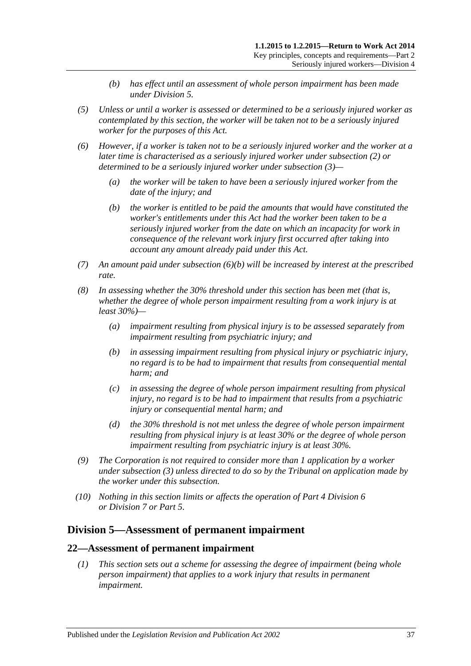- *(b) has effect until an assessment of whole person impairment has been made under [Division](#page-36-0) 5.*
- *(5) Unless or until a worker is assessed or determined to be a seriously injured worker as contemplated by this section, the worker will be taken not to be a seriously injured worker for the purposes of this Act.*
- <span id="page-36-1"></span>*(6) However, if a worker is taken not to be a seriously injured worker and the worker at a later time is characterised as a seriously injured worker under [subsection](#page-35-0) (2) or determined to be a seriously injured worker under [subsection](#page-35-1) (3)—*
	- *(a) the worker will be taken to have been a seriously injured worker from the date of the injury; and*
	- *(b) the worker is entitled to be paid the amounts that would have constituted the worker's entitlements under this Act had the worker been taken to be a seriously injured worker from the date on which an incapacity for work in consequence of the relevant work injury first occurred after taking into account any amount already paid under this Act.*
- *(7) An amount paid under [subsection](#page-36-1) (6)(b) will be increased by interest at the prescribed rate.*
- *(8) In assessing whether the 30% threshold under this section has been met (that is, whether the degree of whole person impairment resulting from a work injury is at least 30%)—*
	- *(a) impairment resulting from physical injury is to be assessed separately from impairment resulting from psychiatric injury; and*
	- *(b) in assessing impairment resulting from physical injury or psychiatric injury, no regard is to be had to impairment that results from consequential mental harm; and*
	- *(c) in assessing the degree of whole person impairment resulting from physical injury, no regard is to be had to impairment that results from a psychiatric injury or consequential mental harm; and*
	- *(d) the 30% threshold is not met unless the degree of whole person impairment resulting from physical injury is at least 30% or the degree of whole person impairment resulting from psychiatric injury is at least 30%.*
- *(9) The Corporation is not required to consider more than 1 application by a worker under [subsection](#page-35-1) (3) unless directed to do so by the Tribunal on application made by the worker under this subsection.*
- *(10) Nothing in this section limits or affects the operation of Part [4 Division](#page-67-0) 6 or [Division](#page-69-0) 7 or [Part](#page-83-0) 5.*

## <span id="page-36-0"></span>**Division 5—Assessment of permanent impairment**

#### **22—Assessment of permanent impairment**

*(1) This section sets out a scheme for assessing the degree of impairment (being whole person impairment) that applies to a work injury that results in permanent impairment.*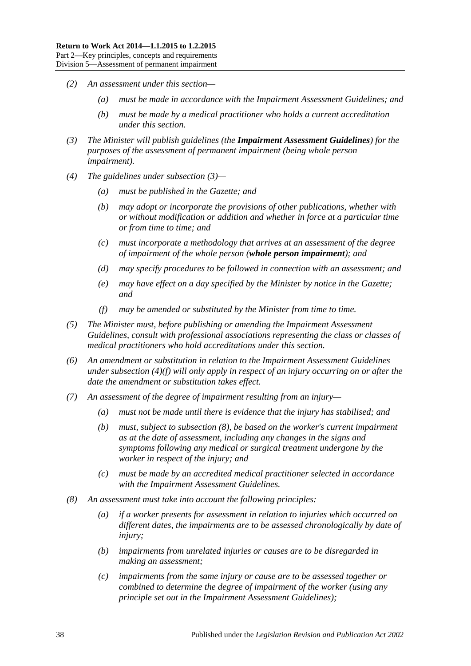- *(2) An assessment under this section—*
	- *(a) must be made in accordance with the Impairment Assessment Guidelines; and*
	- *(b) must be made by a medical practitioner who holds a current accreditation under this section.*
- <span id="page-37-0"></span>*(3) The Minister will publish guidelines (the Impairment Assessment Guidelines) for the purposes of the assessment of permanent impairment (being whole person impairment).*
- *(4) The guidelines under [subsection](#page-37-0) (3)—*
	- *(a) must be published in the Gazette; and*
	- *(b) may adopt or incorporate the provisions of other publications, whether with or without modification or addition and whether in force at a particular time or from time to time; and*
	- *(c) must incorporate a methodology that arrives at an assessment of the degree of impairment of the whole person (whole person impairment); and*
	- *(d) may specify procedures to be followed in connection with an assessment; and*
	- *(e) may have effect on a day specified by the Minister by notice in the Gazette; and*
	- *(f) may be amended or substituted by the Minister from time to time.*
- <span id="page-37-1"></span>*(5) The Minister must, before publishing or amending the Impairment Assessment Guidelines, consult with professional associations representing the class or classes of medical practitioners who hold accreditations under this section.*
- *(6) An amendment or substitution in relation to the Impairment Assessment Guidelines under [subsection](#page-37-1) (4)(f) will only apply in respect of an injury occurring on or after the date the amendment or substitution takes effect.*
- *(7) An assessment of the degree of impairment resulting from an injury—*
	- *(a) must not be made until there is evidence that the injury has stabilised; and*
	- *(b) must, subject to [subsection](#page-37-2) (8), be based on the worker's current impairment as at the date of assessment, including any changes in the signs and symptoms following any medical or surgical treatment undergone by the worker in respect of the injury; and*
	- *(c) must be made by an accredited medical practitioner selected in accordance with the Impairment Assessment Guidelines.*
- <span id="page-37-2"></span>*(8) An assessment must take into account the following principles:*
	- *(a) if a worker presents for assessment in relation to injuries which occurred on different dates, the impairments are to be assessed chronologically by date of injury;*
	- *(b) impairments from unrelated injuries or causes are to be disregarded in making an assessment;*
	- *(c) impairments from the same injury or cause are to be assessed together or combined to determine the degree of impairment of the worker (using any principle set out in the Impairment Assessment Guidelines);*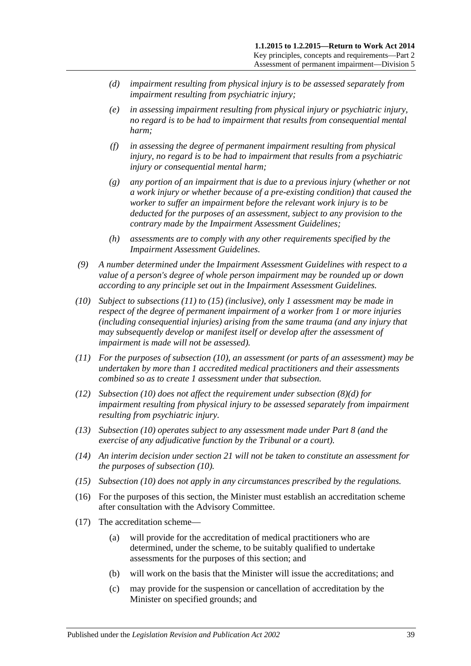- <span id="page-38-3"></span>*(d) impairment resulting from physical injury is to be assessed separately from impairment resulting from psychiatric injury;*
- *(e) in assessing impairment resulting from physical injury or psychiatric injury, no regard is to be had to impairment that results from consequential mental harm;*
- *(f) in assessing the degree of permanent impairment resulting from physical injury, no regard is to be had to impairment that results from a psychiatric injury or consequential mental harm;*
- *(g) any portion of an impairment that is due to a previous injury (whether or not a work injury or whether because of a pre-existing condition) that caused the worker to suffer an impairment before the relevant work injury is to be deducted for the purposes of an assessment, subject to any provision to the contrary made by the Impairment Assessment Guidelines;*
- *(h) assessments are to comply with any other requirements specified by the Impairment Assessment Guidelines.*
- *(9) A number determined under the Impairment Assessment Guidelines with respect to a value of a person's degree of whole person impairment may be rounded up or down according to any principle set out in the Impairment Assessment Guidelines.*
- <span id="page-38-2"></span>*(10) Subject to [subsections \(11\)](#page-38-0) to [\(15\)](#page-38-1) (inclusive), only 1 assessment may be made in respect of the degree of permanent impairment of a worker from 1 or more injuries (including consequential injuries) arising from the same trauma (and any injury that may subsequently develop or manifest itself or develop after the assessment of impairment is made will not be assessed).*
- <span id="page-38-0"></span>*(11) For the purposes of [subsection](#page-38-2) (10), an assessment (or parts of an assessment) may be undertaken by more than 1 accredited medical practitioners and their assessments combined so as to create 1 assessment under that subsection.*
- *(12) [Subsection \(10\)](#page-38-2) does not affect the requirement under [subsection](#page-38-3) (8)(d) for impairment resulting from physical injury to be assessed separately from impairment resulting from psychiatric injury.*
- *(13) [Subsection](#page-38-2) (10) operates subject to any assessment made under [Part](#page-103-0) 8 (and the exercise of any adjudicative function by the Tribunal or a court).*
- *(14) An interim decision under [section](#page-35-2) 21 will not be taken to constitute an assessment for the purposes of [subsection](#page-38-2) (10).*
- <span id="page-38-1"></span>*(15) [Subsection](#page-38-2) (10) does not apply in any circumstances prescribed by the regulations.*
- (16) For the purposes of this section, the Minister must establish an accreditation scheme after consultation with the Advisory Committee.
- (17) The accreditation scheme—
	- (a) will provide for the accreditation of medical practitioners who are determined, under the scheme, to be suitably qualified to undertake assessments for the purposes of this section; and
	- (b) will work on the basis that the Minister will issue the accreditations; and
	- (c) may provide for the suspension or cancellation of accreditation by the Minister on specified grounds; and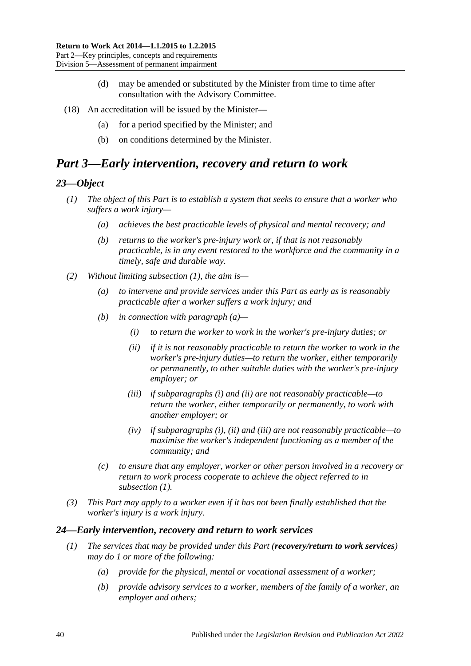- (d) may be amended or substituted by the Minister from time to time after consultation with the Advisory Committee.
- (18) An accreditation will be issued by the Minister—
	- (a) for a period specified by the Minister; and
	- (b) on conditions determined by the Minister.

# *Part 3—Early intervention, recovery and return to work*

#### <span id="page-39-0"></span>*23—Object*

- *(1) The object of this Part is to establish a system that seeks to ensure that a worker who suffers a work injury—*
	- *(a) achieves the best practicable levels of physical and mental recovery; and*
	- *(b) returns to the worker's pre-injury work or, if that is not reasonably practicable, is in any event restored to the workforce and the community in a timely, safe and durable way.*
- <span id="page-39-4"></span><span id="page-39-3"></span><span id="page-39-2"></span><span id="page-39-1"></span>*(2) Without limiting [subsection](#page-39-0) (1), the aim is—*
	- *(a) to intervene and provide services under this Part as early as is reasonably practicable after a worker suffers a work injury; and*
	- *(b) in connection with [paragraph](#page-39-1) (a)—*
		- *(i) to return the worker to work in the worker's pre-injury duties; or*
		- *(ii) if it is not reasonably practicable to return the worker to work in the worker's pre-injury duties—to return the worker, either temporarily or permanently, to other suitable duties with the worker's pre-injury employer; or*
		- *(iii) if [subparagraphs](#page-39-2) (i) and [\(ii\)](#page-39-3) are not reasonably practicable—to return the worker, either temporarily or permanently, to work with another employer; or*
		- *(iv) if [subparagraphs](#page-39-2) (i), [\(ii\)](#page-39-3) and [\(iii\)](#page-39-4) are not reasonably practicable—to maximise the worker's independent functioning as a member of the community; and*
	- *(c) to ensure that any employer, worker or other person involved in a recovery or return to work process cooperate to achieve the object referred to in [subsection](#page-39-0) (1).*
- *(3) This Part may apply to a worker even if it has not been finally established that the worker's injury is a work injury.*

#### *24—Early intervention, recovery and return to work services*

- *(1) The services that may be provided under this Part (recovery/return to work services) may do 1 or more of the following:*
	- *(a) provide for the physical, mental or vocational assessment of a worker;*
	- *(b) provide advisory services to a worker, members of the family of a worker, an employer and others;*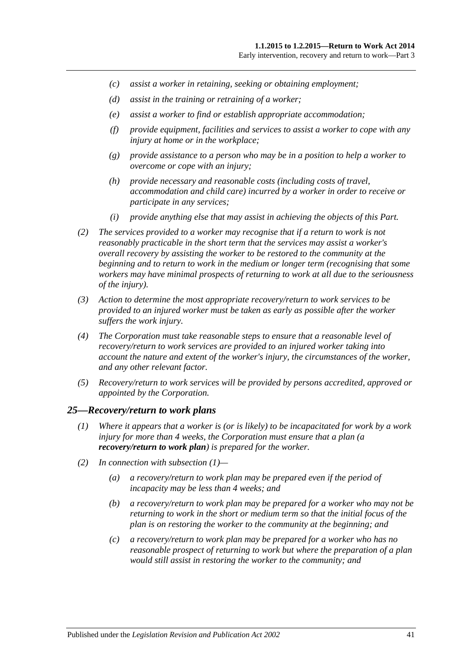- *(c) assist a worker in retaining, seeking or obtaining employment;*
- *(d) assist in the training or retraining of a worker;*
- *(e) assist a worker to find or establish appropriate accommodation;*
- *(f) provide equipment, facilities and services to assist a worker to cope with any injury at home or in the workplace;*
- *(g) provide assistance to a person who may be in a position to help a worker to overcome or cope with an injury;*
- *(h) provide necessary and reasonable costs (including costs of travel, accommodation and child care) incurred by a worker in order to receive or participate in any services;*
- *(i) provide anything else that may assist in achieving the objects of this Part.*
- *(2) The services provided to a worker may recognise that if a return to work is not reasonably practicable in the short term that the services may assist a worker's overall recovery by assisting the worker to be restored to the community at the beginning and to return to work in the medium or longer term (recognising that some workers may have minimal prospects of returning to work at all due to the seriousness of the injury).*
- *(3) Action to determine the most appropriate recovery/return to work services to be provided to an injured worker must be taken as early as possible after the worker suffers the work injury.*
- *(4) The Corporation must take reasonable steps to ensure that a reasonable level of recovery/return to work services are provided to an injured worker taking into account the nature and extent of the worker's injury, the circumstances of the worker, and any other relevant factor.*
- *(5) Recovery/return to work services will be provided by persons accredited, approved or appointed by the Corporation.*

#### <span id="page-40-0"></span>*25—Recovery/return to work plans*

- *(1) Where it appears that a worker is (or is likely) to be incapacitated for work by a work injury for more than 4 weeks, the Corporation must ensure that a plan (a recovery/return to work plan) is prepared for the worker.*
- <span id="page-40-1"></span>*(2) In connection with [subsection](#page-40-0) (1)—*
	- *(a) a recovery/return to work plan may be prepared even if the period of incapacity may be less than 4 weeks; and*
	- *(b) a recovery/return to work plan may be prepared for a worker who may not be returning to work in the short or medium term so that the initial focus of the plan is on restoring the worker to the community at the beginning; and*
	- *(c) a recovery/return to work plan may be prepared for a worker who has no reasonable prospect of returning to work but where the preparation of a plan would still assist in restoring the worker to the community; and*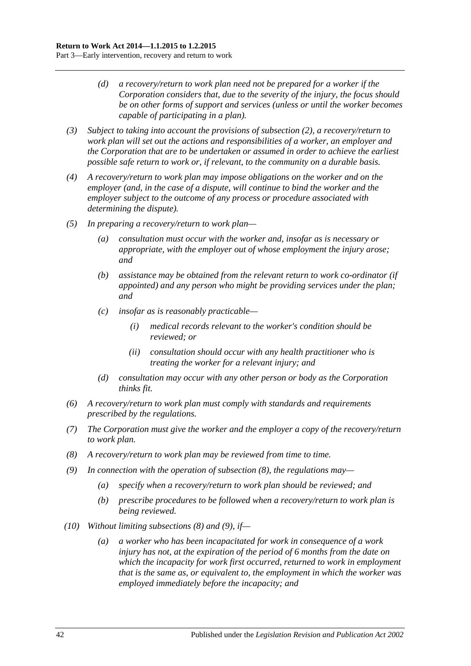- *(d) a recovery/return to work plan need not be prepared for a worker if the Corporation considers that, due to the severity of the injury, the focus should be on other forms of support and services (unless or until the worker becomes capable of participating in a plan).*
- *(3) Subject to taking into account the provisions of [subsection](#page-40-1) (2), a recovery/return to work plan will set out the actions and responsibilities of a worker, an employer and the Corporation that are to be undertaken or assumed in order to achieve the earliest possible safe return to work or, if relevant, to the community on a durable basis.*
- *(4) A recovery/return to work plan may impose obligations on the worker and on the employer (and, in the case of a dispute, will continue to bind the worker and the employer subject to the outcome of any process or procedure associated with determining the dispute).*
- *(5) In preparing a recovery/return to work plan—*
	- *(a) consultation must occur with the worker and, insofar as is necessary or appropriate, with the employer out of whose employment the injury arose; and*
	- *(b) assistance may be obtained from the relevant return to work co-ordinator (if appointed) and any person who might be providing services under the plan; and*
	- *(c) insofar as is reasonably practicable—*
		- *(i) medical records relevant to the worker's condition should be reviewed; or*
		- *(ii) consultation should occur with any health practitioner who is treating the worker for a relevant injury; and*
	- *(d) consultation may occur with any other person or body as the Corporation thinks fit.*
- *(6) A recovery/return to work plan must comply with standards and requirements prescribed by the regulations.*
- *(7) The Corporation must give the worker and the employer a copy of the recovery/return to work plan.*
- <span id="page-41-0"></span>*(8) A recovery/return to work plan may be reviewed from time to time.*
- <span id="page-41-1"></span>*(9) In connection with the operation of [subsection](#page-41-0) (8), the regulations may—*
	- *(a) specify when a recovery/return to work plan should be reviewed; and*
	- *(b) prescribe procedures to be followed when a recovery/return to work plan is being reviewed.*
- *(10) Without limiting [subsections](#page-41-0) (8) and [\(9\),](#page-41-1) if—*
	- *(a) a worker who has been incapacitated for work in consequence of a work injury has not, at the expiration of the period of 6 months from the date on which the incapacity for work first occurred, returned to work in employment that is the same as, or equivalent to, the employment in which the worker was employed immediately before the incapacity; and*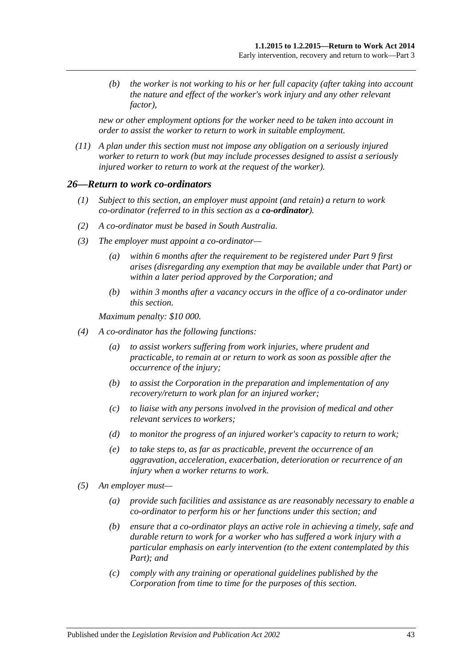*(b) the worker is not working to his or her full capacity (after taking into account the nature and effect of the worker's work injury and any other relevant factor),*

*new or other employment options for the worker need to be taken into account in order to assist the worker to return to work in suitable employment.*

*(11) A plan under this section must not impose any obligation on a seriously injured worker to return to work (but may include processes designed to assist a seriously injured worker to return to work at the request of the worker).*

#### *26—Return to work co-ordinators*

- *(1) Subject to this section, an employer must appoint (and retain) a return to work co-ordinator (referred to in this section as a co-ordinator).*
- *(2) A co-ordinator must be based in South Australia.*
- *(3) The employer must appoint a co-ordinator—*
	- *(a) within 6 months after the requirement to be registered under [Part](#page-108-0) 9 first arises (disregarding any exemption that may be available under that Part) or within a later period approved by the Corporation; and*
	- *(b) within 3 months after a vacancy occurs in the office of a co-ordinator under this section.*

*Maximum penalty: \$10 000.*

- *(4) A co-ordinator has the following functions:*
	- *(a) to assist workers suffering from work injuries, where prudent and practicable, to remain at or return to work as soon as possible after the occurrence of the injury;*
	- *(b) to assist the Corporation in the preparation and implementation of any recovery/return to work plan for an injured worker;*
	- *(c) to liaise with any persons involved in the provision of medical and other relevant services to workers;*
	- *(d) to monitor the progress of an injured worker's capacity to return to work;*
	- *(e) to take steps to, as far as practicable, prevent the occurrence of an aggravation, acceleration, exacerbation, deterioration or recurrence of an injury when a worker returns to work.*
- *(5) An employer must—*
	- *(a) provide such facilities and assistance as are reasonably necessary to enable a co-ordinator to perform his or her functions under this section; and*
	- *(b) ensure that a co-ordinator plays an active role in achieving a timely, safe and durable return to work for a worker who has suffered a work injury with a particular emphasis on early intervention (to the extent contemplated by this Part); and*
	- *(c) comply with any training or operational guidelines published by the Corporation from time to time for the purposes of this section.*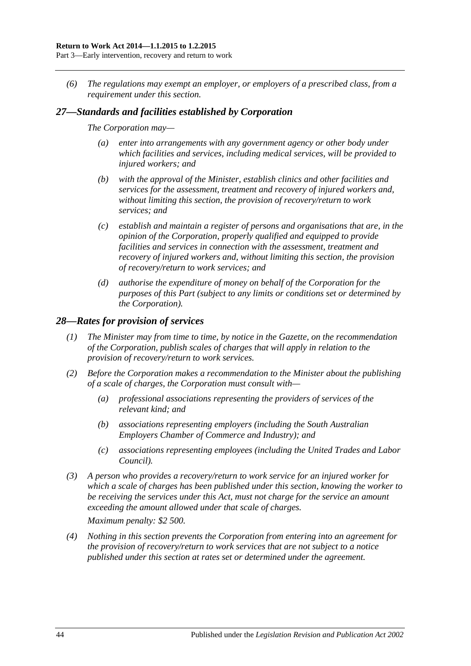*(6) The regulations may exempt an employer, or employers of a prescribed class, from a requirement under this section.*

### *27—Standards and facilities established by Corporation*

#### *The Corporation may—*

- *(a) enter into arrangements with any government agency or other body under which facilities and services, including medical services, will be provided to injured workers; and*
- *(b) with the approval of the Minister, establish clinics and other facilities and services for the assessment, treatment and recovery of injured workers and, without limiting this section, the provision of recovery/return to work services; and*
- *(c) establish and maintain a register of persons and organisations that are, in the opinion of the Corporation, properly qualified and equipped to provide facilities and services in connection with the assessment, treatment and recovery of injured workers and, without limiting this section, the provision of recovery/return to work services; and*
- *(d) authorise the expenditure of money on behalf of the Corporation for the purposes of this Part (subject to any limits or conditions set or determined by the Corporation).*

#### *28—Rates for provision of services*

- *(1) The Minister may from time to time, by notice in the Gazette, on the recommendation of the Corporation, publish scales of charges that will apply in relation to the provision of recovery/return to work services.*
- *(2) Before the Corporation makes a recommendation to the Minister about the publishing of a scale of charges, the Corporation must consult with—*
	- *(a) professional associations representing the providers of services of the relevant kind; and*
	- *(b) associations representing employers (including the South Australian Employers Chamber of Commerce and Industry); and*
	- *(c) associations representing employees (including the United Trades and Labor Council).*
- *(3) A person who provides a recovery/return to work service for an injured worker for which a scale of charges has been published under this section, knowing the worker to be receiving the services under this Act, must not charge for the service an amount exceeding the amount allowed under that scale of charges.*

*Maximum penalty: \$2 500.*

*(4) Nothing in this section prevents the Corporation from entering into an agreement for the provision of recovery/return to work services that are not subject to a notice published under this section at rates set or determined under the agreement.*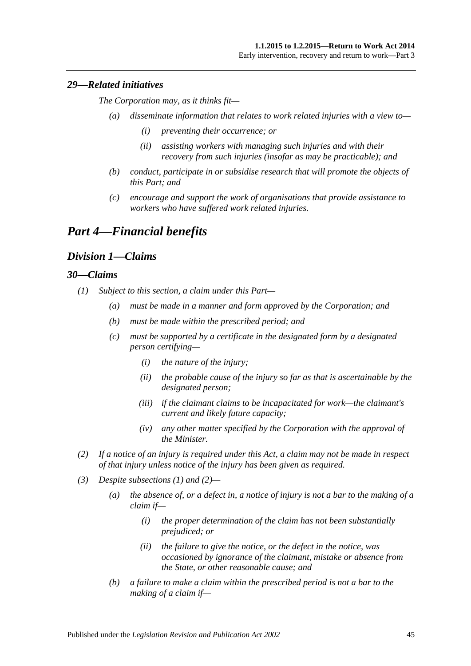#### *29—Related initiatives*

*The Corporation may, as it thinks fit—*

- *(a) disseminate information that relates to work related injuries with a view to—*
	- *(i) preventing their occurrence; or*
	- *(ii) assisting workers with managing such injuries and with their recovery from such injuries (insofar as may be practicable); and*
- *(b) conduct, participate in or subsidise research that will promote the objects of this Part; and*
- *(c) encourage and support the work of organisations that provide assistance to workers who have suffered work related injuries.*

# *Part 4—Financial benefits*

### *Division 1—Claims*

#### <span id="page-44-0"></span>*30—Claims*

- <span id="page-44-2"></span>*(1) Subject to this section, a claim under this Part—*
	- *(a) must be made in a manner and form approved by the Corporation; and*
	- *(b) must be made within the prescribed period; and*
	- *(c) must be supported by a certificate in the designated form by a designated person certifying—*
		- *(i) the nature of the injury;*
		- *(ii) the probable cause of the injury so far as that is ascertainable by the designated person;*
		- *(iii) if the claimant claims to be incapacitated for work—the claimant's current and likely future capacity;*
		- *(iv) any other matter specified by the Corporation with the approval of the Minister.*
- <span id="page-44-1"></span>*(2) If a notice of an injury is required under this Act, a claim may not be made in respect of that injury unless notice of the injury has been given as required.*
- *(3) Despite [subsections](#page-44-0) (1) and [\(2\)—](#page-44-1)*
	- *(a) the absence of, or a defect in, a notice of injury is not a bar to the making of a claim if—*
		- *(i) the proper determination of the claim has not been substantially prejudiced; or*
		- *(ii) the failure to give the notice, or the defect in the notice, was occasioned by ignorance of the claimant, mistake or absence from the State, or other reasonable cause; and*
	- *(b) a failure to make a claim within the prescribed period is not a bar to the making of a claim if—*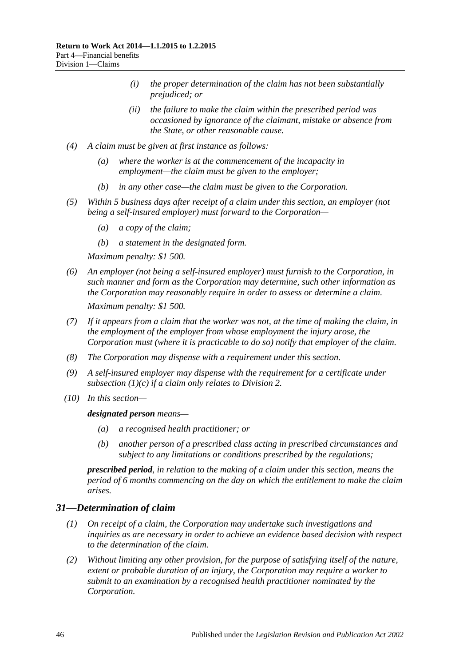- *(i) the proper determination of the claim has not been substantially prejudiced; or*
- *(ii) the failure to make the claim within the prescribed period was occasioned by ignorance of the claimant, mistake or absence from the State, or other reasonable cause.*
- *(4) A claim must be given at first instance as follows:*
	- *(a) where the worker is at the commencement of the incapacity in employment—the claim must be given to the employer;*
	- *(b) in any other case—the claim must be given to the Corporation.*
- *(5) Within 5 business days after receipt of a claim under this section, an employer (not being a self-insured employer) must forward to the Corporation—*
	- *(a) a copy of the claim;*
	- *(b) a statement in the designated form.*

*Maximum penalty: \$1 500.*

- *(6) An employer (not being a self-insured employer) must furnish to the Corporation, in such manner and form as the Corporation may determine, such other information as the Corporation may reasonably require in order to assess or determine a claim. Maximum penalty: \$1 500.*
- *(7) If it appears from a claim that the worker was not, at the time of making the claim, in the employment of the employer from whose employment the injury arose, the Corporation must (where it is practicable to do so) notify that employer of the claim.*
- *(8) The Corporation may dispense with a requirement under this section.*
- *(9) A self-insured employer may dispense with the requirement for a certificate under [subsection](#page-44-2) (1)(c) if a claim only relates to [Division](#page-47-0) 2.*
- *(10) In this section—*

#### *designated person means—*

- *(a) a recognised health practitioner; or*
- *(b) another person of a prescribed class acting in prescribed circumstances and subject to any limitations or conditions prescribed by the regulations;*

*prescribed period, in relation to the making of a claim under this section, means the period of 6 months commencing on the day on which the entitlement to make the claim arises.*

### *31—Determination of claim*

- *(1) On receipt of a claim, the Corporation may undertake such investigations and inquiries as are necessary in order to achieve an evidence based decision with respect to the determination of the claim.*
- <span id="page-45-0"></span>*(2) Without limiting any other provision, for the purpose of satisfying itself of the nature, extent or probable duration of an injury, the Corporation may require a worker to submit to an examination by a recognised health practitioner nominated by the Corporation.*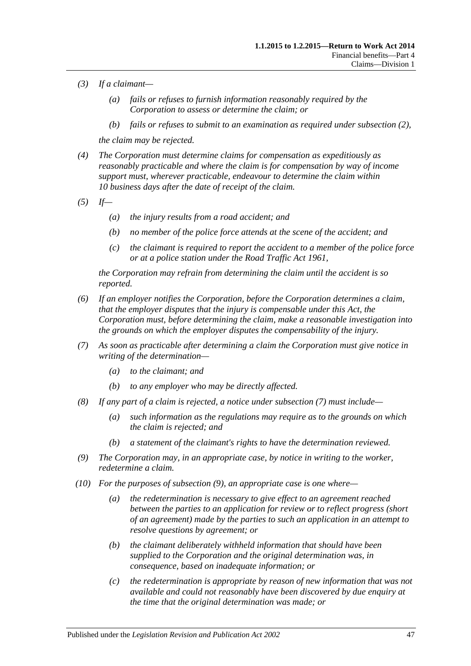- *(3) If a claimant—*
	- *(a) fails or refuses to furnish information reasonably required by the Corporation to assess or determine the claim; or*
	- *(b) fails or refuses to submit to an examination as required under [subsection](#page-45-0) (2),*

*the claim may be rejected.*

- *(4) The Corporation must determine claims for compensation as expeditiously as reasonably practicable and where the claim is for compensation by way of income support must, wherever practicable, endeavour to determine the claim within 10 business days after the date of receipt of the claim.*
- *(5) If—*
	- *(a) the injury results from a road accident; and*
	- *(b) no member of the police force attends at the scene of the accident; and*
	- *(c) the claimant is required to report the accident to a member of the police force or at a police station under the [Road Traffic Act](http://www.legislation.sa.gov.au/index.aspx?action=legref&type=act&legtitle=Road%20Traffic%20Act%201961) 1961,*

*the Corporation may refrain from determining the claim until the accident is so reported.*

- *(6) If an employer notifies the Corporation, before the Corporation determines a claim, that the employer disputes that the injury is compensable under this Act, the Corporation must, before determining the claim, make a reasonable investigation into the grounds on which the employer disputes the compensability of the injury.*
- <span id="page-46-0"></span>*(7) As soon as practicable after determining a claim the Corporation must give notice in writing of the determination—*
	- *(a) to the claimant; and*
	- *(b) to any employer who may be directly affected.*
- *(8) If any part of a claim is rejected, a notice under [subsection](#page-46-0) (7) must include—*
	- *(a) such information as the regulations may require as to the grounds on which the claim is rejected; and*
	- *(b) a statement of the claimant's rights to have the determination reviewed.*
- <span id="page-46-1"></span>*(9) The Corporation may, in an appropriate case, by notice in writing to the worker, redetermine a claim.*
- *(10) For the purposes of [subsection](#page-46-1) (9), an appropriate case is one where—*
	- *(a) the redetermination is necessary to give effect to an agreement reached between the parties to an application for review or to reflect progress (short of an agreement) made by the parties to such an application in an attempt to resolve questions by agreement; or*
	- *(b) the claimant deliberately withheld information that should have been supplied to the Corporation and the original determination was, in consequence, based on inadequate information; or*
	- *(c) the redetermination is appropriate by reason of new information that was not available and could not reasonably have been discovered by due enquiry at the time that the original determination was made; or*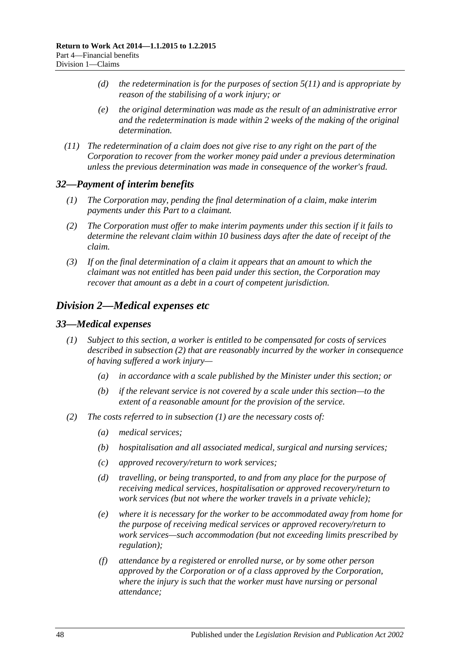- *(d) the redetermination is for the purposes of [section](#page-22-0) 5(11) and is appropriate by reason of the stabilising of a work injury; or*
- *(e) the original determination was made as the result of an administrative error and the redetermination is made within 2 weeks of the making of the original determination.*
- *(11) The redetermination of a claim does not give rise to any right on the part of the Corporation to recover from the worker money paid under a previous determination unless the previous determination was made in consequence of the worker's fraud.*

#### *32—Payment of interim benefits*

- *(1) The Corporation may, pending the final determination of a claim, make interim payments under this Part to a claimant.*
- *(2) The Corporation must offer to make interim payments under this section if it fails to determine the relevant claim within 10 business days after the date of receipt of the claim.*
- *(3) If on the final determination of a claim it appears that an amount to which the claimant was not entitled has been paid under this section, the Corporation may recover that amount as a debt in a court of competent jurisdiction.*

### <span id="page-47-0"></span>*Division 2—Medical expenses etc*

#### <span id="page-47-3"></span><span id="page-47-2"></span>*33—Medical expenses*

- *(1) Subject to this section, a worker is entitled to be compensated for costs of services described in [subsection](#page-47-1) (2) that are reasonably incurred by the worker in consequence of having suffered a work injury—*
	- *(a) in accordance with a scale published by the Minister under this section; or*
	- *(b) if the relevant service is not covered by a scale under this section—to the extent of a reasonable amount for the provision of the service.*
- <span id="page-47-1"></span>*(2) The costs referred to in [subsection](#page-47-2) (1) are the necessary costs of:*
	- *(a) medical services;*
	- *(b) hospitalisation and all associated medical, surgical and nursing services;*
	- *(c) approved recovery/return to work services;*
	- *(d) travelling, or being transported, to and from any place for the purpose of receiving medical services, hospitalisation or approved recovery/return to work services (but not where the worker travels in a private vehicle);*
	- *(e) where it is necessary for the worker to be accommodated away from home for the purpose of receiving medical services or approved recovery/return to work services—such accommodation (but not exceeding limits prescribed by regulation);*
	- *(f) attendance by a registered or enrolled nurse, or by some other person approved by the Corporation or of a class approved by the Corporation, where the injury is such that the worker must have nursing or personal attendance;*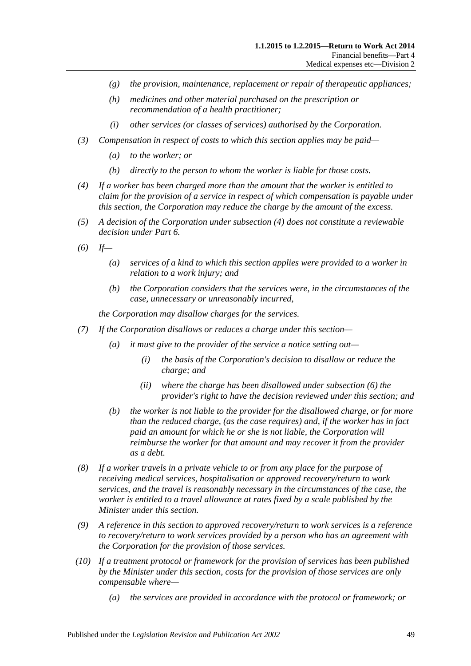- *(g) the provision, maintenance, replacement or repair of therapeutic appliances;*
- *(h) medicines and other material purchased on the prescription or recommendation of a health practitioner;*
- *(i) other services (or classes of services) authorised by the Corporation.*
- *(3) Compensation in respect of costs to which this section applies may be paid—*
	- *(a) to the worker; or*
	- *(b) directly to the person to whom the worker is liable for those costs.*
- <span id="page-48-0"></span>*(4) If a worker has been charged more than the amount that the worker is entitled to claim for the provision of a service in respect of which compensation is payable under this section, the Corporation may reduce the charge by the amount of the excess.*
- *(5) A decision of the Corporation under [subsection](#page-48-0) (4) does not constitute a reviewable decision under [Part](#page-95-0) 6.*
- <span id="page-48-1"></span>*(6) If—*
	- *(a) services of a kind to which this section applies were provided to a worker in relation to a work injury; and*
	- *(b) the Corporation considers that the services were, in the circumstances of the case, unnecessary or unreasonably incurred,*

*the Corporation may disallow charges for the services.*

- <span id="page-48-2"></span>*(7) If the Corporation disallows or reduces a charge under this section—*
	- *(a) it must give to the provider of the service a notice setting out—*
		- *(i) the basis of the Corporation's decision to disallow or reduce the charge; and*
		- *(ii) where the charge has been disallowed under [subsection](#page-48-1) (6) the provider's right to have the decision reviewed under this section; and*
	- *(b) the worker is not liable to the provider for the disallowed charge, or for more than the reduced charge, (as the case requires) and, if the worker has in fact paid an amount for which he or she is not liable, the Corporation will reimburse the worker for that amount and may recover it from the provider as a debt.*
- *(8) If a worker travels in a private vehicle to or from any place for the purpose of receiving medical services, hospitalisation or approved recovery/return to work services, and the travel is reasonably necessary in the circumstances of the case, the worker is entitled to a travel allowance at rates fixed by a scale published by the Minister under this section.*
- *(9) A reference in this section to approved recovery/return to work services is a reference to recovery/return to work services provided by a person who has an agreement with the Corporation for the provision of those services.*
- *(10) If a treatment protocol or framework for the provision of services has been published by the Minister under this section, costs for the provision of those services are only compensable where—*
	- *(a) the services are provided in accordance with the protocol or framework; or*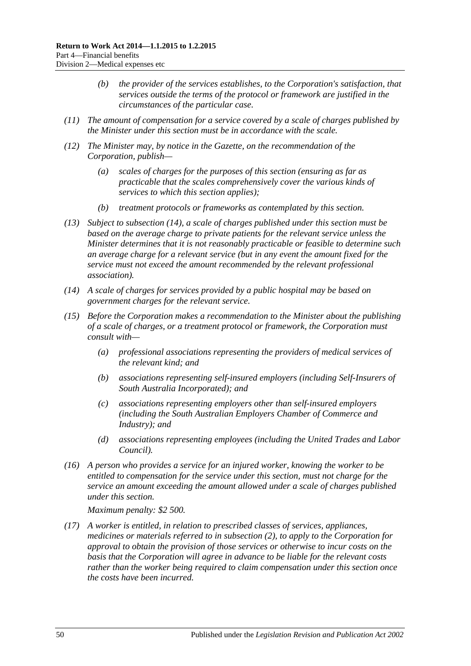- *(b) the provider of the services establishes, to the Corporation's satisfaction, that services outside the terms of the protocol or framework are justified in the circumstances of the particular case.*
- *(11) The amount of compensation for a service covered by a scale of charges published by the Minister under this section must be in accordance with the scale.*
- *(12) The Minister may, by notice in the Gazette, on the recommendation of the Corporation, publish—*
	- *(a) scales of charges for the purposes of this section (ensuring as far as practicable that the scales comprehensively cover the various kinds of services to which this section applies);*
	- *(b) treatment protocols or frameworks as contemplated by this section.*
- *(13) Subject to [subsection](#page-49-0) (14), a scale of charges published under this section must be based on the average charge to private patients for the relevant service unless the Minister determines that it is not reasonably practicable or feasible to determine such an average charge for a relevant service (but in any event the amount fixed for the service must not exceed the amount recommended by the relevant professional association).*
- <span id="page-49-0"></span>*(14) A scale of charges for services provided by a public hospital may be based on government charges for the relevant service.*
- *(15) Before the Corporation makes a recommendation to the Minister about the publishing of a scale of charges, or a treatment protocol or framework, the Corporation must consult with—*
	- *(a) professional associations representing the providers of medical services of the relevant kind; and*
	- *(b) associations representing self-insured employers (including Self-Insurers of South Australia Incorporated); and*
	- *(c) associations representing employers other than self-insured employers (including the South Australian Employers Chamber of Commerce and Industry); and*
	- *(d) associations representing employees (including the United Trades and Labor Council).*
- *(16) A person who provides a service for an injured worker, knowing the worker to be entitled to compensation for the service under this section, must not charge for the service an amount exceeding the amount allowed under a scale of charges published under this section.*

*Maximum penalty: \$2 500.*

<span id="page-49-1"></span>*(17) A worker is entitled, in relation to prescribed classes of services, appliances, medicines or materials referred to in [subsection](#page-47-1) (2), to apply to the Corporation for approval to obtain the provision of those services or otherwise to incur costs on the basis that the Corporation will agree in advance to be liable for the relevant costs rather than the worker being required to claim compensation under this section once the costs have been incurred.*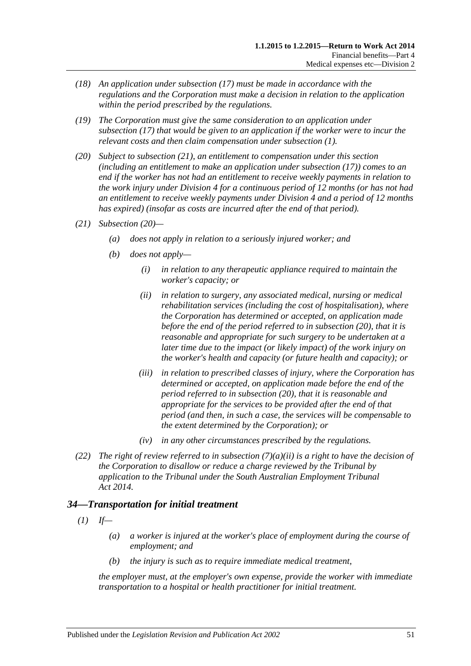- *(18) An application under [subsection](#page-49-1) (17) must be made in accordance with the regulations and the Corporation must make a decision in relation to the application within the period prescribed by the regulations.*
- *(19) The Corporation must give the same consideration to an application under [subsection](#page-49-1) (17) that would be given to an application if the worker were to incur the relevant costs and then claim compensation under [subsection](#page-47-2) (1).*
- <span id="page-50-1"></span>*(20) Subject to [subsection](#page-50-0) (21), an entitlement to compensation under this section (including an entitlement to make an application under [subsection](#page-49-1) (17)) comes to an end if the worker has not had an entitlement to receive weekly payments in relation to the work injury under [Division](#page-51-0) 4 for a continuous period of 12 months (or has not had an entitlement to receive weekly payments under [Division](#page-51-0) 4 and a period of 12 months has expired) (insofar as costs are incurred after the end of that period).*
- <span id="page-50-3"></span><span id="page-50-0"></span>*(21) [Subsection](#page-50-1) (20)—*
	- *(a) does not apply in relation to a seriously injured worker; and*
	- *(b) does not apply—*
		- *(i) in relation to any therapeutic appliance required to maintain the worker's capacity; or*
		- *(ii) in relation to surgery, any associated medical, nursing or medical rehabilitation services (including the cost of hospitalisation), where the Corporation has determined or accepted, on application made before the end of the period referred to in [subsection](#page-50-1) (20), that it is reasonable and appropriate for such surgery to be undertaken at a later time due to the impact (or likely impact) of the work injury on the worker's health and capacity (or future health and capacity); or*
		- *(iii) in relation to prescribed classes of injury, where the Corporation has determined or accepted, on application made before the end of the period referred to in [subsection](#page-50-1) (20), that it is reasonable and appropriate for the services to be provided after the end of that period (and then, in such a case, the services will be compensable to the extent determined by the Corporation); or*
		- *(iv) in any other circumstances prescribed by the regulations.*
- *(22) The right of review referred to in [subsection](#page-48-2) (7)(a)(ii) is a right to have the decision of the Corporation to disallow or reduce a charge reviewed by the Tribunal by application to the Tribunal under the [South Australian Employment Tribunal](http://www.legislation.sa.gov.au/index.aspx?action=legref&type=act&legtitle=South%20Australian%20Employment%20Tribunal%20Act%202014)  Act [2014.](http://www.legislation.sa.gov.au/index.aspx?action=legref&type=act&legtitle=South%20Australian%20Employment%20Tribunal%20Act%202014)*

## <span id="page-50-2"></span>*34—Transportation for initial treatment*

- $(I)$  *If—* 
	- *(a) a worker is injured at the worker's place of employment during the course of employment; and*
	- *(b) the injury is such as to require immediate medical treatment,*

*the employer must, at the employer's own expense, provide the worker with immediate transportation to a hospital or health practitioner for initial treatment.*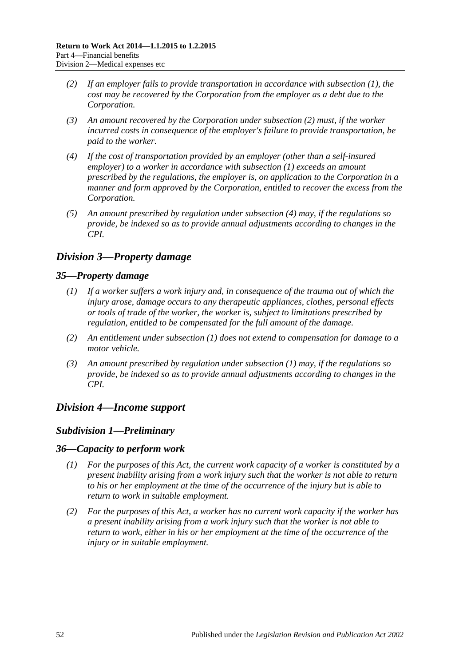- <span id="page-51-1"></span>*(2) If an employer fails to provide transportation in accordance with [subsection](#page-50-2) (1), the cost may be recovered by the Corporation from the employer as a debt due to the Corporation.*
- *(3) An amount recovered by the Corporation under [subsection](#page-51-1) (2) must, if the worker incurred costs in consequence of the employer's failure to provide transportation, be paid to the worker.*
- <span id="page-51-2"></span>*(4) If the cost of transportation provided by an employer (other than a self-insured employer) to a worker in accordance with [subsection](#page-50-2) (1) exceeds an amount prescribed by the regulations, the employer is, on application to the Corporation in a manner and form approved by the Corporation, entitled to recover the excess from the Corporation.*
- *(5) An amount prescribed by regulation under [subsection](#page-51-2) (4) may, if the regulations so provide, be indexed so as to provide annual adjustments according to changes in the CPI.*

# *Division 3—Property damage*

### <span id="page-51-3"></span>*35—Property damage*

- *(1) If a worker suffers a work injury and, in consequence of the trauma out of which the injury arose, damage occurs to any therapeutic appliances, clothes, personal effects or tools of trade of the worker, the worker is, subject to limitations prescribed by regulation, entitled to be compensated for the full amount of the damage.*
- *(2) An entitlement under [subsection](#page-51-3) (1) does not extend to compensation for damage to a motor vehicle.*
- *(3) An amount prescribed by regulation under [subsection](#page-51-3) (1) may, if the regulations so provide, be indexed so as to provide annual adjustments according to changes in the CPI.*

# <span id="page-51-0"></span>*Division 4—Income support*

## *Subdivision 1—Preliminary*

### *36—Capacity to perform work*

- *(1) For the purposes of this Act, the current work capacity of a worker is constituted by a present inability arising from a work injury such that the worker is not able to return to his or her employment at the time of the occurrence of the injury but is able to return to work in suitable employment.*
- *(2) For the purposes of this Act, a worker has no current work capacity if the worker has a present inability arising from a work injury such that the worker is not able to return to work, either in his or her employment at the time of the occurrence of the injury or in suitable employment.*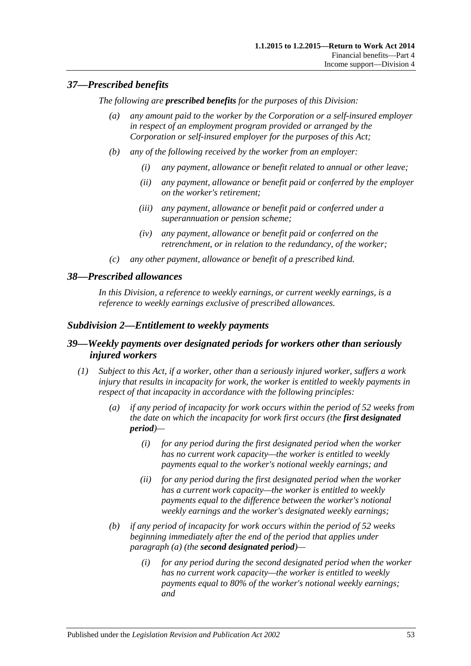### *37—Prescribed benefits*

*The following are prescribed benefits for the purposes of this Division:*

- *(a) any amount paid to the worker by the Corporation or a self-insured employer in respect of an employment program provided or arranged by the Corporation or self-insured employer for the purposes of this Act;*
- *(b) any of the following received by the worker from an employer:*
	- *(i) any payment, allowance or benefit related to annual or other leave;*
	- *(ii) any payment, allowance or benefit paid or conferred by the employer on the worker's retirement;*
	- *(iii) any payment, allowance or benefit paid or conferred under a superannuation or pension scheme;*
	- *(iv) any payment, allowance or benefit paid or conferred on the retrenchment, or in relation to the redundancy, of the worker;*
- *(c) any other payment, allowance or benefit of a prescribed kind.*

### *38—Prescribed allowances*

*In this Division, a reference to weekly earnings, or current weekly earnings, is a reference to weekly earnings exclusive of prescribed allowances.*

### *Subdivision 2—Entitlement to weekly payments*

### *39—Weekly payments over designated periods for workers other than seriously injured workers*

- <span id="page-52-1"></span><span id="page-52-0"></span>*(1) Subject to this Act, if a worker, other than a seriously injured worker, suffers a work injury that results in incapacity for work, the worker is entitled to weekly payments in respect of that incapacity in accordance with the following principles:*
	- *(a) if any period of incapacity for work occurs within the period of 52 weeks from the date on which the incapacity for work first occurs (the first designated period)—*
		- *(i) for any period during the first designated period when the worker has no current work capacity—the worker is entitled to weekly payments equal to the worker's notional weekly earnings; and*
		- *(ii) for any period during the first designated period when the worker has a current work capacity—the worker is entitled to weekly payments equal to the difference between the worker's notional weekly earnings and the worker's designated weekly earnings;*
	- *(b) if any period of incapacity for work occurs within the period of 52 weeks beginning immediately after the end of the period that applies under [paragraph](#page-52-0) (a) (the second designated period)—*
		- *(i) for any period during the second designated period when the worker has no current work capacity—the worker is entitled to weekly payments equal to 80% of the worker's notional weekly earnings; and*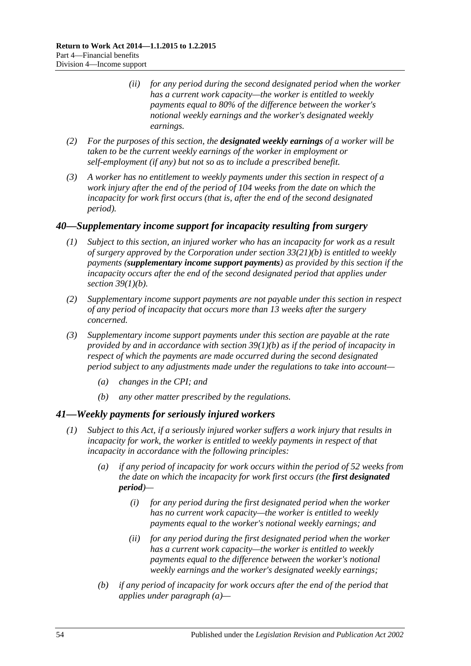- *(ii) for any period during the second designated period when the worker has a current work capacity—the worker is entitled to weekly payments equal to 80% of the difference between the worker's notional weekly earnings and the worker's designated weekly earnings.*
- *(2) For the purposes of this section, the designated weekly earnings of a worker will be taken to be the current weekly earnings of the worker in employment or self-employment (if any) but not so as to include a prescribed benefit.*
- *(3) A worker has no entitlement to weekly payments under this section in respect of a work injury after the end of the period of 104 weeks from the date on which the incapacity for work first occurs (that is, after the end of the second designated period).*

### <span id="page-53-2"></span>*40—Supplementary income support for incapacity resulting from surgery*

- *(1) Subject to this section, an injured worker who has an incapacity for work as a result of surgery approved by the Corporation under section [33\(21\)\(b\)](#page-50-3) is entitled to weekly payments (supplementary income support payments) as provided by this section if the incapacity occurs after the end of the second designated period that applies under section [39\(1\)\(b\).](#page-52-1)*
- *(2) Supplementary income support payments are not payable under this section in respect of any period of incapacity that occurs more than 13 weeks after the surgery concerned.*
- *(3) Supplementary income support payments under this section are payable at the rate provided by and in accordance with section [39\(1\)\(b\)](#page-52-1) as if the period of incapacity in respect of which the payments are made occurred during the second designated period subject to any adjustments made under the regulations to take into account—*
	- *(a) changes in the CPI; and*
	- *(b) any other matter prescribed by the regulations.*

### <span id="page-53-1"></span>*41—Weekly payments for seriously injured workers*

- <span id="page-53-0"></span>*(1) Subject to this Act, if a seriously injured worker suffers a work injury that results in incapacity for work, the worker is entitled to weekly payments in respect of that incapacity in accordance with the following principles:*
	- *(a) if any period of incapacity for work occurs within the period of 52 weeks from the date on which the incapacity for work first occurs (the first designated period)—*
		- *(i) for any period during the first designated period when the worker has no current work capacity—the worker is entitled to weekly payments equal to the worker's notional weekly earnings; and*
		- *(ii) for any period during the first designated period when the worker has a current work capacity—the worker is entitled to weekly payments equal to the difference between the worker's notional weekly earnings and the worker's designated weekly earnings;*
	- *(b) if any period of incapacity for work occurs after the end of the period that applies under [paragraph](#page-53-0) (a)—*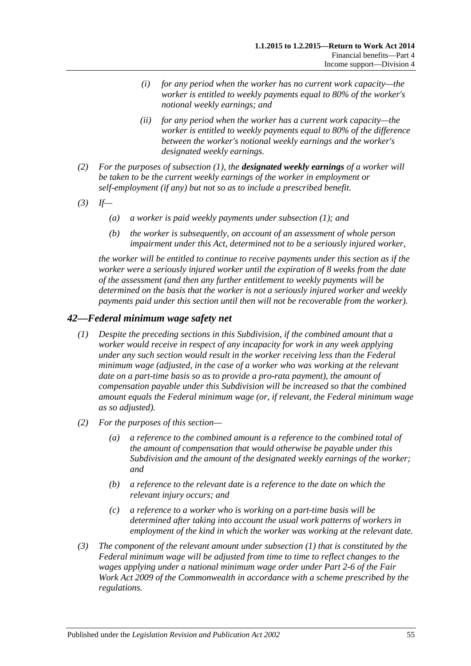- *(i) for any period when the worker has no current work capacity—the worker is entitled to weekly payments equal to 80% of the worker's notional weekly earnings; and*
- *(ii) for any period when the worker has a current work capacity—the worker is entitled to weekly payments equal to 80% of the difference between the worker's notional weekly earnings and the worker's designated weekly earnings.*
- *(2) For the purposes of [subsection](#page-53-1) (1), the designated weekly earnings of a worker will be taken to be the current weekly earnings of the worker in employment or self-employment (if any) but not so as to include a prescribed benefit.*
- *(3) If—*
	- *(a) a worker is paid weekly payments under [subsection](#page-53-1) (1); and*
	- *(b) the worker is subsequently, on account of an assessment of whole person impairment under this Act, determined not to be a seriously injured worker,*

*the worker will be entitled to continue to receive payments under this section as if the worker were a seriously injured worker until the expiration of 8 weeks from the date of the assessment (and then any further entitlement to weekly payments will be determined on the basis that the worker is not a seriously injured worker and weekly payments paid under this section until then will not be recoverable from the worker).*

### <span id="page-54-0"></span>*42—Federal minimum wage safety net*

- *(1) Despite the preceding sections in this Subdivision, if the combined amount that a worker would receive in respect of any incapacity for work in any week applying under any such section would result in the worker receiving less than the Federal minimum wage (adjusted, in the case of a worker who was working at the relevant date on a part-time basis so as to provide a pro-rata payment), the amount of compensation payable under this Subdivision will be increased so that the combined amount equals the Federal minimum wage (or, if relevant, the Federal minimum wage as so adjusted).*
- *(2) For the purposes of this section—*
	- *(a) a reference to the combined amount is a reference to the combined total of the amount of compensation that would otherwise be payable under this Subdivision and the amount of the designated weekly earnings of the worker; and*
	- *(b) a reference to the relevant date is a reference to the date on which the relevant injury occurs; and*
	- *(c) a reference to a worker who is working on a part-time basis will be determined after taking into account the usual work patterns of workers in employment of the kind in which the worker was working at the relevant date.*
- *(3) The component of the relevant amount under [subsection](#page-54-0) (1) that is constituted by the Federal minimum wage will be adjusted from time to time to reflect changes to the wages applying under a national minimum wage order under Part 2-6 of the Fair Work Act 2009 of the Commonwealth in accordance with a scheme prescribed by the regulations.*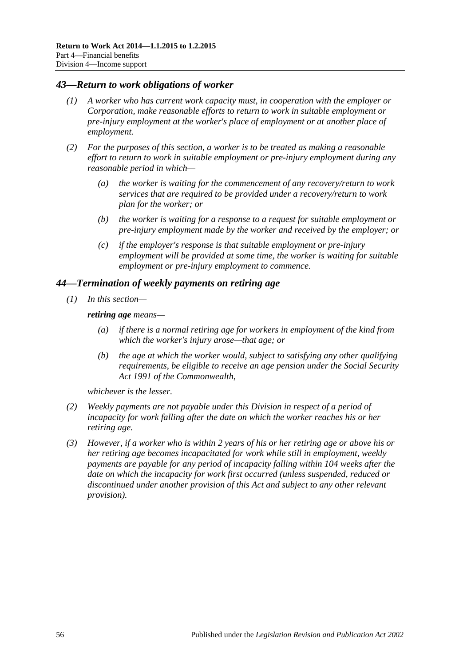#### *43—Return to work obligations of worker*

- *(1) A worker who has current work capacity must, in cooperation with the employer or Corporation, make reasonable efforts to return to work in suitable employment or pre-injury employment at the worker's place of employment or at another place of employment.*
- *(2) For the purposes of this section, a worker is to be treated as making a reasonable effort to return to work in suitable employment or pre-injury employment during any reasonable period in which—*
	- *(a) the worker is waiting for the commencement of any recovery/return to work services that are required to be provided under a recovery/return to work plan for the worker; or*
	- *(b) the worker is waiting for a response to a request for suitable employment or pre-injury employment made by the worker and received by the employer; or*
	- *(c) if the employer's response is that suitable employment or pre-injury employment will be provided at some time, the worker is waiting for suitable employment or pre-injury employment to commence.*

#### *44—Termination of weekly payments on retiring age*

*(1) In this section—*

*retiring age means—*

- *(a) if there is a normal retiring age for workers in employment of the kind from which the worker's injury arose—that age; or*
- *(b) the age at which the worker would, subject to satisfying any other qualifying requirements, be eligible to receive an age pension under the Social Security Act 1991 of the Commonwealth,*

*whichever is the lesser.*

- *(2) Weekly payments are not payable under this Division in respect of a period of incapacity for work falling after the date on which the worker reaches his or her retiring age.*
- *(3) However, if a worker who is within 2 years of his or her retiring age or above his or her retiring age becomes incapacitated for work while still in employment, weekly payments are payable for any period of incapacity falling within 104 weeks after the date on which the incapacity for work first occurred (unless suspended, reduced or discontinued under another provision of this Act and subject to any other relevant provision).*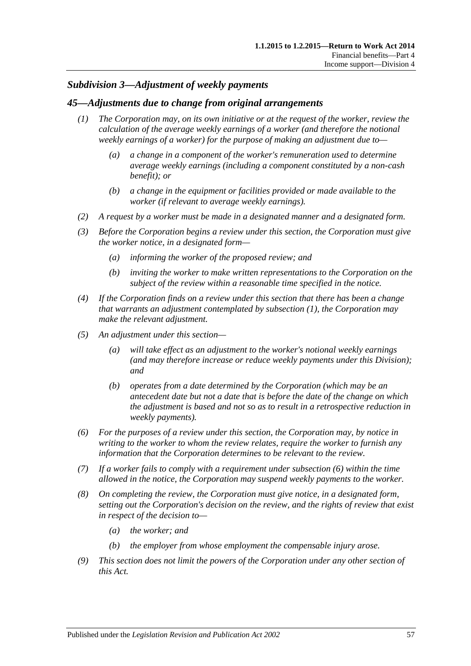### *Subdivision 3—Adjustment of weekly payments*

#### <span id="page-56-0"></span>*45—Adjustments due to change from original arrangements*

- *(1) The Corporation may, on its own initiative or at the request of the worker, review the calculation of the average weekly earnings of a worker (and therefore the notional weekly earnings of a worker) for the purpose of making an adjustment due to—*
	- *(a) a change in a component of the worker's remuneration used to determine average weekly earnings (including a component constituted by a non-cash benefit); or*
	- *(b) a change in the equipment or facilities provided or made available to the worker (if relevant to average weekly earnings).*
- *(2) A request by a worker must be made in a designated manner and a designated form.*
- *(3) Before the Corporation begins a review under this section, the Corporation must give the worker notice, in a designated form—*
	- *(a) informing the worker of the proposed review; and*
	- *(b) inviting the worker to make written representations to the Corporation on the subject of the review within a reasonable time specified in the notice.*
- *(4) If the Corporation finds on a review under this section that there has been a change that warrants an adjustment contemplated by [subsection](#page-56-0) (1), the Corporation may make the relevant adjustment.*
- *(5) An adjustment under this section—*
	- *(a) will take effect as an adjustment to the worker's notional weekly earnings (and may therefore increase or reduce weekly payments under this Division); and*
	- *(b) operates from a date determined by the Corporation (which may be an antecedent date but not a date that is before the date of the change on which the adjustment is based and not so as to result in a retrospective reduction in weekly payments).*
- <span id="page-56-1"></span>*(6) For the purposes of a review under this section, the Corporation may, by notice in writing to the worker to whom the review relates, require the worker to furnish any information that the Corporation determines to be relevant to the review.*
- *(7) If a worker fails to comply with a requirement under [subsection](#page-56-1) (6) within the time allowed in the notice, the Corporation may suspend weekly payments to the worker.*
- *(8) On completing the review, the Corporation must give notice, in a designated form, setting out the Corporation's decision on the review, and the rights of review that exist in respect of the decision to—*
	- *(a) the worker; and*
	- *(b) the employer from whose employment the compensable injury arose.*
- *(9) This section does not limit the powers of the Corporation under any other section of this Act.*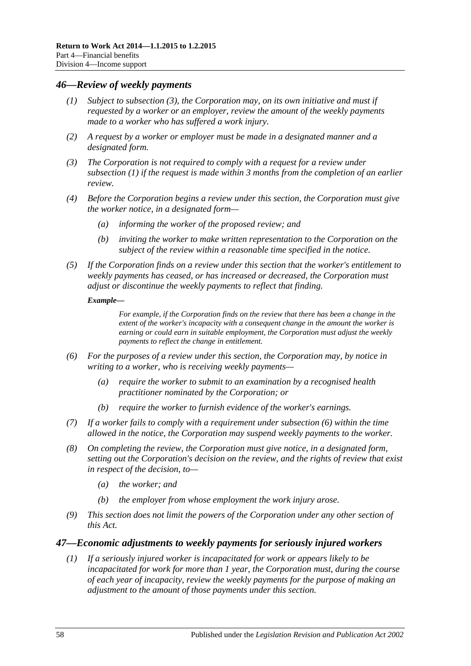#### <span id="page-57-3"></span><span id="page-57-1"></span>*46—Review of weekly payments*

- *(1) Subject to [subsection](#page-57-0) (3), the Corporation may, on its own initiative and must if requested by a worker or an employer, review the amount of the weekly payments made to a worker who has suffered a work injury.*
- *(2) A request by a worker or employer must be made in a designated manner and a designated form.*
- <span id="page-57-0"></span>*(3) The Corporation is not required to comply with a request for a review under [subsection](#page-57-1) (1) if the request is made within 3 months from the completion of an earlier review.*
- *(4) Before the Corporation begins a review under this section, the Corporation must give the worker notice, in a designated form—*
	- *(a) informing the worker of the proposed review; and*
	- *(b) inviting the worker to make written representation to the Corporation on the subject of the review within a reasonable time specified in the notice.*
- *(5) If the Corporation finds on a review under this section that the worker's entitlement to weekly payments has ceased, or has increased or decreased, the Corporation must adjust or discontinue the weekly payments to reflect that finding.*

#### *Example—*

*For example, if the Corporation finds on the review that there has been a change in the extent of the worker's incapacity with a consequent change in the amount the worker is earning or could earn in suitable employment, the Corporation must adjust the weekly payments to reflect the change in entitlement.*

- <span id="page-57-2"></span>*(6) For the purposes of a review under this section, the Corporation may, by notice in writing to a worker, who is receiving weekly payments—*
	- *(a) require the worker to submit to an examination by a recognised health practitioner nominated by the Corporation; or*
	- *(b) require the worker to furnish evidence of the worker's earnings.*
- *(7) If a worker fails to comply with a requirement under [subsection](#page-57-2) (6) within the time allowed in the notice, the Corporation may suspend weekly payments to the worker.*
- *(8) On completing the review, the Corporation must give notice, in a designated form, setting out the Corporation's decision on the review, and the rights of review that exist in respect of the decision, to—*
	- *(a) the worker; and*
	- *(b) the employer from whose employment the work injury arose.*
- *(9) This section does not limit the powers of the Corporation under any other section of this Act.*

#### *47—Economic adjustments to weekly payments for seriously injured workers*

*(1) If a seriously injured worker is incapacitated for work or appears likely to be incapacitated for work for more than 1 year, the Corporation must, during the course of each year of incapacity, review the weekly payments for the purpose of making an adjustment to the amount of those payments under this section.*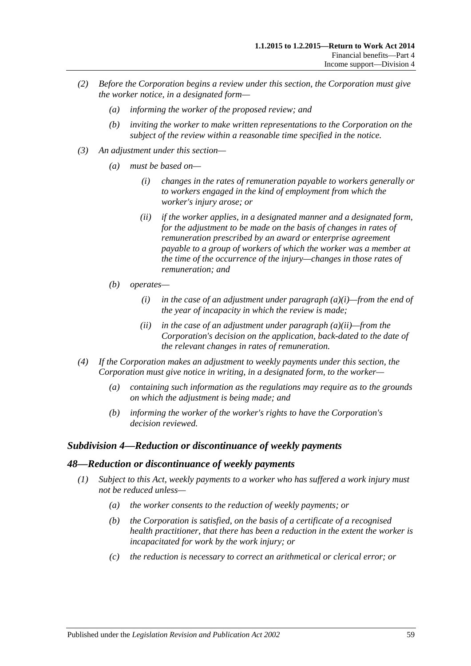- *(2) Before the Corporation begins a review under this section, the Corporation must give the worker notice, in a designated form—*
	- *(a) informing the worker of the proposed review; and*
	- *(b) inviting the worker to make written representations to the Corporation on the subject of the review within a reasonable time specified in the notice.*
- <span id="page-58-1"></span><span id="page-58-0"></span>*(3) An adjustment under this section—*
	- *(a) must be based on—*
		- *(i) changes in the rates of remuneration payable to workers generally or to workers engaged in the kind of employment from which the worker's injury arose; or*
		- *(ii) if the worker applies, in a designated manner and a designated form,*  for the adjustment to be made on the basis of changes in rates of *remuneration prescribed by an award or enterprise agreement payable to a group of workers of which the worker was a member at the time of the occurrence of the injury—changes in those rates of remuneration; and*
	- *(b) operates—*
		- *(i) in the case of an adjustment under [paragraph](#page-58-0) (a)(i)—from the end of the year of incapacity in which the review is made;*
		- *(ii) in the case of an adjustment under [paragraph](#page-58-1) (a)(ii)—from the Corporation's decision on the application, back-dated to the date of the relevant changes in rates of remuneration.*
- *(4) If the Corporation makes an adjustment to weekly payments under this section, the Corporation must give notice in writing, in a designated form, to the worker—*
	- *(a) containing such information as the regulations may require as to the grounds on which the adjustment is being made; and*
	- *(b) informing the worker of the worker's rights to have the Corporation's decision reviewed.*

### *Subdivision 4—Reduction or discontinuance of weekly payments*

#### *48—Reduction or discontinuance of weekly payments*

- *(1) Subject to this Act, weekly payments to a worker who has suffered a work injury must not be reduced unless—*
	- *(a) the worker consents to the reduction of weekly payments; or*
	- *(b) the Corporation is satisfied, on the basis of a certificate of a recognised health practitioner, that there has been a reduction in the extent the worker is incapacitated for work by the work injury; or*
	- *(c) the reduction is necessary to correct an arithmetical or clerical error; or*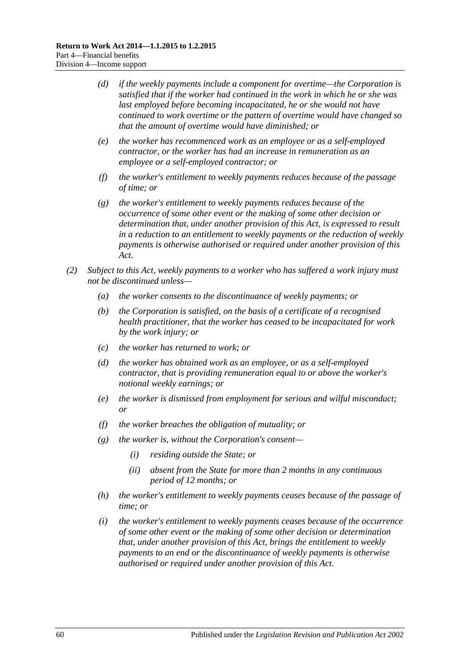- *(d) if the weekly payments include a component for overtime—the Corporation is satisfied that if the worker had continued in the work in which he or she was last employed before becoming incapacitated, he or she would not have continued to work overtime or the pattern of overtime would have changed so that the amount of overtime would have diminished; or*
- *(e) the worker has recommenced work as an employee or as a self-employed contractor, or the worker has had an increase in remuneration as an employee or a self-employed contractor; or*
- *(f) the worker's entitlement to weekly payments reduces because of the passage of time; or*
- *(g) the worker's entitlement to weekly payments reduces because of the occurrence of some other event or the making of some other decision or determination that, under another provision of this Act, is expressed to result in a reduction to an entitlement to weekly payments or the reduction of weekly payments is otherwise authorised or required under another provision of this Act.*
- <span id="page-59-0"></span>*(2) Subject to this Act, weekly payments to a worker who has suffered a work injury must not be discontinued unless—*
	- *(a) the worker consents to the discontinuance of weekly payments; or*
	- *(b) the Corporation is satisfied, on the basis of a certificate of a recognised health practitioner, that the worker has ceased to be incapacitated for work by the work injury; or*
	- *(c) the worker has returned to work; or*
	- *(d) the worker has obtained work as an employee, or as a self-employed contractor, that is providing remuneration equal to or above the worker's notional weekly earnings; or*
	- *(e) the worker is dismissed from employment for serious and wilful misconduct; or*
	- *(f) the worker breaches the obligation of mutuality; or*
	- *(g) the worker is, without the Corporation's consent—*
		- *(i) residing outside the State; or*
		- *(ii) absent from the State for more than 2 months in any continuous period of 12 months; or*
	- *(h) the worker's entitlement to weekly payments ceases because of the passage of time; or*
	- *(i) the worker's entitlement to weekly payments ceases because of the occurrence of some other event or the making of some other decision or determination that, under another provision of this Act, brings the entitlement to weekly payments to an end or the discontinuance of weekly payments is otherwise authorised or required under another provision of this Act.*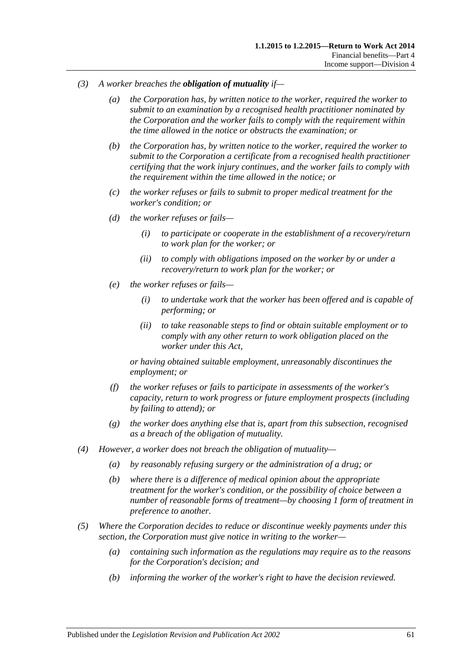- *(3) A worker breaches the obligation of mutuality if—*
	- *(a) the Corporation has, by written notice to the worker, required the worker to submit to an examination by a recognised health practitioner nominated by the Corporation and the worker fails to comply with the requirement within the time allowed in the notice or obstructs the examination; or*
	- *(b) the Corporation has, by written notice to the worker, required the worker to submit to the Corporation a certificate from a recognised health practitioner certifying that the work injury continues, and the worker fails to comply with the requirement within the time allowed in the notice; or*
	- *(c) the worker refuses or fails to submit to proper medical treatment for the worker's condition; or*
	- *(d) the worker refuses or fails—*
		- *(i) to participate or cooperate in the establishment of a recovery/return to work plan for the worker; or*
		- *(ii) to comply with obligations imposed on the worker by or under a recovery/return to work plan for the worker; or*
	- *(e) the worker refuses or fails—*
		- *(i) to undertake work that the worker has been offered and is capable of performing; or*
		- *(ii) to take reasonable steps to find or obtain suitable employment or to comply with any other return to work obligation placed on the worker under this Act,*

*or having obtained suitable employment, unreasonably discontinues the employment; or*

- *(f) the worker refuses or fails to participate in assessments of the worker's capacity, return to work progress or future employment prospects (including by failing to attend); or*
- *(g) the worker does anything else that is, apart from this subsection, recognised as a breach of the obligation of mutuality.*
- *(4) However, a worker does not breach the obligation of mutuality—*
	- *(a) by reasonably refusing surgery or the administration of a drug; or*
	- *(b) where there is a difference of medical opinion about the appropriate treatment for the worker's condition, or the possibility of choice between a number of reasonable forms of treatment—by choosing 1 form of treatment in preference to another.*
- <span id="page-60-0"></span>*(5) Where the Corporation decides to reduce or discontinue weekly payments under this section, the Corporation must give notice in writing to the worker—*
	- *(a) containing such information as the regulations may require as to the reasons for the Corporation's decision; and*
	- *(b) informing the worker of the worker's right to have the decision reviewed.*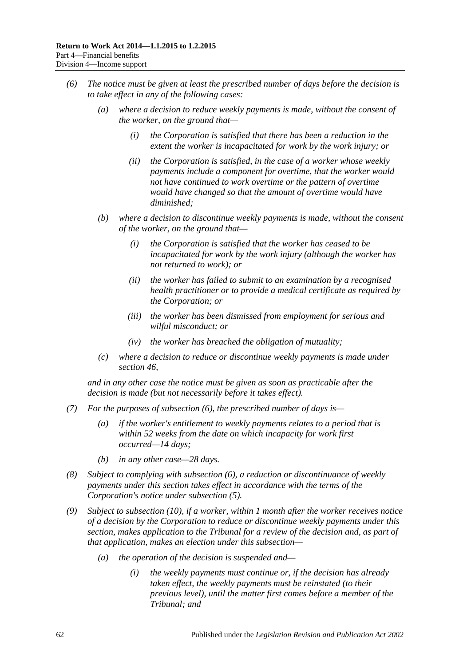- <span id="page-61-0"></span>*(6) The notice must be given at least the prescribed number of days before the decision is to take effect in any of the following cases:*
	- *(a) where a decision to reduce weekly payments is made, without the consent of the worker, on the ground that—*
		- *(i) the Corporation is satisfied that there has been a reduction in the extent the worker is incapacitated for work by the work injury; or*
		- *(ii) the Corporation is satisfied, in the case of a worker whose weekly payments include a component for overtime, that the worker would not have continued to work overtime or the pattern of overtime would have changed so that the amount of overtime would have diminished;*
	- *(b) where a decision to discontinue weekly payments is made, without the consent of the worker, on the ground that—*
		- *(i) the Corporation is satisfied that the worker has ceased to be incapacitated for work by the work injury (although the worker has not returned to work); or*
		- *(ii) the worker has failed to submit to an examination by a recognised health practitioner or to provide a medical certificate as required by the Corporation; or*
		- *(iii) the worker has been dismissed from employment for serious and wilful misconduct; or*
		- *(iv) the worker has breached the obligation of mutuality;*
	- *(c) where a decision to reduce or discontinue weekly payments is made under [section](#page-57-3) 46,*

*and in any other case the notice must be given as soon as practicable after the decision is made (but not necessarily before it takes effect).*

- *(7) For the purposes of [subsection](#page-61-0) (6), the prescribed number of days is—*
	- *(a) if the worker's entitlement to weekly payments relates to a period that is within 52 weeks from the date on which incapacity for work first occurred—14 days;*
	- *(b) in any other case—28 days.*
- *(8) Subject to complying with [subsection](#page-61-0) (6), a reduction or discontinuance of weekly payments under this section takes effect in accordance with the terms of the Corporation's notice under [subsection](#page-60-0) (5).*
- <span id="page-61-1"></span>*(9) Subject to [subsection](#page-62-0) (10), if a worker, within 1 month after the worker receives notice of a decision by the Corporation to reduce or discontinue weekly payments under this section, makes application to the Tribunal for a review of the decision and, as part of that application, makes an election under this subsection—*
	- *(a) the operation of the decision is suspended and—*
		- *(i) the weekly payments must continue or, if the decision has already taken effect, the weekly payments must be reinstated (to their previous level), until the matter first comes before a member of the Tribunal; and*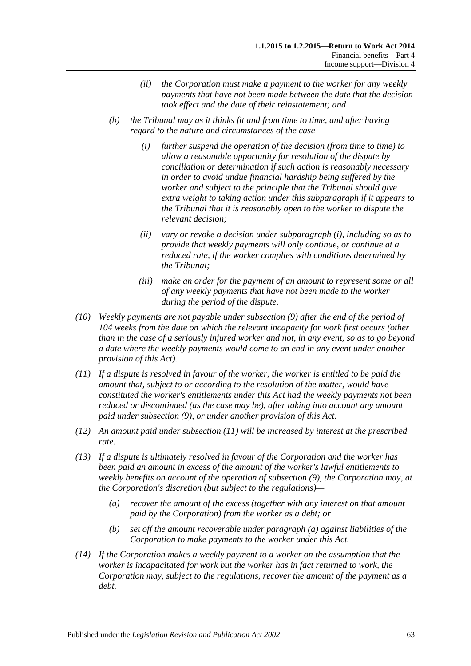- *(ii) the Corporation must make a payment to the worker for any weekly payments that have not been made between the date that the decision took effect and the date of their reinstatement; and*
- <span id="page-62-1"></span>*(b) the Tribunal may as it thinks fit and from time to time, and after having regard to the nature and circumstances of the case—*
	- *(i) further suspend the operation of the decision (from time to time) to allow a reasonable opportunity for resolution of the dispute by conciliation or determination if such action is reasonably necessary in order to avoid undue financial hardship being suffered by the worker and subject to the principle that the Tribunal should give extra weight to taking action under this subparagraph if it appears to the Tribunal that it is reasonably open to the worker to dispute the relevant decision;*
	- *(ii) vary or revoke a decision under [subparagraph](#page-62-1) (i), including so as to provide that weekly payments will only continue, or continue at a reduced rate, if the worker complies with conditions determined by the Tribunal;*
	- *(iii) make an order for the payment of an amount to represent some or all of any weekly payments that have not been made to the worker during the period of the dispute.*
- <span id="page-62-0"></span>*(10) Weekly payments are not payable under [subsection](#page-61-1) (9) after the end of the period of 104 weeks from the date on which the relevant incapacity for work first occurs (other than in the case of a seriously injured worker and not, in any event, so as to go beyond a date where the weekly payments would come to an end in any event under another provision of this Act).*
- <span id="page-62-2"></span>*(11) If a dispute is resolved in favour of the worker, the worker is entitled to be paid the amount that, subject to or according to the resolution of the matter, would have constituted the worker's entitlements under this Act had the weekly payments not been reduced or discontinued (as the case may be), after taking into account any amount paid under [subsection](#page-61-1) (9), or under another provision of this Act.*
- *(12) An amount paid under [subsection](#page-62-2) (11) will be increased by interest at the prescribed rate.*
- <span id="page-62-3"></span>*(13) If a dispute is ultimately resolved in favour of the Corporation and the worker has been paid an amount in excess of the amount of the worker's lawful entitlements to weekly benefits on account of the operation of [subsection](#page-61-1) (9), the Corporation may, at the Corporation's discretion (but subject to the regulations)—*
	- *(a) recover the amount of the excess (together with any interest on that amount paid by the Corporation) from the worker as a debt; or*
	- *(b) set off the amount recoverable under [paragraph](#page-62-3) (a) against liabilities of the Corporation to make payments to the worker under this Act.*
- *(14) If the Corporation makes a weekly payment to a worker on the assumption that the worker is incapacitated for work but the worker has in fact returned to work, the Corporation may, subject to the regulations, recover the amount of the payment as a debt.*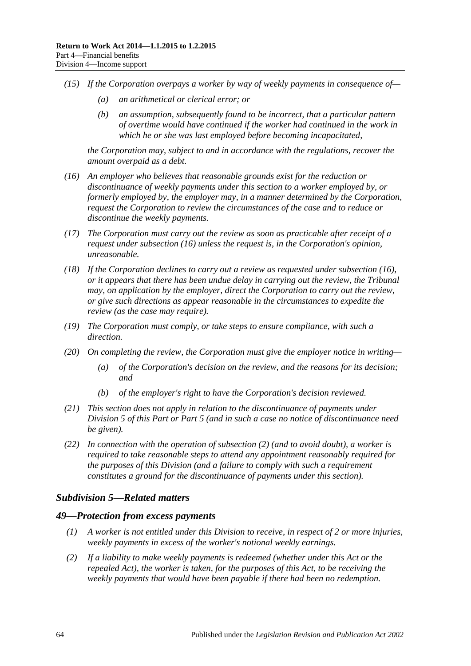- *(15) If the Corporation overpays a worker by way of weekly payments in consequence of—*
	- *(a) an arithmetical or clerical error; or*
	- *(b) an assumption, subsequently found to be incorrect, that a particular pattern of overtime would have continued if the worker had continued in the work in which he or she was last employed before becoming incapacitated,*

*the Corporation may, subject to and in accordance with the regulations, recover the amount overpaid as a debt.*

- <span id="page-63-0"></span>*(16) An employer who believes that reasonable grounds exist for the reduction or discontinuance of weekly payments under this section to a worker employed by, or formerly employed by, the employer may, in a manner determined by the Corporation, request the Corporation to review the circumstances of the case and to reduce or discontinue the weekly payments.*
- *(17) The Corporation must carry out the review as soon as practicable after receipt of a request under [subsection](#page-63-0) (16) unless the request is, in the Corporation's opinion, unreasonable.*
- *(18) If the Corporation declines to carry out a review as requested under [subsection](#page-63-0) (16), or it appears that there has been undue delay in carrying out the review, the Tribunal may, on application by the employer, direct the Corporation to carry out the review, or give such directions as appear reasonable in the circumstances to expedite the review (as the case may require).*
- *(19) The Corporation must comply, or take steps to ensure compliance, with such a direction.*
- *(20) On completing the review, the Corporation must give the employer notice in writing—*
	- *(a) of the Corporation's decision on the review, and the reasons for its decision; and*
	- *(b) of the employer's right to have the Corporation's decision reviewed.*
- *(21) This section does not apply in relation to the discontinuance of payments under [Division](#page-65-0) 5 of this Part or [Part](#page-83-0) 5 (and in such a case no notice of discontinuance need be given).*
- *(22) In connection with the operation of [subsection](#page-59-0) (2) (and to avoid doubt), a worker is required to take reasonable steps to attend any appointment reasonably required for the purposes of this Division (and a failure to comply with such a requirement constitutes a ground for the discontinuance of payments under this section).*

### *Subdivision 5—Related matters*

#### *49—Protection from excess payments*

- *(1) A worker is not entitled under this Division to receive, in respect of 2 or more injuries, weekly payments in excess of the worker's notional weekly earnings.*
- *(2) If a liability to make weekly payments is redeemed (whether under this Act or the repealed Act), the worker is taken, for the purposes of this Act, to be receiving the weekly payments that would have been payable if there had been no redemption.*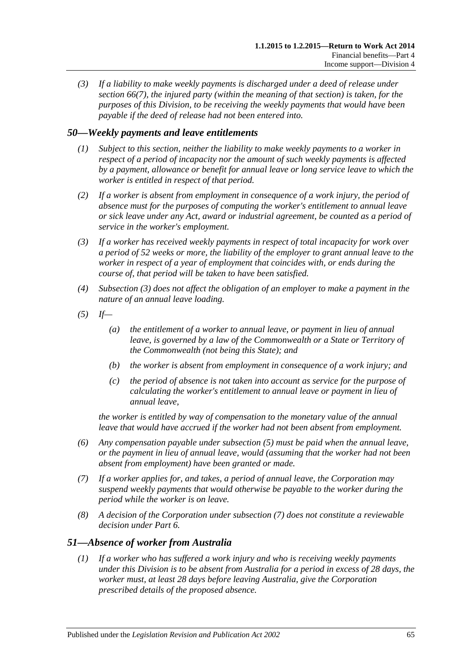*(3) If a liability to make weekly payments is discharged under a deed of release under [section](#page-79-0) 66(7), the injured party (within the meaning of that section) is taken, for the purposes of this Division, to be receiving the weekly payments that would have been payable if the deed of release had not been entered into.*

# *50—Weekly payments and leave entitlements*

- *(1) Subject to this section, neither the liability to make weekly payments to a worker in respect of a period of incapacity nor the amount of such weekly payments is affected by a payment, allowance or benefit for annual leave or long service leave to which the worker is entitled in respect of that period.*
- *(2) If a worker is absent from employment in consequence of a work injury, the period of absence must for the purposes of computing the worker's entitlement to annual leave or sick leave under any Act, award or industrial agreement, be counted as a period of service in the worker's employment.*
- <span id="page-64-0"></span>*(3) If a worker has received weekly payments in respect of total incapacity for work over a period of 52 weeks or more, the liability of the employer to grant annual leave to the worker in respect of a year of employment that coincides with, or ends during the course of, that period will be taken to have been satisfied.*
- *(4) [Subsection](#page-64-0) (3) does not affect the obligation of an employer to make a payment in the nature of an annual leave loading.*
- <span id="page-64-1"></span>*(5) If—*
	- *(a) the entitlement of a worker to annual leave, or payment in lieu of annual leave, is governed by a law of the Commonwealth or a State or Territory of the Commonwealth (not being this State); and*
	- *(b) the worker is absent from employment in consequence of a work injury; and*
	- *(c) the period of absence is not taken into account as service for the purpose of calculating the worker's entitlement to annual leave or payment in lieu of annual leave,*

*the worker is entitled by way of compensation to the monetary value of the annual leave that would have accrued if the worker had not been absent from employment.*

- *(6) Any compensation payable under [subsection](#page-64-1) (5) must be paid when the annual leave, or the payment in lieu of annual leave, would (assuming that the worker had not been absent from employment) have been granted or made.*
- <span id="page-64-2"></span>*(7) If a worker applies for, and takes, a period of annual leave, the Corporation may suspend weekly payments that would otherwise be payable to the worker during the period while the worker is on leave.*
- *(8) A decision of the Corporation under [subsection](#page-64-2) (7) does not constitute a reviewable decision under [Part](#page-95-0) 6.*

### <span id="page-64-3"></span>*51—Absence of worker from Australia*

*(1) If a worker who has suffered a work injury and who is receiving weekly payments under this Division is to be absent from Australia for a period in excess of 28 days, the worker must, at least 28 days before leaving Australia, give the Corporation prescribed details of the proposed absence.*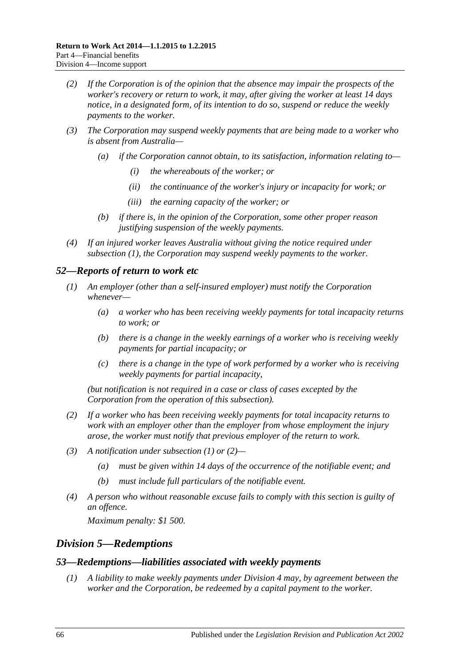- *(2) If the Corporation is of the opinion that the absence may impair the prospects of the worker's recovery or return to work, it may, after giving the worker at least 14 days notice, in a designated form, of its intention to do so, suspend or reduce the weekly payments to the worker.*
- *(3) The Corporation may suspend weekly payments that are being made to a worker who is absent from Australia—*
	- *(a) if the Corporation cannot obtain, to its satisfaction, information relating to—*
		- *(i) the whereabouts of the worker; or*
		- *(ii) the continuance of the worker's injury or incapacity for work; or*
		- *(iii) the earning capacity of the worker; or*
	- *(b) if there is, in the opinion of the Corporation, some other proper reason justifying suspension of the weekly payments.*
- *(4) If an injured worker leaves Australia without giving the notice required under [subsection](#page-64-3) (1), the Corporation may suspend weekly payments to the worker.*

### <span id="page-65-1"></span>*52—Reports of return to work etc*

- *(1) An employer (other than a self-insured employer) must notify the Corporation whenever—*
	- *(a) a worker who has been receiving weekly payments for total incapacity returns to work; or*
	- *(b) there is a change in the weekly earnings of a worker who is receiving weekly payments for partial incapacity; or*
	- *(c) there is a change in the type of work performed by a worker who is receiving weekly payments for partial incapacity,*

*(but notification is not required in a case or class of cases excepted by the Corporation from the operation of this subsection).*

- <span id="page-65-2"></span>*(2) If a worker who has been receiving weekly payments for total incapacity returns to work with an employer other than the employer from whose employment the injury arose, the worker must notify that previous employer of the return to work.*
- *(3) A notification under [subsection](#page-65-1) (1) or [\(2\)—](#page-65-2)*
	- *(a) must be given within 14 days of the occurrence of the notifiable event; and*
	- *(b) must include full particulars of the notifiable event.*
- *(4) A person who without reasonable excuse fails to comply with this section is guilty of an offence.*

*Maximum penalty: \$1 500.*

### <span id="page-65-0"></span>*Division 5—Redemptions*

#### *53—Redemptions—liabilities associated with weekly payments*

*(1) A liability to make weekly payments under [Division](#page-51-0) 4 may, by agreement between the worker and the Corporation, be redeemed by a capital payment to the worker.*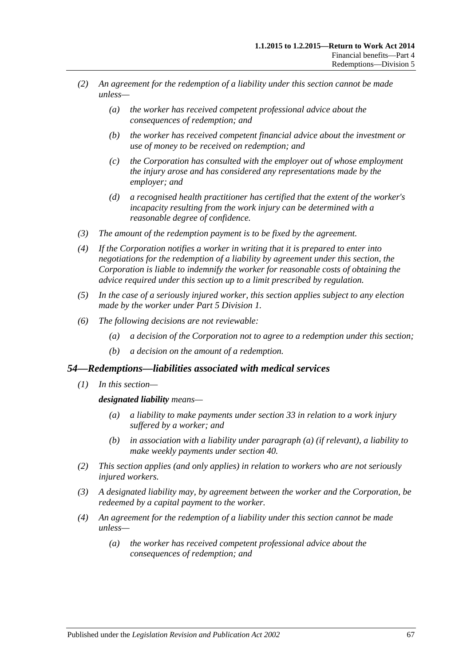- *(2) An agreement for the redemption of a liability under this section cannot be made unless—*
	- *(a) the worker has received competent professional advice about the consequences of redemption; and*
	- *(b) the worker has received competent financial advice about the investment or use of money to be received on redemption; and*
	- *(c) the Corporation has consulted with the employer out of whose employment the injury arose and has considered any representations made by the employer; and*
	- *(d) a recognised health practitioner has certified that the extent of the worker's incapacity resulting from the work injury can be determined with a reasonable degree of confidence.*
- *(3) The amount of the redemption payment is to be fixed by the agreement.*
- *(4) If the Corporation notifies a worker in writing that it is prepared to enter into negotiations for the redemption of a liability by agreement under this section, the Corporation is liable to indemnify the worker for reasonable costs of obtaining the advice required under this section up to a limit prescribed by regulation.*
- *(5) In the case of a seriously injured worker, this section applies subject to any election made by the worker under Part [5 Division](#page-83-1) 1.*
- *(6) The following decisions are not reviewable:*
	- *(a) a decision of the Corporation not to agree to a redemption under this section;*
	- *(b) a decision on the amount of a redemption.*

#### *54—Redemptions—liabilities associated with medical services*

<span id="page-66-0"></span>*(1) In this section—*

#### *designated liability means—*

- *(a) a liability to make payments under [section](#page-47-3) 33 in relation to a work injury suffered by a worker; and*
- *(b) in association with a liability under [paragraph](#page-66-0) (a) (if relevant), a liability to make weekly payments under [section](#page-53-2) 40.*
- *(2) This section applies (and only applies) in relation to workers who are not seriously injured workers.*
- *(3) A designated liability may, by agreement between the worker and the Corporation, be redeemed by a capital payment to the worker.*
- *(4) An agreement for the redemption of a liability under this section cannot be made unless—*
	- *(a) the worker has received competent professional advice about the consequences of redemption; and*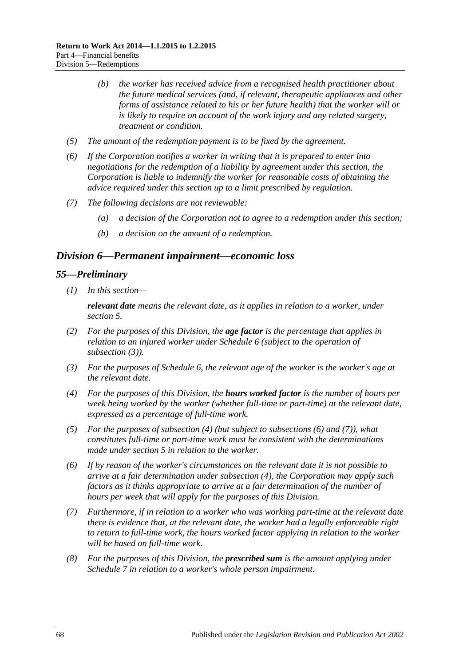- *(b) the worker has received advice from a recognised health practitioner about the future medical services (and, if relevant, therapeutic appliances and other forms of assistance related to his or her future health) that the worker will or is likely to require on account of the work injury and any related surgery, treatment or condition.*
- *(5) The amount of the redemption payment is to be fixed by the agreement.*
- *(6) If the Corporation notifies a worker in writing that it is prepared to enter into negotiations for the redemption of a liability by agreement under this section, the Corporation is liable to indemnify the worker for reasonable costs of obtaining the advice required under this section up to a limit prescribed by regulation.*
- *(7) The following decisions are not reviewable:*
	- *(a) a decision of the Corporation not to agree to a redemption under this section;*
	- *(b) a decision on the amount of a redemption.*

### <span id="page-67-0"></span>*Division 6—Permanent impairment—economic loss*

#### *55—Preliminary*

*(1) In this section—*

*relevant date means the relevant date, as it applies in relation to a worker, under [section](#page-20-0) 5.*

- *(2) For the purposes of this Division, the age factor is the percentage that applies in relation to an injured worker under [Schedule](#page-164-0) 6 (subject to the operation of [subsection](#page-67-1) (3)).*
- <span id="page-67-1"></span>*(3) For the purposes of [Schedule](#page-164-0) 6, the relevant age of the worker is the worker's age at the relevant date.*
- <span id="page-67-2"></span>*(4) For the purposes of this Division, the hours worked factor is the number of hours per week being worked by the worker (whether full-time or part-time) at the relevant date, expressed as a percentage of full-time work.*
- *(5) For the purposes of [subsection](#page-67-2) (4) (but subject to [subsections](#page-67-3) (6) and [\(7\)\)](#page-67-4), what constitutes full-time or part-time work must be consistent with the determinations made under [section](#page-20-0) 5 in relation to the worker.*
- <span id="page-67-3"></span>*(6) If by reason of the worker's circumstances on the relevant date it is not possible to arrive at a fair determination under [subsection](#page-67-2) (4), the Corporation may apply such factors as it thinks appropriate to arrive at a fair determination of the number of hours per week that will apply for the purposes of this Division.*
- <span id="page-67-4"></span>*(7) Furthermore, if in relation to a worker who was working part-time at the relevant date there is evidence that, at the relevant date, the worker had a legally enforceable right to return to full-time work, the hours worked factor applying in relation to the worker will be based on full-time work.*
- <span id="page-67-5"></span>*(8) For the purposes of this Division, the prescribed sum is the amount applying under [Schedule](#page-166-0) 7 in relation to a worker's whole person impairment.*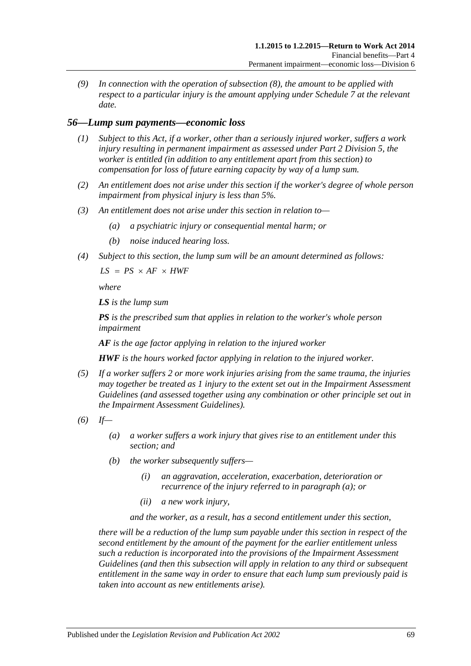*(9) In connection with the operation of [subsection](#page-67-5) (8), the amount to be applied with respect to a particular injury is the amount applying under [Schedule](#page-166-0) 7 at the relevant date.*

### *56—Lump sum payments—economic loss*

- *(1) Subject to this Act, if a worker, other than a seriously injured worker, suffers a work injury resulting in permanent impairment as assessed under Part [2 Division](#page-36-0) 5, the worker is entitled (in addition to any entitlement apart from this section) to compensation for loss of future earning capacity by way of a lump sum.*
- *(2) An entitlement does not arise under this section if the worker's degree of whole person impairment from physical injury is less than 5%.*
- *(3) An entitlement does not arise under this section in relation to—*
	- *(a) a psychiatric injury or consequential mental harm; or*
	- *(b) noise induced hearing loss.*
- *(4) Subject to this section, the lump sum will be an amount determined as follows:*

 $LS = PS \times AF \times HWF$ 

*where*

*LS is the lump sum*

*PS is the prescribed sum that applies in relation to the worker's whole person impairment*

*AF is the age factor applying in relation to the injured worker*

*HWF is the hours worked factor applying in relation to the injured worker.*

- *(5) If a worker suffers 2 or more work injuries arising from the same trauma, the injuries may together be treated as 1 injury to the extent set out in the Impairment Assessment Guidelines (and assessed together using any combination or other principle set out in the Impairment Assessment Guidelines).*
- <span id="page-68-0"></span>*(6) If—*
	- *(a) a worker suffers a work injury that gives rise to an entitlement under this section; and*
	- *(b) the worker subsequently suffers—*
		- *(i) an aggravation, acceleration, exacerbation, deterioration or recurrence of the injury referred to in [paragraph](#page-68-0) (a); or*
		- *(ii) a new work injury,*

*and the worker, as a result, has a second entitlement under this section,*

*there will be a reduction of the lump sum payable under this section in respect of the second entitlement by the amount of the payment for the earlier entitlement unless such a reduction is incorporated into the provisions of the Impairment Assessment Guidelines (and then this subsection will apply in relation to any third or subsequent entitlement in the same way in order to ensure that each lump sum previously paid is taken into account as new entitlements arise).*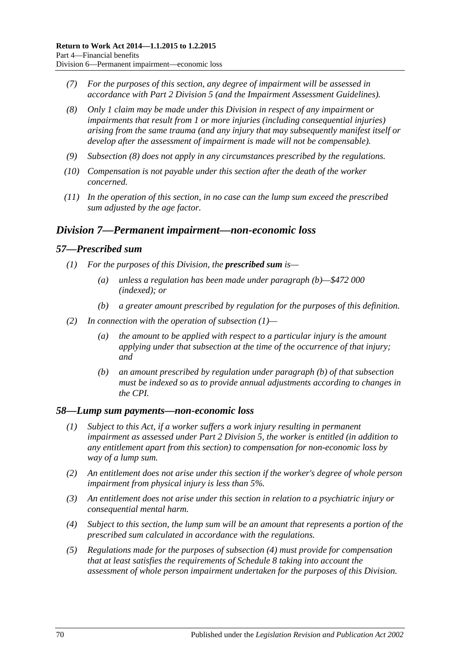- *(7) For the purposes of this section, any degree of impairment will be assessed in accordance with Part [2 Division](#page-36-0) 5 (and the Impairment Assessment Guidelines).*
- <span id="page-69-1"></span>*(8) Only 1 claim may be made under this Division in respect of any impairment or impairments that result from 1 or more injuries (including consequential injuries) arising from the same trauma (and any injury that may subsequently manifest itself or develop after the assessment of impairment is made will not be compensable).*
- *(9) [Subsection](#page-69-1) (8) does not apply in any circumstances prescribed by the regulations.*
- *(10) Compensation is not payable under this section after the death of the worker concerned.*
- *(11) In the operation of this section, in no case can the lump sum exceed the prescribed sum adjusted by the age factor.*

### <span id="page-69-0"></span>*Division 7—Permanent impairment—non-economic loss*

#### <span id="page-69-3"></span>*57—Prescribed sum*

- *(1) For the purposes of this Division, the prescribed sum is—*
	- *(a) unless a regulation has been made under [paragraph](#page-69-2) (b)—\$472 000 (indexed); or*
	- *(b) a greater amount prescribed by regulation for the purposes of this definition.*
- <span id="page-69-2"></span>*(2) In connection with the operation of [subsection](#page-69-3) (1)—*
	- *(a) the amount to be applied with respect to a particular injury is the amount applying under that subsection at the time of the occurrence of that injury; and*
	- *(b) an amount prescribed by regulation under [paragraph](#page-69-2) (b) of that subsection must be indexed so as to provide annual adjustments according to changes in the CPI.*

#### *58—Lump sum payments—non-economic loss*

- *(1) Subject to this Act, if a worker suffers a work injury resulting in permanent impairment as assessed under Part [2 Division](#page-36-0) 5, the worker is entitled (in addition to any entitlement apart from this section) to compensation for non-economic loss by way of a lump sum.*
- *(2) An entitlement does not arise under this section if the worker's degree of whole person impairment from physical injury is less than 5%.*
- *(3) An entitlement does not arise under this section in relation to a psychiatric injury or consequential mental harm.*
- <span id="page-69-4"></span>*(4) Subject to this section, the lump sum will be an amount that represents a portion of the prescribed sum calculated in accordance with the regulations.*
- *(5) Regulations made for the purposes of [subsection](#page-69-4) (4) must provide for compensation that at least satisfies the requirements of [Schedule](#page-166-1) 8 taking into account the assessment of whole person impairment undertaken for the purposes of this Division.*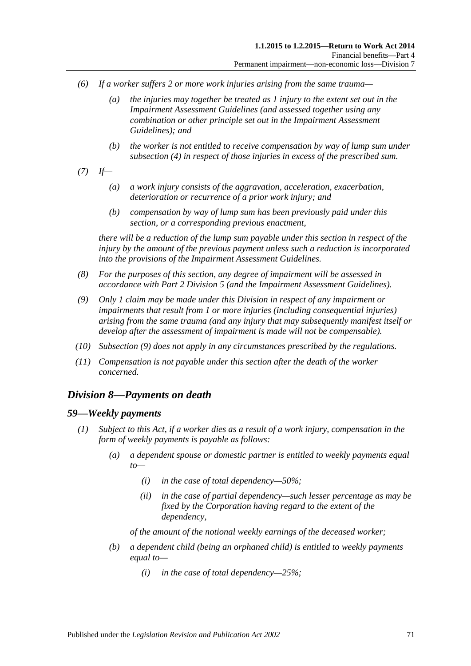- *(6) If a worker suffers 2 or more work injuries arising from the same trauma—*
	- *(a) the injuries may together be treated as 1 injury to the extent set out in the Impairment Assessment Guidelines (and assessed together using any combination or other principle set out in the Impairment Assessment Guidelines); and*
	- *(b) the worker is not entitled to receive compensation by way of lump sum under [subsection](#page-69-4) (4) in respect of those injuries in excess of the prescribed sum.*
- *(7) If—*
	- *(a) a work injury consists of the aggravation, acceleration, exacerbation, deterioration or recurrence of a prior work injury; and*
	- *(b) compensation by way of lump sum has been previously paid under this section, or a corresponding previous enactment,*

*there will be a reduction of the lump sum payable under this section in respect of the injury by the amount of the previous payment unless such a reduction is incorporated into the provisions of the Impairment Assessment Guidelines.*

- *(8) For the purposes of this section, any degree of impairment will be assessed in accordance with Part [2 Division](#page-36-0) 5 (and the Impairment Assessment Guidelines).*
- <span id="page-70-0"></span>*(9) Only 1 claim may be made under this Division in respect of any impairment or impairments that result from 1 or more injuries (including consequential injuries) arising from the same trauma (and any injury that may subsequently manifest itself or develop after the assessment of impairment is made will not be compensable).*
- *(10) [Subsection](#page-70-0) (9) does not apply in any circumstances prescribed by the regulations.*
- *(11) Compensation is not payable under this section after the death of the worker concerned.*

## *Division 8—Payments on death*

#### <span id="page-70-1"></span>*59—Weekly payments*

- *(1) Subject to this Act, if a worker dies as a result of a work injury, compensation in the form of weekly payments is payable as follows:*
	- *(a) a dependent spouse or domestic partner is entitled to weekly payments equal to—*
		- *(i) in the case of total dependency—50%;*
		- *(ii) in the case of partial dependency—such lesser percentage as may be fixed by the Corporation having regard to the extent of the dependency,*

*of the amount of the notional weekly earnings of the deceased worker;*

- <span id="page-70-2"></span>*(b) a dependent child (being an orphaned child) is entitled to weekly payments equal to—*
	- *(i) in the case of total dependency—25%;*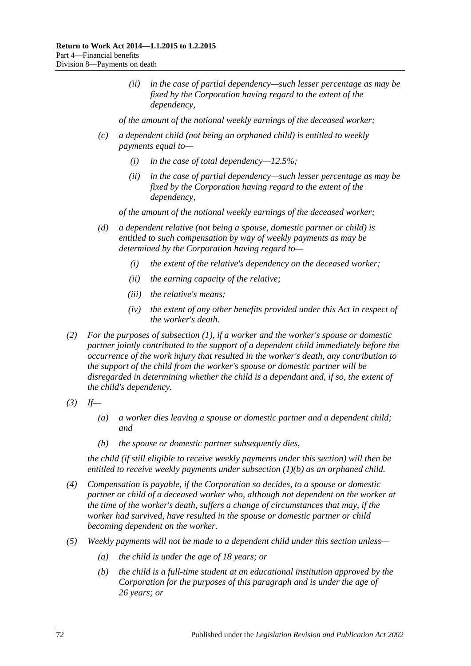*(ii) in the case of partial dependency—such lesser percentage as may be fixed by the Corporation having regard to the extent of the dependency,*

*of the amount of the notional weekly earnings of the deceased worker;*

- *(c) a dependent child (not being an orphaned child) is entitled to weekly payments equal to—*
	- *(i) in the case of total dependency—12.5%;*
	- *(ii) in the case of partial dependency—such lesser percentage as may be fixed by the Corporation having regard to the extent of the dependency,*

*of the amount of the notional weekly earnings of the deceased worker;*

- *(d) a dependent relative (not being a spouse, domestic partner or child) is entitled to such compensation by way of weekly payments as may be determined by the Corporation having regard to—*
	- *(i) the extent of the relative's dependency on the deceased worker;*
	- *(ii) the earning capacity of the relative;*
	- *(iii) the relative's means;*
	- *(iv) the extent of any other benefits provided under this Act in respect of the worker's death.*
- *(2) For the purposes of [subsection](#page-70-1) (1), if a worker and the worker's spouse or domestic partner jointly contributed to the support of a dependent child immediately before the occurrence of the work injury that resulted in the worker's death, any contribution to the support of the child from the worker's spouse or domestic partner will be disregarded in determining whether the child is a dependant and, if so, the extent of the child's dependency.*
- *(3) If—*
	- *(a) a worker dies leaving a spouse or domestic partner and a dependent child; and*
	- *(b) the spouse or domestic partner subsequently dies,*

*the child (if still eligible to receive weekly payments under this section) will then be entitled to receive weekly payments under [subsection](#page-70-2) (1)(b) as an orphaned child.*

- *(4) Compensation is payable, if the Corporation so decides, to a spouse or domestic partner or child of a deceased worker who, although not dependent on the worker at the time of the worker's death, suffers a change of circumstances that may, if the worker had survived, have resulted in the spouse or domestic partner or child becoming dependent on the worker.*
- *(5) Weekly payments will not be made to a dependent child under this section unless—*
	- *(a) the child is under the age of 18 years; or*
	- *(b) the child is a full-time student at an educational institution approved by the Corporation for the purposes of this paragraph and is under the age of 26 years; or*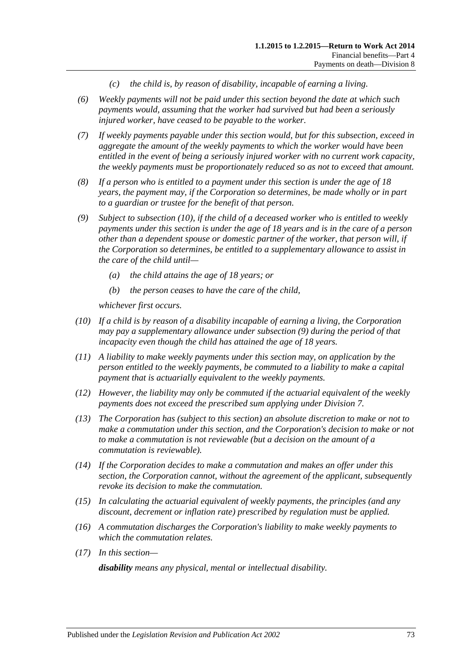- *(c) the child is, by reason of disability, incapable of earning a living.*
- *(6) Weekly payments will not be paid under this section beyond the date at which such payments would, assuming that the worker had survived but had been a seriously injured worker, have ceased to be payable to the worker.*
- *(7) If weekly payments payable under this section would, but for this subsection, exceed in aggregate the amount of the weekly payments to which the worker would have been entitled in the event of being a seriously injured worker with no current work capacity, the weekly payments must be proportionately reduced so as not to exceed that amount.*
- *(8) If a person who is entitled to a payment under this section is under the age of 18 years, the payment may, if the Corporation so determines, be made wholly or in part to a guardian or trustee for the benefit of that person.*
- <span id="page-72-1"></span>*(9) Subject to [subsection](#page-72-0) (10), if the child of a deceased worker who is entitled to weekly payments under this section is under the age of 18 years and is in the care of a person other than a dependent spouse or domestic partner of the worker, that person will, if the Corporation so determines, be entitled to a supplementary allowance to assist in the care of the child until—*
	- *(a) the child attains the age of 18 years; or*
	- *(b) the person ceases to have the care of the child,*

*whichever first occurs.*

- <span id="page-72-0"></span>*(10) If a child is by reason of a disability incapable of earning a living, the Corporation may pay a supplementary allowance under [subsection](#page-72-1) (9) during the period of that incapacity even though the child has attained the age of 18 years.*
- *(11) A liability to make weekly payments under this section may, on application by the person entitled to the weekly payments, be commuted to a liability to make a capital payment that is actuarially equivalent to the weekly payments.*
- *(12) However, the liability may only be commuted if the actuarial equivalent of the weekly payments does not exceed the prescribed sum applying under [Division](#page-69-0) 7.*
- *(13) The Corporation has (subject to this section) an absolute discretion to make or not to make a commutation under this section, and the Corporation's decision to make or not to make a commutation is not reviewable (but a decision on the amount of a commutation is reviewable).*
- *(14) If the Corporation decides to make a commutation and makes an offer under this section, the Corporation cannot, without the agreement of the applicant, subsequently revoke its decision to make the commutation.*
- *(15) In calculating the actuarial equivalent of weekly payments, the principles (and any discount, decrement or inflation rate) prescribed by regulation must be applied.*
- *(16) A commutation discharges the Corporation's liability to make weekly payments to which the commutation relates.*
- *(17) In this section—*

*disability means any physical, mental or intellectual disability.*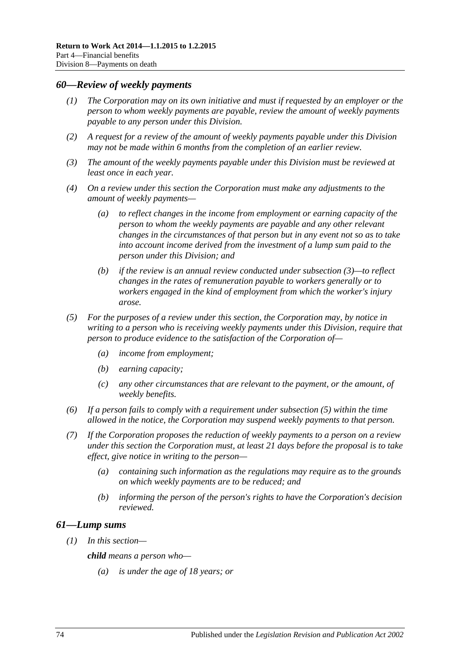#### <span id="page-73-2"></span>*60—Review of weekly payments*

- *(1) The Corporation may on its own initiative and must if requested by an employer or the person to whom weekly payments are payable, review the amount of weekly payments payable to any person under this Division.*
- *(2) A request for a review of the amount of weekly payments payable under this Division may not be made within 6 months from the completion of an earlier review.*
- <span id="page-73-0"></span>*(3) The amount of the weekly payments payable under this Division must be reviewed at least once in each year.*
- *(4) On a review under this section the Corporation must make any adjustments to the amount of weekly payments—*
	- *(a) to reflect changes in the income from employment or earning capacity of the person to whom the weekly payments are payable and any other relevant changes in the circumstances of that person but in any event not so as to take into account income derived from the investment of a lump sum paid to the person under this Division; and*
	- *(b) if the review is an annual review conducted under [subsection](#page-73-0) (3)—to reflect changes in the rates of remuneration payable to workers generally or to workers engaged in the kind of employment from which the worker's injury arose.*
- <span id="page-73-1"></span>*(5) For the purposes of a review under this section, the Corporation may, by notice in writing to a person who is receiving weekly payments under this Division, require that person to produce evidence to the satisfaction of the Corporation of—*
	- *(a) income from employment;*
	- *(b) earning capacity;*
	- *(c) any other circumstances that are relevant to the payment, or the amount, of weekly benefits.*
- *(6) If a person fails to comply with a requirement under [subsection](#page-73-1) (5) within the time allowed in the notice, the Corporation may suspend weekly payments to that person.*
- *(7) If the Corporation proposes the reduction of weekly payments to a person on a review under this section the Corporation must, at least 21 days before the proposal is to take effect, give notice in writing to the person—*
	- *(a) containing such information as the regulations may require as to the grounds on which weekly payments are to be reduced; and*
	- *(b) informing the person of the person's rights to have the Corporation's decision reviewed.*

#### *61—Lump sums*

*(1) In this section—*

*child means a person who—*

*(a) is under the age of 18 years; or*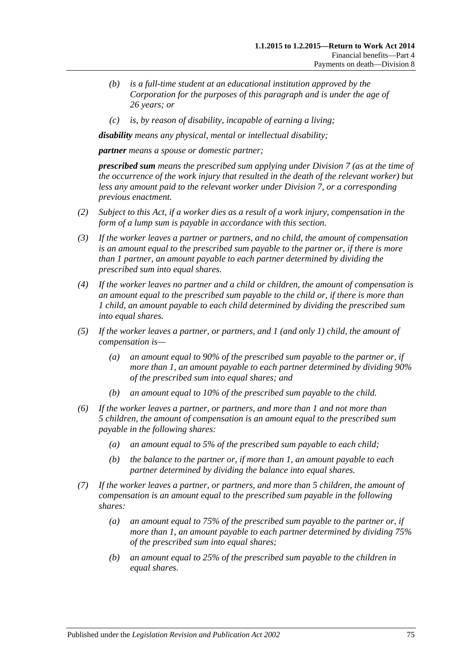- *(b) is a full-time student at an educational institution approved by the Corporation for the purposes of this paragraph and is under the age of 26 years; or*
- *(c) is, by reason of disability, incapable of earning a living;*

*disability means any physical, mental or intellectual disability;*

*partner means a spouse or domestic partner;*

*prescribed sum means the prescribed sum applying under [Division](#page-69-0) 7 (as at the time of the occurrence of the work injury that resulted in the death of the relevant worker) but less any amount paid to the relevant worker under [Division](#page-69-0) 7, or a corresponding previous enactment.*

- *(2) Subject to this Act, if a worker dies as a result of a work injury, compensation in the form of a lump sum is payable in accordance with this section.*
- *(3) If the worker leaves a partner or partners, and no child, the amount of compensation is an amount equal to the prescribed sum payable to the partner or, if there is more than 1 partner, an amount payable to each partner determined by dividing the prescribed sum into equal shares.*
- *(4) If the worker leaves no partner and a child or children, the amount of compensation is an amount equal to the prescribed sum payable to the child or, if there is more than 1 child, an amount payable to each child determined by dividing the prescribed sum into equal shares.*
- *(5) If the worker leaves a partner, or partners, and 1 (and only 1) child, the amount of compensation is—*
	- *(a) an amount equal to 90% of the prescribed sum payable to the partner or, if more than 1, an amount payable to each partner determined by dividing 90% of the prescribed sum into equal shares; and*
	- *(b) an amount equal to 10% of the prescribed sum payable to the child.*
- *(6) If the worker leaves a partner, or partners, and more than 1 and not more than 5 children, the amount of compensation is an amount equal to the prescribed sum payable in the following shares:*
	- *(a) an amount equal to 5% of the prescribed sum payable to each child;*
	- *(b) the balance to the partner or, if more than 1, an amount payable to each partner determined by dividing the balance into equal shares.*
- *(7) If the worker leaves a partner, or partners, and more than 5 children, the amount of compensation is an amount equal to the prescribed sum payable in the following shares:*
	- *(a) an amount equal to 75% of the prescribed sum payable to the partner or, if more than 1, an amount payable to each partner determined by dividing 75% of the prescribed sum into equal shares;*
	- *(b) an amount equal to 25% of the prescribed sum payable to the children in equal shares.*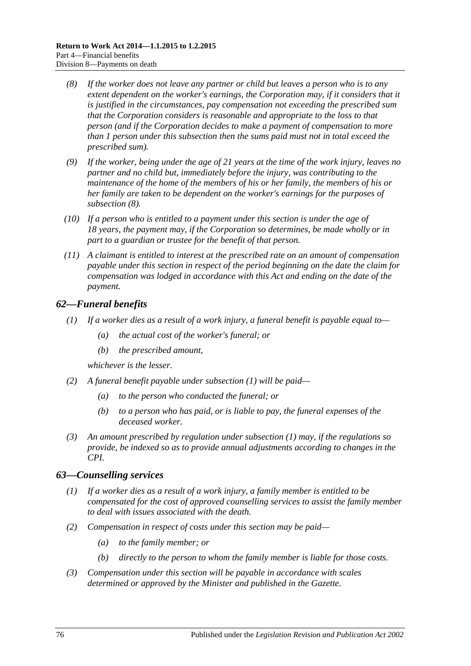- <span id="page-75-0"></span>*(8) If the worker does not leave any partner or child but leaves a person who is to any extent dependent on the worker's earnings, the Corporation may, if it considers that it is justified in the circumstances, pay compensation not exceeding the prescribed sum that the Corporation considers is reasonable and appropriate to the loss to that person (and if the Corporation decides to make a payment of compensation to more than 1 person under this subsection then the sums paid must not in total exceed the prescribed sum).*
- *(9) If the worker, being under the age of 21 years at the time of the work injury, leaves no partner and no child but, immediately before the injury, was contributing to the maintenance of the home of the members of his or her family, the members of his or her family are taken to be dependent on the worker's earnings for the purposes of [subsection](#page-75-0) (8).*
- *(10) If a person who is entitled to a payment under this section is under the age of 18 years, the payment may, if the Corporation so determines, be made wholly or in part to a guardian or trustee for the benefit of that person.*
- *(11) A claimant is entitled to interest at the prescribed rate on an amount of compensation payable under this section in respect of the period beginning on the date the claim for compensation was lodged in accordance with this Act and ending on the date of the payment.*

# <span id="page-75-1"></span>*62—Funeral benefits*

- *(1) If a worker dies as a result of a work injury, a funeral benefit is payable equal to—*
	- *(a) the actual cost of the worker's funeral; or*
	- *(b) the prescribed amount,*

*whichever is the lesser.*

- *(2) A funeral benefit payable under [subsection](#page-75-1) (1) will be paid—*
	- *(a) to the person who conducted the funeral; or*
	- *(b) to a person who has paid, or is liable to pay, the funeral expenses of the deceased worker.*
- *(3) An amount prescribed by regulation under [subsection](#page-75-1) (1) may, if the regulations so provide, be indexed so as to provide annual adjustments according to changes in the CPI.*

# *63—Counselling services*

- *(1) If a worker dies as a result of a work injury, a family member is entitled to be compensated for the cost of approved counselling services to assist the family member to deal with issues associated with the death.*
- *(2) Compensation in respect of costs under this section may be paid—*
	- *(a) to the family member; or*
	- *(b) directly to the person to whom the family member is liable for those costs.*
- *(3) Compensation under this section will be payable in accordance with scales determined or approved by the Minister and published in the Gazette.*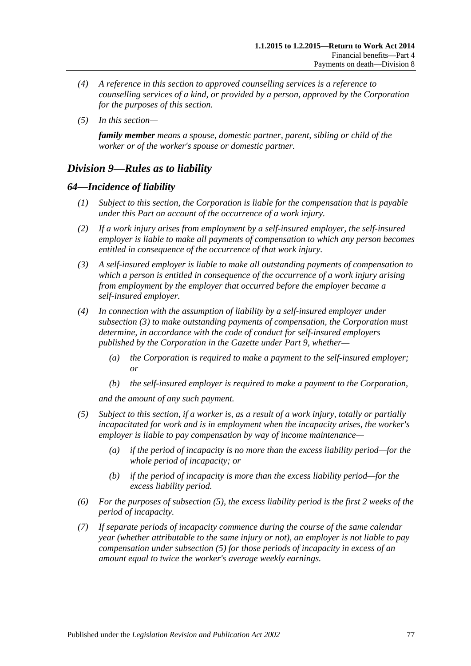- *(4) A reference in this section to approved counselling services is a reference to counselling services of a kind, or provided by a person, approved by the Corporation for the purposes of this section.*
- *(5) In this section—*

*family member means a spouse, domestic partner, parent, sibling or child of the worker or of the worker's spouse or domestic partner.*

# *Division 9—Rules as to liability*

# *64—Incidence of liability*

- *(1) Subject to this section, the Corporation is liable for the compensation that is payable under this Part on account of the occurrence of a work injury.*
- *(2) If a work injury arises from employment by a self-insured employer, the self-insured employer is liable to make all payments of compensation to which any person becomes entitled in consequence of the occurrence of that work injury.*
- <span id="page-76-0"></span>*(3) A self-insured employer is liable to make all outstanding payments of compensation to which a person is entitled in consequence of the occurrence of a work injury arising from employment by the employer that occurred before the employer became a self-insured employer.*
- *(4) In connection with the assumption of liability by a self-insured employer under [subsection](#page-76-0) (3) to make outstanding payments of compensation, the Corporation must determine, in accordance with the code of conduct for self-insured employers published by the Corporation in the Gazette under [Part](#page-108-0) 9, whether—*
	- *(a) the Corporation is required to make a payment to the self-insured employer; or*
	- *(b) the self-insured employer is required to make a payment to the Corporation,*

*and the amount of any such payment.*

- <span id="page-76-1"></span>*(5) Subject to this section, if a worker is, as a result of a work injury, totally or partially incapacitated for work and is in employment when the incapacity arises, the worker's employer is liable to pay compensation by way of income maintenance—*
	- *(a) if the period of incapacity is no more than the excess liability period—for the whole period of incapacity; or*
	- *(b) if the period of incapacity is more than the excess liability period—for the excess liability period.*
- *(6) For the purposes of [subsection](#page-76-1) (5), the excess liability period is the first 2 weeks of the period of incapacity.*
- *(7) If separate periods of incapacity commence during the course of the same calendar year (whether attributable to the same injury or not), an employer is not liable to pay compensation under [subsection](#page-76-1) (5) for those periods of incapacity in excess of an amount equal to twice the worker's average weekly earnings.*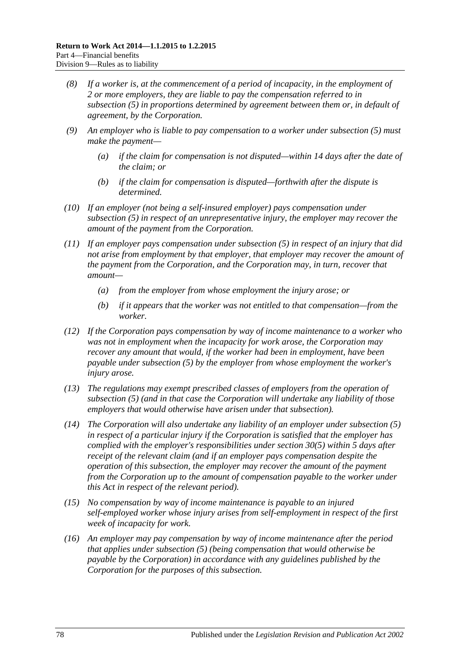- *(8) If a worker is, at the commencement of a period of incapacity, in the employment of 2 or more employers, they are liable to pay the compensation referred to in [subsection](#page-76-1) (5) in proportions determined by agreement between them or, in default of agreement, by the Corporation.*
- *(9) An employer who is liable to pay compensation to a worker under [subsection](#page-76-1) (5) must make the payment—*
	- *(a) if the claim for compensation is not disputed—within 14 days after the date of the claim; or*
	- *(b) if the claim for compensation is disputed—forthwith after the dispute is determined.*
- *(10) If an employer (not being a self-insured employer) pays compensation under [subsection](#page-76-1) (5) in respect of an unrepresentative injury, the employer may recover the amount of the payment from the Corporation.*
- *(11) If an employer pays compensation under [subsection](#page-76-1) (5) in respect of an injury that did not arise from employment by that employer, that employer may recover the amount of the payment from the Corporation, and the Corporation may, in turn, recover that amount—*
	- *(a) from the employer from whose employment the injury arose; or*
	- *(b) if it appears that the worker was not entitled to that compensation—from the worker.*
- *(12) If the Corporation pays compensation by way of income maintenance to a worker who was not in employment when the incapacity for work arose, the Corporation may recover any amount that would, if the worker had been in employment, have been payable under [subsection](#page-76-1) (5) by the employer from whose employment the worker's injury arose.*
- *(13) The regulations may exempt prescribed classes of employers from the operation of [subsection](#page-76-1) (5) (and in that case the Corporation will undertake any liability of those employers that would otherwise have arisen under that subsection).*
- *(14) The Corporation will also undertake any liability of an employer under [subsection](#page-76-1) (5) in respect of a particular injury if the Corporation is satisfied that the employer has complied with the employer's responsibilities under [section](#page-45-0) 30(5) within 5 days after receipt of the relevant claim (and if an employer pays compensation despite the operation of this subsection, the employer may recover the amount of the payment from the Corporation up to the amount of compensation payable to the worker under this Act in respect of the relevant period).*
- *(15) No compensation by way of income maintenance is payable to an injured self-employed worker whose injury arises from self-employment in respect of the first week of incapacity for work.*
- <span id="page-77-0"></span>*(16) An employer may pay compensation by way of income maintenance after the period that applies under [subsection](#page-76-1) (5) (being compensation that would otherwise be payable by the Corporation) in accordance with any guidelines published by the Corporation for the purposes of this subsection.*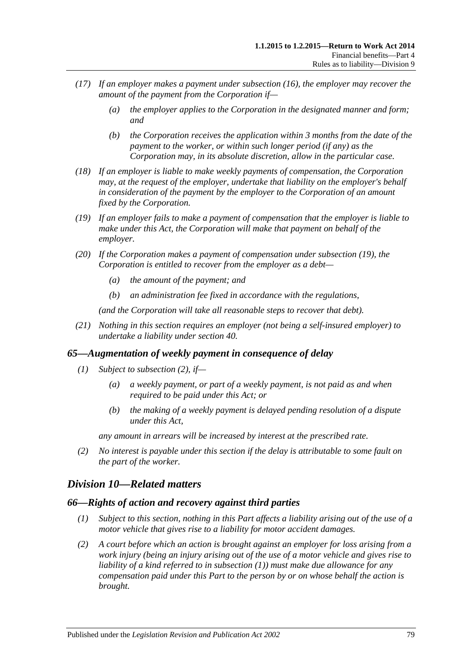- *(17) If an employer makes a payment under [subsection](#page-77-0) (16), the employer may recover the amount of the payment from the Corporation if—*
	- *(a) the employer applies to the Corporation in the designated manner and form; and*
	- *(b) the Corporation receives the application within 3 months from the date of the payment to the worker, or within such longer period (if any) as the Corporation may, in its absolute discretion, allow in the particular case.*
- *(18) If an employer is liable to make weekly payments of compensation, the Corporation may, at the request of the employer, undertake that liability on the employer's behalf in consideration of the payment by the employer to the Corporation of an amount fixed by the Corporation.*
- <span id="page-78-0"></span>*(19) If an employer fails to make a payment of compensation that the employer is liable to make under this Act, the Corporation will make that payment on behalf of the employer.*
- *(20) If the Corporation makes a payment of compensation under [subsection](#page-78-0) (19), the Corporation is entitled to recover from the employer as a debt—*
	- *(a) the amount of the payment; and*
	- *(b) an administration fee fixed in accordance with the regulations,*

*(and the Corporation will take all reasonable steps to recover that debt).*

*(21) Nothing in this section requires an employer (not being a self-insured employer) to undertake a liability under [section](#page-53-0) 40.*

# *65—Augmentation of weekly payment in consequence of delay*

- *(1) Subject to [subsection](#page-78-1) (2), if—*
	- *(a) a weekly payment, or part of a weekly payment, is not paid as and when required to be paid under this Act; or*
	- *(b) the making of a weekly payment is delayed pending resolution of a dispute under this Act,*

*any amount in arrears will be increased by interest at the prescribed rate.*

<span id="page-78-1"></span>*(2) No interest is payable under this section if the delay is attributable to some fault on the part of the worker.*

# *Division 10—Related matters*

#### <span id="page-78-3"></span><span id="page-78-2"></span>*66—Rights of action and recovery against third parties*

- *(1) Subject to this section, nothing in this Part affects a liability arising out of the use of a motor vehicle that gives rise to a liability for motor accident damages.*
- *(2) A court before which an action is brought against an employer for loss arising from a work injury (being an injury arising out of the use of a motor vehicle and gives rise to liability of a kind referred to in [subsection](#page-78-2) (1)) must make due allowance for any compensation paid under this Part to the person by or on whose behalf the action is brought.*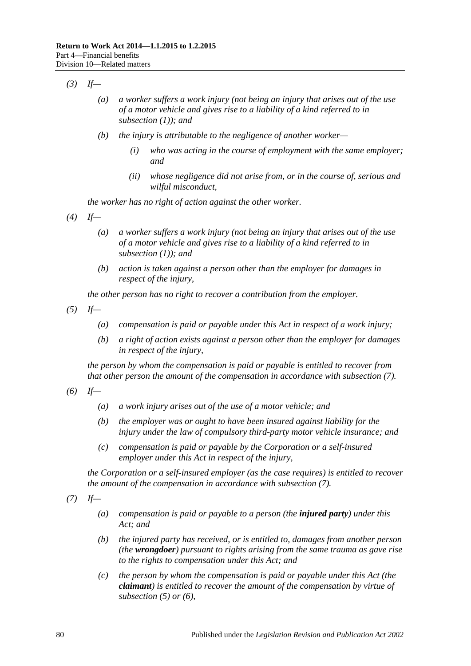- *(3) If—*
	- *(a) a worker suffers a work injury (not being an injury that arises out of the use of a motor vehicle and gives rise to a liability of a kind referred to in [subsection](#page-78-2) (1)); and*
	- *(b) the injury is attributable to the negligence of another worker—*
		- *(i) who was acting in the course of employment with the same employer; and*
		- *(ii) whose negligence did not arise from, or in the course of, serious and wilful misconduct,*

*the worker has no right of action against the other worker.*

- *(4) If—*
	- *(a) a worker suffers a work injury (not being an injury that arises out of the use of a motor vehicle and gives rise to a liability of a kind referred to in [subsection](#page-78-2) (1)); and*
	- *(b) action is taken against a person other than the employer for damages in respect of the injury,*

*the other person has no right to recover a contribution from the employer.*

<span id="page-79-1"></span>*(5) If—*

- *(a) compensation is paid or payable under this Act in respect of a work injury;*
- *(b) a right of action exists against a person other than the employer for damages in respect of the injury,*

*the person by whom the compensation is paid or payable is entitled to recover from that other person the amount of the compensation in accordance with [subsection](#page-79-0) (7).*

<span id="page-79-2"></span>*(6) If—*

- *(a) a work injury arises out of the use of a motor vehicle; and*
- *(b) the employer was or ought to have been insured against liability for the injury under the law of compulsory third-party motor vehicle insurance; and*
- *(c) compensation is paid or payable by the Corporation or a self-insured employer under this Act in respect of the injury,*

*the Corporation or a self-insured employer (as the case requires) is entitled to recover the amount of the compensation in accordance with [subsection](#page-79-0) (7).*

<span id="page-79-3"></span><span id="page-79-0"></span>*(7) If—*

- *(a) compensation is paid or payable to a person (the injured party) under this Act; and*
- *(b) the injured party has received, or is entitled to, damages from another person (the wrongdoer) pursuant to rights arising from the same trauma as gave rise to the rights to compensation under this Act; and*
- *(c) the person by whom the compensation is paid or payable under this Act (the claimant) is entitled to recover the amount of the compensation by virtue of [subsection](#page-79-1) (5) or [\(6\),](#page-79-2)*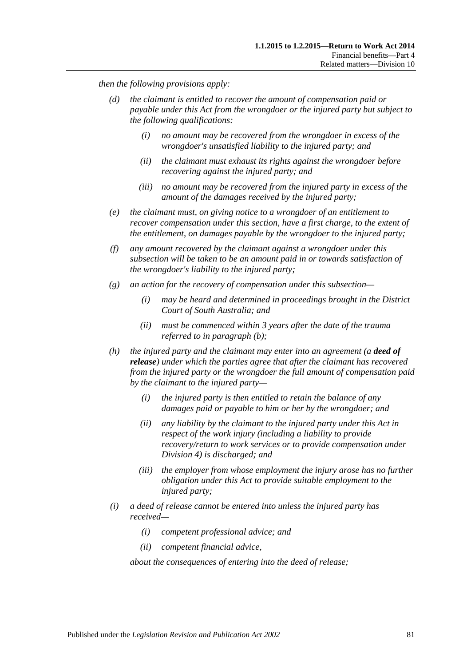*then the following provisions apply:*

- *(d) the claimant is entitled to recover the amount of compensation paid or payable under this Act from the wrongdoer or the injured party but subject to the following qualifications:*
	- *(i) no amount may be recovered from the wrongdoer in excess of the wrongdoer's unsatisfied liability to the injured party; and*
	- *(ii) the claimant must exhaust its rights against the wrongdoer before recovering against the injured party; and*
	- *(iii) no amount may be recovered from the injured party in excess of the amount of the damages received by the injured party;*
- *(e) the claimant must, on giving notice to a wrongdoer of an entitlement to recover compensation under this section, have a first charge, to the extent of the entitlement, on damages payable by the wrongdoer to the injured party;*
- *(f) any amount recovered by the claimant against a wrongdoer under this subsection will be taken to be an amount paid in or towards satisfaction of the wrongdoer's liability to the injured party;*
- *(g) an action for the recovery of compensation under this subsection—*
	- *(i) may be heard and determined in proceedings brought in the District Court of South Australia; and*
	- *(ii) must be commenced within 3 years after the date of the trauma referred to in [paragraph](#page-79-3) (b);*
- *(h) the injured party and the claimant may enter into an agreement (a deed of release) under which the parties agree that after the claimant has recovered from the injured party or the wrongdoer the full amount of compensation paid by the claimant to the injured party—*
	- *(i) the injured party is then entitled to retain the balance of any damages paid or payable to him or her by the wrongdoer; and*
	- *(ii) any liability by the claimant to the injured party under this Act in respect of the work injury (including a liability to provide recovery/return to work services or to provide compensation under [Division](#page-51-0) 4) is discharged; and*
	- *(iii) the employer from whose employment the injury arose has no further obligation under this Act to provide suitable employment to the injured party;*
- <span id="page-80-0"></span>*(i) a deed of release cannot be entered into unless the injured party has received—*
	- *(i) competent professional advice; and*
	- *(ii) competent financial advice,*

*about the consequences of entering into the deed of release;*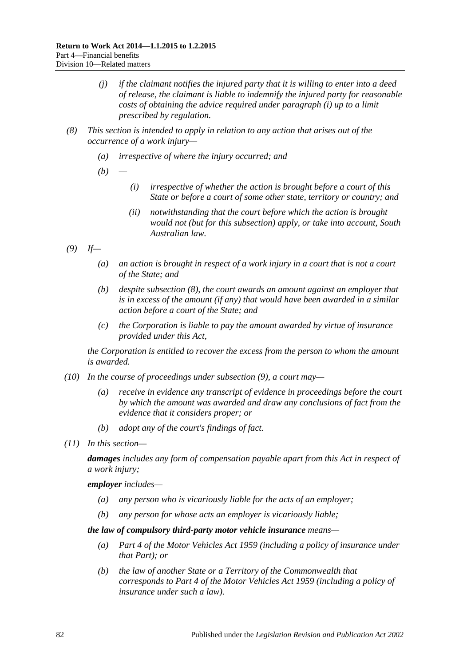- *(j) if the claimant notifies the injured party that it is willing to enter into a deed of release, the claimant is liable to indemnify the injured party for reasonable costs of obtaining the advice required under [paragraph](#page-80-0) (i) up to a limit prescribed by regulation.*
- <span id="page-81-0"></span>*(8) This section is intended to apply in relation to any action that arises out of the occurrence of a work injury—*
	- *(a) irrespective of where the injury occurred; and*
	- *(b) —*
		- *(i) irrespective of whether the action is brought before a court of this State or before a court of some other state, territory or country; and*
		- *(ii) notwithstanding that the court before which the action is brought would not (but for this subsection) apply, or take into account, South Australian law.*
- <span id="page-81-1"></span>*(9) If—*
	- *(a) an action is brought in respect of a work injury in a court that is not a court of the State; and*
	- *(b) despite [subsection](#page-81-0) (8), the court awards an amount against an employer that is in excess of the amount (if any) that would have been awarded in a similar action before a court of the State; and*
	- *(c) the Corporation is liable to pay the amount awarded by virtue of insurance provided under this Act,*

*the Corporation is entitled to recover the excess from the person to whom the amount is awarded.*

- *(10) In the course of proceedings under [subsection](#page-81-1) (9), a court may—*
	- *(a) receive in evidence any transcript of evidence in proceedings before the court by which the amount was awarded and draw any conclusions of fact from the evidence that it considers proper; or*
	- *(b) adopt any of the court's findings of fact.*
- *(11) In this section—*

*damages includes any form of compensation payable apart from this Act in respect of a work injury;*

*employer includes—*

- *(a) any person who is vicariously liable for the acts of an employer;*
- *(b) any person for whose acts an employer is vicariously liable;*

*the law of compulsory third-party motor vehicle insurance means—*

- *(a) Part 4 of the [Motor Vehicles Act](http://www.legislation.sa.gov.au/index.aspx?action=legref&type=act&legtitle=Motor%20Vehicles%20Act%201959) 1959 (including a policy of insurance under that Part); or*
- *(b) the law of another State or a Territory of the Commonwealth that corresponds to Part 4 of the [Motor Vehicles Act](http://www.legislation.sa.gov.au/index.aspx?action=legref&type=act&legtitle=Motor%20Vehicles%20Act%201959) 1959 (including a policy of insurance under such a law).*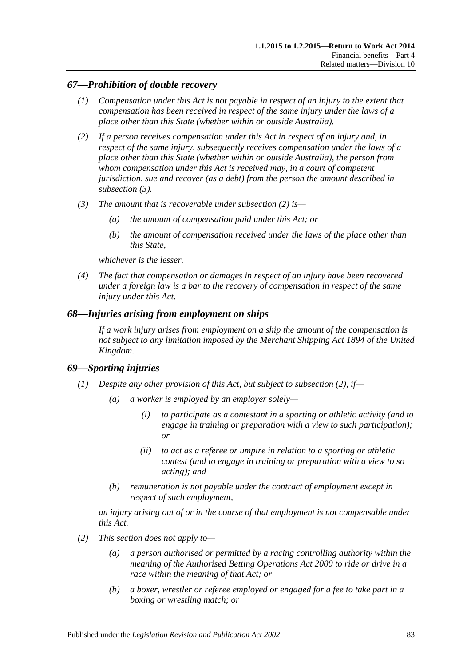# *67—Prohibition of double recovery*

- *(1) Compensation under this Act is not payable in respect of an injury to the extent that compensation has been received in respect of the same injury under the laws of a place other than this State (whether within or outside Australia).*
- <span id="page-82-1"></span>*(2) If a person receives compensation under this Act in respect of an injury and, in respect of the same injury, subsequently receives compensation under the laws of a place other than this State (whether within or outside Australia), the person from whom compensation under this Act is received may, in a court of competent jurisdiction, sue and recover (as a debt) from the person the amount described in [subsection](#page-82-0) (3).*
- <span id="page-82-0"></span>*(3) The amount that is recoverable under [subsection](#page-82-1) (2) is—*
	- *(a) the amount of compensation paid under this Act; or*
	- *(b) the amount of compensation received under the laws of the place other than this State,*

*whichever is the lesser.*

*(4) The fact that compensation or damages in respect of an injury have been recovered under a foreign law is a bar to the recovery of compensation in respect of the same injury under this Act.*

# *68—Injuries arising from employment on ships*

*If a work injury arises from employment on a ship the amount of the compensation is not subject to any limitation imposed by the Merchant Shipping Act 1894 of the United Kingdom.*

# *69—Sporting injuries*

- <span id="page-82-3"></span>*(1) Despite any other provision of this Act, but subject to [subsection](#page-82-2) (2), if—*
	- *(a) a worker is employed by an employer solely—*
		- *(i) to participate as a contestant in a sporting or athletic activity (and to engage in training or preparation with a view to such participation); or*
		- *(ii) to act as a referee or umpire in relation to a sporting or athletic contest (and to engage in training or preparation with a view to so acting); and*
	- *(b) remuneration is not payable under the contract of employment except in respect of such employment,*

*an injury arising out of or in the course of that employment is not compensable under this Act.*

- <span id="page-82-2"></span>*(2) This section does not apply to—*
	- *(a) a person authorised or permitted by a racing controlling authority within the meaning of the [Authorised Betting Operations Act](http://www.legislation.sa.gov.au/index.aspx?action=legref&type=act&legtitle=Authorised%20Betting%20Operations%20Act%202000) 2000 to ride or drive in a race within the meaning of that Act; or*
	- *(b) a boxer, wrestler or referee employed or engaged for a fee to take part in a boxing or wrestling match; or*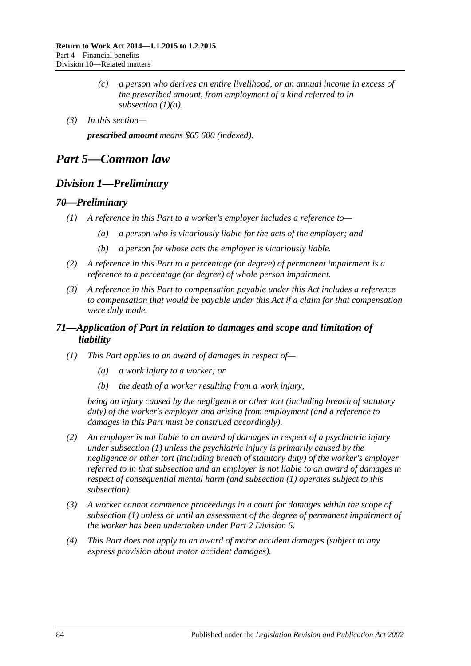- *(c) a person who derives an entire livelihood, or an annual income in excess of the prescribed amount, from employment of a kind referred to in [subsection](#page-82-3) (1)(a).*
- *(3) In this section—*

*prescribed amount means \$65 600 (indexed).*

# *Part 5—Common law*

# *Division 1—Preliminary*

### *70—Preliminary*

- *(1) A reference in this Part to a worker's employer includes a reference to—*
	- *(a) a person who is vicariously liable for the acts of the employer; and*
	- *(b) a person for whose acts the employer is vicariously liable.*
- *(2) A reference in this Part to a percentage (or degree) of permanent impairment is a reference to a percentage (or degree) of whole person impairment.*
- *(3) A reference in this Part to compensation payable under this Act includes a reference to compensation that would be payable under this Act if a claim for that compensation were duly made.*

# *71—Application of Part in relation to damages and scope and limitation of liability*

- <span id="page-83-0"></span>*(1) This Part applies to an award of damages in respect of—*
	- *(a) a work injury to a worker; or*
	- *(b) the death of a worker resulting from a work injury,*

*being an injury caused by the negligence or other tort (including breach of statutory duty) of the worker's employer and arising from employment (and a reference to damages in this Part must be construed accordingly).*

- <span id="page-83-1"></span>*(2) An employer is not liable to an award of damages in respect of a psychiatric injury under [subsection](#page-83-0) (1) unless the psychiatric injury is primarily caused by the negligence or other tort (including breach of statutory duty) of the worker's employer referred to in that subsection and an employer is not liable to an award of damages in respect of consequential mental harm (and [subsection](#page-83-0) (1) operates subject to this subsection).*
- *(3) A worker cannot commence proceedings in a court for damages within the scope of [subsection](#page-83-0) (1) unless or until an assessment of the degree of permanent impairment of the worker has been undertaken under Part [2 Division](#page-36-0) 5.*
- *(4) This Part does not apply to an award of motor accident damages (subject to any express provision about motor accident damages).*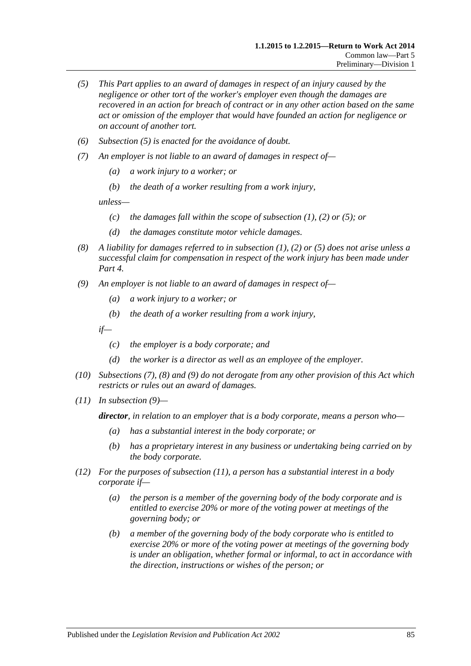- <span id="page-84-0"></span>*(5) This Part applies to an award of damages in respect of an injury caused by the negligence or other tort of the worker's employer even though the damages are recovered in an action for breach of contract or in any other action based on the same act or omission of the employer that would have founded an action for negligence or on account of another tort.*
- *(6) [Subsection \(5\)](#page-84-0) is enacted for the avoidance of doubt.*
- <span id="page-84-1"></span>*(7) An employer is not liable to an award of damages in respect of—*
	- *(a) a work injury to a worker; or*
	- *(b) the death of a worker resulting from a work injury,*

*unless—*

- *(c) the damages fall within the scope of [subsection](#page-83-0) (1), [\(2\)](#page-83-1) or [\(5\);](#page-84-0) or*
- *(d) the damages constitute motor vehicle damages.*
- <span id="page-84-2"></span>*(8) A liability for damages referred to in [subsection](#page-83-0) (1), [\(2\)](#page-83-1) or [\(5\)](#page-84-0) does not arise unless a successful claim for compensation in respect of the work injury has been made under [Part](#page-44-0) 4.*
- <span id="page-84-3"></span>*(9) An employer is not liable to an award of damages in respect of—*
	- *(a) a work injury to a worker; or*
	- *(b) the death of a worker resulting from a work injury,*

*if—*

- *(c) the employer is a body corporate; and*
- *(d) the worker is a director as well as an employee of the employer.*
- *(10) [Subsections](#page-84-1) (7), [\(8\)](#page-84-2) and [\(9\)](#page-84-3) do not derogate from any other provision of this Act which restricts or rules out an award of damages.*
- <span id="page-84-4"></span>*(11) In [subsection](#page-84-3) (9)—*

*director, in relation to an employer that is a body corporate, means a person who—*

- *(a) has a substantial interest in the body corporate; or*
- *(b) has a proprietary interest in any business or undertaking being carried on by the body corporate.*
- *(12) For the purposes of [subsection](#page-84-4) (11), a person has a substantial interest in a body corporate if—*
	- *(a) the person is a member of the governing body of the body corporate and is entitled to exercise 20% or more of the voting power at meetings of the governing body; or*
	- *(b) a member of the governing body of the body corporate who is entitled to exercise 20% or more of the voting power at meetings of the governing body is under an obligation, whether formal or informal, to act in accordance with the direction, instructions or wishes of the person; or*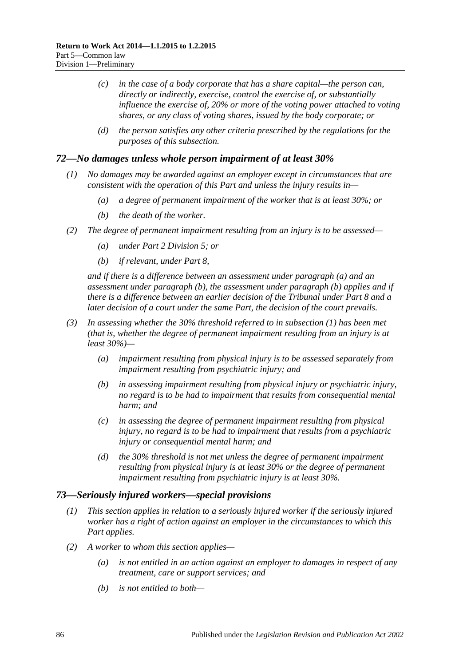- *(c) in the case of a body corporate that has a share capital—the person can, directly or indirectly, exercise, control the exercise of, or substantially influence the exercise of, 20% or more of the voting power attached to voting shares, or any class of voting shares, issued by the body corporate; or*
- *(d) the person satisfies any other criteria prescribed by the regulations for the purposes of this subsection.*

## <span id="page-85-2"></span>*72—No damages unless whole person impairment of at least 30%*

- *(1) No damages may be awarded against an employer except in circumstances that are consistent with the operation of this Part and unless the injury results in—*
	- *(a) a degree of permanent impairment of the worker that is at least 30%; or*
	- *(b) the death of the worker.*
- <span id="page-85-1"></span><span id="page-85-0"></span>*(2) The degree of permanent impairment resulting from an injury is to be assessed—*
	- *(a) under Part [2 Division](#page-36-0) 5; or*
	- *(b) if relevant, under [Part](#page-103-0) 8,*

*and if there is a difference between an assessment under [paragraph](#page-85-0) (a) and an assessment under [paragraph](#page-85-1) (b), the assessment under [paragraph](#page-85-1) (b) applies and if there is a difference between an earlier decision of the Tribunal under [Part](#page-103-0) 8 and a later decision of a court under the same Part, the decision of the court prevails.*

- *(3) In assessing whether the 30% threshold referred to in [subsection](#page-85-2) (1) has been met (that is, whether the degree of permanent impairment resulting from an injury is at least 30%)—*
	- *(a) impairment resulting from physical injury is to be assessed separately from impairment resulting from psychiatric injury; and*
	- *(b) in assessing impairment resulting from physical injury or psychiatric injury, no regard is to be had to impairment that results from consequential mental harm; and*
	- *(c) in assessing the degree of permanent impairment resulting from physical injury, no regard is to be had to impairment that results from a psychiatric injury or consequential mental harm; and*
	- *(d) the 30% threshold is not met unless the degree of permanent impairment resulting from physical injury is at least 30% or the degree of permanent impairment resulting from psychiatric injury is at least 30%.*

#### *73—Seriously injured workers—special provisions*

- *(1) This section applies in relation to a seriously injured worker if the seriously injured worker has a right of action against an employer in the circumstances to which this Part applies.*
- <span id="page-85-4"></span><span id="page-85-3"></span>*(2) A worker to whom this section applies—*
	- *(a) is not entitled in an action against an employer to damages in respect of any treatment, care or support services; and*
	- *(b) is not entitled to both—*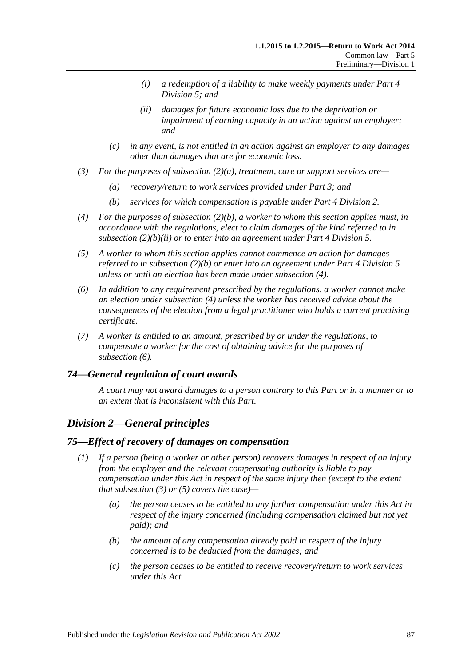- *(i) a redemption of a liability to make weekly payments under [Part](#page-65-0) 4 [Division](#page-65-0) 5; and*
- *(ii) damages for future economic loss due to the deprivation or impairment of earning capacity in an action against an employer; and*
- <span id="page-86-0"></span>*(c) in any event, is not entitled in an action against an employer to any damages other than damages that are for economic loss.*
- *(3) For the purposes of [subsection](#page-85-3) (2)(a), treatment, care or support services are—*
	- *(a) recovery/return to work services provided under [Part](#page-39-0) 3; and*
	- *(b) services for which compensation is payable under Part [4 Division](#page-47-0) 2.*
- <span id="page-86-1"></span>*(4) For the purposes of [subsection](#page-85-4) (2)(b), a worker to whom this section applies must, in accordance with the regulations, elect to claim damages of the kind referred to in [subsection](#page-86-0) (2)(b)(ii) or to enter into an agreement under Part [4 Division](#page-65-0) 5.*
- *(5) A worker to whom this section applies cannot commence an action for damages referred to in [subsection](#page-85-4) (2)(b) or enter into an agreement under Part [4 Division](#page-65-0) 5 unless or until an election has been made under [subsection](#page-86-1) (4).*
- <span id="page-86-2"></span>*(6) In addition to any requirement prescribed by the regulations, a worker cannot make an election under [subsection](#page-86-1) (4) unless the worker has received advice about the consequences of the election from a legal practitioner who holds a current practising certificate.*
- *(7) A worker is entitled to an amount, prescribed by or under the regulations, to compensate a worker for the cost of obtaining advice for the purposes of [subsection](#page-86-2) (6).*

# *74—General regulation of court awards*

*A court may not award damages to a person contrary to this Part or in a manner or to an extent that is inconsistent with this Part.*

# *Division 2—General principles*

#### <span id="page-86-3"></span>*75—Effect of recovery of damages on compensation*

- <span id="page-86-4"></span>*(1) If a person (being a worker or other person) recovers damages in respect of an injury from the employer and the relevant compensating authority is liable to pay compensation under this Act in respect of the same injury then (except to the extent that [subsection](#page-87-0) (3) or [\(5\)](#page-87-1) covers the case)—*
	- *(a) the person ceases to be entitled to any further compensation under this Act in respect of the injury concerned (including compensation claimed but not yet paid); and*
	- *(b) the amount of any compensation already paid in respect of the injury concerned is to be deducted from the damages; and*
	- *(c) the person ceases to be entitled to receive recovery/return to work services under this Act.*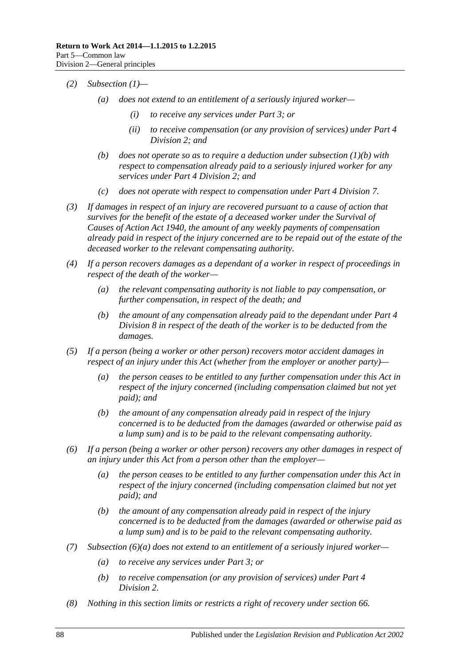- *(2) [Subsection](#page-86-3) (1)—*
	- *(a) does not extend to an entitlement of a seriously injured worker—*
		- *(i) to receive any services under [Part](#page-39-0) 3; or*
		- *(ii) to receive compensation (or any provision of services) under [Part](#page-47-0) 4 [Division](#page-47-0) 2; and*
	- *(b) does not operate so as to require a deduction under [subsection](#page-86-4) (1)(b) with respect to compensation already paid to a seriously injured worker for any services under Part [4 Division](#page-47-0) 2; and*
	- *(c) does not operate with respect to compensation under Part [4 Division](#page-69-0) 7.*
- <span id="page-87-0"></span>*(3) If damages in respect of an injury are recovered pursuant to a cause of action that survives for the benefit of the estate of a deceased worker under the [Survival of](http://www.legislation.sa.gov.au/index.aspx?action=legref&type=act&legtitle=Survival%20of%20Causes%20of%20Action%20Act%201940)  [Causes of Action Act](http://www.legislation.sa.gov.au/index.aspx?action=legref&type=act&legtitle=Survival%20of%20Causes%20of%20Action%20Act%201940) 1940, the amount of any weekly payments of compensation already paid in respect of the injury concerned are to be repaid out of the estate of the deceased worker to the relevant compensating authority.*
- *(4) If a person recovers damages as a dependant of a worker in respect of proceedings in respect of the death of the worker—*
	- *(a) the relevant compensating authority is not liable to pay compensation, or further compensation, in respect of the death; and*
	- *(b) the amount of any compensation already paid to the dependant under [Part](#page-70-0) 4 [Division](#page-70-0) 8 in respect of the death of the worker is to be deducted from the damages.*
- <span id="page-87-1"></span>*(5) If a person (being a worker or other person) recovers motor accident damages in respect of an injury under this Act (whether from the employer or another party)—*
	- *(a) the person ceases to be entitled to any further compensation under this Act in respect of the injury concerned (including compensation claimed but not yet paid); and*
	- *(b) the amount of any compensation already paid in respect of the injury concerned is to be deducted from the damages (awarded or otherwise paid as a lump sum) and is to be paid to the relevant compensating authority.*
- <span id="page-87-2"></span>*(6) If a person (being a worker or other person) recovers any other damages in respect of an injury under this Act from a person other than the employer—*
	- *(a) the person ceases to be entitled to any further compensation under this Act in respect of the injury concerned (including compensation claimed but not yet paid); and*
	- *(b) the amount of any compensation already paid in respect of the injury concerned is to be deducted from the damages (awarded or otherwise paid as a lump sum) and is to be paid to the relevant compensating authority.*
- *(7) [Subsection](#page-87-2) (6)(a) does not extend to an entitlement of a seriously injured worker—*
	- *(a) to receive any services under [Part](#page-39-0) 3; or*
	- *(b) to receive compensation (or any provision of services) under [Part](#page-47-0) 4 [Division](#page-47-0) 2.*
- *(8) Nothing in this section limits or restricts a right of recovery under [section](#page-78-3) 66.*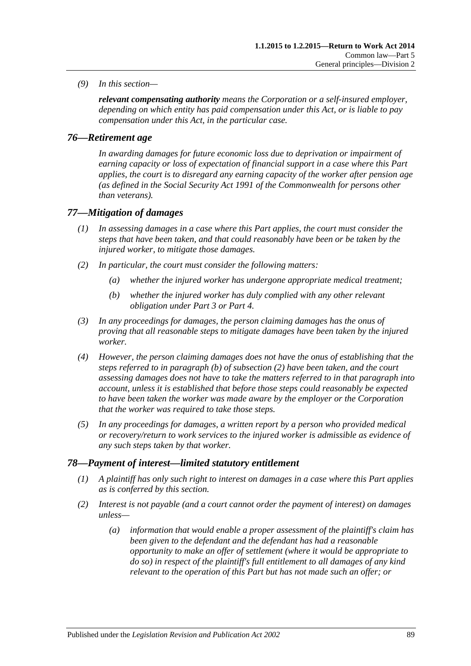*(9) In this section—*

*relevant compensating authority means the Corporation or a self-insured employer, depending on which entity has paid compensation under this Act, or is liable to pay compensation under this Act, in the particular case.*

# *76—Retirement age*

*In awarding damages for future economic loss due to deprivation or impairment of earning capacity or loss of expectation of financial support in a case where this Part applies, the court is to disregard any earning capacity of the worker after pension age (as defined in the Social Security Act 1991 of the Commonwealth for persons other than veterans).*

# *77—Mitigation of damages*

- *(1) In assessing damages in a case where this Part applies, the court must consider the steps that have been taken, and that could reasonably have been or be taken by the injured worker, to mitigate those damages.*
- <span id="page-88-1"></span><span id="page-88-0"></span>*(2) In particular, the court must consider the following matters:*
	- *(a) whether the injured worker has undergone appropriate medical treatment;*
	- *(b) whether the injured worker has duly complied with any other relevant obligation under [Part](#page-39-0) 3 or [Part](#page-44-0) 4.*
- *(3) In any proceedings for damages, the person claiming damages has the onus of proving that all reasonable steps to mitigate damages have been taken by the injured worker.*
- *(4) However, the person claiming damages does not have the onus of establishing that the steps referred to in [paragraph](#page-88-0) (b) of [subsection](#page-88-1) (2) have been taken, and the court assessing damages does not have to take the matters referred to in that paragraph into account, unless it is established that before those steps could reasonably be expected to have been taken the worker was made aware by the employer or the Corporation that the worker was required to take those steps.*
- *(5) In any proceedings for damages, a written report by a person who provided medical or recovery/return to work services to the injured worker is admissible as evidence of any such steps taken by that worker.*

# *78—Payment of interest—limited statutory entitlement*

- *(1) A plaintiff has only such right to interest on damages in a case where this Part applies as is conferred by this section.*
- <span id="page-88-2"></span>*(2) Interest is not payable (and a court cannot order the payment of interest) on damages unless—*
	- *(a) information that would enable a proper assessment of the plaintiff's claim has been given to the defendant and the defendant has had a reasonable opportunity to make an offer of settlement (where it would be appropriate to do so) in respect of the plaintiff's full entitlement to all damages of any kind relevant to the operation of this Part but has not made such an offer; or*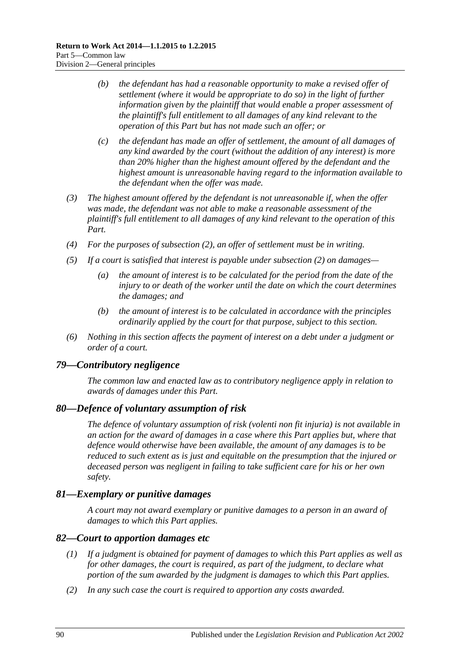- *(b) the defendant has had a reasonable opportunity to make a revised offer of settlement (where it would be appropriate to do so) in the light of further information given by the plaintiff that would enable a proper assessment of the plaintiff's full entitlement to all damages of any kind relevant to the operation of this Part but has not made such an offer; or*
- *(c) the defendant has made an offer of settlement, the amount of all damages of any kind awarded by the court (without the addition of any interest) is more than 20% higher than the highest amount offered by the defendant and the highest amount is unreasonable having regard to the information available to the defendant when the offer was made.*
- *(3) The highest amount offered by the defendant is not unreasonable if, when the offer was made, the defendant was not able to make a reasonable assessment of the plaintiff's full entitlement to all damages of any kind relevant to the operation of this Part.*
- *(4) For the purposes of [subsection](#page-88-2) (2), an offer of settlement must be in writing.*
- *(5) If a court is satisfied that interest is payable under [subsection](#page-88-2) (2) on damages—*
	- *(a) the amount of interest is to be calculated for the period from the date of the injury to or death of the worker until the date on which the court determines the damages; and*
	- *(b) the amount of interest is to be calculated in accordance with the principles ordinarily applied by the court for that purpose, subject to this section.*
- *(6) Nothing in this section affects the payment of interest on a debt under a judgment or order of a court.*

#### *79—Contributory negligence*

*The common law and enacted law as to contributory negligence apply in relation to awards of damages under this Part.*

#### *80—Defence of voluntary assumption of risk*

*The defence of voluntary assumption of risk (volenti non fit injuria) is not available in an action for the award of damages in a case where this Part applies but, where that defence would otherwise have been available, the amount of any damages is to be reduced to such extent as is just and equitable on the presumption that the injured or deceased person was negligent in failing to take sufficient care for his or her own safety.*

## *81—Exemplary or punitive damages*

*A court may not award exemplary or punitive damages to a person in an award of damages to which this Part applies.*

#### *82—Court to apportion damages etc*

- *(1) If a judgment is obtained for payment of damages to which this Part applies as well as for other damages, the court is required, as part of the judgment, to declare what portion of the sum awarded by the judgment is damages to which this Part applies.*
- *(2) In any such case the court is required to apportion any costs awarded.*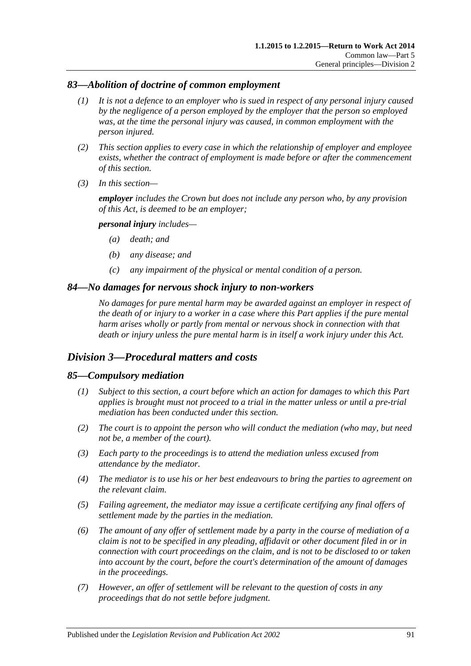# *83—Abolition of doctrine of common employment*

- *(1) It is not a defence to an employer who is sued in respect of any personal injury caused by the negligence of a person employed by the employer that the person so employed was, at the time the personal injury was caused, in common employment with the person injured.*
- *(2) This section applies to every case in which the relationship of employer and employee exists, whether the contract of employment is made before or after the commencement of this section.*
- *(3) In this section—*

*employer includes the Crown but does not include any person who, by any provision of this Act, is deemed to be an employer;*

#### *personal injury includes—*

- *(a) death; and*
- *(b) any disease; and*
- *(c) any impairment of the physical or mental condition of a person.*

#### *84—No damages for nervous shock injury to non-workers*

*No damages for pure mental harm may be awarded against an employer in respect of the death of or injury to a worker in a case where this Part applies if the pure mental harm arises wholly or partly from mental or nervous shock in connection with that death or injury unless the pure mental harm is in itself a work injury under this Act.*

# *Division 3—Procedural matters and costs*

#### *85—Compulsory mediation*

- *(1) Subject to this section, a court before which an action for damages to which this Part applies is brought must not proceed to a trial in the matter unless or until a pre-trial mediation has been conducted under this section.*
- *(2) The court is to appoint the person who will conduct the mediation (who may, but need not be, a member of the court).*
- *(3) Each party to the proceedings is to attend the mediation unless excused from attendance by the mediator.*
- *(4) The mediator is to use his or her best endeavours to bring the parties to agreement on the relevant claim.*
- *(5) Failing agreement, the mediator may issue a certificate certifying any final offers of settlement made by the parties in the mediation.*
- <span id="page-90-0"></span>*(6) The amount of any offer of settlement made by a party in the course of mediation of a claim is not to be specified in any pleading, affidavit or other document filed in or in connection with court proceedings on the claim, and is not to be disclosed to or taken into account by the court, before the court's determination of the amount of damages in the proceedings.*
- *(7) However, an offer of settlement will be relevant to the question of costs in any proceedings that do not settle before judgment.*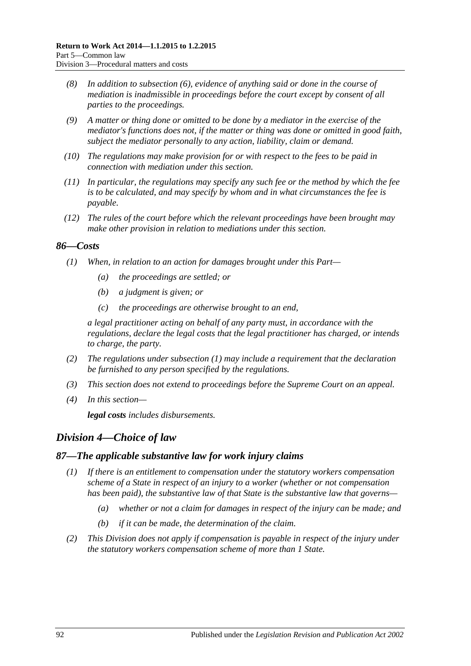- *(8) In addition to [subsection](#page-90-0) (6), evidence of anything said or done in the course of mediation is inadmissible in proceedings before the court except by consent of all parties to the proceedings.*
- *(9) A matter or thing done or omitted to be done by a mediator in the exercise of the mediator's functions does not, if the matter or thing was done or omitted in good faith, subject the mediator personally to any action, liability, claim or demand.*
- *(10) The regulations may make provision for or with respect to the fees to be paid in connection with mediation under this section.*
- *(11) In particular, the regulations may specify any such fee or the method by which the fee is to be calculated, and may specify by whom and in what circumstances the fee is payable.*
- *(12) The rules of the court before which the relevant proceedings have been brought may make other provision in relation to mediations under this section.*

### <span id="page-91-0"></span>*86—Costs*

- *(1) When, in relation to an action for damages brought under this Part—*
	- *(a) the proceedings are settled; or*
	- *(b) a judgment is given; or*
	- *(c) the proceedings are otherwise brought to an end,*

*a legal practitioner acting on behalf of any party must, in accordance with the regulations, declare the legal costs that the legal practitioner has charged, or intends to charge, the party.*

- *(2) The regulations under [subsection](#page-91-0) (1) may include a requirement that the declaration be furnished to any person specified by the regulations.*
- *(3) This section does not extend to proceedings before the Supreme Court on an appeal.*
- *(4) In this section—*

*legal costs includes disbursements.*

# *Division 4—Choice of law*

#### *87—The applicable substantive law for work injury claims*

- *(1) If there is an entitlement to compensation under the statutory workers compensation scheme of a State in respect of an injury to a worker (whether or not compensation has been paid), the substantive law of that State is the substantive law that governs—*
	- *(a) whether or not a claim for damages in respect of the injury can be made; and*
	- *(b) if it can be made, the determination of the claim.*
- *(2) This Division does not apply if compensation is payable in respect of the injury under the statutory workers compensation scheme of more than 1 State.*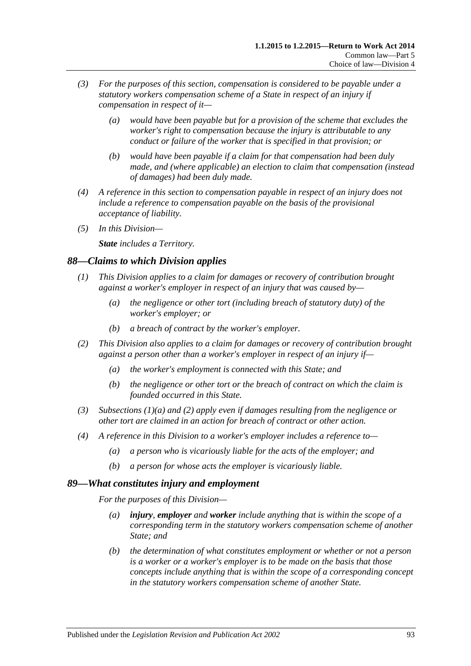- *(3) For the purposes of this section, compensation is considered to be payable under a statutory workers compensation scheme of a State in respect of an injury if compensation in respect of it—*
	- *(a) would have been payable but for a provision of the scheme that excludes the worker's right to compensation because the injury is attributable to any conduct or failure of the worker that is specified in that provision; or*
	- *(b) would have been payable if a claim for that compensation had been duly made, and (where applicable) an election to claim that compensation (instead of damages) had been duly made.*
- *(4) A reference in this section to compensation payable in respect of an injury does not include a reference to compensation payable on the basis of the provisional acceptance of liability.*
- *(5) In this Division—*

*State includes a Territory.*

# *88—Claims to which Division applies*

- <span id="page-92-0"></span>*(1) This Division applies to a claim for damages or recovery of contribution brought against a worker's employer in respect of an injury that was caused by—*
	- *(a) the negligence or other tort (including breach of statutory duty) of the worker's employer; or*
	- *(b) a breach of contract by the worker's employer.*
- <span id="page-92-1"></span>*(2) This Division also applies to a claim for damages or recovery of contribution brought against a person other than a worker's employer in respect of an injury if—*
	- *(a) the worker's employment is connected with this State; and*
	- *(b) the negligence or other tort or the breach of contract on which the claim is founded occurred in this State.*
- *(3) [Subsections \(1\)\(a\)](#page-92-0) and [\(2\)](#page-92-1) apply even if damages resulting from the negligence or other tort are claimed in an action for breach of contract or other action.*
- *(4) A reference in this Division to a worker's employer includes a reference to—*
	- *(a) a person who is vicariously liable for the acts of the employer; and*
	- *(b) a person for whose acts the employer is vicariously liable.*

# *89—What constitutes injury and employment*

*For the purposes of this Division—*

- *(a) injury, employer and worker include anything that is within the scope of a corresponding term in the statutory workers compensation scheme of another State; and*
- *(b) the determination of what constitutes employment or whether or not a person is a worker or a worker's employer is to be made on the basis that those concepts include anything that is within the scope of a corresponding concept in the statutory workers compensation scheme of another State.*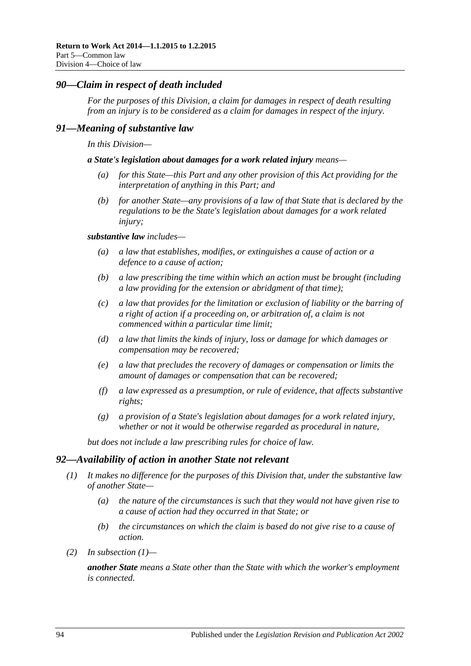## *90—Claim in respect of death included*

*For the purposes of this Division, a claim for damages in respect of death resulting from an injury is to be considered as a claim for damages in respect of the injury.* 

#### *91—Meaning of substantive law*

*In this Division—*

*a State's legislation about damages for a work related injury means—*

- *(a) for this State—this Part and any other provision of this Act providing for the interpretation of anything in this Part; and*
- *(b) for another State—any provisions of a law of that State that is declared by the regulations to be the State's legislation about damages for a work related injury;*

#### *substantive law includes—*

- *(a) a law that establishes, modifies, or extinguishes a cause of action or a defence to a cause of action;*
- *(b) a law prescribing the time within which an action must be brought (including a law providing for the extension or abridgment of that time);*
- *(c) a law that provides for the limitation or exclusion of liability or the barring of a right of action if a proceeding on, or arbitration of, a claim is not commenced within a particular time limit;*
- *(d) a law that limits the kinds of injury, loss or damage for which damages or compensation may be recovered;*
- *(e) a law that precludes the recovery of damages or compensation or limits the amount of damages or compensation that can be recovered;*
- *(f) a law expressed as a presumption, or rule of evidence, that affects substantive rights;*
- *(g) a provision of a State's legislation about damages for a work related injury, whether or not it would be otherwise regarded as procedural in nature,*

*but does not include a law prescribing rules for choice of law.*

#### <span id="page-93-0"></span>*92—Availability of action in another State not relevant*

- *(1) It makes no difference for the purposes of this Division that, under the substantive law of another State—*
	- *(a) the nature of the circumstances is such that they would not have given rise to a cause of action had they occurred in that State; or*
	- *(b) the circumstances on which the claim is based do not give rise to a cause of action.*
- *(2) In [subsection](#page-93-0) (1)—*

*another State means a State other than the State with which the worker's employment is connected.*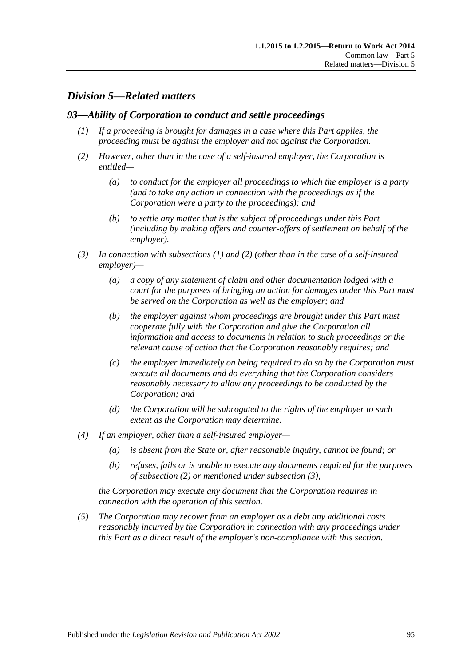# *Division 5—Related matters*

### <span id="page-94-0"></span>*93—Ability of Corporation to conduct and settle proceedings*

- *(1) If a proceeding is brought for damages in a case where this Part applies, the proceeding must be against the employer and not against the Corporation.*
- <span id="page-94-1"></span>*(2) However, other than in the case of a self-insured employer, the Corporation is entitled—*
	- *(a) to conduct for the employer all proceedings to which the employer is a party (and to take any action in connection with the proceedings as if the Corporation were a party to the proceedings); and*
	- *(b) to settle any matter that is the subject of proceedings under this Part (including by making offers and counter-offers of settlement on behalf of the employer).*
- <span id="page-94-2"></span>*(3) In connection with [subsections](#page-94-0) (1) and [\(2\)](#page-94-1) (other than in the case of a self-insured employer)—*
	- *(a) a copy of any statement of claim and other documentation lodged with a court for the purposes of bringing an action for damages under this Part must be served on the Corporation as well as the employer; and*
	- *(b) the employer against whom proceedings are brought under this Part must cooperate fully with the Corporation and give the Corporation all information and access to documents in relation to such proceedings or the relevant cause of action that the Corporation reasonably requires; and*
	- *(c) the employer immediately on being required to do so by the Corporation must execute all documents and do everything that the Corporation considers reasonably necessary to allow any proceedings to be conducted by the Corporation; and*
	- *(d) the Corporation will be subrogated to the rights of the employer to such extent as the Corporation may determine.*
- *(4) If an employer, other than a self-insured employer—*
	- *(a) is absent from the State or, after reasonable inquiry, cannot be found; or*
	- *(b) refuses, fails or is unable to execute any documents required for the purposes of [subsection](#page-94-1) (2) or mentioned under [subsection](#page-94-2) (3),*

*the Corporation may execute any document that the Corporation requires in connection with the operation of this section.*

*(5) The Corporation may recover from an employer as a debt any additional costs reasonably incurred by the Corporation in connection with any proceedings under this Part as a direct result of the employer's non-compliance with this section.*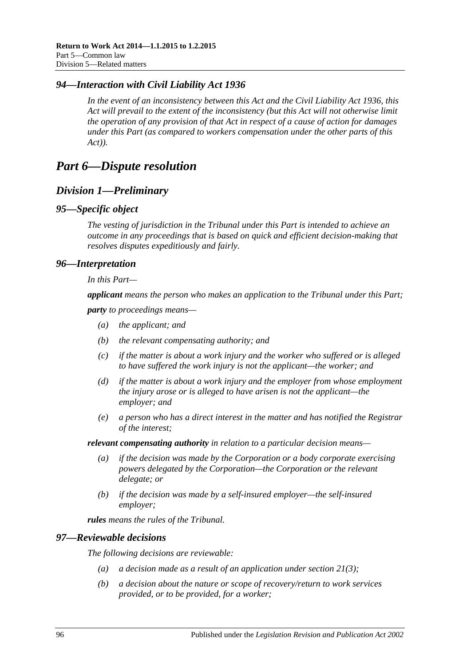# *94—Interaction with Civil Liability Act 1936*

*In the event of an inconsistency between this Act and the [Civil Liability Act](http://www.legislation.sa.gov.au/index.aspx?action=legref&type=act&legtitle=Civil%20Liability%20Act%201936) 1936, this Act will prevail to the extent of the inconsistency (but this Act will not otherwise limit the operation of any provision of that Act in respect of a cause of action for damages under this Part (as compared to workers compensation under the other parts of this Act)).*

# *Part 6—Dispute resolution*

# *Division 1—Preliminary*

#### *95—Specific object*

*The vesting of jurisdiction in the Tribunal under this Part is intended to achieve an outcome in any proceedings that is based on quick and efficient decision-making that resolves disputes expeditiously and fairly.*

### *96—Interpretation*

*In this Part—*

*applicant means the person who makes an application to the Tribunal under this Part;*

*party to proceedings means—*

- *(a) the applicant; and*
- *(b) the relevant compensating authority; and*
- *(c) if the matter is about a work injury and the worker who suffered or is alleged to have suffered the work injury is not the applicant—the worker; and*
- *(d) if the matter is about a work injury and the employer from whose employment the injury arose or is alleged to have arisen is not the applicant—the employer; and*
- *(e) a person who has a direct interest in the matter and has notified the Registrar of the interest;*

*relevant compensating authority in relation to a particular decision means—*

- *(a) if the decision was made by the Corporation or a body corporate exercising powers delegated by the Corporation—the Corporation or the relevant delegate; or*
- *(b) if the decision was made by a self-insured employer—the self-insured employer;*

*rules means the rules of the Tribunal.*

#### *97—Reviewable decisions*

<span id="page-95-0"></span>*The following decisions are reviewable:*

- *(a) a decision made as a result of an application under [section](#page-35-0) 21(3);*
- *(b) a decision about the nature or scope of recovery/return to work services provided, or to be provided, for a worker;*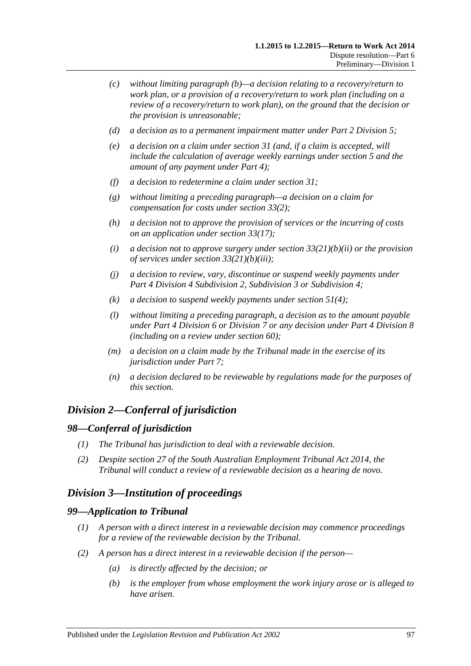- *(c) without limiting [paragraph](#page-95-0) (b)—a decision relating to a recovery/return to work plan, or a provision of a recovery/return to work plan (including on a review of a recovery/return to work plan), on the ground that the decision or the provision is unreasonable;*
- *(d) a decision as to a permanent impairment matter under Part [2 Division](#page-36-0) 5;*
- *(e) a decision on a claim under [section](#page-45-1) 31 (and, if a claim is accepted, will include the calculation of average weekly earnings under [section](#page-20-0) 5 and the amount of any payment under [Part](#page-44-0) 4);*
- *(f) a decision to redetermine a claim under [section](#page-45-1) 31;*
- *(g) without limiting a preceding paragraph—a decision on a claim for compensation for costs under [section](#page-47-1) 33(2);*
- *(h) a decision not to approve the provision of services or the incurring of costs on an application under [section](#page-49-0) 33(17);*
- *(i) a decision not to approve surgery under section [33\(21\)\(b\)\(ii\)](#page-50-0) or the provision of services under section [33\(21\)\(b\)\(iii\);](#page-50-1)*
- *(j) a decision to review, vary, discontinue or suspend weekly payments under Part 4 Division [4 Subdivision](#page-52-0) 2, [Subdivision](#page-56-0) 3 or [Subdivision](#page-58-0) 4;*
- *(k) a decision to suspend weekly payments under [section](#page-65-1) 51(4);*
- *(l) without limiting a preceding paragraph, a decision as to the amount payable under Part [4 Division](#page-67-0) 6 or [Division](#page-69-0) 7 or any decision under Part [4 Division](#page-70-0) 8 (including on a review under [section](#page-73-2) 60);*
- *(m) a decision on a claim made by the Tribunal made in the exercise of its jurisdiction under [Part](#page-102-0) 7;*
- *(n) a decision declared to be reviewable by regulations made for the purposes of this section.*

# *Division 2—Conferral of jurisdiction*

#### *98—Conferral of jurisdiction*

- *(1) The Tribunal has jurisdiction to deal with a reviewable decision.*
- *(2) Despite section 27 of the [South Australian Employment Tribunal Act](http://www.legislation.sa.gov.au/index.aspx?action=legref&type=act&legtitle=South%20Australian%20Employment%20Tribunal%20Act%202014) 2014, the Tribunal will conduct a review of a reviewable decision as a hearing de novo.*

# *Division 3—Institution of proceedings*

#### *99—Application to Tribunal*

- *(1) A person with a direct interest in a reviewable decision may commence proceedings for a review of the reviewable decision by the Tribunal.*
- *(2) A person has a direct interest in a reviewable decision if the person—*
	- *(a) is directly affected by the decision; or*
	- *(b) is the employer from whose employment the work injury arose or is alleged to have arisen.*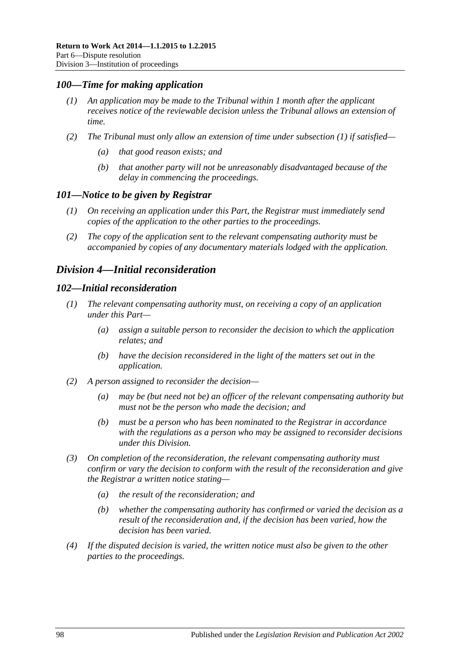### <span id="page-97-0"></span>*100—Time for making application*

- *(1) An application may be made to the Tribunal within 1 month after the applicant receives notice of the reviewable decision unless the Tribunal allows an extension of time.*
- *(2) The Tribunal must only allow an extension of time under [subsection](#page-97-0) (1) if satisfied—*
	- *(a) that good reason exists; and*
	- *(b) that another party will not be unreasonably disadvantaged because of the delay in commencing the proceedings.*

#### *101—Notice to be given by Registrar*

- *(1) On receiving an application under this Part, the Registrar must immediately send copies of the application to the other parties to the proceedings.*
- *(2) The copy of the application sent to the relevant compensating authority must be accompanied by copies of any documentary materials lodged with the application.*

# <span id="page-97-2"></span>*Division 4—Initial reconsideration*

#### <span id="page-97-1"></span>*102—Initial reconsideration*

- *(1) The relevant compensating authority must, on receiving a copy of an application under this Part—*
	- *(a) assign a suitable person to reconsider the decision to which the application relates; and*
	- *(b) have the decision reconsidered in the light of the matters set out in the application.*
- *(2) A person assigned to reconsider the decision—*
	- *(a) may be (but need not be) an officer of the relevant compensating authority but must not be the person who made the decision; and*
	- *(b) must be a person who has been nominated to the Registrar in accordance with the regulations as a person who may be assigned to reconsider decisions under this Division.*
- *(3) On completion of the reconsideration, the relevant compensating authority must confirm or vary the decision to conform with the result of the reconsideration and give the Registrar a written notice stating—*
	- *(a) the result of the reconsideration; and*
	- *(b) whether the compensating authority has confirmed or varied the decision as a result of the reconsideration and, if the decision has been varied, how the decision has been varied.*
- *(4) If the disputed decision is varied, the written notice must also be given to the other parties to the proceedings.*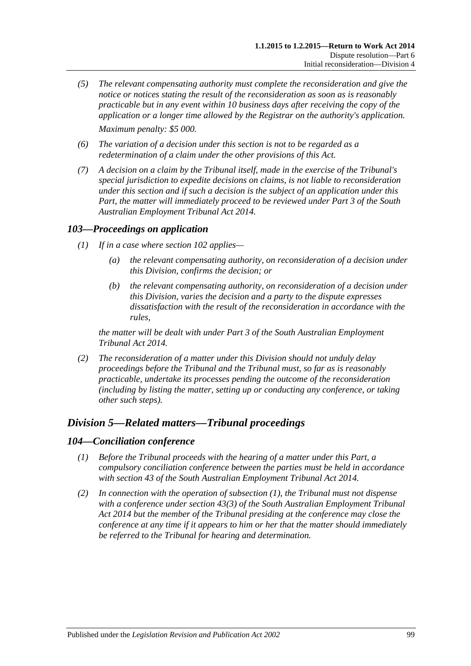- *(5) The relevant compensating authority must complete the reconsideration and give the notice or notices stating the result of the reconsideration as soon as is reasonably practicable but in any event within 10 business days after receiving the copy of the application or a longer time allowed by the Registrar on the authority's application. Maximum penalty: \$5 000.*
- *(6) The variation of a decision under this section is not to be regarded as a redetermination of a claim under the other provisions of this Act.*
- *(7) A decision on a claim by the Tribunal itself, made in the exercise of the Tribunal's special jurisdiction to expedite decisions on claims, is not liable to reconsideration under this section and if such a decision is the subject of an application under this Part, the matter will immediately proceed to be reviewed under Part 3 of the [South](http://www.legislation.sa.gov.au/index.aspx?action=legref&type=act&legtitle=South%20Australian%20Employment%20Tribunal%20Act%202014)  [Australian Employment Tribunal Act](http://www.legislation.sa.gov.au/index.aspx?action=legref&type=act&legtitle=South%20Australian%20Employment%20Tribunal%20Act%202014) 2014.*

# *103—Proceedings on application*

- *(1) If in a case where [section](#page-97-1) 102 applies—*
	- *(a) the relevant compensating authority, on reconsideration of a decision under this Division, confirms the decision; or*
	- *(b) the relevant compensating authority, on reconsideration of a decision under this Division, varies the decision and a party to the dispute expresses dissatisfaction with the result of the reconsideration in accordance with the rules,*

*the matter will be dealt with under Part 3 of the [South Australian Employment](http://www.legislation.sa.gov.au/index.aspx?action=legref&type=act&legtitle=South%20Australian%20Employment%20Tribunal%20Act%202014)  [Tribunal Act](http://www.legislation.sa.gov.au/index.aspx?action=legref&type=act&legtitle=South%20Australian%20Employment%20Tribunal%20Act%202014) 2014.*

*(2) The reconsideration of a matter under this Division should not unduly delay proceedings before the Tribunal and the Tribunal must, so far as is reasonably practicable, undertake its processes pending the outcome of the reconsideration (including by listing the matter, setting up or conducting any conference, or taking other such steps).*

# *Division 5—Related matters—Tribunal proceedings*

#### <span id="page-98-0"></span>*104—Conciliation conference*

- *(1) Before the Tribunal proceeds with the hearing of a matter under this Part, a compulsory conciliation conference between the parties must be held in accordance with section 43 of the [South Australian Employment Tribunal Act](http://www.legislation.sa.gov.au/index.aspx?action=legref&type=act&legtitle=South%20Australian%20Employment%20Tribunal%20Act%202014) 2014.*
- *(2) In connection with the operation of [subsection](#page-98-0) (1), the Tribunal must not dispense with a conference under section 43(3) of the [South Australian Employment Tribunal](http://www.legislation.sa.gov.au/index.aspx?action=legref&type=act&legtitle=South%20Australian%20Employment%20Tribunal%20Act%202014)  Act [2014](http://www.legislation.sa.gov.au/index.aspx?action=legref&type=act&legtitle=South%20Australian%20Employment%20Tribunal%20Act%202014) but the member of the Tribunal presiding at the conference may close the conference at any time if it appears to him or her that the matter should immediately be referred to the Tribunal for hearing and determination.*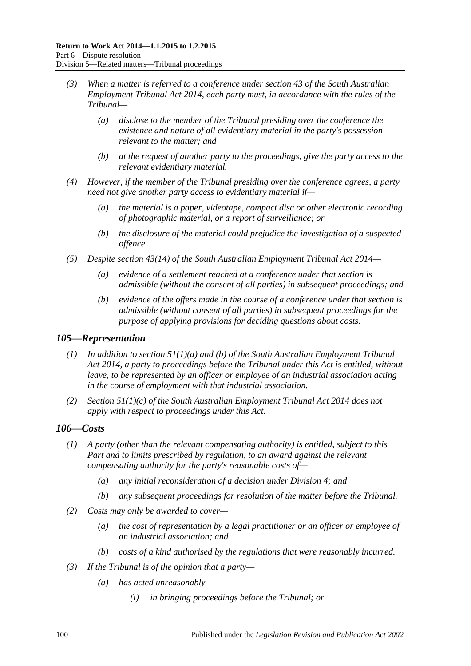- *(3) When a matter is referred to a conference under section 43 of the [South Australian](http://www.legislation.sa.gov.au/index.aspx?action=legref&type=act&legtitle=South%20Australian%20Employment%20Tribunal%20Act%202014)  [Employment Tribunal Act](http://www.legislation.sa.gov.au/index.aspx?action=legref&type=act&legtitle=South%20Australian%20Employment%20Tribunal%20Act%202014) 2014, each party must, in accordance with the rules of the Tribunal—*
	- *(a) disclose to the member of the Tribunal presiding over the conference the existence and nature of all evidentiary material in the party's possession relevant to the matter; and*
	- *(b) at the request of another party to the proceedings, give the party access to the relevant evidentiary material.*
- *(4) However, if the member of the Tribunal presiding over the conference agrees, a party need not give another party access to evidentiary material if—*
	- *(a) the material is a paper, videotape, compact disc or other electronic recording of photographic material, or a report of surveillance; or*
	- *(b) the disclosure of the material could prejudice the investigation of a suspected offence.*
- *(5) Despite section 43(14) of the [South Australian Employment Tribunal Act](http://www.legislation.sa.gov.au/index.aspx?action=legref&type=act&legtitle=South%20Australian%20Employment%20Tribunal%20Act%202014) 2014—*
	- *(a) evidence of a settlement reached at a conference under that section is admissible (without the consent of all parties) in subsequent proceedings; and*
	- *(b) evidence of the offers made in the course of a conference under that section is admissible (without consent of all parties) in subsequent proceedings for the purpose of applying provisions for deciding questions about costs.*

#### *105—Representation*

- *(1) In addition to section 51(1)(a) and (b) of the [South Australian Employment Tribunal](http://www.legislation.sa.gov.au/index.aspx?action=legref&type=act&legtitle=South%20Australian%20Employment%20Tribunal%20Act%202014)  Act [2014,](http://www.legislation.sa.gov.au/index.aspx?action=legref&type=act&legtitle=South%20Australian%20Employment%20Tribunal%20Act%202014) a party to proceedings before the Tribunal under this Act is entitled, without leave, to be represented by an officer or employee of an industrial association acting in the course of employment with that industrial association.*
- *(2) Section 51(1)(c) of the [South Australian Employment Tribunal Act](http://www.legislation.sa.gov.au/index.aspx?action=legref&type=act&legtitle=South%20Australian%20Employment%20Tribunal%20Act%202014) 2014 does not apply with respect to proceedings under this Act.*

# *106—Costs*

- *(1) A party (other than the relevant compensating authority) is entitled, subject to this Part and to limits prescribed by regulation, to an award against the relevant compensating authority for the party's reasonable costs of—*
	- *(a) any initial reconsideration of a decision under [Division](#page-97-2) 4; and*
	- *(b) any subsequent proceedings for resolution of the matter before the Tribunal.*
- *(2) Costs may only be awarded to cover—*
	- *(a) the cost of representation by a legal practitioner or an officer or employee of an industrial association; and*
	- *(b) costs of a kind authorised by the regulations that were reasonably incurred.*
- *(3) If the Tribunal is of the opinion that a party—*
	- *(a) has acted unreasonably—*
		- *(i) in bringing proceedings before the Tribunal; or*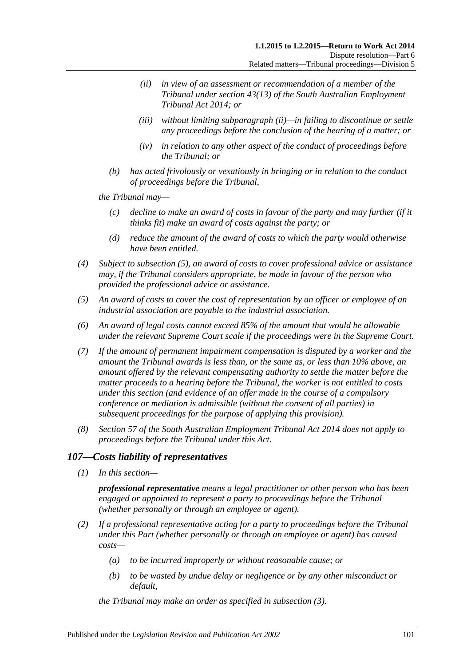- <span id="page-100-0"></span>*(ii) in view of an assessment or recommendation of a member of the Tribunal under section 43(13) of the [South Australian Employment](http://www.legislation.sa.gov.au/index.aspx?action=legref&type=act&legtitle=South%20Australian%20Employment%20Tribunal%20Act%202014)  [Tribunal Act](http://www.legislation.sa.gov.au/index.aspx?action=legref&type=act&legtitle=South%20Australian%20Employment%20Tribunal%20Act%202014) 2014; or*
- *(iii) without limiting [subparagraph](#page-100-0) (ii)—in failing to discontinue or settle any proceedings before the conclusion of the hearing of a matter; or*
- *(iv) in relation to any other aspect of the conduct of proceedings before the Tribunal; or*
- *(b) has acted frivolously or vexatiously in bringing or in relation to the conduct of proceedings before the Tribunal,*

*the Tribunal may—*

- *(c) decline to make an award of costs in favour of the party and may further (if it thinks fit) make an award of costs against the party; or*
- *(d) reduce the amount of the award of costs to which the party would otherwise have been entitled.*
- *(4) Subject to [subsection](#page-100-1) (5), an award of costs to cover professional advice or assistance may, if the Tribunal considers appropriate, be made in favour of the person who provided the professional advice or assistance.*
- <span id="page-100-1"></span>*(5) An award of costs to cover the cost of representation by an officer or employee of an industrial association are payable to the industrial association.*
- *(6) An award of legal costs cannot exceed 85% of the amount that would be allowable under the relevant Supreme Court scale if the proceedings were in the Supreme Court.*
- *(7) If the amount of permanent impairment compensation is disputed by a worker and the amount the Tribunal awards is less than, or the same as, or less than 10% above, an amount offered by the relevant compensating authority to settle the matter before the matter proceeds to a hearing before the Tribunal, the worker is not entitled to costs under this section (and evidence of an offer made in the course of a compulsory conference or mediation is admissible (without the consent of all parties) in subsequent proceedings for the purpose of applying this provision).*
- *(8) Section 57 of the [South Australian Employment Tribunal Act](http://www.legislation.sa.gov.au/index.aspx?action=legref&type=act&legtitle=South%20Australian%20Employment%20Tribunal%20Act%202014) 2014 does not apply to proceedings before the Tribunal under this Act.*

# *107—Costs liability of representatives*

*(1) In this section—*

*professional representative means a legal practitioner or other person who has been engaged or appointed to represent a party to proceedings before the Tribunal (whether personally or through an employee or agent).*

- <span id="page-100-2"></span>*(2) If a professional representative acting for a party to proceedings before the Tribunal under this Part (whether personally or through an employee or agent) has caused costs—*
	- *(a) to be incurred improperly or without reasonable cause; or*
	- *(b) to be wasted by undue delay or negligence or by any other misconduct or default,*

*the Tribunal may make an order as specified in [subsection](#page-101-0) (3).*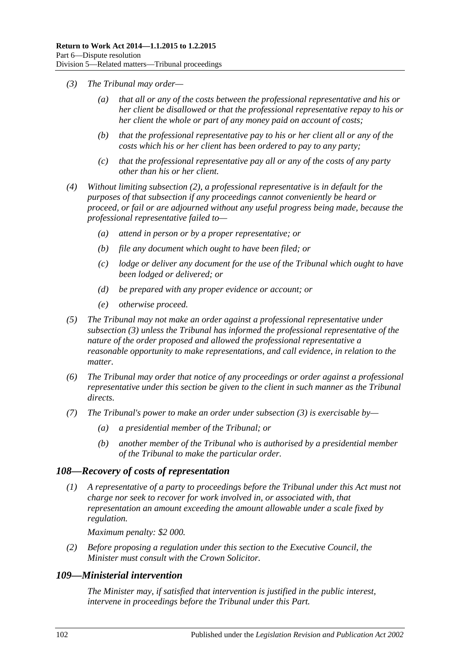- <span id="page-101-0"></span>*(3) The Tribunal may order—*
	- *(a) that all or any of the costs between the professional representative and his or her client be disallowed or that the professional representative repay to his or her client the whole or part of any money paid on account of costs;*
	- *(b) that the professional representative pay to his or her client all or any of the costs which his or her client has been ordered to pay to any party;*
	- *(c) that the professional representative pay all or any of the costs of any party other than his or her client.*
- *(4) Without limiting [subsection](#page-100-2) (2), a professional representative is in default for the purposes of that subsection if any proceedings cannot conveniently be heard or proceed, or fail or are adjourned without any useful progress being made, because the professional representative failed to—*
	- *(a) attend in person or by a proper representative; or*
	- *(b) file any document which ought to have been filed; or*
	- *(c) lodge or deliver any document for the use of the Tribunal which ought to have been lodged or delivered; or*
	- *(d) be prepared with any proper evidence or account; or*
	- *(e) otherwise proceed.*
- *(5) The Tribunal may not make an order against a professional representative under [subsection](#page-101-0) (3) unless the Tribunal has informed the professional representative of the nature of the order proposed and allowed the professional representative a reasonable opportunity to make representations, and call evidence, in relation to the matter.*
- *(6) The Tribunal may order that notice of any proceedings or order against a professional representative under this section be given to the client in such manner as the Tribunal directs.*
- *(7) The Tribunal's power to make an order under [subsection](#page-101-0) (3) is exercisable by—*
	- *(a) a presidential member of the Tribunal; or*
	- *(b) another member of the Tribunal who is authorised by a presidential member of the Tribunal to make the particular order.*

#### *108—Recovery of costs of representation*

*(1) A representative of a party to proceedings before the Tribunal under this Act must not charge nor seek to recover for work involved in, or associated with, that representation an amount exceeding the amount allowable under a scale fixed by regulation.*

*Maximum penalty: \$2 000.*

*(2) Before proposing a regulation under this section to the Executive Council, the Minister must consult with the Crown Solicitor.*

#### *109—Ministerial intervention*

*The Minister may, if satisfied that intervention is justified in the public interest, intervene in proceedings before the Tribunal under this Part.*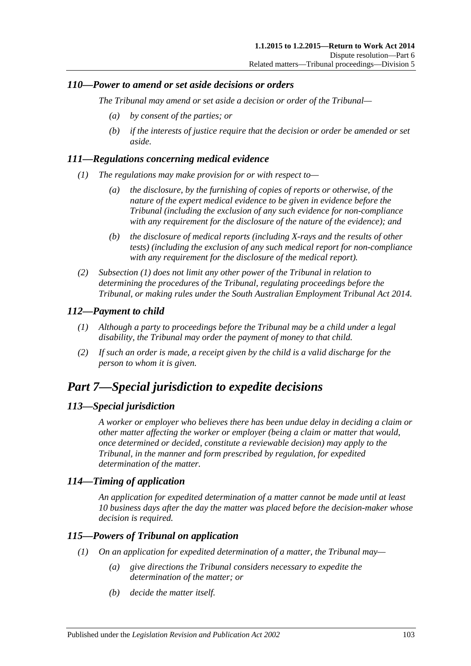# *110—Power to amend or set aside decisions or orders*

*The Tribunal may amend or set aside a decision or order of the Tribunal—*

- *(a) by consent of the parties; or*
- *(b) if the interests of justice require that the decision or order be amended or set aside.*

# <span id="page-102-1"></span>*111—Regulations concerning medical evidence*

- *(1) The regulations may make provision for or with respect to—*
	- *(a) the disclosure, by the furnishing of copies of reports or otherwise, of the nature of the expert medical evidence to be given in evidence before the Tribunal (including the exclusion of any such evidence for non-compliance with any requirement for the disclosure of the nature of the evidence); and*
	- *(b) the disclosure of medical reports (including X-rays and the results of other tests) (including the exclusion of any such medical report for non-compliance with any requirement for the disclosure of the medical report).*
- *(2) [Subsection](#page-102-1) (1) does not limit any other power of the Tribunal in relation to determining the procedures of the Tribunal, regulating proceedings before the Tribunal, or making rules under the [South Australian Employment Tribunal Act](http://www.legislation.sa.gov.au/index.aspx?action=legref&type=act&legtitle=South%20Australian%20Employment%20Tribunal%20Act%202014) 2014.*

# *112—Payment to child*

- *(1) Although a party to proceedings before the Tribunal may be a child under a legal disability, the Tribunal may order the payment of money to that child.*
- *(2) If such an order is made, a receipt given by the child is a valid discharge for the person to whom it is given.*

# <span id="page-102-0"></span>*Part 7—Special jurisdiction to expedite decisions*

# *113—Special jurisdiction*

*A worker or employer who believes there has been undue delay in deciding a claim or other matter affecting the worker or employer (being a claim or matter that would, once determined or decided, constitute a reviewable decision) may apply to the Tribunal, in the manner and form prescribed by regulation, for expedited determination of the matter.*

# *114—Timing of application*

*An application for expedited determination of a matter cannot be made until at least 10 business days after the day the matter was placed before the decision-maker whose decision is required.*

# <span id="page-102-2"></span>*115—Powers of Tribunal on application*

- *(1) On an application for expedited determination of a matter, the Tribunal may—*
	- *(a) give directions the Tribunal considers necessary to expedite the determination of the matter; or*
	- *(b) decide the matter itself.*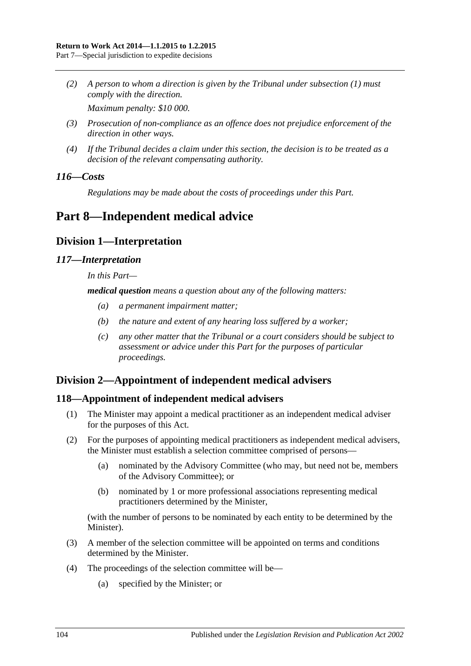*(2) A person to whom a direction is given by the Tribunal under [subsection](#page-102-2) (1) must comply with the direction.*

*Maximum penalty: \$10 000.*

- *(3) Prosecution of non-compliance as an offence does not prejudice enforcement of the direction in other ways.*
- *(4) If the Tribunal decides a claim under this section, the decision is to be treated as a decision of the relevant compensating authority.*

# *116—Costs*

*Regulations may be made about the costs of proceedings under this Part.*

# <span id="page-103-0"></span>**Part 8—Independent medical advice**

# **Division 1—Interpretation**

# *117—Interpretation*

*In this Part—*

*medical question means a question about any of the following matters:*

- *(a) a permanent impairment matter;*
- *(b) the nature and extent of any hearing loss suffered by a worker;*
- *(c) any other matter that the Tribunal or a court considers should be subject to assessment or advice under this Part for the purposes of particular proceedings.*

# **Division 2—Appointment of independent medical advisers**

# <span id="page-103-2"></span>**118—Appointment of independent medical advisers**

- (1) The Minister may appoint a medical practitioner as an independent medical adviser for the purposes of this Act.
- (2) For the purposes of appointing medical practitioners as independent medical advisers, the Minister must establish a selection committee comprised of persons—
	- (a) nominated by the Advisory Committee (who may, but need not be, members of the Advisory Committee); or
	- (b) nominated by 1 or more professional associations representing medical practitioners determined by the Minister,

(with the number of persons to be nominated by each entity to be determined by the Minister).

- (3) A member of the selection committee will be appointed on terms and conditions determined by the Minister.
- <span id="page-103-1"></span>(4) The proceedings of the selection committee will be—
	- (a) specified by the Minister; or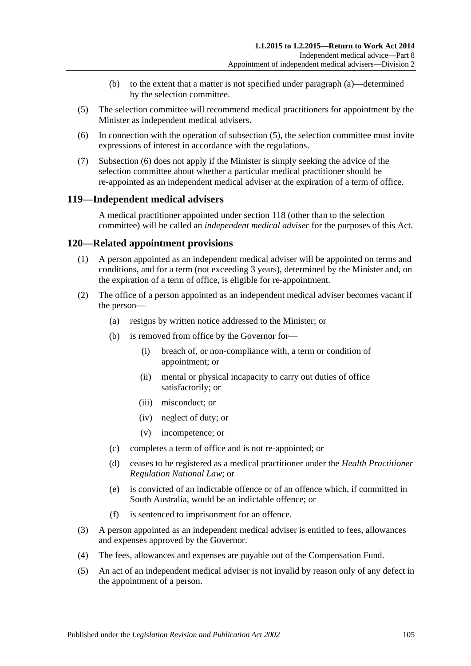- (b) to the extent that a matter is not specified under [paragraph](#page-103-1) (a)—determined by the selection committee.
- <span id="page-104-0"></span>(5) The selection committee will recommend medical practitioners for appointment by the Minister as independent medical advisers.
- <span id="page-104-1"></span>(6) In connection with the operation of [subsection](#page-104-0) (5), the selection committee must invite expressions of interest in accordance with the regulations.
- (7) [Subsection](#page-104-1) (6) does not apply if the Minister is simply seeking the advice of the selection committee about whether a particular medical practitioner should be re-appointed as an independent medical adviser at the expiration of a term of office.

# **119—Independent medical advisers**

A medical practitioner appointed under [section](#page-103-2) 118 (other than to the selection committee) will be called an *independent medical adviser* for the purposes of this Act.

# **120—Related appointment provisions**

- (1) A person appointed as an independent medical adviser will be appointed on terms and conditions, and for a term (not exceeding 3 years), determined by the Minister and, on the expiration of a term of office, is eligible for re-appointment.
- (2) The office of a person appointed as an independent medical adviser becomes vacant if the person—
	- (a) resigns by written notice addressed to the Minister; or
	- (b) is removed from office by the Governor for—
		- (i) breach of, or non-compliance with, a term or condition of appointment; or
		- (ii) mental or physical incapacity to carry out duties of office satisfactorily; or
		- (iii) misconduct; or
		- (iv) neglect of duty; or
		- (v) incompetence; or
	- (c) completes a term of office and is not re-appointed; or
	- (d) ceases to be registered as a medical practitioner under the *Health Practitioner Regulation National Law*; or
	- (e) is convicted of an indictable offence or of an offence which, if committed in South Australia, would be an indictable offence; or
	- (f) is sentenced to imprisonment for an offence.
- (3) A person appointed as an independent medical adviser is entitled to fees, allowances and expenses approved by the Governor.
- (4) The fees, allowances and expenses are payable out of the Compensation Fund.
- (5) An act of an independent medical adviser is not invalid by reason only of any defect in the appointment of a person.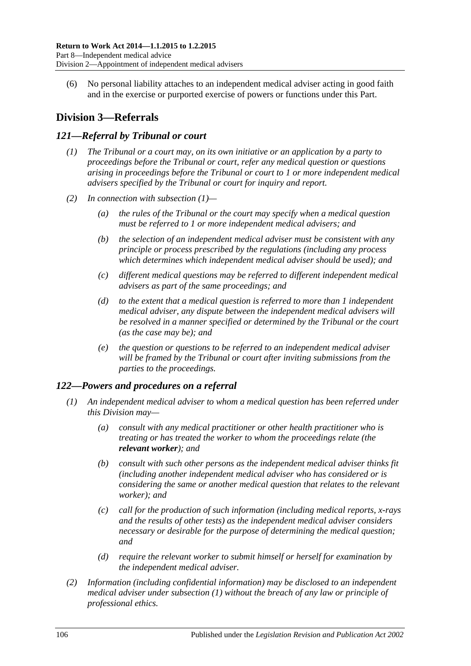(6) No personal liability attaches to an independent medical adviser acting in good faith and in the exercise or purported exercise of powers or functions under this Part.

# **Division 3—Referrals**

# <span id="page-105-0"></span>*121—Referral by Tribunal or court*

- *(1) The Tribunal or a court may, on its own initiative or an application by a party to proceedings before the Tribunal or court, refer any medical question or questions arising in proceedings before the Tribunal or court to 1 or more independent medical advisers specified by the Tribunal or court for inquiry and report.*
- *(2) In connection with [subsection](#page-105-0) (1)—*
	- *(a) the rules of the Tribunal or the court may specify when a medical question must be referred to 1 or more independent medical advisers; and*
	- *(b) the selection of an independent medical adviser must be consistent with any principle or process prescribed by the regulations (including any process which determines which independent medical adviser should be used); and*
	- *(c) different medical questions may be referred to different independent medical advisers as part of the same proceedings; and*
	- *(d) to the extent that a medical question is referred to more than 1 independent medical adviser, any dispute between the independent medical advisers will be resolved in a manner specified or determined by the Tribunal or the court (as the case may be); and*
	- *(e) the question or questions to be referred to an independent medical adviser will be framed by the Tribunal or court after inviting submissions from the parties to the proceedings.*

# <span id="page-105-1"></span>*122—Powers and procedures on a referral*

- *(1) An independent medical adviser to whom a medical question has been referred under this Division may—*
	- *(a) consult with any medical practitioner or other health practitioner who is treating or has treated the worker to whom the proceedings relate (the relevant worker); and*
	- *(b) consult with such other persons as the independent medical adviser thinks fit (including another independent medical adviser who has considered or is considering the same or another medical question that relates to the relevant worker); and*
	- *(c) call for the production of such information (including medical reports, x-rays and the results of other tests) as the independent medical adviser considers necessary or desirable for the purpose of determining the medical question; and*
	- *(d) require the relevant worker to submit himself or herself for examination by the independent medical adviser.*
- *(2) Information (including confidential information) may be disclosed to an independent medical adviser under [subsection](#page-105-1) (1) without the breach of any law or principle of professional ethics.*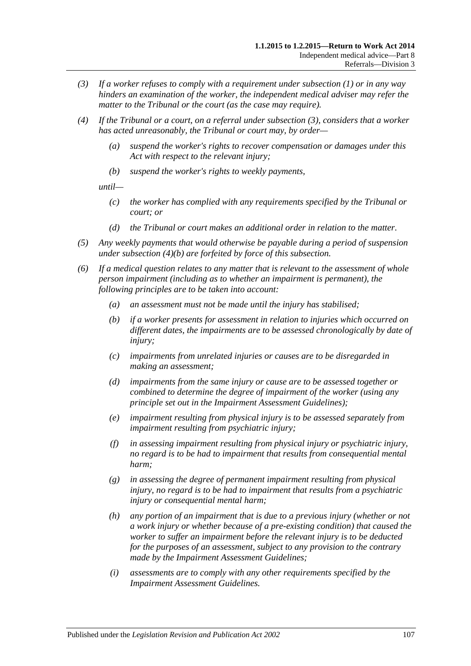- <span id="page-106-0"></span>*(3) If a worker refuses to comply with a requirement under [subsection](#page-105-1) (1) or in any way hinders an examination of the worker, the independent medical adviser may refer the matter to the Tribunal or the court (as the case may require).*
- *(4) If the Tribunal or a court, on a referral under [subsection](#page-106-0) (3), considers that a worker has acted unreasonably, the Tribunal or court may, by order—*
	- *(a) suspend the worker's rights to recover compensation or damages under this Act with respect to the relevant injury;*
	- *(b) suspend the worker's rights to weekly payments,*

<span id="page-106-1"></span>*until—*

- *(c) the worker has complied with any requirements specified by the Tribunal or court; or*
- *(d) the Tribunal or court makes an additional order in relation to the matter.*
- *(5) Any weekly payments that would otherwise be payable during a period of suspension under [subsection](#page-106-1) (4)(b) are forfeited by force of this subsection.*
- *(6) If a medical question relates to any matter that is relevant to the assessment of whole person impairment (including as to whether an impairment is permanent), the following principles are to be taken into account:*
	- *(a) an assessment must not be made until the injury has stabilised;*
	- *(b) if a worker presents for assessment in relation to injuries which occurred on different dates, the impairments are to be assessed chronologically by date of injury;*
	- *(c) impairments from unrelated injuries or causes are to be disregarded in making an assessment;*
	- *(d) impairments from the same injury or cause are to be assessed together or combined to determine the degree of impairment of the worker (using any principle set out in the Impairment Assessment Guidelines);*
	- *(e) impairment resulting from physical injury is to be assessed separately from impairment resulting from psychiatric injury;*
	- *(f) in assessing impairment resulting from physical injury or psychiatric injury, no regard is to be had to impairment that results from consequential mental harm;*
	- *(g) in assessing the degree of permanent impairment resulting from physical injury, no regard is to be had to impairment that results from a psychiatric injury or consequential mental harm;*
	- *(h) any portion of an impairment that is due to a previous injury (whether or not a work injury or whether because of a pre-existing condition) that caused the worker to suffer an impairment before the relevant injury is to be deducted for the purposes of an assessment, subject to any provision to the contrary made by the Impairment Assessment Guidelines;*
	- *(i) assessments are to comply with any other requirements specified by the Impairment Assessment Guidelines.*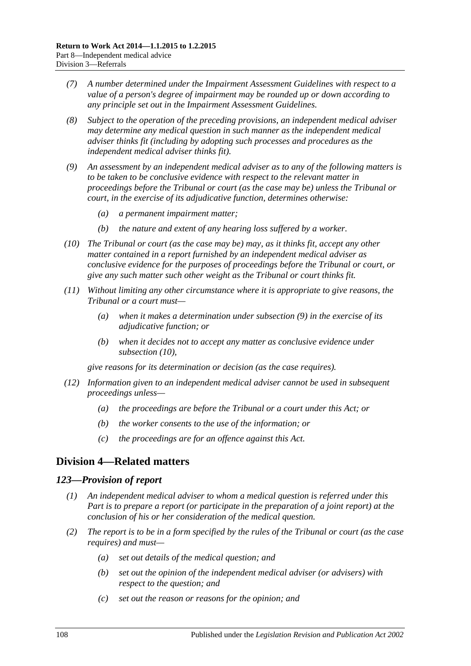- *(7) A number determined under the Impairment Assessment Guidelines with respect to a value of a person's degree of impairment may be rounded up or down according to any principle set out in the Impairment Assessment Guidelines.*
- *(8) Subject to the operation of the preceding provisions, an independent medical adviser may determine any medical question in such manner as the independent medical adviser thinks fit (including by adopting such processes and procedures as the independent medical adviser thinks fit).*
- <span id="page-107-0"></span>*(9) An assessment by an independent medical adviser as to any of the following matters is to be taken to be conclusive evidence with respect to the relevant matter in proceedings before the Tribunal or court (as the case may be) unless the Tribunal or court, in the exercise of its adjudicative function, determines otherwise:*
	- *(a) a permanent impairment matter;*
	- *(b) the nature and extent of any hearing loss suffered by a worker.*
- <span id="page-107-1"></span>*(10) The Tribunal or court (as the case may be) may, as it thinks fit, accept any other matter contained in a report furnished by an independent medical adviser as conclusive evidence for the purposes of proceedings before the Tribunal or court, or give any such matter such other weight as the Tribunal or court thinks fit.*
- *(11) Without limiting any other circumstance where it is appropriate to give reasons, the Tribunal or a court must—*
	- *(a) when it makes a determination under [subsection](#page-107-0) (9) in the exercise of its adjudicative function; or*
	- *(b) when it decides not to accept any matter as conclusive evidence under [subsection](#page-107-1) (10),*

*give reasons for its determination or decision (as the case requires).*

- *(12) Information given to an independent medical adviser cannot be used in subsequent proceedings unless—*
	- *(a) the proceedings are before the Tribunal or a court under this Act; or*
	- *(b) the worker consents to the use of the information; or*
	- *(c) the proceedings are for an offence against this Act.*

# **Division 4—Related matters**

#### *123—Provision of report*

- *(1) An independent medical adviser to whom a medical question is referred under this Part is to prepare a report (or participate in the preparation of a joint report) at the conclusion of his or her consideration of the medical question.*
- *(2) The report is to be in a form specified by the rules of the Tribunal or court (as the case requires) and must—*
	- *(a) set out details of the medical question; and*
	- *(b) set out the opinion of the independent medical adviser (or advisers) with respect to the question; and*
	- *(c) set out the reason or reasons for the opinion; and*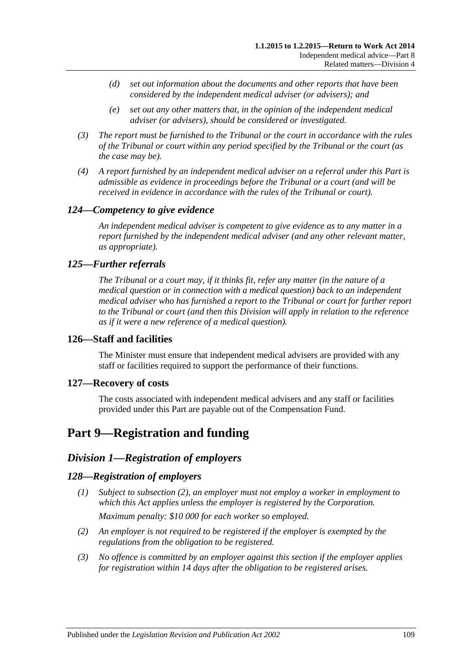- *(d) set out information about the documents and other reports that have been considered by the independent medical adviser (or advisers); and*
- *(e) set out any other matters that, in the opinion of the independent medical adviser (or advisers), should be considered or investigated.*
- *(3) The report must be furnished to the Tribunal or the court in accordance with the rules of the Tribunal or court within any period specified by the Tribunal or the court (as the case may be).*
- *(4) A report furnished by an independent medical adviser on a referral under this Part is admissible as evidence in proceedings before the Tribunal or a court (and will be received in evidence in accordance with the rules of the Tribunal or court).*

# *124—Competency to give evidence*

*An independent medical adviser is competent to give evidence as to any matter in a report furnished by the independent medical adviser (and any other relevant matter, as appropriate).*

### *125—Further referrals*

*The Tribunal or a court may, if it thinks fit, refer any matter (in the nature of a medical question or in connection with a medical question) back to an independent medical adviser who has furnished a report to the Tribunal or court for further report to the Tribunal or court (and then this Division will apply in relation to the reference as if it were a new reference of a medical question).*

### **126—Staff and facilities**

The Minister must ensure that independent medical advisers are provided with any staff or facilities required to support the performance of their functions.

### **127—Recovery of costs**

The costs associated with independent medical advisers and any staff or facilities provided under this Part are payable out of the Compensation Fund.

# <span id="page-108-2"></span>**Part 9—Registration and funding**

# *Division 1—Registration of employers*

### <span id="page-108-1"></span>*128—Registration of employers*

- *(1) Subject to [subsection](#page-108-0) (2), an employer must not employ a worker in employment to which this Act applies unless the employer is registered by the Corporation. Maximum penalty: \$10 000 for each worker so employed.*
- <span id="page-108-0"></span>*(2) An employer is not required to be registered if the employer is exempted by the regulations from the obligation to be registered.*
- *(3) No offence is committed by an employer against this section if the employer applies for registration within 14 days after the obligation to be registered arises.*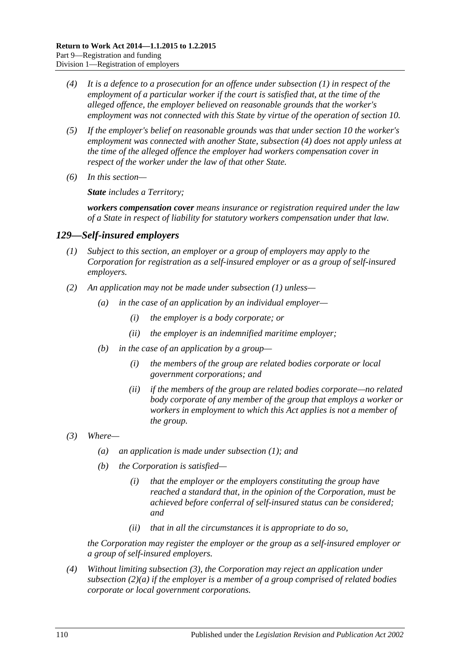- <span id="page-109-0"></span>*(4) It is a defence to a prosecution for an offence under [subsection](#page-108-1) (1) in respect of the employment of a particular worker if the court is satisfied that, at the time of the alleged offence, the employer believed on reasonable grounds that the worker's employment was not connected with this State by virtue of the operation of [section](#page-26-0) 10.*
- *(5) If the employer's belief on reasonable grounds was that under [section](#page-26-0) 10 the worker's employment was connected with another State, [subsection](#page-109-0) (4) does not apply unless at the time of the alleged offence the employer had workers compensation cover in respect of the worker under the law of that other State.*
- *(6) In this section—*

*State includes a Territory;*

*workers compensation cover means insurance or registration required under the law of a State in respect of liability for statutory workers compensation under that law.*

### <span id="page-109-1"></span>*129—Self-insured employers*

- *(1) Subject to this section, an employer or a group of employers may apply to the Corporation for registration as a self-insured employer or as a group of self-insured employers.*
- <span id="page-109-4"></span><span id="page-109-3"></span>*(2) An application may not be made under [subsection](#page-109-1) (1) unless—*
	- *(a) in the case of an application by an individual employer—*
		- *(i) the employer is a body corporate; or*
		- *(ii) the employer is an indemnified maritime employer;*
	- *(b) in the case of an application by a group—*
		- *(i) the members of the group are related bodies corporate or local government corporations; and*
		- *(ii) if the members of the group are related bodies corporate—no related body corporate of any member of the group that employs a worker or workers in employment to which this Act applies is not a member of the group.*
- <span id="page-109-2"></span>*(3) Where—*
	- *(a) an application is made under [subsection](#page-109-1) (1); and*
	- *(b) the Corporation is satisfied—*
		- *(i) that the employer or the employers constituting the group have reached a standard that, in the opinion of the Corporation, must be achieved before conferral of self-insured status can be considered; and*
		- *(ii) that in all the circumstances it is appropriate to do so,*

*the Corporation may register the employer or the group as a self-insured employer or a group of self-insured employers.*

*(4) Without limiting [subsection](#page-109-2) (3), the Corporation may reject an application under [subsection](#page-109-3) (2)(a) if the employer is a member of a group comprised of related bodies corporate or local government corporations.*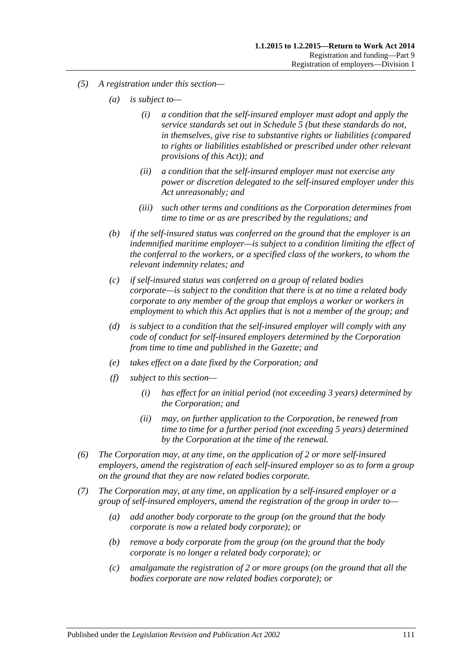- *(5) A registration under this section—*
	- *(a) is subject to—*
		- *(i) a condition that the self-insured employer must adopt and apply the service standards set out in [Schedule](#page-161-0) 5 (but these standards do not, in themselves, give rise to substantive rights or liabilities (compared to rights or liabilities established or prescribed under other relevant provisions of this Act)); and*
		- *(ii) a condition that the self-insured employer must not exercise any power or discretion delegated to the self-insured employer under this Act unreasonably; and*
		- *(iii) such other terms and conditions as the Corporation determines from time to time or as are prescribed by the regulations; and*
	- *(b) if the self-insured status was conferred on the ground that the employer is an indemnified maritime employer—is subject to a condition limiting the effect of the conferral to the workers, or a specified class of the workers, to whom the relevant indemnity relates; and*
	- *(c) if self-insured status was conferred on a group of related bodies corporate—is subject to the condition that there is at no time a related body corporate to any member of the group that employs a worker or workers in employment to which this Act applies that is not a member of the group; and*
	- *(d) is subject to a condition that the self-insured employer will comply with any code of conduct for self-insured employers determined by the Corporation from time to time and published in the Gazette; and*
	- *(e) takes effect on a date fixed by the Corporation; and*
	- *(f) subject to this section—*
		- *(i) has effect for an initial period (not exceeding 3 years) determined by the Corporation; and*
		- *(ii) may, on further application to the Corporation, be renewed from time to time for a further period (not exceeding 5 years) determined by the Corporation at the time of the renewal.*
- *(6) The Corporation may, at any time, on the application of 2 or more self-insured employers, amend the registration of each self-insured employer so as to form a group on the ground that they are now related bodies corporate.*
- <span id="page-110-0"></span>*(7) The Corporation may, at any time, on application by a self-insured employer or a group of self-insured employers, amend the registration of the group in order to—*
	- *(a) add another body corporate to the group (on the ground that the body corporate is now a related body corporate); or*
	- *(b) remove a body corporate from the group (on the ground that the body corporate is no longer a related body corporate); or*
	- *(c) amalgamate the registration of 2 or more groups (on the ground that all the bodies corporate are now related bodies corporate); or*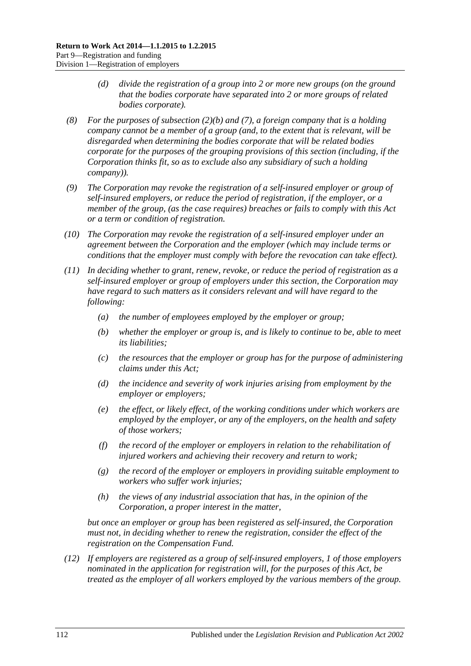- *(d) divide the registration of a group into 2 or more new groups (on the ground that the bodies corporate have separated into 2 or more groups of related bodies corporate).*
- *(8) For the purposes of [subsection](#page-109-4) (2)(b) and [\(7\),](#page-110-0) a foreign company that is a holding company cannot be a member of a group (and, to the extent that is relevant, will be disregarded when determining the bodies corporate that will be related bodies corporate for the purposes of the grouping provisions of this section (including, if the Corporation thinks fit, so as to exclude also any subsidiary of such a holding company)).*
- *(9) The Corporation may revoke the registration of a self-insured employer or group of self-insured employers, or reduce the period of registration, if the employer, or a member of the group, (as the case requires) breaches or fails to comply with this Act or a term or condition of registration.*
- *(10) The Corporation may revoke the registration of a self-insured employer under an agreement between the Corporation and the employer (which may include terms or conditions that the employer must comply with before the revocation can take effect).*
- *(11) In deciding whether to grant, renew, revoke, or reduce the period of registration as a self-insured employer or group of employers under this section, the Corporation may have regard to such matters as it considers relevant and will have regard to the following:*
	- *(a) the number of employees employed by the employer or group;*
	- *(b) whether the employer or group is, and is likely to continue to be, able to meet its liabilities;*
	- *(c) the resources that the employer or group has for the purpose of administering claims under this Act;*
	- *(d) the incidence and severity of work injuries arising from employment by the employer or employers;*
	- *(e) the effect, or likely effect, of the working conditions under which workers are employed by the employer, or any of the employers, on the health and safety of those workers;*
	- *(f) the record of the employer or employers in relation to the rehabilitation of injured workers and achieving their recovery and return to work;*
	- *(g) the record of the employer or employers in providing suitable employment to workers who suffer work injuries;*
	- *(h) the views of any industrial association that has, in the opinion of the Corporation, a proper interest in the matter,*

*but once an employer or group has been registered as self-insured, the Corporation must not, in deciding whether to renew the registration, consider the effect of the registration on the Compensation Fund.*

<span id="page-111-0"></span>*(12) If employers are registered as a group of self-insured employers, 1 of those employers nominated in the application for registration will, for the purposes of this Act, be treated as the employer of all workers employed by the various members of the group.*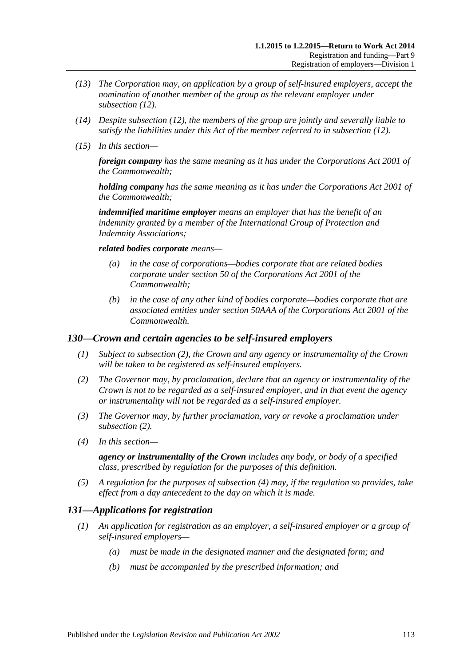- *(13) The Corporation may, on application by a group of self-insured employers, accept the nomination of another member of the group as the relevant employer under [subsection](#page-111-0) (12).*
- *(14) Despite [subsection](#page-111-0) (12), the members of the group are jointly and severally liable to satisfy the liabilities under this Act of the member referred to in [subsection](#page-111-0) (12).*
- *(15) In this section—*

*foreign company has the same meaning as it has under the Corporations Act 2001 of the Commonwealth;*

*holding company has the same meaning as it has under the Corporations Act 2001 of the Commonwealth;*

*indemnified maritime employer means an employer that has the benefit of an indemnity granted by a member of the International Group of Protection and Indemnity Associations;*

#### *related bodies corporate means—*

- *(a) in the case of corporations—bodies corporate that are related bodies corporate under section 50 of the Corporations Act 2001 of the Commonwealth;*
- *(b) in the case of any other kind of bodies corporate—bodies corporate that are associated entities under section 50AAA of the Corporations Act 2001 of the Commonwealth.*

### *130—Crown and certain agencies to be self-insured employers*

- *(1) Subject to [subsection](#page-112-0) (2), the Crown and any agency or instrumentality of the Crown will be taken to be registered as self-insured employers.*
- <span id="page-112-0"></span>*(2) The Governor may, by proclamation, declare that an agency or instrumentality of the Crown is not to be regarded as a self-insured employer, and in that event the agency or instrumentality will not be regarded as a self-insured employer.*
- *(3) The Governor may, by further proclamation, vary or revoke a proclamation under [subsection](#page-112-0) (2).*
- <span id="page-112-1"></span>*(4) In this section—*

*agency or instrumentality of the Crown includes any body, or body of a specified class, prescribed by regulation for the purposes of this definition.*

*(5) A regulation for the purposes of [subsection](#page-112-1) (4) may, if the regulation so provides, take effect from a day antecedent to the day on which it is made.*

# *131—Applications for registration*

- *(1) An application for registration as an employer, a self-insured employer or a group of self-insured employers—*
	- *(a) must be made in the designated manner and the designated form; and*
	- *(b) must be accompanied by the prescribed information; and*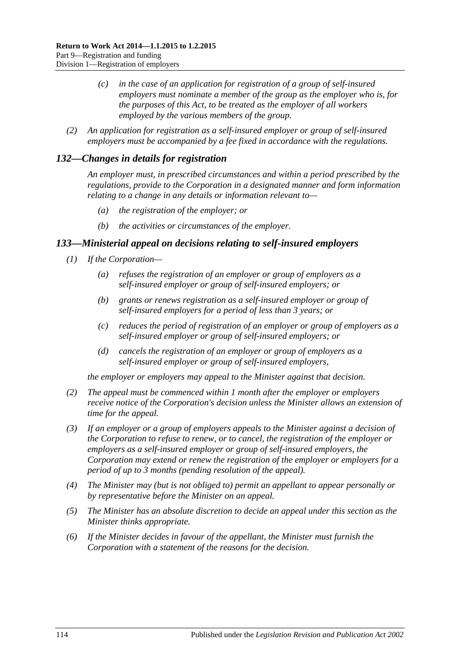- *(c) in the case of an application for registration of a group of self-insured employers must nominate a member of the group as the employer who is, for the purposes of this Act, to be treated as the employer of all workers employed by the various members of the group.*
- *(2) An application for registration as a self-insured employer or group of self-insured employers must be accompanied by a fee fixed in accordance with the regulations.*

# *132—Changes in details for registration*

*An employer must, in prescribed circumstances and within a period prescribed by the regulations, provide to the Corporation in a designated manner and form information relating to a change in any details or information relevant to—*

- *(a) the registration of the employer; or*
- *(b) the activities or circumstances of the employer.*

# <span id="page-113-0"></span>*133—Ministerial appeal on decisions relating to self-insured employers*

- *(1) If the Corporation—*
	- *(a) refuses the registration of an employer or group of employers as a self-insured employer or group of self-insured employers; or*
	- *(b) grants or renews registration as a self-insured employer or group of self-insured employers for a period of less than 3 years; or*
	- *(c) reduces the period of registration of an employer or group of employers as a self-insured employer or group of self-insured employers; or*
	- *(d) cancels the registration of an employer or group of employers as a self-insured employer or group of self-insured employers,*

*the employer or employers may appeal to the Minister against that decision.*

- *(2) The appeal must be commenced within 1 month after the employer or employers receive notice of the Corporation's decision unless the Minister allows an extension of time for the appeal.*
- *(3) If an employer or a group of employers appeals to the Minister against a decision of the Corporation to refuse to renew, or to cancel, the registration of the employer or employers as a self-insured employer or group of self-insured employers, the Corporation may extend or renew the registration of the employer or employers for a period of up to 3 months (pending resolution of the appeal).*
- *(4) The Minister may (but is not obliged to) permit an appellant to appear personally or by representative before the Minister on an appeal.*
- *(5) The Minister has an absolute discretion to decide an appeal under this section as the Minister thinks appropriate.*
- *(6) If the Minister decides in favour of the appellant, the Minister must furnish the Corporation with a statement of the reasons for the decision.*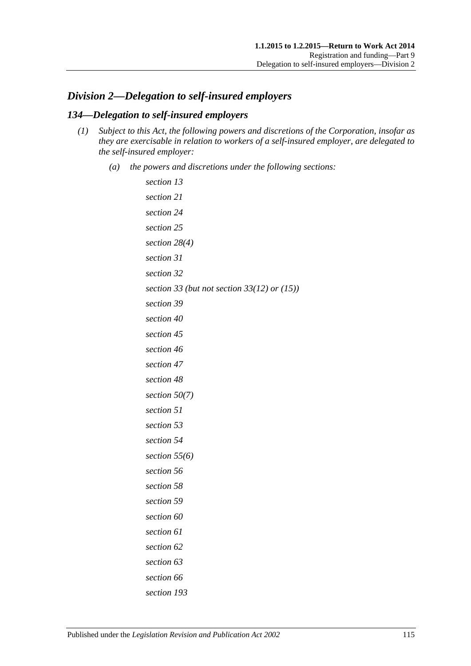# <span id="page-114-1"></span>*Division 2—Delegation to self-insured employers*

# <span id="page-114-0"></span>*134—Delegation to self-insured employers*

- *(1) Subject to this Act, the following powers and discretions of the Corporation, insofar as they are exercisable in relation to workers of a self-insured employer, are delegated to the self-insured employer:*
	- *(a) the powers and discretions under the following sections:*

```
section 13
section 21
section 24
section 25
section 28(4)
section 31
section 32
section 33 (but not section 33(12) or (15))
section 39
section 40
section 45
section 46
section 47
section 48
section 50(7)
section 51
section 53
section 54
section 55(6)
section 56
section 58
section 59
section 60
section 61
section 62
section 63
section 66
section 193
```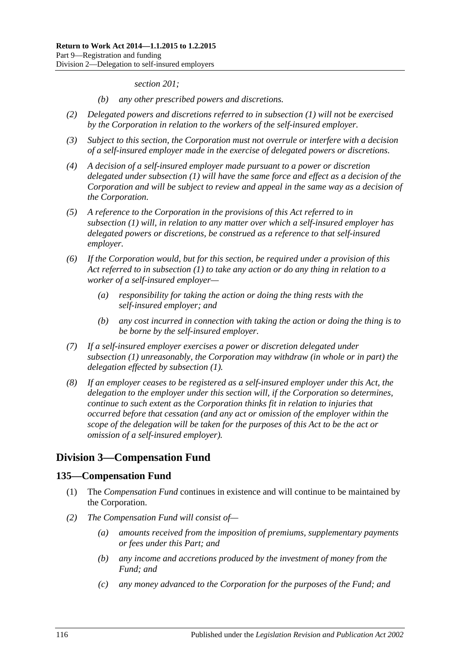*[section](#page-154-0) 201;*

- *(b) any other prescribed powers and discretions.*
- *(2) Delegated powers and discretions referred to in [subsection](#page-114-0) (1) will not be exercised by the Corporation in relation to the workers of the self-insured employer.*
- *(3) Subject to this section, the Corporation must not overrule or interfere with a decision of a self-insured employer made in the exercise of delegated powers or discretions.*
- *(4) A decision of a self-insured employer made pursuant to a power or discretion delegated under [subsection](#page-114-0) (1) will have the same force and effect as a decision of the Corporation and will be subject to review and appeal in the same way as a decision of the Corporation.*
- *(5) A reference to the Corporation in the provisions of this Act referred to in [subsection](#page-114-0) (1) will, in relation to any matter over which a self-insured employer has delegated powers or discretions, be construed as a reference to that self-insured employer.*
- *(6) If the Corporation would, but for this section, be required under a provision of this Act referred to in [subsection](#page-114-0) (1) to take any action or do any thing in relation to a worker of a self-insured employer—*
	- *(a) responsibility for taking the action or doing the thing rests with the self-insured employer; and*
	- *(b) any cost incurred in connection with taking the action or doing the thing is to be borne by the self-insured employer.*
- *(7) If a self-insured employer exercises a power or discretion delegated under [subsection](#page-114-0) (1) unreasonably, the Corporation may withdraw (in whole or in part) the delegation effected by [subsection](#page-114-0) (1).*
- *(8) If an employer ceases to be registered as a self-insured employer under this Act, the delegation to the employer under this section will, if the Corporation so determines, continue to such extent as the Corporation thinks fit in relation to injuries that occurred before that cessation (and any act or omission of the employer within the scope of the delegation will be taken for the purposes of this Act to be the act or omission of a self-insured employer).*

# **Division 3—Compensation Fund**

# **135—Compensation Fund**

- (1) The *Compensation Fund* continues in existence and will continue to be maintained by the Corporation.
- *(2) The Compensation Fund will consist of—*
	- *(a) amounts received from the imposition of premiums, supplementary payments or fees under this Part; and*
	- *(b) any income and accretions produced by the investment of money from the Fund; and*
	- *(c) any money advanced to the Corporation for the purposes of the Fund; and*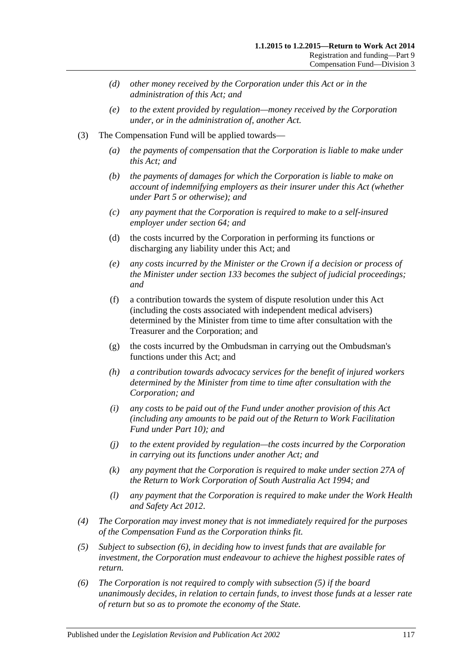- *(d) other money received by the Corporation under this Act or in the administration of this Act; and*
- *(e) to the extent provided by regulation—money received by the Corporation under, or in the administration of, another Act.*
- (3) The Compensation Fund will be applied towards—
	- *(a) the payments of compensation that the Corporation is liable to make under this Act; and*
	- *(b) the payments of damages for which the Corporation is liable to make on account of indemnifying employers as their insurer under this Act (whether under [Part](#page-83-0) 5 or otherwise); and*
	- *(c) any payment that the Corporation is required to make to a self-insured employer under [section](#page-76-0) 64; and*
	- (d) the costs incurred by the Corporation in performing its functions or discharging any liability under this Act; and
	- *(e) any costs incurred by the Minister or the Crown if a decision or process of the Minister under [section](#page-113-0) 133 becomes the subject of judicial proceedings; and*
	- (f) a contribution towards the system of dispute resolution under this Act (including the costs associated with independent medical advisers) determined by the Minister from time to time after consultation with the Treasurer and the Corporation; and
	- (g) the costs incurred by the Ombudsman in carrying out the Ombudsman's functions under this Act; and
	- *(h) a contribution towards advocacy services for the benefit of injured workers determined by the Minister from time to time after consultation with the Corporation; and*
	- *(i) any costs to be paid out of the Fund under another provision of this Act (including any amounts to be paid out of the Return to Work Facilitation Fund under [Part](#page-135-0) 10); and*
	- *(j) to the extent provided by regulation—the costs incurred by the Corporation in carrying out its functions under another Act; and*
	- *(k) any payment that the Corporation is required to make under section 27A of the [Return to Work Corporation of South Australia Act](http://www.legislation.sa.gov.au/index.aspx?action=legref&type=act&legtitle=Return%20to%20Work%20Corporation%20of%20South%20Australia%20Act%201994) 1994; and*
	- *(l) any payment that the Corporation is required to make under the [Work Health](http://www.legislation.sa.gov.au/index.aspx?action=legref&type=act&legtitle=Work%20Health%20and%20Safety%20Act%202012)  [and Safety Act](http://www.legislation.sa.gov.au/index.aspx?action=legref&type=act&legtitle=Work%20Health%20and%20Safety%20Act%202012) 2012*.
- *(4) The Corporation may invest money that is not immediately required for the purposes of the Compensation Fund as the Corporation thinks fit.*
- <span id="page-116-1"></span>*(5) Subject to [subsection](#page-116-0) (6), in deciding how to invest funds that are available for investment, the Corporation must endeavour to achieve the highest possible rates of return.*
- <span id="page-116-0"></span>*(6) The Corporation is not required to comply with [subsection](#page-116-1) (5) if the board unanimously decides, in relation to certain funds, to invest those funds at a lesser rate of return but so as to promote the economy of the State.*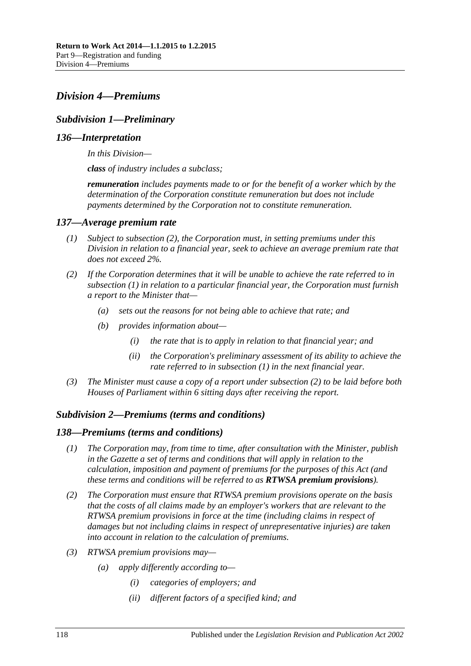# <span id="page-117-2"></span>*Division 4—Premiums*

# *Subdivision 1—Preliminary*

### *136—Interpretation*

*In this Division—*

*class of industry includes a subclass;*

*remuneration includes payments made to or for the benefit of a worker which by the determination of the Corporation constitute remuneration but does not include payments determined by the Corporation not to constitute remuneration.*

### <span id="page-117-3"></span><span id="page-117-1"></span>*137—Average premium rate*

- *(1) Subject to [subsection](#page-117-0) (2), the Corporation must, in setting premiums under this Division in relation to a financial year, seek to achieve an average premium rate that does not exceed 2%.*
- <span id="page-117-0"></span>*(2) If the Corporation determines that it will be unable to achieve the rate referred to in [subsection](#page-117-1) (1) in relation to a particular financial year, the Corporation must furnish a report to the Minister that—*
	- *(a) sets out the reasons for not being able to achieve that rate; and*
	- *(b) provides information about—*
		- *(i) the rate that is to apply in relation to that financial year; and*
		- *(ii) the Corporation's preliminary assessment of its ability to achieve the rate referred to in [subsection](#page-117-1) (1) in the next financial year.*
- *(3) The Minister must cause a copy of a report under [subsection](#page-117-0) (2) to be laid before both Houses of Parliament within 6 sitting days after receiving the report.*

### *Subdivision 2—Premiums (terms and conditions)*

### *138—Premiums (terms and conditions)*

- *(1) The Corporation may, from time to time, after consultation with the Minister, publish in the Gazette a set of terms and conditions that will apply in relation to the calculation, imposition and payment of premiums for the purposes of this Act (and these terms and conditions will be referred to as RTWSA premium provisions).*
- *(2) The Corporation must ensure that RTWSA premium provisions operate on the basis that the costs of all claims made by an employer's workers that are relevant to the RTWSA premium provisions in force at the time (including claims in respect of damages but not including claims in respect of unrepresentative injuries) are taken into account in relation to the calculation of premiums.*
- *(3) RTWSA premium provisions may—*
	- *(a) apply differently according to—*
		- *(i) categories of employers; and*
		- *(ii) different factors of a specified kind; and*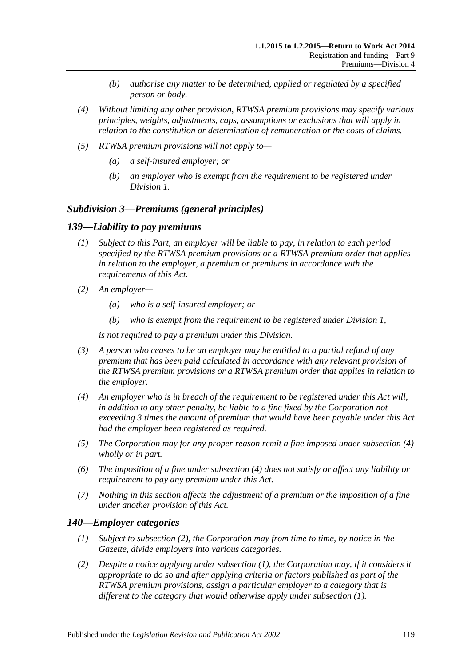- *(b) authorise any matter to be determined, applied or regulated by a specified person or body.*
- *(4) Without limiting any other provision, RTWSA premium provisions may specify various principles, weights, adjustments, caps, assumptions or exclusions that will apply in relation to the constitution or determination of remuneration or the costs of claims.*
- *(5) RTWSA premium provisions will not apply to—*
	- *(a) a self-insured employer; or*
	- *(b) an employer who is exempt from the requirement to be registered under [Division](#page-108-2) 1.*

### *Subdivision 3—Premiums (general principles)*

### <span id="page-118-3"></span>*139—Liability to pay premiums*

- *(1) Subject to this Part, an employer will be liable to pay, in relation to each period specified by the RTWSA premium provisions or a RTWSA premium order that applies in relation to the employer, a premium or premiums in accordance with the requirements of this Act.*
- *(2) An employer—*
	- *(a) who is a self-insured employer; or*
	- *(b) who is exempt from the requirement to be registered under [Division](#page-108-2) 1,*

*is not required to pay a premium under this Division.*

- *(3) A person who ceases to be an employer may be entitled to a partial refund of any premium that has been paid calculated in accordance with any relevant provision of the RTWSA premium provisions or a RTWSA premium order that applies in relation to the employer.*
- <span id="page-118-0"></span>*(4) An employer who is in breach of the requirement to be registered under this Act will, in addition to any other penalty, be liable to a fine fixed by the Corporation not exceeding 3 times the amount of premium that would have been payable under this Act had the employer been registered as required.*
- *(5) The Corporation may for any proper reason remit a fine imposed under [subsection](#page-118-0) (4) wholly or in part.*
- *(6) The imposition of a fine under [subsection](#page-118-0) (4) does not satisfy or affect any liability or requirement to pay any premium under this Act.*
- *(7) Nothing in this section affects the adjustment of a premium or the imposition of a fine under another provision of this Act.*

### <span id="page-118-2"></span>*140—Employer categories*

- *(1) Subject to [subsection](#page-118-1) (2), the Corporation may from time to time, by notice in the Gazette, divide employers into various categories.*
- <span id="page-118-1"></span>*(2) Despite a notice applying under [subsection](#page-118-2) (1), the Corporation may, if it considers it appropriate to do so and after applying criteria or factors published as part of the RTWSA premium provisions, assign a particular employer to a category that is different to the category that would otherwise apply under [subsection](#page-118-2) (1).*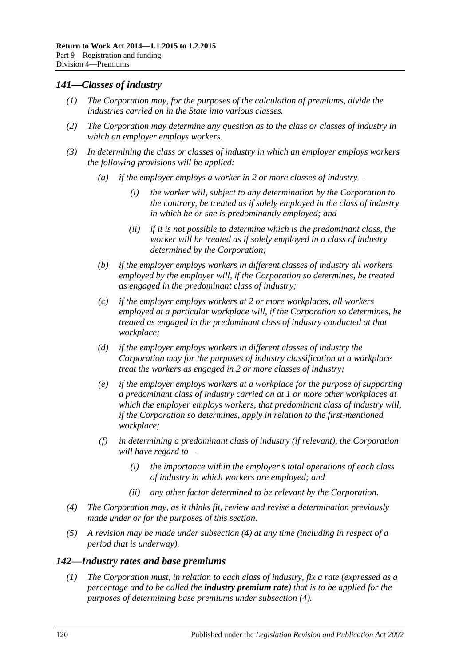# *141—Classes of industry*

- *(1) The Corporation may, for the purposes of the calculation of premiums, divide the industries carried on in the State into various classes.*
- *(2) The Corporation may determine any question as to the class or classes of industry in which an employer employs workers.*
- *(3) In determining the class or classes of industry in which an employer employs workers the following provisions will be applied:*
	- *(a) if the employer employs a worker in 2 or more classes of industry—*
		- *(i) the worker will, subject to any determination by the Corporation to the contrary, be treated as if solely employed in the class of industry in which he or she is predominantly employed; and*
		- *(ii) if it is not possible to determine which is the predominant class, the worker will be treated as if solely employed in a class of industry determined by the Corporation;*
	- *(b) if the employer employs workers in different classes of industry all workers employed by the employer will, if the Corporation so determines, be treated as engaged in the predominant class of industry;*
	- *(c) if the employer employs workers at 2 or more workplaces, all workers employed at a particular workplace will, if the Corporation so determines, be treated as engaged in the predominant class of industry conducted at that workplace;*
	- *(d) if the employer employs workers in different classes of industry the Corporation may for the purposes of industry classification at a workplace treat the workers as engaged in 2 or more classes of industry;*
	- *(e) if the employer employs workers at a workplace for the purpose of supporting a predominant class of industry carried on at 1 or more other workplaces at which the employer employs workers, that predominant class of industry will, if the Corporation so determines, apply in relation to the first-mentioned workplace;*
	- *(f) in determining a predominant class of industry (if relevant), the Corporation will have regard to—*
		- *(i) the importance within the employer's total operations of each class of industry in which workers are employed; and*
		- *(ii) any other factor determined to be relevant by the Corporation.*
- <span id="page-119-0"></span>*(4) The Corporation may, as it thinks fit, review and revise a determination previously made under or for the purposes of this section.*
- *(5) A revision may be made under [subsection](#page-119-0) (4) at any time (including in respect of a period that is underway).*

# <span id="page-119-1"></span>*142—Industry rates and base premiums*

*(1) The Corporation must, in relation to each class of industry, fix a rate (expressed as a percentage and to be called the industry premium rate) that is to be applied for the purposes of determining base premiums under [subsection](#page-120-0) (4).*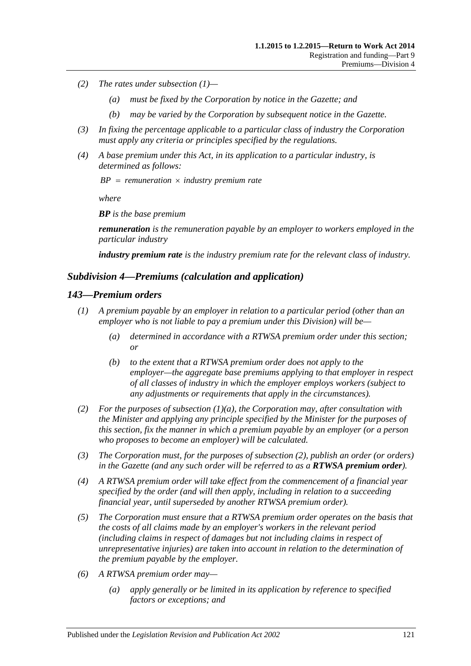- *(2) The rates under [subsection](#page-119-1) (1)—*
	- *(a) must be fixed by the Corporation by notice in the Gazette; and*
	- *(b) may be varied by the Corporation by subsequent notice in the Gazette.*
- *(3) In fixing the percentage applicable to a particular class of industry the Corporation must apply any criteria or principles specified by the regulations.*
- <span id="page-120-0"></span>*(4) A base premium under this Act, in its application to a particular industry, is determined as follows:*

 $BP = remuneration \times industry premium rate$ 

*where*

*BP is the base premium*

*remuneration is the remuneration payable by an employer to workers employed in the particular industry*

*industry premium rate is the industry premium rate for the relevant class of industry.*

### *Subdivision 4—Premiums (calculation and application)*

#### *143—Premium orders*

- <span id="page-120-1"></span>*(1) A premium payable by an employer in relation to a particular period (other than an employer who is not liable to pay a premium under this Division) will be—*
	- *(a) determined in accordance with a RTWSA premium order under this section; or*
	- *(b) to the extent that a RTWSA premium order does not apply to the employer—the aggregate base premiums applying to that employer in respect of all classes of industry in which the employer employs workers (subject to any adjustments or requirements that apply in the circumstances).*
- <span id="page-120-2"></span>*(2) For the purposes of [subsection](#page-120-1) (1)(a), the Corporation may, after consultation with the Minister and applying any principle specified by the Minister for the purposes of this section, fix the manner in which a premium payable by an employer (or a person who proposes to become an employer) will be calculated.*
- *(3) The Corporation must, for the purposes of [subsection](#page-120-2) (2), publish an order (or orders) in the Gazette (and any such order will be referred to as a RTWSA premium order).*
- *(4) A RTWSA premium order will take effect from the commencement of a financial year specified by the order (and will then apply, including in relation to a succeeding financial year, until superseded by another RTWSA premium order).*
- *(5) The Corporation must ensure that a RTWSA premium order operates on the basis that the costs of all claims made by an employer's workers in the relevant period (including claims in respect of damages but not including claims in respect of unrepresentative injuries) are taken into account in relation to the determination of the premium payable by the employer.*
- *(6) A RTWSA premium order may—*
	- *(a) apply generally or be limited in its application by reference to specified factors or exceptions; and*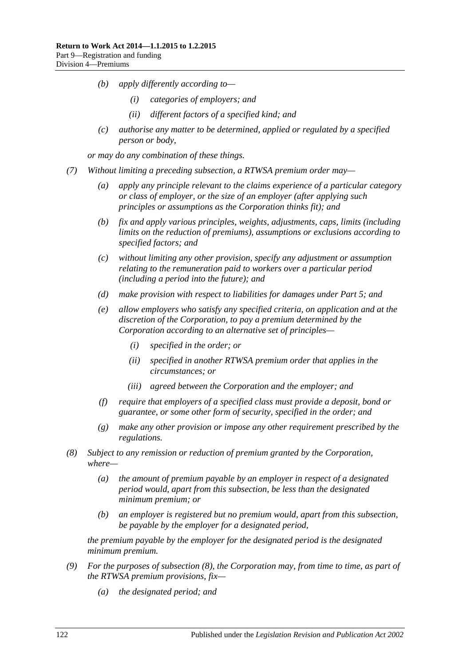- *(b) apply differently according to—*
	- *(i) categories of employers; and*
	- *(ii) different factors of a specified kind; and*
- *(c) authorise any matter to be determined, applied or regulated by a specified person or body,*

*or may do any combination of these things.*

- <span id="page-121-2"></span><span id="page-121-1"></span>*(7) Without limiting a preceding subsection, a RTWSA premium order may—*
	- *(a) apply any principle relevant to the claims experience of a particular category or class of employer, or the size of an employer (after applying such principles or assumptions as the Corporation thinks fit); and*
	- *(b) fix and apply various principles, weights, adjustments, caps, limits (including limits on the reduction of premiums), assumptions or exclusions according to specified factors; and*
	- *(c) without limiting any other provision, specify any adjustment or assumption relating to the remuneration paid to workers over a particular period (including a period into the future); and*
	- *(d) make provision with respect to liabilities for damages under [Part](#page-83-0) 5; and*
	- *(e) allow employers who satisfy any specified criteria, on application and at the discretion of the Corporation, to pay a premium determined by the Corporation according to an alternative set of principles—*
		- *(i) specified in the order; or*
		- *(ii) specified in another RTWSA premium order that applies in the circumstances; or*
		- *(iii) agreed between the Corporation and the employer; and*
	- *(f) require that employers of a specified class must provide a deposit, bond or guarantee, or some other form of security, specified in the order; and*
	- *(g) make any other provision or impose any other requirement prescribed by the regulations.*
- <span id="page-121-0"></span>*(8) Subject to any remission or reduction of premium granted by the Corporation, where—*
	- *(a) the amount of premium payable by an employer in respect of a designated period would, apart from this subsection, be less than the designated minimum premium; or*
	- *(b) an employer is registered but no premium would, apart from this subsection, be payable by the employer for a designated period,*

*the premium payable by the employer for the designated period is the designated minimum premium.*

- *(9) For the purposes of [subsection](#page-121-0) (8), the Corporation may, from time to time, as part of the RTWSA premium provisions, fix—*
	- *(a) the designated period; and*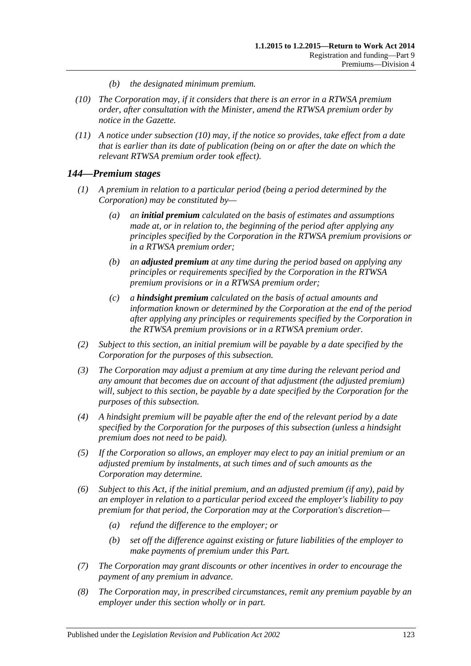- *(b) the designated minimum premium.*
- <span id="page-122-0"></span>*(10) The Corporation may, if it considers that there is an error in a RTWSA premium order, after consultation with the Minister, amend the RTWSA premium order by notice in the Gazette.*
- *(11) A notice under [subsection](#page-122-0) (10) may, if the notice so provides, take effect from a date that is earlier than its date of publication (being on or after the date on which the relevant RTWSA premium order took effect).*

# *144—Premium stages*

- *(1) A premium in relation to a particular period (being a period determined by the Corporation) may be constituted by—*
	- *(a) an initial premium calculated on the basis of estimates and assumptions made at, or in relation to, the beginning of the period after applying any principles specified by the Corporation in the RTWSA premium provisions or in a RTWSA premium order;*
	- *(b) an adjusted premium at any time during the period based on applying any principles or requirements specified by the Corporation in the RTWSA premium provisions or in a RTWSA premium order;*
	- *(c) a hindsight premium calculated on the basis of actual amounts and information known or determined by the Corporation at the end of the period after applying any principles or requirements specified by the Corporation in the RTWSA premium provisions or in a RTWSA premium order.*
- *(2) Subject to this section, an initial premium will be payable by a date specified by the Corporation for the purposes of this subsection.*
- *(3) The Corporation may adjust a premium at any time during the relevant period and any amount that becomes due on account of that adjustment (the adjusted premium) will, subject to this section, be payable by a date specified by the Corporation for the purposes of this subsection.*
- *(4) A hindsight premium will be payable after the end of the relevant period by a date specified by the Corporation for the purposes of this subsection (unless a hindsight premium does not need to be paid).*
- *(5) If the Corporation so allows, an employer may elect to pay an initial premium or an adjusted premium by instalments, at such times and of such amounts as the Corporation may determine.*
- *(6) Subject to this Act, if the initial premium, and an adjusted premium (if any), paid by an employer in relation to a particular period exceed the employer's liability to pay premium for that period, the Corporation may at the Corporation's discretion—*
	- *(a) refund the difference to the employer; or*
	- *(b) set off the difference against existing or future liabilities of the employer to make payments of premium under this Part.*
- *(7) The Corporation may grant discounts or other incentives in order to encourage the payment of any premium in advance.*
- *(8) The Corporation may, in prescribed circumstances, remit any premium payable by an employer under this section wholly or in part.*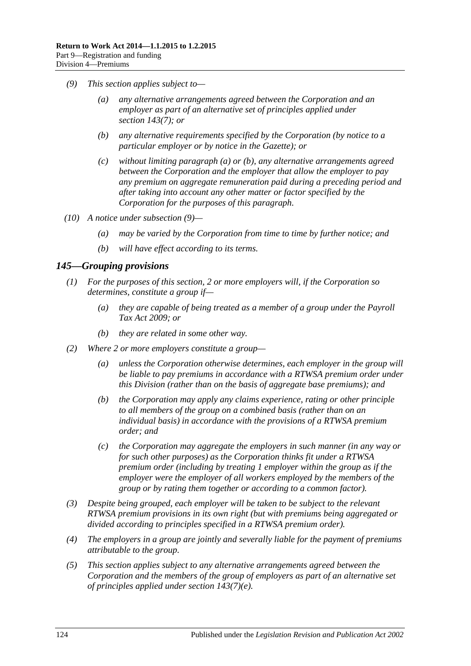- <span id="page-123-2"></span><span id="page-123-1"></span><span id="page-123-0"></span>*(9) This section applies subject to—*
	- *(a) any alternative arrangements agreed between the Corporation and an employer as part of an alternative set of principles applied under section [143\(7\);](#page-121-1) or*
	- *(b) any alternative requirements specified by the Corporation (by notice to a particular employer or by notice in the Gazette); or*
	- *(c) without limiting [paragraph](#page-123-0) (a) or [\(b\),](#page-123-1) any alternative arrangements agreed between the Corporation and the employer that allow the employer to pay any premium on aggregate remuneration paid during a preceding period and after taking into account any other matter or factor specified by the Corporation for the purposes of this paragraph.*
- *(10) A notice under [subsection](#page-123-2) (9)—*
	- *(a) may be varied by the Corporation from time to time by further notice; and*
	- *(b) will have effect according to its terms.*

# *145—Grouping provisions*

- *(1) For the purposes of this section, 2 or more employers will, if the Corporation so determines, constitute a group if—*
	- *(a) they are capable of being treated as a member of a group under the [Payroll](http://www.legislation.sa.gov.au/index.aspx?action=legref&type=act&legtitle=Payroll%20Tax%20Act%202009)  [Tax Act](http://www.legislation.sa.gov.au/index.aspx?action=legref&type=act&legtitle=Payroll%20Tax%20Act%202009) 2009; or*
	- *(b) they are related in some other way.*
- *(2) Where 2 or more employers constitute a group—*
	- *(a) unless the Corporation otherwise determines, each employer in the group will*  be liable to pay premiums in accordance with a RTWSA premium order under *this Division (rather than on the basis of aggregate base premiums); and*
	- *(b) the Corporation may apply any claims experience, rating or other principle to all members of the group on a combined basis (rather than on an individual basis) in accordance with the provisions of a RTWSA premium order; and*
	- *(c) the Corporation may aggregate the employers in such manner (in any way or for such other purposes) as the Corporation thinks fit under a RTWSA premium order (including by treating 1 employer within the group as if the employer were the employer of all workers employed by the members of the group or by rating them together or according to a common factor).*
- *(3) Despite being grouped, each employer will be taken to be subject to the relevant RTWSA premium provisions in its own right (but with premiums being aggregated or divided according to principles specified in a RTWSA premium order).*
- *(4) The employers in a group are jointly and severally liable for the payment of premiums attributable to the group.*
- *(5) This section applies subject to any alternative arrangements agreed between the Corporation and the members of the group of employers as part of an alternative set of principles applied under section [143\(7\)\(e\).](#page-121-2)*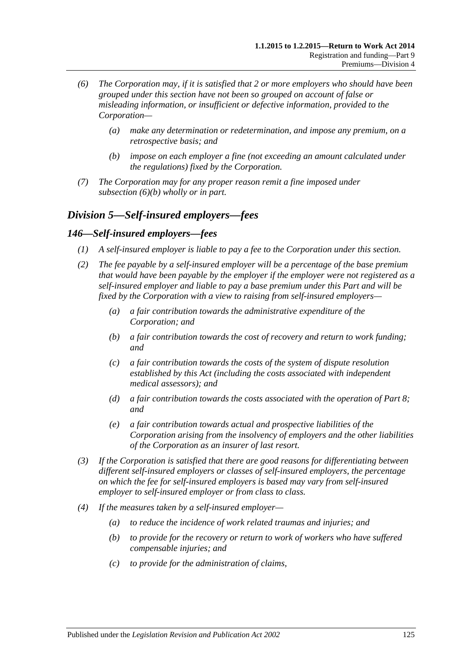- *(6) The Corporation may, if it is satisfied that 2 or more employers who should have been grouped under this section have not been so grouped on account of false or misleading information, or insufficient or defective information, provided to the Corporation—*
	- *(a) make any determination or redetermination, and impose any premium, on a retrospective basis; and*
	- *(b) impose on each employer a fine (not exceeding an amount calculated under the regulations) fixed by the Corporation.*
- <span id="page-124-0"></span>*(7) The Corporation may for any proper reason remit a fine imposed under [subsection](#page-124-0) (6)(b) wholly or in part.*

# *Division 5—Self-insured employers—fees*

# *146—Self-insured employers—fees*

- *(1) A self-insured employer is liable to pay a fee to the Corporation under this section.*
- *(2) The fee payable by a self-insured employer will be a percentage of the base premium that would have been payable by the employer if the employer were not registered as a self-insured employer and liable to pay a base premium under this Part and will be fixed by the Corporation with a view to raising from self-insured employers—*
	- *(a) a fair contribution towards the administrative expenditure of the Corporation; and*
	- *(b) a fair contribution towards the cost of recovery and return to work funding; and*
	- *(c) a fair contribution towards the costs of the system of dispute resolution established by this Act (including the costs associated with independent medical assessors); and*
	- *(d) a fair contribution towards the costs associated with the operation of [Part](#page-103-0) 8; and*
	- *(e) a fair contribution towards actual and prospective liabilities of the Corporation arising from the insolvency of employers and the other liabilities of the Corporation as an insurer of last resort.*
- *(3) If the Corporation is satisfied that there are good reasons for differentiating between different self-insured employers or classes of self-insured employers, the percentage on which the fee for self-insured employers is based may vary from self-insured employer to self-insured employer or from class to class.*
- *(4) If the measures taken by a self-insured employer—*
	- *(a) to reduce the incidence of work related traumas and injuries; and*
	- *(b) to provide for the recovery or return to work of workers who have suffered compensable injuries; and*
	- *(c) to provide for the administration of claims,*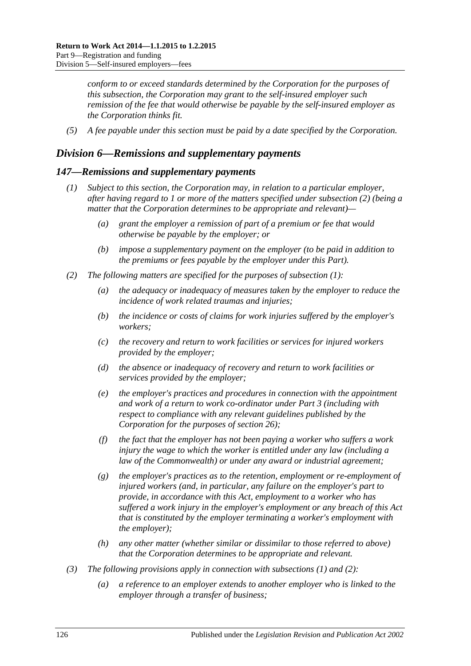*conform to or exceed standards determined by the Corporation for the purposes of this subsection, the Corporation may grant to the self-insured employer such remission of the fee that would otherwise be payable by the self-insured employer as the Corporation thinks fit.*

*(5) A fee payable under this section must be paid by a date specified by the Corporation.*

# *Division 6—Remissions and supplementary payments*

### <span id="page-125-1"></span>*147—Remissions and supplementary payments*

- *(1) Subject to this section, the Corporation may, in relation to a particular employer, after having regard to 1 or more of the matters specified under [subsection](#page-125-0) (2) (being a matter that the Corporation determines to be appropriate and relevant)—*
	- *(a) grant the employer a remission of part of a premium or fee that would otherwise be payable by the employer; or*
	- *(b) impose a supplementary payment on the employer (to be paid in addition to the premiums or fees payable by the employer under this Part).*
- <span id="page-125-2"></span><span id="page-125-0"></span>*(2) The following matters are specified for the purposes of [subsection](#page-125-1) (1):*
	- *(a) the adequacy or inadequacy of measures taken by the employer to reduce the incidence of work related traumas and injuries;*
	- *(b) the incidence or costs of claims for work injuries suffered by the employer's workers;*
	- *(c) the recovery and return to work facilities or services for injured workers provided by the employer;*
	- *(d) the absence or inadequacy of recovery and return to work facilities or services provided by the employer;*
	- *(e) the employer's practices and procedures in connection with the appointment and work of a return to work co-ordinator under Part 3 (including with respect to compliance with any relevant guidelines published by the Corporation for the purposes of [section](#page-42-0) 26);*
	- *(f) the fact that the employer has not been paying a worker who suffers a work injury the wage to which the worker is entitled under any law (including a law of the Commonwealth) or under any award or industrial agreement;*
	- *(g) the employer's practices as to the retention, employment or re-employment of injured workers (and, in particular, any failure on the employer's part to provide, in accordance with this Act, employment to a worker who has suffered a work injury in the employer's employment or any breach of this Act that is constituted by the employer terminating a worker's employment with the employer);*
	- *(h) any other matter (whether similar or dissimilar to those referred to above) that the Corporation determines to be appropriate and relevant.*
- <span id="page-125-4"></span><span id="page-125-3"></span>*(3) The following provisions apply in connection with [subsections](#page-125-1) (1) and [\(2\):](#page-125-0)*
	- *(a) a reference to an employer extends to another employer who is linked to the employer through a transfer of business;*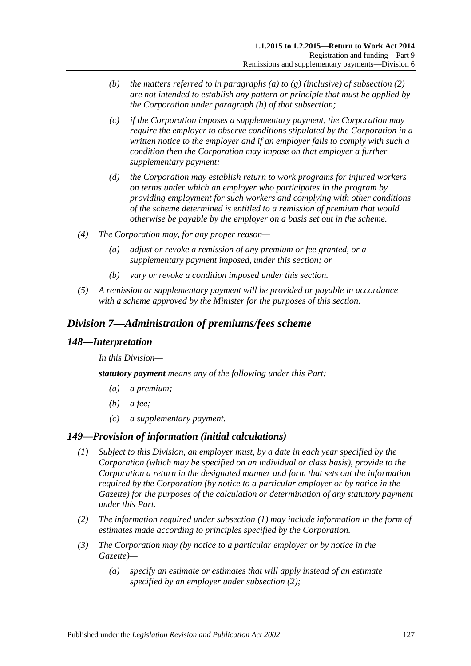- *(b) the matters referred to in [paragraphs](#page-125-2) (a) to [\(g\)](#page-125-3) (inclusive) of [subsection](#page-125-0) (2) are not intended to establish any pattern or principle that must be applied by the Corporation under [paragraph](#page-125-4) (h) of that subsection;*
- *(c) if the Corporation imposes a supplementary payment, the Corporation may require the employer to observe conditions stipulated by the Corporation in a written notice to the employer and if an employer fails to comply with such a condition then the Corporation may impose on that employer a further supplementary payment;*
- *(d) the Corporation may establish return to work programs for injured workers on terms under which an employer who participates in the program by providing employment for such workers and complying with other conditions of the scheme determined is entitled to a remission of premium that would otherwise be payable by the employer on a basis set out in the scheme.*
- *(4) The Corporation may, for any proper reason—*
	- *(a) adjust or revoke a remission of any premium or fee granted, or a supplementary payment imposed, under this section; or*
	- *(b) vary or revoke a condition imposed under this section.*
- *(5) A remission or supplementary payment will be provided or payable in accordance with a scheme approved by the Minister for the purposes of this section.*

# *Division 7—Administration of premiums/fees scheme*

### *148—Interpretation*

*In this Division—*

*statutory payment means any of the following under this Part:*

- *(a) a premium;*
- *(b) a fee;*
- *(c) a supplementary payment.*

# <span id="page-126-0"></span>*149—Provision of information (initial calculations)*

- *(1) Subject to this Division, an employer must, by a date in each year specified by the Corporation (which may be specified on an individual or class basis), provide to the Corporation a return in the designated manner and form that sets out the information required by the Corporation (by notice to a particular employer or by notice in the Gazette) for the purposes of the calculation or determination of any statutory payment under this Part.*
- <span id="page-126-1"></span>*(2) The information required under [subsection](#page-126-0) (1) may include information in the form of estimates made according to principles specified by the Corporation.*
- <span id="page-126-3"></span><span id="page-126-2"></span>*(3) The Corporation may (by notice to a particular employer or by notice in the Gazette)—*
	- *(a) specify an estimate or estimates that will apply instead of an estimate specified by an employer under [subsection](#page-126-1) (2);*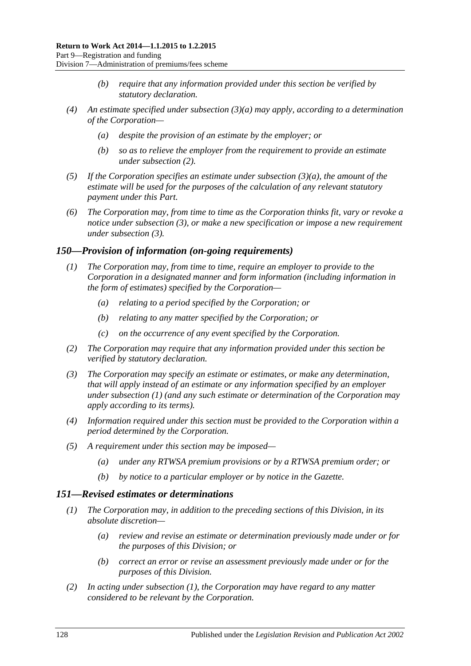- *(b) require that any information provided under this section be verified by statutory declaration.*
- *(4) An estimate specified under [subsection](#page-126-2) (3)(a) may apply, according to a determination of the Corporation—*
	- *(a) despite the provision of an estimate by the employer; or*
	- *(b) so as to relieve the employer from the requirement to provide an estimate under [subsection](#page-126-1) (2).*
- *(5) If the Corporation specifies an estimate under [subsection](#page-126-2) (3)(a), the amount of the estimate will be used for the purposes of the calculation of any relevant statutory payment under this Part.*
- *(6) The Corporation may, from time to time as the Corporation thinks fit, vary or revoke a notice under [subsection](#page-126-3) (3), or make a new specification or impose a new requirement under [subsection](#page-126-3) (3).*

### <span id="page-127-2"></span><span id="page-127-0"></span>*150—Provision of information (on-going requirements)*

- *(1) The Corporation may, from time to time, require an employer to provide to the Corporation in a designated manner and form information (including information in the form of estimates) specified by the Corporation—*
	- *(a) relating to a period specified by the Corporation; or*
	- *(b) relating to any matter specified by the Corporation; or*
	- *(c) on the occurrence of any event specified by the Corporation.*
- *(2) The Corporation may require that any information provided under this section be verified by statutory declaration.*
- *(3) The Corporation may specify an estimate or estimates, or make any determination, that will apply instead of an estimate or any information specified by an employer under [subsection](#page-127-0) (1) (and any such estimate or determination of the Corporation may apply according to its terms).*
- *(4) Information required under this section must be provided to the Corporation within a period determined by the Corporation.*
- *(5) A requirement under this section may be imposed—*
	- *(a) under any RTWSA premium provisions or by a RTWSA premium order; or*
	- *(b) by notice to a particular employer or by notice in the Gazette.*

# <span id="page-127-3"></span><span id="page-127-1"></span>*151—Revised estimates or determinations*

- *(1) The Corporation may, in addition to the preceding sections of this Division, in its absolute discretion—*
	- *(a) review and revise an estimate or determination previously made under or for the purposes of this Division; or*
	- *(b) correct an error or revise an assessment previously made under or for the purposes of this Division.*
- *(2) In acting under [subsection](#page-127-1) (1), the Corporation may have regard to any matter considered to be relevant by the Corporation.*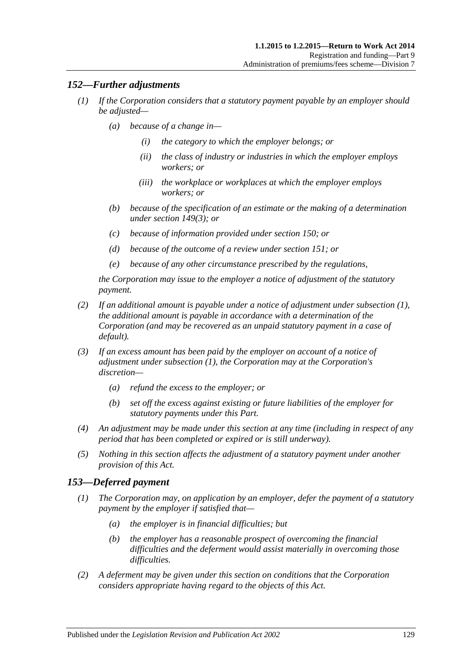# <span id="page-128-0"></span>*152—Further adjustments*

- *(1) If the Corporation considers that a statutory payment payable by an employer should be adjusted—*
	- *(a) because of a change in—*
		- *(i) the category to which the employer belongs; or*
		- *(ii) the class of industry or industries in which the employer employs workers; or*
		- *(iii) the workplace or workplaces at which the employer employs workers; or*
	- *(b) because of the specification of an estimate or the making of a determination under [section](#page-126-3) 149(3); or*
	- *(c) because of information provided under [section](#page-127-2) 150; or*
	- *(d) because of the outcome of a review under [section](#page-127-3) 151; or*
	- *(e) because of any other circumstance prescribed by the regulations,*

*the Corporation may issue to the employer a notice of adjustment of the statutory payment.*

- *(2) If an additional amount is payable under a notice of adjustment under [subsection](#page-128-0) (1), the additional amount is payable in accordance with a determination of the Corporation (and may be recovered as an unpaid statutory payment in a case of default).*
- *(3) If an excess amount has been paid by the employer on account of a notice of adjustment under [subsection](#page-128-0) (1), the Corporation may at the Corporation's discretion—*
	- *(a) refund the excess to the employer; or*
	- *(b) set off the excess against existing or future liabilities of the employer for statutory payments under this Part.*
- *(4) An adjustment may be made under this section at any time (including in respect of any period that has been completed or expired or is still underway).*
- *(5) Nothing in this section affects the adjustment of a statutory payment under another provision of this Act.*

# *153—Deferred payment*

- *(1) The Corporation may, on application by an employer, defer the payment of a statutory payment by the employer if satisfied that—*
	- *(a) the employer is in financial difficulties; but*
	- *(b) the employer has a reasonable prospect of overcoming the financial difficulties and the deferment would assist materially in overcoming those difficulties.*
- *(2) A deferment may be given under this section on conditions that the Corporation considers appropriate having regard to the objects of this Act.*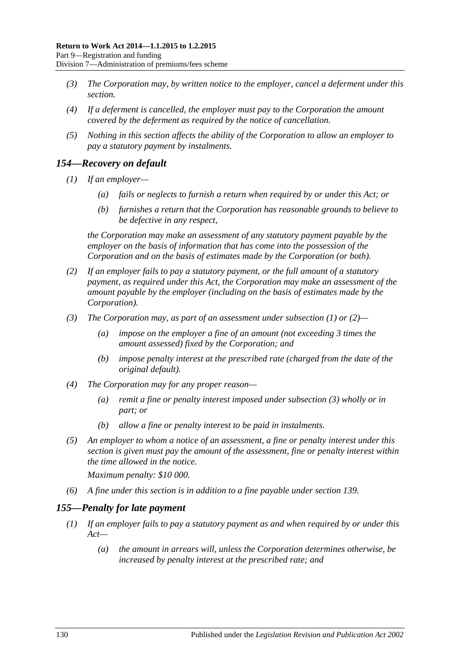- *(3) The Corporation may, by written notice to the employer, cancel a deferment under this section.*
- *(4) If a deferment is cancelled, the employer must pay to the Corporation the amount covered by the deferment as required by the notice of cancellation.*
- *(5) Nothing in this section affects the ability of the Corporation to allow an employer to pay a statutory payment by instalments.*

# <span id="page-129-0"></span>*154—Recovery on default*

- *(1) If an employer—*
	- *(a) fails or neglects to furnish a return when required by or under this Act; or*
	- *(b) furnishes a return that the Corporation has reasonable grounds to believe to be defective in any respect,*

*the Corporation may make an assessment of any statutory payment payable by the employer on the basis of information that has come into the possession of the Corporation and on the basis of estimates made by the Corporation (or both).*

- <span id="page-129-1"></span>*(2) If an employer fails to pay a statutory payment, or the full amount of a statutory payment, as required under this Act, the Corporation may make an assessment of the amount payable by the employer (including on the basis of estimates made by the Corporation).*
- <span id="page-129-2"></span>*(3) The Corporation may, as part of an assessment under [subsection](#page-129-0) (1) or [\(2\)—](#page-129-1)*
	- *(a) impose on the employer a fine of an amount (not exceeding 3 times the amount assessed) fixed by the Corporation; and*
	- *(b) impose penalty interest at the prescribed rate (charged from the date of the original default).*
- *(4) The Corporation may for any proper reason—*
	- *(a) remit a fine or penalty interest imposed under [subsection](#page-129-2) (3) wholly or in part; or*
	- *(b) allow a fine or penalty interest to be paid in instalments.*
- *(5) An employer to whom a notice of an assessment, a fine or penalty interest under this section is given must pay the amount of the assessment, fine or penalty interest within the time allowed in the notice.*

*Maximum penalty: \$10 000.*

*(6) A fine under this section is in addition to a fine payable under [section](#page-118-3) 139.*

# <span id="page-129-3"></span>*155—Penalty for late payment*

- *(1) If an employer fails to pay a statutory payment as and when required by or under this Act—*
	- *(a) the amount in arrears will, unless the Corporation determines otherwise, be increased by penalty interest at the prescribed rate; and*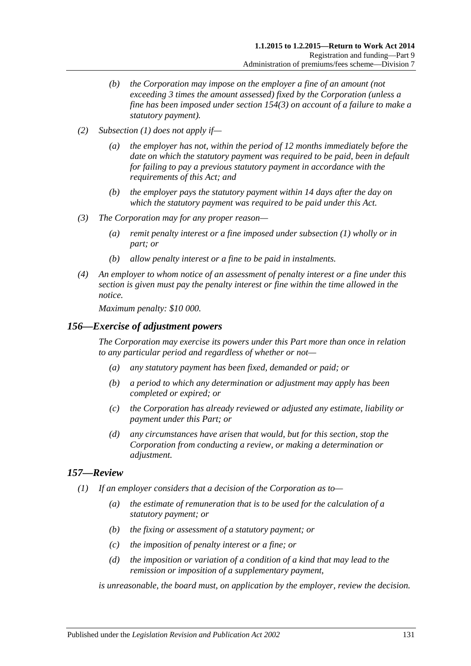- *(b) the Corporation may impose on the employer a fine of an amount (not exceeding 3 times the amount assessed) fixed by the Corporation (unless a fine has been imposed under [section](#page-129-2) 154(3) on account of a failure to make a statutory payment).*
- *(2) [Subsection](#page-129-3) (1) does not apply if—*
	- *(a) the employer has not, within the period of 12 months immediately before the date on which the statutory payment was required to be paid, been in default for failing to pay a previous statutory payment in accordance with the requirements of this Act; and*
	- *(b) the employer pays the statutory payment within 14 days after the day on which the statutory payment was required to be paid under this Act.*
- *(3) The Corporation may for any proper reason—*
	- *(a) remit penalty interest or a fine imposed under [subsection](#page-129-3) (1) wholly or in part; or*
	- *(b) allow penalty interest or a fine to be paid in instalments.*
- *(4) An employer to whom notice of an assessment of penalty interest or a fine under this section is given must pay the penalty interest or fine within the time allowed in the notice.*

*Maximum penalty: \$10 000.*

### *156—Exercise of adjustment powers*

*The Corporation may exercise its powers under this Part more than once in relation to any particular period and regardless of whether or not—*

- *(a) any statutory payment has been fixed, demanded or paid; or*
- *(b) a period to which any determination or adjustment may apply has been completed or expired; or*
- *(c) the Corporation has already reviewed or adjusted any estimate, liability or payment under this Part; or*
- *(d) any circumstances have arisen that would, but for this section, stop the Corporation from conducting a review, or making a determination or adjustment.*

# *157—Review*

- *(1) If an employer considers that a decision of the Corporation as to—*
	- *(a) the estimate of remuneration that is to be used for the calculation of a statutory payment; or*
	- *(b) the fixing or assessment of a statutory payment; or*
	- *(c) the imposition of penalty interest or a fine; or*
	- *(d) the imposition or variation of a condition of a kind that may lead to the remission or imposition of a supplementary payment,*

*is unreasonable, the board must, on application by the employer, review the decision.*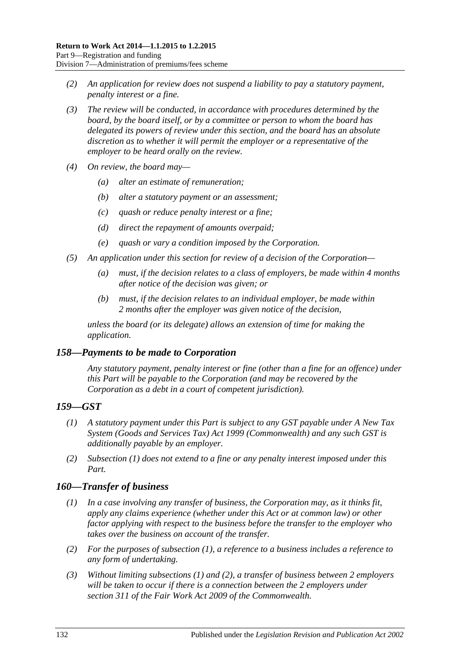- *(2) An application for review does not suspend a liability to pay a statutory payment, penalty interest or a fine.*
- *(3) The review will be conducted, in accordance with procedures determined by the board, by the board itself, or by a committee or person to whom the board has delegated its powers of review under this section, and the board has an absolute discretion as to whether it will permit the employer or a representative of the employer to be heard orally on the review.*
- *(4) On review, the board may—*
	- *(a) alter an estimate of remuneration;*
	- *(b) alter a statutory payment or an assessment;*
	- *(c) quash or reduce penalty interest or a fine;*
	- *(d) direct the repayment of amounts overpaid;*
	- *(e) quash or vary a condition imposed by the Corporation.*
- *(5) An application under this section for review of a decision of the Corporation—*
	- *(a) must, if the decision relates to a class of employers, be made within 4 months after notice of the decision was given; or*
	- *(b) must, if the decision relates to an individual employer, be made within 2 months after the employer was given notice of the decision,*

*unless the board (or its delegate) allows an extension of time for making the application.*

# *158—Payments to be made to Corporation*

*Any statutory payment, penalty interest or fine (other than a fine for an offence) under this Part will be payable to the Corporation (and may be recovered by the Corporation as a debt in a court of competent jurisdiction).*

# <span id="page-131-0"></span>*159—GST*

- *(1) A statutory payment under this Part is subject to any GST payable under A New Tax System (Goods and Services Tax) Act 1999 (Commonwealth) and any such GST is additionally payable by an employer.*
- *(2) [Subsection](#page-131-0) (1) does not extend to a fine or any penalty interest imposed under this Part.*

# <span id="page-131-1"></span>*160—Transfer of business*

- *(1) In a case involving any transfer of business, the Corporation may, as it thinks fit, apply any claims experience (whether under this Act or at common law) or other factor applying with respect to the business before the transfer to the employer who takes over the business on account of the transfer.*
- <span id="page-131-2"></span>*(2) For the purposes of [subsection](#page-131-1) (1), a reference to a business includes a reference to any form of undertaking.*
- *(3) Without limiting [subsections](#page-131-1) (1) and [\(2\),](#page-131-2) a transfer of business between 2 employers will be taken to occur if there is a connection between the 2 employers under section 311 of the Fair Work Act 2009 of the Commonwealth.*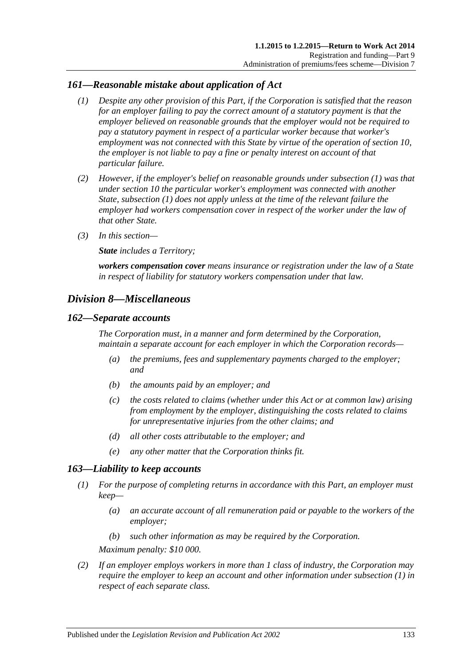# <span id="page-132-0"></span>*161—Reasonable mistake about application of Act*

- *(1) Despite any other provision of this Part, if the Corporation is satisfied that the reason for an employer failing to pay the correct amount of a statutory payment is that the employer believed on reasonable grounds that the employer would not be required to pay a statutory payment in respect of a particular worker because that worker's employment was not connected with this State by virtue of the operation of [section](#page-26-0) 10, the employer is not liable to pay a fine or penalty interest on account of that particular failure.*
- *(2) However, if the employer's belief on reasonable grounds under [subsection](#page-132-0) (1) was that under [section](#page-26-0) 10 the particular worker's employment was connected with another State, [subsection](#page-132-0) (1) does not apply unless at the time of the relevant failure the employer had workers compensation cover in respect of the worker under the law of that other State.*
- *(3) In this section—*

*State includes a Territory;*

*workers compensation cover means insurance or registration under the law of a State in respect of liability for statutory workers compensation under that law.*

# *Division 8—Miscellaneous*

### *162—Separate accounts*

*The Corporation must, in a manner and form determined by the Corporation, maintain a separate account for each employer in which the Corporation records—*

- *(a) the premiums, fees and supplementary payments charged to the employer; and*
- *(b) the amounts paid by an employer; and*
- *(c) the costs related to claims (whether under this Act or at common law) arising from employment by the employer, distinguishing the costs related to claims for unrepresentative injuries from the other claims; and*
- *(d) all other costs attributable to the employer; and*
- *(e) any other matter that the Corporation thinks fit.*

# <span id="page-132-1"></span>*163—Liability to keep accounts*

- *(1) For the purpose of completing returns in accordance with this Part, an employer must keep—*
	- *(a) an accurate account of all remuneration paid or payable to the workers of the employer;*
	- *(b) such other information as may be required by the Corporation.*

*Maximum penalty: \$10 000.*

*(2) If an employer employs workers in more than 1 class of industry, the Corporation may require the employer to keep an account and other information under [subsection](#page-132-1) (1) in respect of each separate class.*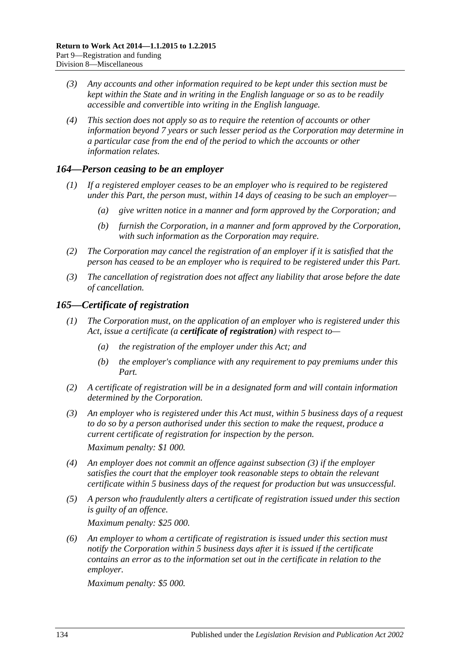- *(3) Any accounts and other information required to be kept under this section must be kept within the State and in writing in the English language or so as to be readily accessible and convertible into writing in the English language.*
- *(4) This section does not apply so as to require the retention of accounts or other information beyond 7 years or such lesser period as the Corporation may determine in a particular case from the end of the period to which the accounts or other information relates.*

# *164—Person ceasing to be an employer*

- *(1) If a registered employer ceases to be an employer who is required to be registered under this Part, the person must, within 14 days of ceasing to be such an employer—*
	- *(a) give written notice in a manner and form approved by the Corporation; and*
	- *(b) furnish the Corporation, in a manner and form approved by the Corporation, with such information as the Corporation may require.*
- *(2) The Corporation may cancel the registration of an employer if it is satisfied that the person has ceased to be an employer who is required to be registered under this Part.*
- *(3) The cancellation of registration does not affect any liability that arose before the date of cancellation.*

# *165—Certificate of registration*

- *(1) The Corporation must, on the application of an employer who is registered under this Act, issue a certificate (a certificate of registration) with respect to—*
	- *(a) the registration of the employer under this Act; and*
	- *(b) the employer's compliance with any requirement to pay premiums under this Part.*
- *(2) A certificate of registration will be in a designated form and will contain information determined by the Corporation.*
- <span id="page-133-0"></span>*(3) An employer who is registered under this Act must, within 5 business days of a request to do so by a person authorised under this section to make the request, produce a current certificate of registration for inspection by the person. Maximum penalty: \$1 000.*
- *(4) An employer does not commit an offence against [subsection](#page-133-0) (3) if the employer satisfies the court that the employer took reasonable steps to obtain the relevant certificate within 5 business days of the request for production but was unsuccessful.*
- *(5) A person who fraudulently alters a certificate of registration issued under this section is guilty of an offence.*

*Maximum penalty: \$25 000.*

*(6) An employer to whom a certificate of registration is issued under this section must notify the Corporation within 5 business days after it is issued if the certificate contains an error as to the information set out in the certificate in relation to the employer.*

*Maximum penalty: \$5 000.*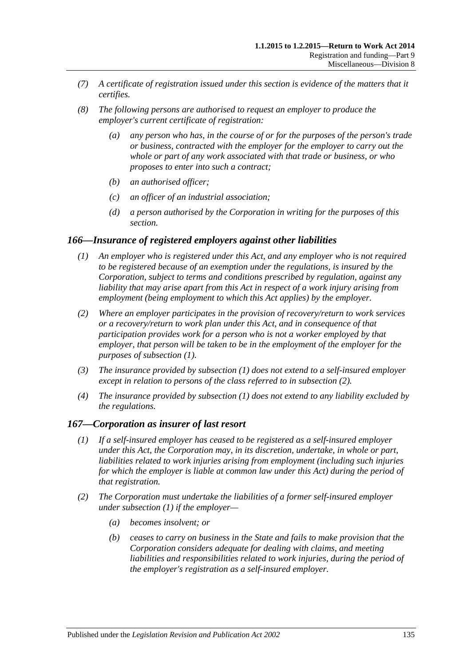- *(7) A certificate of registration issued under this section is evidence of the matters that it certifies.*
- *(8) The following persons are authorised to request an employer to produce the employer's current certificate of registration:*
	- *(a) any person who has, in the course of or for the purposes of the person's trade or business, contracted with the employer for the employer to carry out the whole or part of any work associated with that trade or business, or who proposes to enter into such a contract;*
	- *(b) an authorised officer;*
	- *(c) an officer of an industrial association;*
	- *(d) a person authorised by the Corporation in writing for the purposes of this section.*

### <span id="page-134-0"></span>*166—Insurance of registered employers against other liabilities*

- *(1) An employer who is registered under this Act, and any employer who is not required to be registered because of an exemption under the regulations, is insured by the Corporation, subject to terms and conditions prescribed by regulation, against any liability that may arise apart from this Act in respect of a work injury arising from employment (being employment to which this Act applies) by the employer.*
- <span id="page-134-1"></span>*(2) Where an employer participates in the provision of recovery/return to work services or a recovery/return to work plan under this Act, and in consequence of that participation provides work for a person who is not a worker employed by that employer, that person will be taken to be in the employment of the employer for the purposes of [subsection](#page-134-0) (1).*
- *(3) The insurance provided by [subsection](#page-134-0) (1) does not extend to a self-insured employer except in relation to persons of the class referred to in [subsection](#page-134-1) (2).*
- *(4) The insurance provided by [subsection](#page-134-0) (1) does not extend to any liability excluded by the regulations.*

### <span id="page-134-2"></span>*167—Corporation as insurer of last resort*

- *(1) If a self-insured employer has ceased to be registered as a self-insured employer under this Act, the Corporation may, in its discretion, undertake, in whole or part, liabilities related to work injuries arising from employment (including such injuries for which the employer is liable at common law under this Act) during the period of that registration.*
- *(2) The Corporation must undertake the liabilities of a former self-insured employer under [subsection](#page-134-2) (1) if the employer—*
	- *(a) becomes insolvent; or*
	- *(b) ceases to carry on business in the State and fails to make provision that the Corporation considers adequate for dealing with claims, and meeting liabilities and responsibilities related to work injuries, during the period of the employer's registration as a self-insured employer.*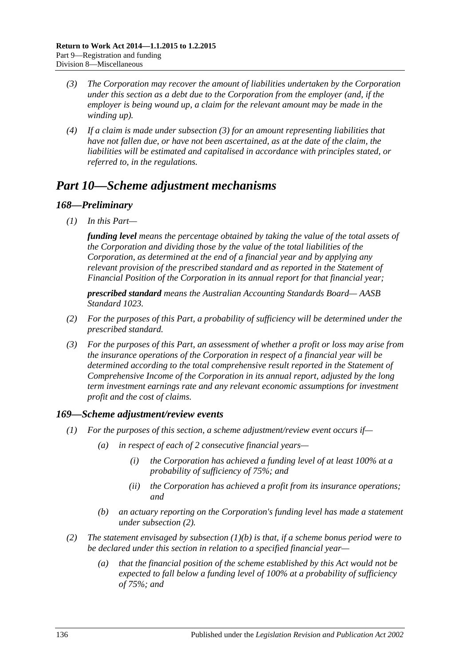- <span id="page-135-1"></span>*(3) The Corporation may recover the amount of liabilities undertaken by the Corporation under this section as a debt due to the Corporation from the employer (and, if the employer is being wound up, a claim for the relevant amount may be made in the winding up).*
- *(4) If a claim is made under [subsection](#page-135-1) (3) for an amount representing liabilities that have not fallen due, or have not been ascertained, as at the date of the claim, the liabilities will be estimated and capitalised in accordance with principles stated, or referred to, in the regulations.*

# <span id="page-135-0"></span>*Part 10—Scheme adjustment mechanisms*

# *168—Preliminary*

*(1) In this Part—*

*funding level means the percentage obtained by taking the value of the total assets of the Corporation and dividing those by the value of the total liabilities of the Corporation, as determined at the end of a financial year and by applying any relevant provision of the prescribed standard and as reported in the Statement of Financial Position of the Corporation in its annual report for that financial year;*

*prescribed standard means the Australian Accounting Standards Board— AASB Standard 1023.*

- *(2) For the purposes of this Part, a probability of sufficiency will be determined under the prescribed standard.*
- *(3) For the purposes of this Part, an assessment of whether a profit or loss may arise from the insurance operations of the Corporation in respect of a financial year will be determined according to the total comprehensive result reported in the Statement of Comprehensive Income of the Corporation in its annual report, adjusted by the long term investment earnings rate and any relevant economic assumptions for investment profit and the cost of claims.*

# *169—Scheme adjustment/review events*

- *(1) For the purposes of this section, a scheme adjustment/review event occurs if—*
	- *(a) in respect of each of 2 consecutive financial years—*
		- *(i) the Corporation has achieved a funding level of at least 100% at a probability of sufficiency of 75%; and*
		- *(ii) the Corporation has achieved a profit from its insurance operations; and*
	- *(b) an actuary reporting on the Corporation's funding level has made a statement under [subsection](#page-135-2) (2).*
- <span id="page-135-3"></span><span id="page-135-2"></span>*(2) The statement envisaged by [subsection](#page-135-3) (1)(b) is that, if a scheme bonus period were to be declared under this section in relation to a specified financial year—*
	- *(a) that the financial position of the scheme established by this Act would not be expected to fall below a funding level of 100% at a probability of sufficiency of 75%; and*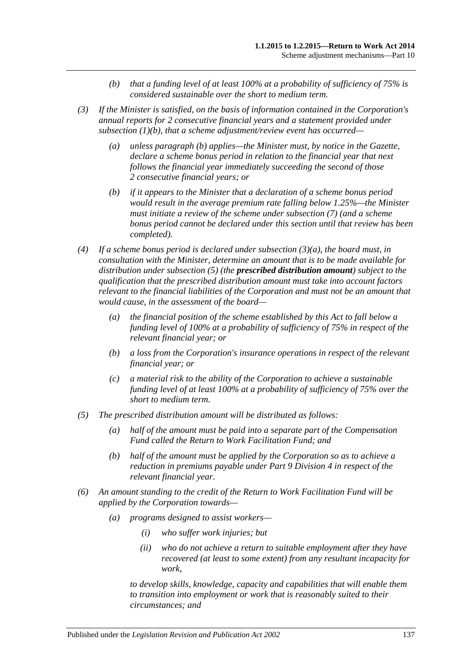- *(b) that a funding level of at least 100% at a probability of sufficiency of 75% is considered sustainable over the short to medium term.*
- <span id="page-136-1"></span>*(3) If the Minister is satisfied, on the basis of information contained in the Corporation's annual reports for 2 consecutive financial years and a statement provided under [subsection](#page-135-3) (1)(b), that a scheme adjustment/review event has occurred—*
	- *(a) unless [paragraph](#page-136-0) (b) applies—the Minister must, by notice in the Gazette, declare a scheme bonus period in relation to the financial year that next follows the financial year immediately succeeding the second of those 2 consecutive financial years; or*
	- *(b) if it appears to the Minister that a declaration of a scheme bonus period would result in the average premium rate falling below 1.25%—the Minister must initiate a review of the scheme under [subsection](#page-137-0) (7) (and a scheme bonus period cannot be declared under this section until that review has been completed).*
- <span id="page-136-0"></span>*(4) If a scheme bonus period is declared under [subsection](#page-136-1) (3)(a), the board must, in consultation with the Minister, determine an amount that is to be made available for distribution under [subsection](#page-136-2) (5) (the prescribed distribution amount) subject to the qualification that the prescribed distribution amount must take into account factors relevant to the financial liabilities of the Corporation and must not be an amount that would cause, in the assessment of the board—*
	- *(a) the financial position of the scheme established by this Act to fall below a funding level of 100% at a probability of sufficiency of 75% in respect of the relevant financial year; or*
	- *(b) a loss from the Corporation's insurance operations in respect of the relevant financial year; or*
	- *(c) a material risk to the ability of the Corporation to achieve a sustainable funding level of at least 100% at a probability of sufficiency of 75% over the short to medium term.*
- <span id="page-136-2"></span>*(5) The prescribed distribution amount will be distributed as follows:*
	- *(a) half of the amount must be paid into a separate part of the Compensation Fund called the Return to Work Facilitation Fund; and*
	- *(b) half of the amount must be applied by the Corporation so as to achieve a reduction in premiums payable under Part [9 Division](#page-117-2) 4 in respect of the relevant financial year.*
- *(6) An amount standing to the credit of the Return to Work Facilitation Fund will be applied by the Corporation towards—*
	- *(a) programs designed to assist workers—*
		- *(i) who suffer work injuries; but*
		- *(ii) who do not achieve a return to suitable employment after they have recovered (at least to some extent) from any resultant incapacity for work,*

*to develop skills, knowledge, capacity and capabilities that will enable them to transition into employment or work that is reasonably suited to their circumstances; and*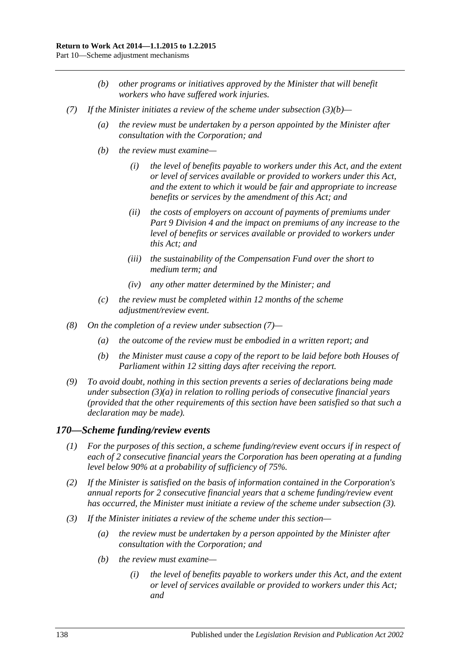- *(b) other programs or initiatives approved by the Minister that will benefit workers who have suffered work injuries.*
- <span id="page-137-0"></span>*(7) If the Minister initiates a review of the scheme under [subsection](#page-136-0) (3)(b)—*
	- *(a) the review must be undertaken by a person appointed by the Minister after consultation with the Corporation; and*
	- *(b) the review must examine—*
		- *(i) the level of benefits payable to workers under this Act, and the extent or level of services available or provided to workers under this Act, and the extent to which it would be fair and appropriate to increase benefits or services by the amendment of this Act; and*
		- *(ii) the costs of employers on account of payments of premiums under Part [9 Division](#page-117-2) 4 and the impact on premiums of any increase to the level of benefits or services available or provided to workers under this Act; and*
		- *(iii) the sustainability of the Compensation Fund over the short to medium term; and*
		- *(iv) any other matter determined by the Minister; and*
	- *(c) the review must be completed within 12 months of the scheme adjustment/review event.*
- *(8) On the completion of a review under [subsection](#page-137-0) (7)—*
	- *(a) the outcome of the review must be embodied in a written report; and*
	- *(b) the Minister must cause a copy of the report to be laid before both Houses of Parliament within 12 sitting days after receiving the report.*
- *(9) To avoid doubt, nothing in this section prevents a series of declarations being made under [subsection](#page-136-1) (3)(a) in relation to rolling periods of consecutive financial years (provided that the other requirements of this section have been satisfied so that such a declaration may be made).*

#### *170—Scheme funding/review events*

- *(1) For the purposes of this section, a scheme funding/review event occurs if in respect of each of 2 consecutive financial years the Corporation has been operating at a funding level below 90% at a probability of sufficiency of 75%.*
- *(2) If the Minister is satisfied on the basis of information contained in the Corporation's annual reports for 2 consecutive financial years that a scheme funding/review event has occurred, the Minister must initiate a review of the scheme under [subsection](#page-137-1) (3).*
- <span id="page-137-1"></span>*(3) If the Minister initiates a review of the scheme under this section—*
	- *(a) the review must be undertaken by a person appointed by the Minister after consultation with the Corporation; and*
	- *(b) the review must examine—*
		- *(i) the level of benefits payable to workers under this Act, and the extent or level of services available or provided to workers under this Act; and*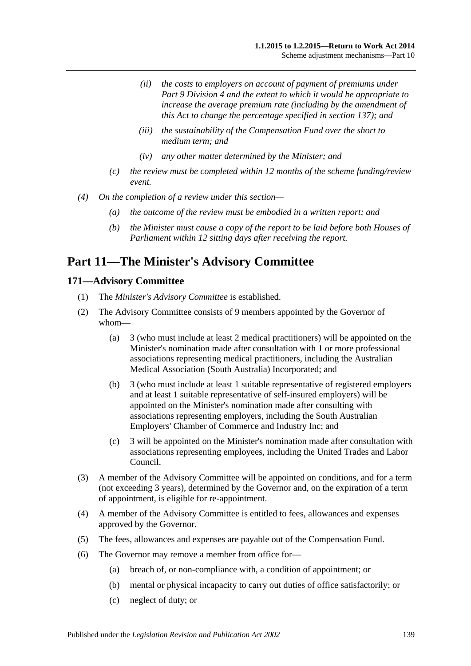- *(ii) the costs to employers on account of payment of premiums under Part [9 Division](#page-117-2) 4 and the extent to which it would be appropriate to increase the average premium rate (including by the amendment of this Act to change the percentage specified in [section](#page-117-3) 137); and*
- *(iii) the sustainability of the Compensation Fund over the short to medium term; and*
- *(iv) any other matter determined by the Minister; and*
- *(c) the review must be completed within 12 months of the scheme funding/review event.*
- *(4) On the completion of a review under this section—*
	- *(a) the outcome of the review must be embodied in a written report; and*
	- *(b) the Minister must cause a copy of the report to be laid before both Houses of Parliament within 12 sitting days after receiving the report.*

# **Part 11—The Minister's Advisory Committee**

### **171—Advisory Committee**

- (1) The *Minister's Advisory Committee* is established.
- <span id="page-138-1"></span>(2) The Advisory Committee consists of 9 members appointed by the Governor of whom—
	- (a) 3 (who must include at least 2 medical practitioners) will be appointed on the Minister's nomination made after consultation with 1 or more professional associations representing medical practitioners, including the Australian Medical Association (South Australia) Incorporated; and
	- (b) 3 (who must include at least 1 suitable representative of registered employers and at least 1 suitable representative of self-insured employers) will be appointed on the Minister's nomination made after consulting with associations representing employers, including the South Australian Employers' Chamber of Commerce and Industry Inc; and
	- (c) 3 will be appointed on the Minister's nomination made after consultation with associations representing employees, including the United Trades and Labor Council.
- (3) A member of the Advisory Committee will be appointed on conditions, and for a term (not exceeding 3 years), determined by the Governor and, on the expiration of a term of appointment, is eligible for re-appointment.
- (4) A member of the Advisory Committee is entitled to fees, allowances and expenses approved by the Governor.
- (5) The fees, allowances and expenses are payable out of the Compensation Fund.
- <span id="page-138-0"></span>(6) The Governor may remove a member from office for—
	- (a) breach of, or non-compliance with, a condition of appointment; or
	- (b) mental or physical incapacity to carry out duties of office satisfactorily; or
	- (c) neglect of duty; or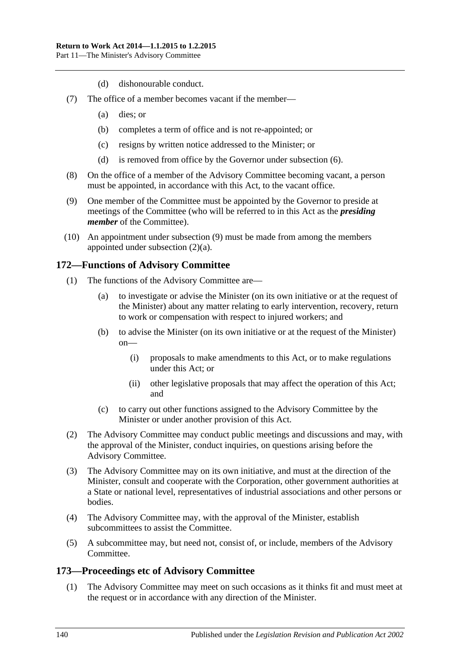- (d) dishonourable conduct.
- (7) The office of a member becomes vacant if the member—
	- (a) dies; or
	- (b) completes a term of office and is not re-appointed; or
	- (c) resigns by written notice addressed to the Minister; or
	- (d) is removed from office by the Governor under [subsection](#page-138-0) (6).
- (8) On the office of a member of the Advisory Committee becoming vacant, a person must be appointed, in accordance with this Act, to the vacant office.
- <span id="page-139-0"></span>(9) One member of the Committee must be appointed by the Governor to preside at meetings of the Committee (who will be referred to in this Act as the *presiding member* of the Committee).
- (10) An appointment under [subsection](#page-139-0) (9) must be made from among the members appointed under [subsection](#page-138-1) (2)(a).

### **172—Functions of Advisory Committee**

- (1) The functions of the Advisory Committee are—
	- (a) to investigate or advise the Minister (on its own initiative or at the request of the Minister) about any matter relating to early intervention, recovery, return to work or compensation with respect to injured workers; and
	- (b) to advise the Minister (on its own initiative or at the request of the Minister) on—
		- (i) proposals to make amendments to this Act, or to make regulations under this Act; or
		- (ii) other legislative proposals that may affect the operation of this Act; and
	- (c) to carry out other functions assigned to the Advisory Committee by the Minister or under another provision of this Act.
- (2) The Advisory Committee may conduct public meetings and discussions and may, with the approval of the Minister, conduct inquiries, on questions arising before the Advisory Committee.
- (3) The Advisory Committee may on its own initiative, and must at the direction of the Minister, consult and cooperate with the Corporation, other government authorities at a State or national level, representatives of industrial associations and other persons or bodies.
- (4) The Advisory Committee may, with the approval of the Minister, establish subcommittees to assist the Committee.
- (5) A subcommittee may, but need not, consist of, or include, members of the Advisory Committee.

# **173—Proceedings etc of Advisory Committee**

(1) The Advisory Committee may meet on such occasions as it thinks fit and must meet at the request or in accordance with any direction of the Minister.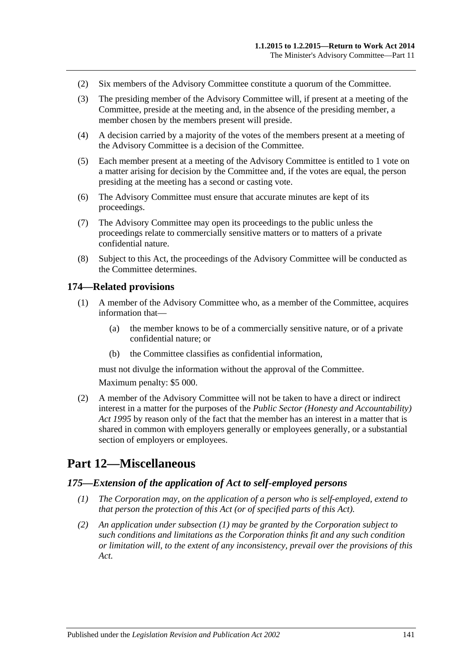- (2) Six members of the Advisory Committee constitute a quorum of the Committee.
- (3) The presiding member of the Advisory Committee will, if present at a meeting of the Committee, preside at the meeting and, in the absence of the presiding member, a member chosen by the members present will preside.
- (4) A decision carried by a majority of the votes of the members present at a meeting of the Advisory Committee is a decision of the Committee.
- (5) Each member present at a meeting of the Advisory Committee is entitled to 1 vote on a matter arising for decision by the Committee and, if the votes are equal, the person presiding at the meeting has a second or casting vote.
- (6) The Advisory Committee must ensure that accurate minutes are kept of its proceedings.
- (7) The Advisory Committee may open its proceedings to the public unless the proceedings relate to commercially sensitive matters or to matters of a private confidential nature.
- (8) Subject to this Act, the proceedings of the Advisory Committee will be conducted as the Committee determines.

#### **174—Related provisions**

- (1) A member of the Advisory Committee who, as a member of the Committee, acquires information that—
	- (a) the member knows to be of a commercially sensitive nature, or of a private confidential nature; or
	- (b) the Committee classifies as confidential information,

must not divulge the information without the approval of the Committee.

Maximum penalty: \$5 000.

(2) A member of the Advisory Committee will not be taken to have a direct or indirect interest in a matter for the purposes of the *[Public Sector \(Honesty and Accountability\)](http://www.legislation.sa.gov.au/index.aspx?action=legref&type=act&legtitle=Public%20Sector%20(Honesty%20and%20Accountability)%20Act%201995)  Act [1995](http://www.legislation.sa.gov.au/index.aspx?action=legref&type=act&legtitle=Public%20Sector%20(Honesty%20and%20Accountability)%20Act%201995)* by reason only of the fact that the member has an interest in a matter that is shared in common with employers generally or employees generally, or a substantial section of employers or employees.

# **Part 12—Miscellaneous**

### <span id="page-140-0"></span>*175—Extension of the application of Act to self-employed persons*

- *(1) The Corporation may, on the application of a person who is self-employed, extend to that person the protection of this Act (or of specified parts of this Act).*
- *(2) An application under [subsection](#page-140-0) (1) may be granted by the Corporation subject to such conditions and limitations as the Corporation thinks fit and any such condition or limitation will, to the extent of any inconsistency, prevail over the provisions of this Act.*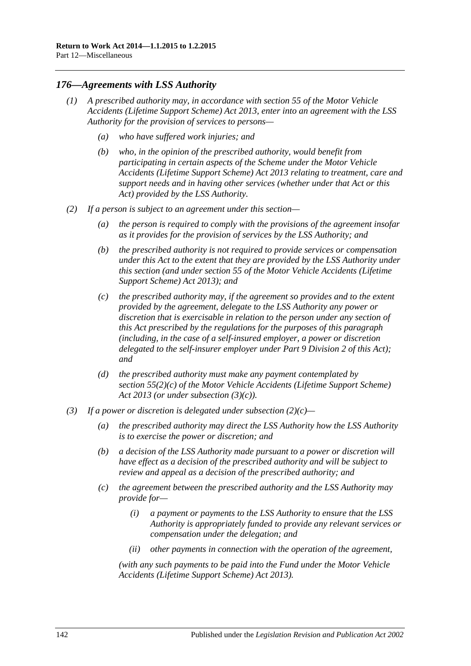### *176—Agreements with LSS Authority*

- *(1) A prescribed authority may, in accordance with section 55 of the [Motor Vehicle](http://www.legislation.sa.gov.au/index.aspx?action=legref&type=act&legtitle=Motor%20Vehicle%20Accidents%20(Lifetime%20Support%20Scheme)%20Act%202013)  [Accidents \(Lifetime Support Scheme\) Act](http://www.legislation.sa.gov.au/index.aspx?action=legref&type=act&legtitle=Motor%20Vehicle%20Accidents%20(Lifetime%20Support%20Scheme)%20Act%202013) 2013, enter into an agreement with the LSS Authority for the provision of services to persons—*
	- *(a) who have suffered work injuries; and*
	- *(b) who, in the opinion of the prescribed authority, would benefit from participating in certain aspects of the Scheme under the [Motor Vehicle](http://www.legislation.sa.gov.au/index.aspx?action=legref&type=act&legtitle=Motor%20Vehicle%20Accidents%20(Lifetime%20Support%20Scheme)%20Act%202013)  [Accidents \(Lifetime Support Scheme\) Act](http://www.legislation.sa.gov.au/index.aspx?action=legref&type=act&legtitle=Motor%20Vehicle%20Accidents%20(Lifetime%20Support%20Scheme)%20Act%202013) 2013 relating to treatment, care and support needs and in having other services (whether under that Act or this Act) provided by the LSS Authority.*
- <span id="page-141-1"></span>*(2) If a person is subject to an agreement under this section—*
	- *(a) the person is required to comply with the provisions of the agreement insofar as it provides for the provision of services by the LSS Authority; and*
	- *(b) the prescribed authority is not required to provide services or compensation under this Act to the extent that they are provided by the LSS Authority under this section (and under section 55 of the [Motor Vehicle Accidents \(Lifetime](http://www.legislation.sa.gov.au/index.aspx?action=legref&type=act&legtitle=Motor%20Vehicle%20Accidents%20(Lifetime%20Support%20Scheme)%20Act%202013)  [Support Scheme\) Act](http://www.legislation.sa.gov.au/index.aspx?action=legref&type=act&legtitle=Motor%20Vehicle%20Accidents%20(Lifetime%20Support%20Scheme)%20Act%202013) 2013); and*
	- *(c) the prescribed authority may, if the agreement so provides and to the extent provided by the agreement, delegate to the LSS Authority any power or discretion that is exercisable in relation to the person under any section of this Act prescribed by the regulations for the purposes of this paragraph (including, in the case of a self-insured employer, a power or discretion delegated to the self-insurer employer under Part [9 Division](#page-114-1) 2 of this Act); and*
	- *(d) the prescribed authority must make any payment contemplated by section 55(2)(c) of the [Motor Vehicle Accidents \(Lifetime Support Scheme\)](http://www.legislation.sa.gov.au/index.aspx?action=legref&type=act&legtitle=Motor%20Vehicle%20Accidents%20(Lifetime%20Support%20Scheme)%20Act%202013)  Act [2013](http://www.legislation.sa.gov.au/index.aspx?action=legref&type=act&legtitle=Motor%20Vehicle%20Accidents%20(Lifetime%20Support%20Scheme)%20Act%202013) (or under [subsection](#page-141-0) (3)(c)).*
- <span id="page-141-0"></span>*(3) If a power or discretion is delegated under [subsection](#page-141-1) (2)(c)—*
	- *(a) the prescribed authority may direct the LSS Authority how the LSS Authority is to exercise the power or discretion; and*
	- *(b) a decision of the LSS Authority made pursuant to a power or discretion will have effect as a decision of the prescribed authority and will be subject to review and appeal as a decision of the prescribed authority; and*
	- *(c) the agreement between the prescribed authority and the LSS Authority may provide for—*
		- *(i) a payment or payments to the LSS Authority to ensure that the LSS Authority is appropriately funded to provide any relevant services or compensation under the delegation; and*
		- *(ii) other payments in connection with the operation of the agreement,*

*(with any such payments to be paid into the Fund under the [Motor Vehicle](http://www.legislation.sa.gov.au/index.aspx?action=legref&type=act&legtitle=Motor%20Vehicle%20Accidents%20(Lifetime%20Support%20Scheme)%20Act%202013)  [Accidents \(Lifetime Support Scheme\) Act](http://www.legislation.sa.gov.au/index.aspx?action=legref&type=act&legtitle=Motor%20Vehicle%20Accidents%20(Lifetime%20Support%20Scheme)%20Act%202013) 2013).*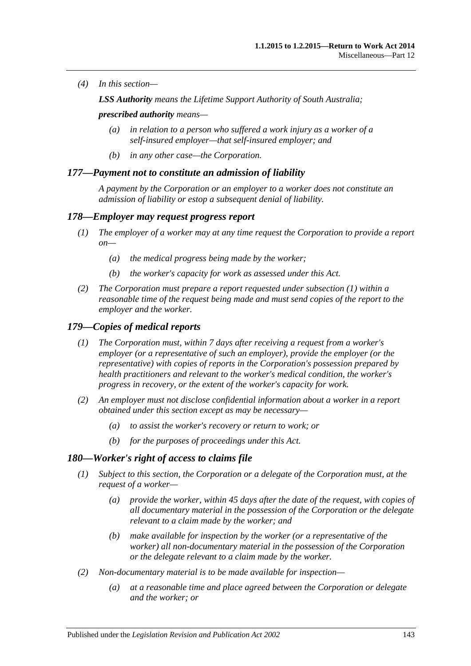*(4) In this section—*

*LSS Authority means the Lifetime Support Authority of South Australia;*

*prescribed authority means—*

- *(a) in relation to a person who suffered a work injury as a worker of a self-insured employer—that self-insured employer; and*
- *(b) in any other case—the Corporation.*

### *177—Payment not to constitute an admission of liability*

*A payment by the Corporation or an employer to a worker does not constitute an admission of liability or estop a subsequent denial of liability.*

### <span id="page-142-0"></span>*178—Employer may request progress report*

- *(1) The employer of a worker may at any time request the Corporation to provide a report on—*
	- *(a) the medical progress being made by the worker;*
	- *(b) the worker's capacity for work as assessed under this Act.*
- *(2) The Corporation must prepare a report requested under [subsection](#page-142-0) (1) within a*  reasonable time of the request being made and must send copies of the report to the *employer and the worker.*

### *179—Copies of medical reports*

- *(1) The Corporation must, within 7 days after receiving a request from a worker's employer (or a representative of such an employer), provide the employer (or the representative) with copies of reports in the Corporation's possession prepared by health practitioners and relevant to the worker's medical condition, the worker's progress in recovery, or the extent of the worker's capacity for work.*
- *(2) An employer must not disclose confidential information about a worker in a report obtained under this section except as may be necessary—*
	- *(a) to assist the worker's recovery or return to work; or*
	- *(b) for the purposes of proceedings under this Act.*

#### *180—Worker's right of access to claims file*

- *(1) Subject to this section, the Corporation or a delegate of the Corporation must, at the request of a worker—*
	- *(a) provide the worker, within 45 days after the date of the request, with copies of all documentary material in the possession of the Corporation or the delegate relevant to a claim made by the worker; and*
	- *(b) make available for inspection by the worker (or a representative of the worker) all non-documentary material in the possession of the Corporation or the delegate relevant to a claim made by the worker.*
- *(2) Non-documentary material is to be made available for inspection—*
	- *(a) at a reasonable time and place agreed between the Corporation or delegate and the worker; or*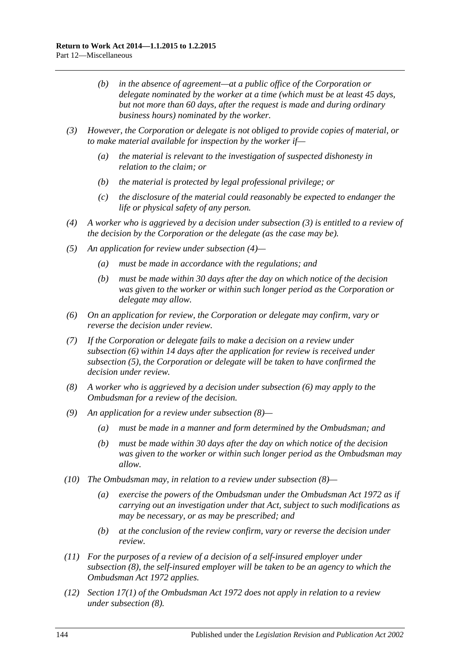- *(b) in the absence of agreement—at a public office of the Corporation or delegate nominated by the worker at a time (which must be at least 45 days, but not more than 60 days, after the request is made and during ordinary business hours) nominated by the worker.*
- <span id="page-143-0"></span>*(3) However, the Corporation or delegate is not obliged to provide copies of material, or to make material available for inspection by the worker if—*
	- *(a) the material is relevant to the investigation of suspected dishonesty in relation to the claim; or*
	- *(b) the material is protected by legal professional privilege; or*
	- *(c) the disclosure of the material could reasonably be expected to endanger the life or physical safety of any person.*
- <span id="page-143-1"></span>*(4) A worker who is aggrieved by a decision under [subsection](#page-143-0) (3) is entitled to a review of the decision by the Corporation or the delegate (as the case may be).*
- <span id="page-143-3"></span>*(5) An application for review under [subsection](#page-143-1) (4)—*
	- *(a) must be made in accordance with the regulations; and*
	- *(b) must be made within 30 days after the day on which notice of the decision was given to the worker or within such longer period as the Corporation or delegate may allow.*
- <span id="page-143-2"></span>*(6) On an application for review, the Corporation or delegate may confirm, vary or reverse the decision under review.*
- *(7) If the Corporation or delegate fails to make a decision on a review under [subsection](#page-143-2) (6) within 14 days after the application for review is received under [subsection](#page-143-3) (5), the Corporation or delegate will be taken to have confirmed the decision under review.*
- <span id="page-143-4"></span>*(8) A worker who is aggrieved by a decision under [subsection](#page-143-2) (6) may apply to the Ombudsman for a review of the decision.*
- *(9) An application for a review under [subsection](#page-143-4) (8)—*
	- *(a) must be made in a manner and form determined by the Ombudsman; and*
	- *(b) must be made within 30 days after the day on which notice of the decision was given to the worker or within such longer period as the Ombudsman may allow.*
- *(10) The Ombudsman may, in relation to a review under [subsection](#page-143-4) (8)—*
	- *(a) exercise the powers of the Ombudsman under the [Ombudsman Act](http://www.legislation.sa.gov.au/index.aspx?action=legref&type=act&legtitle=Ombudsman%20Act%201972) 1972 as if carrying out an investigation under that Act, subject to such modifications as may be necessary, or as may be prescribed; and*
	- *(b) at the conclusion of the review confirm, vary or reverse the decision under review.*
- *(11) For the purposes of a review of a decision of a self-insured employer under [subsection](#page-143-4) (8), the self-insured employer will be taken to be an agency to which the [Ombudsman Act](http://www.legislation.sa.gov.au/index.aspx?action=legref&type=act&legtitle=Ombudsman%20Act%201972) 1972 applies.*
- *(12) Section 17(1) of the [Ombudsman Act](http://www.legislation.sa.gov.au/index.aspx?action=legref&type=act&legtitle=Ombudsman%20Act%201972) 1972 does not apply in relation to a review under [subsection](#page-143-4) (8).*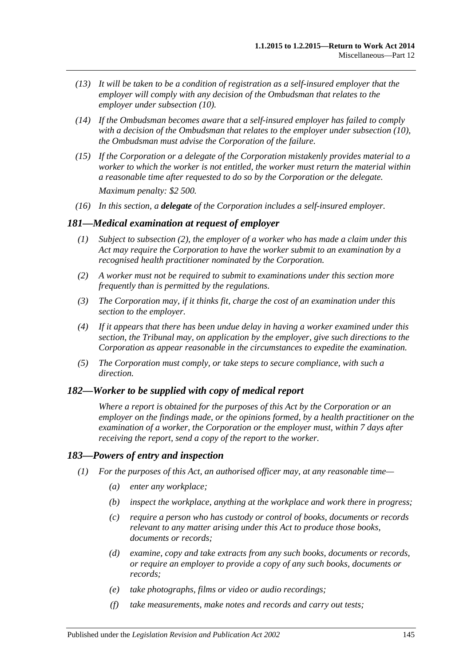- *(13) It will be taken to be a condition of registration as a self-insured employer that the employer will comply with any decision of the Ombudsman that relates to the employer under [subsection](#page-143-0) (10).*
- *(14) If the Ombudsman becomes aware that a self-insured employer has failed to comply with a decision of the Ombudsman that relates to the employer under [subsection](#page-143-0) (10), the Ombudsman must advise the Corporation of the failure.*
- *(15) If the Corporation or a delegate of the Corporation mistakenly provides material to a worker to which the worker is not entitled, the worker must return the material within a reasonable time after requested to do so by the Corporation or the delegate. Maximum penalty: \$2 500.*
- *(16) In this section, a delegate of the Corporation includes a self-insured employer.*

#### *181—Medical examination at request of employer*

- *(1) Subject to [subsection](#page-144-0) (2), the employer of a worker who has made a claim under this Act may require the Corporation to have the worker submit to an examination by a recognised health practitioner nominated by the Corporation.*
- <span id="page-144-0"></span>*(2) A worker must not be required to submit to examinations under this section more frequently than is permitted by the regulations.*
- *(3) The Corporation may, if it thinks fit, charge the cost of an examination under this section to the employer.*
- *(4) If it appears that there has been undue delay in having a worker examined under this section, the Tribunal may, on application by the employer, give such directions to the Corporation as appear reasonable in the circumstances to expedite the examination.*
- *(5) The Corporation must comply, or take steps to secure compliance, with such a direction.*

#### *182—Worker to be supplied with copy of medical report*

*Where a report is obtained for the purposes of this Act by the Corporation or an employer on the findings made, or the opinions formed, by a health practitioner on the examination of a worker, the Corporation or the employer must, within 7 days after receiving the report, send a copy of the report to the worker.*

#### *183—Powers of entry and inspection*

- *(1) For the purposes of this Act, an authorised officer may, at any reasonable time—*
	- *(a) enter any workplace;*
	- *(b) inspect the workplace, anything at the workplace and work there in progress;*
	- *(c) require a person who has custody or control of books, documents or records relevant to any matter arising under this Act to produce those books, documents or records;*
	- *(d) examine, copy and take extracts from any such books, documents or records, or require an employer to provide a copy of any such books, documents or records;*
	- *(e) take photographs, films or video or audio recordings;*
	- *(f) take measurements, make notes and records and carry out tests;*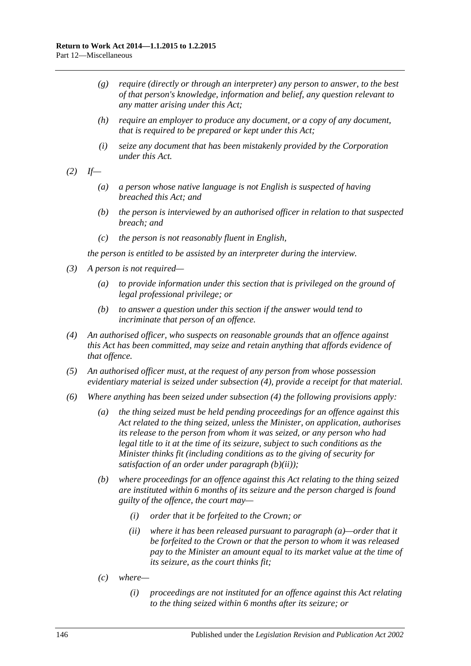- *(g) require (directly or through an interpreter) any person to answer, to the best of that person's knowledge, information and belief, any question relevant to any matter arising under this Act;*
- *(h) require an employer to produce any document, or a copy of any document, that is required to be prepared or kept under this Act;*
- *(i) seize any document that has been mistakenly provided by the Corporation under this Act.*
- *(2) If—*
	- *(a) a person whose native language is not English is suspected of having breached this Act; and*
	- *(b) the person is interviewed by an authorised officer in relation to that suspected breach; and*
	- *(c) the person is not reasonably fluent in English,*

*the person is entitled to be assisted by an interpreter during the interview.*

- *(3) A person is not required—*
	- *(a) to provide information under this section that is privileged on the ground of legal professional privilege; or*
	- *(b) to answer a question under this section if the answer would tend to incriminate that person of an offence.*
- <span id="page-145-0"></span>*(4) An authorised officer, who suspects on reasonable grounds that an offence against this Act has been committed, may seize and retain anything that affords evidence of that offence.*
- *(5) An authorised officer must, at the request of any person from whose possession evidentiary material is seized under [subsection](#page-145-0) (4), provide a receipt for that material.*
- <span id="page-145-3"></span><span id="page-145-2"></span><span id="page-145-1"></span>*(6) Where anything has been seized under [subsection](#page-145-0) (4) the following provisions apply:*
	- *(a) the thing seized must be held pending proceedings for an offence against this Act related to the thing seized, unless the Minister, on application, authorises its release to the person from whom it was seized, or any person who had legal title to it at the time of its seizure, subject to such conditions as the Minister thinks fit (including conditions as to the giving of security for satisfaction of an order under [paragraph](#page-145-1) (b)(ii));*
	- *(b) where proceedings for an offence against this Act relating to the thing seized are instituted within 6 months of its seizure and the person charged is found guilty of the offence, the court may—*
		- *(i) order that it be forfeited to the Crown; or*
		- *(ii) where it has been released pursuant to [paragraph](#page-145-2) (a)—order that it be forfeited to the Crown or that the person to whom it was released pay to the Minister an amount equal to its market value at the time of its seizure, as the court thinks fit;*
	- *(c) where—*
		- *(i) proceedings are not instituted for an offence against this Act relating to the thing seized within 6 months after its seizure; or*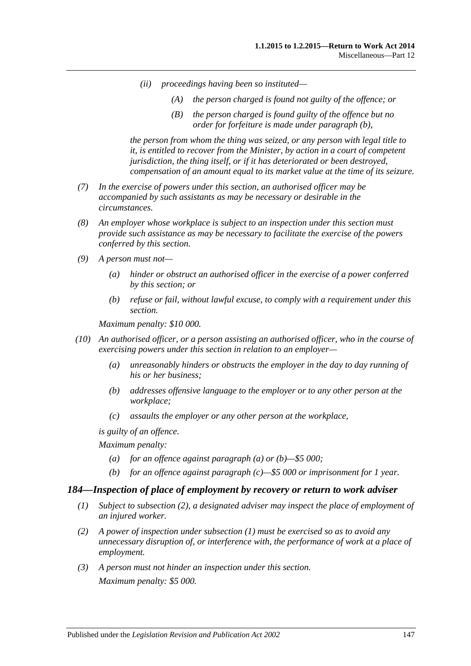- *(ii) proceedings having been so instituted—*
	- *(A) the person charged is found not guilty of the offence; or*
	- *(B) the person charged is found guilty of the offence but no order for forfeiture is made under [paragraph](#page-145-3) (b),*

*the person from whom the thing was seized, or any person with legal title to it, is entitled to recover from the Minister, by action in a court of competent jurisdiction, the thing itself, or if it has deteriorated or been destroyed, compensation of an amount equal to its market value at the time of its seizure.*

- *(7) In the exercise of powers under this section, an authorised officer may be accompanied by such assistants as may be necessary or desirable in the circumstances.*
- *(8) An employer whose workplace is subject to an inspection under this section must provide such assistance as may be necessary to facilitate the exercise of the powers conferred by this section.*
- *(9) A person must not—*
	- *(a) hinder or obstruct an authorised officer in the exercise of a power conferred by this section; or*
	- *(b) refuse or fail, without lawful excuse, to comply with a requirement under this section.*

*Maximum penalty: \$10 000.*

- <span id="page-146-1"></span><span id="page-146-0"></span>*(10) An authorised officer, or a person assisting an authorised officer, who in the course of exercising powers under this section in relation to an employer—*
	- *(a) unreasonably hinders or obstructs the employer in the day to day running of his or her business;*
	- *(b) addresses offensive language to the employer or to any other person at the workplace;*
	- *(c) assaults the employer or any other person at the workplace,*

<span id="page-146-2"></span>*is guilty of an offence.*

*Maximum penalty:* 

- *(a) for an offence against [paragraph](#page-146-0) (a) or [\(b\)—](#page-146-1)\$5 000;*
- *(b) for an offence against [paragraph](#page-146-2) (c)—\$5 000 or imprisonment for 1 year.*

#### <span id="page-146-4"></span>*184—Inspection of place of employment by recovery or return to work adviser*

- *(1) Subject to [subsection](#page-146-3) (2), a designated adviser may inspect the place of employment of an injured worker.*
- <span id="page-146-3"></span>*(2) A power of inspection under [subsection](#page-146-4) (1) must be exercised so as to avoid any unnecessary disruption of, or interference with, the performance of work at a place of employment.*
- *(3) A person must not hinder an inspection under this section. Maximum penalty: \$5 000.*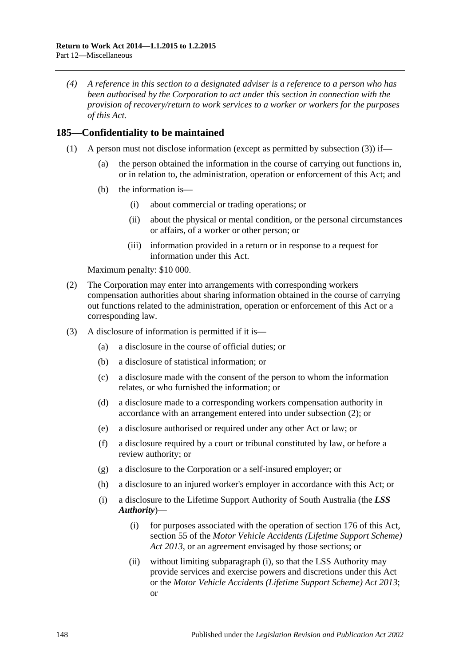*(4) A reference in this section to a designated adviser is a reference to a person who has been authorised by the Corporation to act under this section in connection with the provision of recovery/return to work services to a worker or workers for the purposes of this Act.*

## **185—Confidentiality to be maintained**

- (1) A person must not disclose information (except as permitted by [subsection](#page-147-0) (3)) if—
	- (a) the person obtained the information in the course of carrying out functions in, or in relation to, the administration, operation or enforcement of this Act; and
	- (b) the information is—
		- (i) about commercial or trading operations; or
		- (ii) about the physical or mental condition, or the personal circumstances or affairs, of a worker or other person; or
		- (iii) information provided in a return or in response to a request for information under this Act.

Maximum penalty: \$10 000.

- <span id="page-147-1"></span>(2) The Corporation may enter into arrangements with corresponding workers compensation authorities about sharing information obtained in the course of carrying out functions related to the administration, operation or enforcement of this Act or a corresponding law.
- <span id="page-147-2"></span><span id="page-147-0"></span>(3) A disclosure of information is permitted if it is—
	- (a) a disclosure in the course of official duties; or
	- (b) a disclosure of statistical information; or
	- (c) a disclosure made with the consent of the person to whom the information relates, or who furnished the information; or
	- (d) a disclosure made to a corresponding workers compensation authority in accordance with an arrangement entered into under [subsection](#page-147-1) (2); or
	- (e) a disclosure authorised or required under any other Act or law; or
	- (f) a disclosure required by a court or tribunal constituted by law, or before a review authority; or
	- (g) a disclosure to the Corporation or a self-insured employer; or
	- (h) a disclosure to an injured worker's employer in accordance with this Act; or
	- (i) a disclosure to the Lifetime Support Authority of South Australia (the *LSS Authority*)—
		- (i) for purposes associated with the operation of [section](#page-141-0) 176 of this Act, section 55 of the *[Motor Vehicle Accidents \(Lifetime Support Scheme\)](http://www.legislation.sa.gov.au/index.aspx?action=legref&type=act&legtitle=Motor%20Vehicle%20Accidents%20(Lifetime%20Support%20Scheme)%20Act%202013)  Act [2013](http://www.legislation.sa.gov.au/index.aspx?action=legref&type=act&legtitle=Motor%20Vehicle%20Accidents%20(Lifetime%20Support%20Scheme)%20Act%202013)*, or an agreement envisaged by those sections; or
		- (ii) without limiting [subparagraph](#page-147-2) (i), so that the LSS Authority may provide services and exercise powers and discretions under this Act or the *[Motor Vehicle Accidents \(Lifetime Support Scheme\) Act](http://www.legislation.sa.gov.au/index.aspx?action=legref&type=act&legtitle=Motor%20Vehicle%20Accidents%20(Lifetime%20Support%20Scheme)%20Act%202013) 2013*; or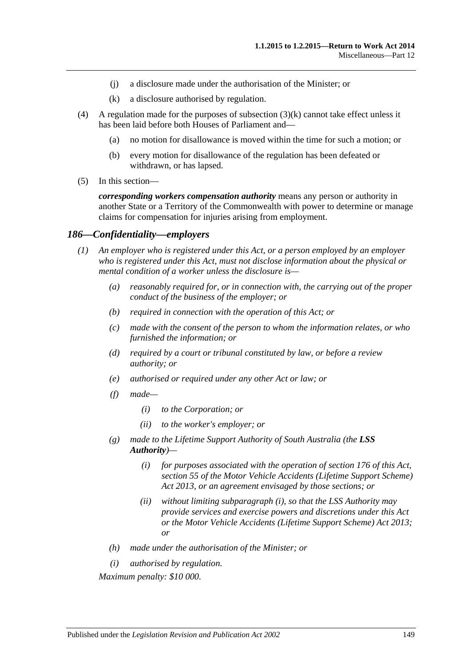- (j) a disclosure made under the authorisation of the Minister; or
- (k) a disclosure authorised by regulation.
- <span id="page-148-0"></span>(4) A regulation made for the purposes of [subsection](#page-148-0)  $(3)(k)$  cannot take effect unless it has been laid before both Houses of Parliament and—
	- (a) no motion for disallowance is moved within the time for such a motion; or
	- (b) every motion for disallowance of the regulation has been defeated or withdrawn, or has lapsed.
- (5) In this section—

*corresponding workers compensation authority* means any person or authority in another State or a Territory of the Commonwealth with power to determine or manage claims for compensation for injuries arising from employment.

#### *186—Confidentiality—employers*

- *(1) An employer who is registered under this Act, or a person employed by an employer who is registered under this Act, must not disclose information about the physical or mental condition of a worker unless the disclosure is—*
	- *(a) reasonably required for, or in connection with, the carrying out of the proper conduct of the business of the employer; or*
	- *(b) required in connection with the operation of this Act; or*
	- *(c) made with the consent of the person to whom the information relates, or who furnished the information; or*
	- *(d) required by a court or tribunal constituted by law, or before a review authority; or*
	- *(e) authorised or required under any other Act or law; or*
	- *(f) made—*
		- *(i) to the Corporation; or*
		- *(ii) to the worker's employer; or*
	- *(g) made to the Lifetime Support Authority of South Australia (the LSS Authority)—*
		- *(i) for purposes associated with the operation of [section](#page-141-0) 176 of this Act, section 55 of the [Motor Vehicle Accidents \(Lifetime Support Scheme\)](http://www.legislation.sa.gov.au/index.aspx?action=legref&type=act&legtitle=Motor%20Vehicle%20Accidents%20(Lifetime%20Support%20Scheme)%20Act%202013)  Act [2013,](http://www.legislation.sa.gov.au/index.aspx?action=legref&type=act&legtitle=Motor%20Vehicle%20Accidents%20(Lifetime%20Support%20Scheme)%20Act%202013) or an agreement envisaged by those sections; or*
		- *(ii) without limiting [subparagraph](#page-148-1) (i), so that the LSS Authority may provide services and exercise powers and discretions under this Act or the [Motor Vehicle Accidents \(Lifetime Support Scheme\) Act](http://www.legislation.sa.gov.au/index.aspx?action=legref&type=act&legtitle=Motor%20Vehicle%20Accidents%20(Lifetime%20Support%20Scheme)%20Act%202013) 2013; or*
	- *(h) made under the authorisation of the Minister; or*
	- *(i) authorised by regulation.*

<span id="page-148-2"></span><span id="page-148-1"></span>*Maximum penalty: \$10 000.*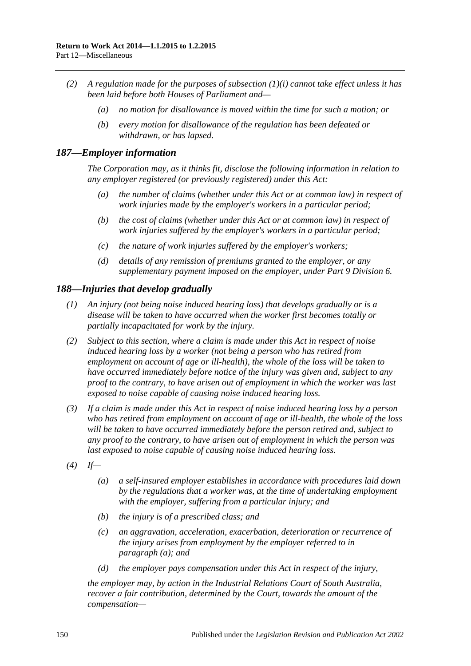- *(2) A regulation made for the purposes of [subsection](#page-148-2) (1)(i) cannot take effect unless it has been laid before both Houses of Parliament and—*
	- *(a) no motion for disallowance is moved within the time for such a motion; or*
	- *(b) every motion for disallowance of the regulation has been defeated or withdrawn, or has lapsed.*

#### *187—Employer information*

*The Corporation may, as it thinks fit, disclose the following information in relation to any employer registered (or previously registered) under this Act:*

- *(a) the number of claims (whether under this Act or at common law) in respect of work injuries made by the employer's workers in a particular period;*
- *(b) the cost of claims (whether under this Act or at common law) in respect of work injuries suffered by the employer's workers in a particular period;*
- *(c) the nature of work injuries suffered by the employer's workers;*
- *(d) details of any remission of premiums granted to the employer, or any supplementary payment imposed on the employer, under Part [9 Division](#page-125-0) 6.*

#### *188—Injuries that develop gradually*

- *(1) An injury (not being noise induced hearing loss) that develops gradually or is a disease will be taken to have occurred when the worker first becomes totally or partially incapacitated for work by the injury.*
- *(2) Subject to this section, where a claim is made under this Act in respect of noise induced hearing loss by a worker (not being a person who has retired from employment on account of age or ill-health), the whole of the loss will be taken to have occurred immediately before notice of the injury was given and, subject to any proof to the contrary, to have arisen out of employment in which the worker was last exposed to noise capable of causing noise induced hearing loss.*
- *(3) If a claim is made under this Act in respect of noise induced hearing loss by a person who has retired from employment on account of age or ill-health, the whole of the loss will be taken to have occurred immediately before the person retired and, subject to any proof to the contrary, to have arisen out of employment in which the person was last exposed to noise capable of causing noise induced hearing loss.*
- <span id="page-149-0"></span>*(4) If—*
	- *(a) a self-insured employer establishes in accordance with procedures laid down by the regulations that a worker was, at the time of undertaking employment with the employer, suffering from a particular injury; and*
	- *(b) the injury is of a prescribed class; and*
	- *(c) an aggravation, acceleration, exacerbation, deterioration or recurrence of the injury arises from employment by the employer referred to in [paragraph](#page-149-0) (a); and*
	- *(d) the employer pays compensation under this Act in respect of the injury,*

*the employer may, by action in the Industrial Relations Court of South Australia, recover a fair contribution, determined by the Court, towards the amount of the compensation—*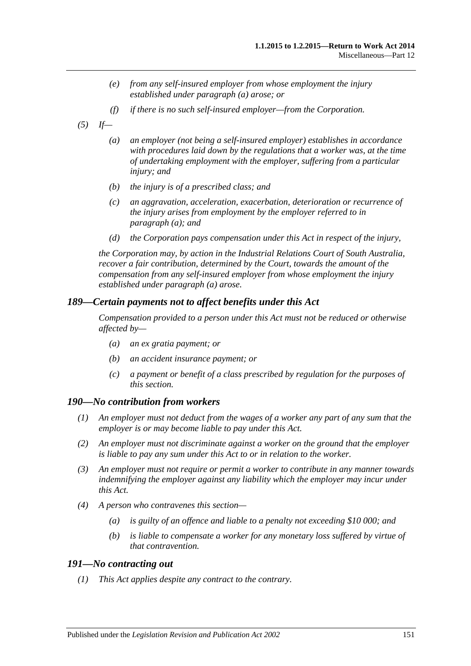- *(e) from any self-insured employer from whose employment the injury established under [paragraph](#page-149-0) (a) arose; or*
- *(f) if there is no such self-insured employer—from the Corporation.*
- <span id="page-150-0"></span>*(5) If—*
	- *(a) an employer (not being a self-insured employer) establishes in accordance with procedures laid down by the regulations that a worker was, at the time of undertaking employment with the employer, suffering from a particular injury; and*
	- *(b) the injury is of a prescribed class; and*
	- *(c) an aggravation, acceleration, exacerbation, deterioration or recurrence of the injury arises from employment by the employer referred to in [paragraph](#page-150-0) (a); and*
	- *(d) the Corporation pays compensation under this Act in respect of the injury,*

*the Corporation may, by action in the Industrial Relations Court of South Australia, recover a fair contribution, determined by the Court, towards the amount of the compensation from any self-insured employer from whose employment the injury established under [paragraph](#page-150-0) (a) arose.*

### *189—Certain payments not to affect benefits under this Act*

*Compensation provided to a person under this Act must not be reduced or otherwise affected by—*

- *(a) an ex gratia payment; or*
- *(b) an accident insurance payment; or*
- *(c) a payment or benefit of a class prescribed by regulation for the purposes of this section.*

#### *190—No contribution from workers*

- *(1) An employer must not deduct from the wages of a worker any part of any sum that the employer is or may become liable to pay under this Act.*
- *(2) An employer must not discriminate against a worker on the ground that the employer is liable to pay any sum under this Act to or in relation to the worker.*
- *(3) An employer must not require or permit a worker to contribute in any manner towards indemnifying the employer against any liability which the employer may incur under this Act.*
- *(4) A person who contravenes this section—*
	- *(a) is guilty of an offence and liable to a penalty not exceeding \$10 000; and*
	- *(b) is liable to compensate a worker for any monetary loss suffered by virtue of that contravention.*

#### <span id="page-150-1"></span>*191—No contracting out*

*(1) This Act applies despite any contract to the contrary.*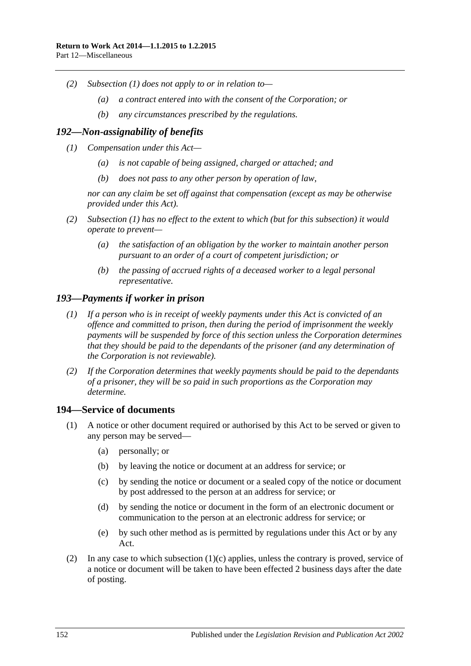- *(2) [Subsection](#page-150-1) (1) does not apply to or in relation to—*
	- *(a) a contract entered into with the consent of the Corporation; or*
	- *(b) any circumstances prescribed by the regulations.*

#### <span id="page-151-0"></span>*192—Non-assignability of benefits*

- *(1) Compensation under this Act—*
	- *(a) is not capable of being assigned, charged or attached; and*
	- *(b) does not pass to any other person by operation of law,*

*nor can any claim be set off against that compensation (except as may be otherwise provided under this Act).*

- *(2) [Subsection](#page-151-0) (1) has no effect to the extent to which (but for this subsection) it would operate to prevent—*
	- *(a) the satisfaction of an obligation by the worker to maintain another person pursuant to an order of a court of competent jurisdiction; or*
	- *(b) the passing of accrued rights of a deceased worker to a legal personal representative.*

#### *193—Payments if worker in prison*

- *(1) If a person who is in receipt of weekly payments under this Act is convicted of an offence and committed to prison, then during the period of imprisonment the weekly payments will be suspended by force of this section unless the Corporation determines that they should be paid to the dependants of the prisoner (and any determination of the Corporation is not reviewable).*
- *(2) If the Corporation determines that weekly payments should be paid to the dependants of a prisoner, they will be so paid in such proportions as the Corporation may determine.*

#### <span id="page-151-2"></span>**194—Service of documents**

- <span id="page-151-1"></span>(1) A notice or other document required or authorised by this Act to be served or given to any person may be served—
	- (a) personally; or
	- (b) by leaving the notice or document at an address for service; or
	- (c) by sending the notice or document or a sealed copy of the notice or document by post addressed to the person at an address for service; or
	- (d) by sending the notice or document in the form of an electronic document or communication to the person at an electronic address for service; or
	- (e) by such other method as is permitted by regulations under this Act or by any Act.
- (2) In any case to which [subsection](#page-151-1)  $(1)(c)$  applies, unless the contrary is proved, service of a notice or document will be taken to have been effected 2 business days after the date of posting.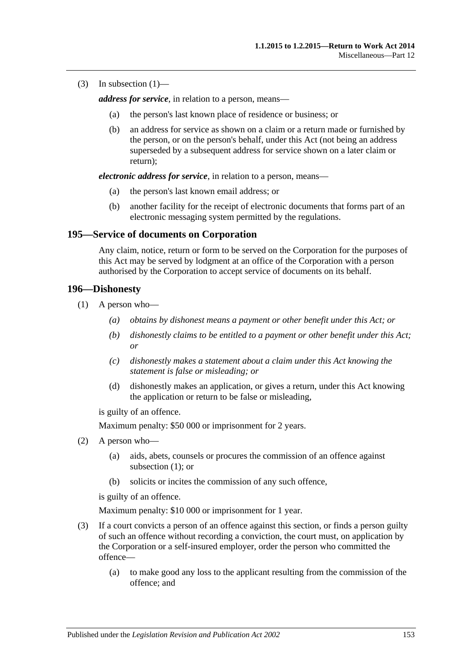(3) In [subsection](#page-151-2)  $(1)$ —

*address for service*, in relation to a person, means—

- (a) the person's last known place of residence or business; or
- (b) an address for service as shown on a claim or a return made or furnished by the person, or on the person's behalf, under this Act (not being an address superseded by a subsequent address for service shown on a later claim or return);

*electronic address for service*, in relation to a person, means—

- (a) the person's last known email address; or
- (b) another facility for the receipt of electronic documents that forms part of an electronic messaging system permitted by the regulations.

#### **195—Service of documents on Corporation**

Any claim, notice, return or form to be served on the Corporation for the purposes of this Act may be served by lodgment at an office of the Corporation with a person authorised by the Corporation to accept service of documents on its behalf.

#### <span id="page-152-0"></span>**196—Dishonesty**

- (1) A person who—
	- *(a) obtains by dishonest means a payment or other benefit under this Act; or*
	- *(b) dishonestly claims to be entitled to a payment or other benefit under this Act; or*
	- *(c) dishonestly makes a statement about a claim under this Act knowing the statement is false or misleading; or*
	- (d) dishonestly makes an application, or gives a return, under this Act knowing the application or return to be false or misleading,

is guilty of an offence.

Maximum penalty: \$50 000 or imprisonment for 2 years.

- (2) A person who—
	- (a) aids, abets, counsels or procures the commission of an offence against [subsection](#page-152-0) (1); or
	- (b) solicits or incites the commission of any such offence,

is guilty of an offence.

Maximum penalty: \$10 000 or imprisonment for 1 year.

- (3) If a court convicts a person of an offence against this section, or finds a person guilty of such an offence without recording a conviction, the court must, on application by the Corporation or a self-insured employer, order the person who committed the offence—
	- (a) to make good any loss to the applicant resulting from the commission of the offence; and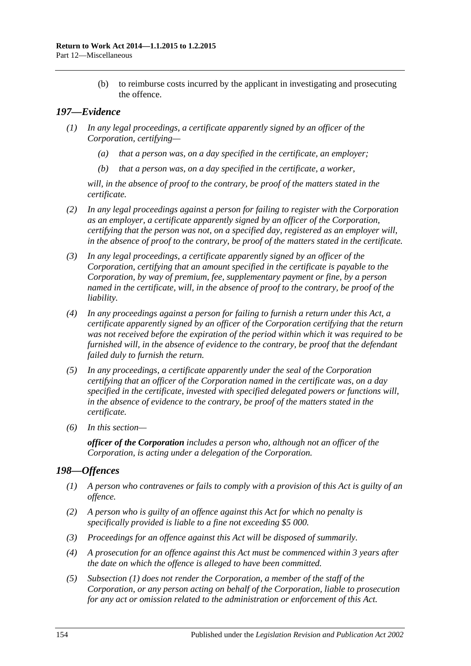(b) to reimburse costs incurred by the applicant in investigating and prosecuting the offence.

## *197—Evidence*

- *(1) In any legal proceedings, a certificate apparently signed by an officer of the Corporation, certifying—*
	- *(a) that a person was, on a day specified in the certificate, an employer;*
	- *(b) that a person was, on a day specified in the certificate, a worker,*

*will, in the absence of proof to the contrary, be proof of the matters stated in the certificate.*

- *(2) In any legal proceedings against a person for failing to register with the Corporation as an employer, a certificate apparently signed by an officer of the Corporation, certifying that the person was not, on a specified day, registered as an employer will, in the absence of proof to the contrary, be proof of the matters stated in the certificate.*
- *(3) In any legal proceedings, a certificate apparently signed by an officer of the Corporation, certifying that an amount specified in the certificate is payable to the Corporation, by way of premium, fee, supplementary payment or fine, by a person named in the certificate, will, in the absence of proof to the contrary, be proof of the liability.*
- *(4) In any proceedings against a person for failing to furnish a return under this Act, a certificate apparently signed by an officer of the Corporation certifying that the return was not received before the expiration of the period within which it was required to be furnished will, in the absence of evidence to the contrary, be proof that the defendant failed duly to furnish the return.*
- *(5) In any proceedings, a certificate apparently under the seal of the Corporation certifying that an officer of the Corporation named in the certificate was, on a day specified in the certificate, invested with specified delegated powers or functions will, in the absence of evidence to the contrary, be proof of the matters stated in the certificate.*
- *(6) In this section—*

*officer of the Corporation includes a person who, although not an officer of the Corporation, is acting under a delegation of the Corporation.*

## <span id="page-153-0"></span>*198—Offences*

- *(1) A person who contravenes or fails to comply with a provision of this Act is guilty of an offence.*
- *(2) A person who is guilty of an offence against this Act for which no penalty is specifically provided is liable to a fine not exceeding \$5 000.*
- *(3) Proceedings for an offence against this Act will be disposed of summarily.*
- *(4) A prosecution for an offence against this Act must be commenced within 3 years after the date on which the offence is alleged to have been committed.*
- *(5) [Subsection](#page-153-0) (1) does not render the Corporation, a member of the staff of the Corporation, or any person acting on behalf of the Corporation, liable to prosecution for any act or omission related to the administration or enforcement of this Act.*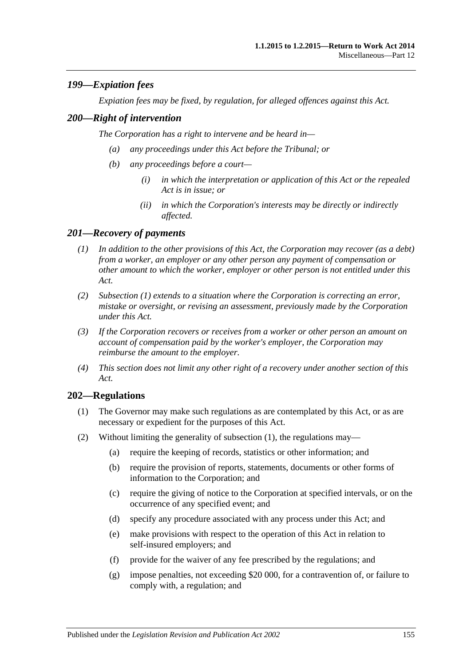## *199—Expiation fees*

*Expiation fees may be fixed, by regulation, for alleged offences against this Act.*

### *200—Right of intervention*

*The Corporation has a right to intervene and be heard in—*

- *(a) any proceedings under this Act before the Tribunal; or*
- *(b) any proceedings before a court—*
	- *(i) in which the interpretation or application of this Act or the repealed Act is in issue; or*
	- *(ii) in which the Corporation's interests may be directly or indirectly affected.*

#### <span id="page-154-0"></span>*201—Recovery of payments*

- *(1) In addition to the other provisions of this Act, the Corporation may recover (as a debt) from a worker, an employer or any other person any payment of compensation or other amount to which the worker, employer or other person is not entitled under this Act.*
- *(2) [Subsection](#page-154-0) (1) extends to a situation where the Corporation is correcting an error, mistake or oversight, or revising an assessment, previously made by the Corporation under this Act.*
- *(3) If the Corporation recovers or receives from a worker or other person an amount on account of compensation paid by the worker's employer, the Corporation may reimburse the amount to the employer.*
- *(4) This section does not limit any other right of a recovery under another section of this Act.*

## <span id="page-154-1"></span>**202—Regulations**

- (1) The Governor may make such regulations as are contemplated by this Act, or as are necessary or expedient for the purposes of this Act.
- (2) Without limiting the generality of [subsection](#page-154-1) (1), the regulations may—
	- (a) require the keeping of records, statistics or other information; and
	- (b) require the provision of reports, statements, documents or other forms of information to the Corporation; and
	- (c) require the giving of notice to the Corporation at specified intervals, or on the occurrence of any specified event; and
	- (d) specify any procedure associated with any process under this Act; and
	- (e) make provisions with respect to the operation of this Act in relation to self-insured employers; and
	- (f) provide for the waiver of any fee prescribed by the regulations; and
	- (g) impose penalties, not exceeding \$20 000, for a contravention of, or failure to comply with, a regulation; and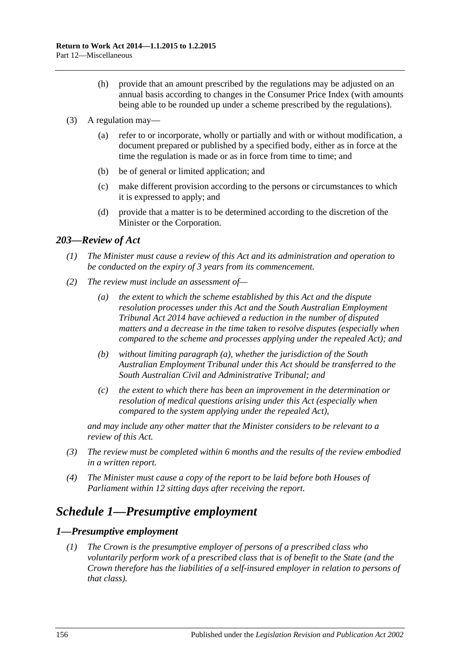- (h) provide that an amount prescribed by the regulations may be adjusted on an annual basis according to changes in the Consumer Price Index (with amounts being able to be rounded up under a scheme prescribed by the regulations).
- (3) A regulation may—
	- (a) refer to or incorporate, wholly or partially and with or without modification, a document prepared or published by a specified body, either as in force at the time the regulation is made or as in force from time to time; and
	- (b) be of general or limited application; and
	- (c) make different provision according to the persons or circumstances to which it is expressed to apply; and
	- (d) provide that a matter is to be determined according to the discretion of the Minister or the Corporation.

#### *203—Review of Act*

- *(1) The Minister must cause a review of this Act and its administration and operation to be conducted on the expiry of 3 years from its commencement.*
- <span id="page-155-0"></span>*(2) The review must include an assessment of—*
	- *(a) the extent to which the scheme established by this Act and the dispute resolution processes under this Act and the [South Australian Employment](http://www.legislation.sa.gov.au/index.aspx?action=legref&type=act&legtitle=South%20Australian%20Employment%20Tribunal%20Act%202014)  [Tribunal Act](http://www.legislation.sa.gov.au/index.aspx?action=legref&type=act&legtitle=South%20Australian%20Employment%20Tribunal%20Act%202014) 2014 have achieved a reduction in the number of disputed matters and a decrease in the time taken to resolve disputes (especially when compared to the scheme and processes applying under the repealed Act); and*
	- *(b) without limiting [paragraph](#page-155-0) (a), whether the jurisdiction of the South Australian Employment Tribunal under this Act should be transferred to the South Australian Civil and Administrative Tribunal; and*
	- *(c) the extent to which there has been an improvement in the determination or resolution of medical questions arising under this Act (especially when compared to the system applying under the repealed Act),*

*and may include any other matter that the Minister considers to be relevant to a review of this Act.*

- *(3) The review must be completed within 6 months and the results of the review embodied in a written report.*
- *(4) The Minister must cause a copy of the report to be laid before both Houses of Parliament within 12 sitting days after receiving the report.*

## *Schedule 1—Presumptive employment*

#### <span id="page-155-1"></span>*1—Presumptive employment*

*(1) The Crown is the presumptive employer of persons of a prescribed class who voluntarily perform work of a prescribed class that is of benefit to the State (and the Crown therefore has the liabilities of a self-insured employer in relation to persons of that class).*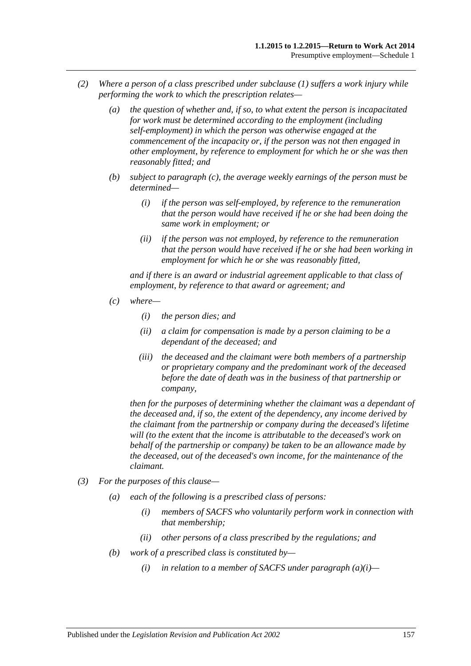- *(2) Where a person of a class prescribed under [subclause](#page-155-1) (1) suffers a work injury while performing the work to which the prescription relates—*
	- *(a) the question of whether and, if so, to what extent the person is incapacitated for work must be determined according to the employment (including self-employment) in which the person was otherwise engaged at the commencement of the incapacity or, if the person was not then engaged in other employment, by reference to employment for which he or she was then reasonably fitted; and*
	- *(b) subject to [paragraph](#page-156-0) (c), the average weekly earnings of the person must be determined—*
		- *(i) if the person was self-employed, by reference to the remuneration that the person would have received if he or she had been doing the same work in employment; or*
		- *(ii) if the person was not employed, by reference to the remuneration that the person would have received if he or she had been working in employment for which he or she was reasonably fitted,*

*and if there is an award or industrial agreement applicable to that class of employment, by reference to that award or agreement; and*

- <span id="page-156-0"></span>*(c) where—*
	- *(i) the person dies; and*
	- *(ii) a claim for compensation is made by a person claiming to be a dependant of the deceased; and*
	- *(iii) the deceased and the claimant were both members of a partnership or proprietary company and the predominant work of the deceased before the date of death was in the business of that partnership or company,*

*then for the purposes of determining whether the claimant was a dependant of the deceased and, if so, the extent of the dependency, any income derived by the claimant from the partnership or company during the deceased's lifetime will (to the extent that the income is attributable to the deceased's work on behalf of the partnership or company) be taken to be an allowance made by the deceased, out of the deceased's own income, for the maintenance of the claimant.*

- <span id="page-156-1"></span>*(3) For the purposes of this clause—*
	- *(a) each of the following is a prescribed class of persons:*
		- *(i) members of SACFS who voluntarily perform work in connection with that membership;*
		- *(ii) other persons of a class prescribed by the regulations; and*
	- *(b) work of a prescribed class is constituted by—*
		- *(i) in relation to a member of SACFS under [paragraph](#page-156-1) (a)(i)—*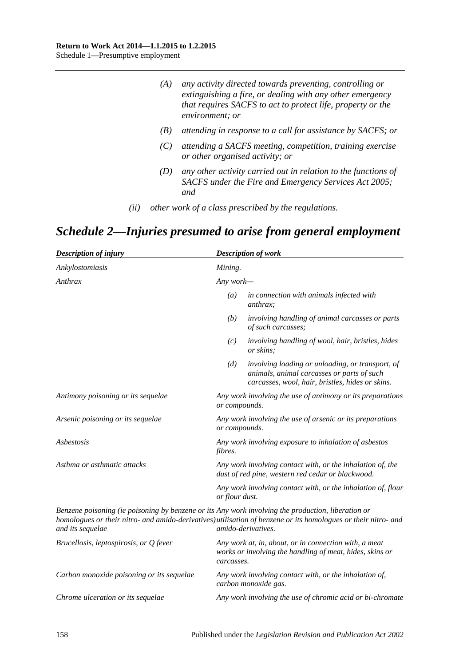| (A) | any activity directed towards preventing, controlling or    |
|-----|-------------------------------------------------------------|
|     | extinguishing a fire, or dealing with any other emergency   |
|     | that requires SACFS to act to protect life, property or the |
|     | environment; or                                             |

- *(B) attending in response to a call for assistance by SACFS; or*
- *(C) attending a SACFS meeting, competition, training exercise or other organised activity; or*
- *(D) any other activity carried out in relation to the functions of SACFS under the [Fire and Emergency Services Act](http://www.legislation.sa.gov.au/index.aspx?action=legref&type=act&legtitle=Fire%20and%20Emergency%20Services%20Act%202005) 2005; and*
- *(ii) other work of a class prescribed by the regulations.*

# *Schedule 2—Injuries presumed to arise from general employment*

| <b>Description of injury</b>                                                                                           |                | <b>Description of work</b>                                                                                                                         |  |
|------------------------------------------------------------------------------------------------------------------------|----------------|----------------------------------------------------------------------------------------------------------------------------------------------------|--|
| Ankylostomiasis                                                                                                        | Mining.        |                                                                                                                                                    |  |
| Anthrax                                                                                                                |                | Any work—                                                                                                                                          |  |
|                                                                                                                        | (a)            | in connection with animals infected with<br><i>anthrax:</i>                                                                                        |  |
|                                                                                                                        | (b)            | involving handling of animal carcasses or parts<br>of such carcasses;                                                                              |  |
|                                                                                                                        | (c)            | involving handling of wool, hair, bristles, hides<br>or skins;                                                                                     |  |
|                                                                                                                        | (d)            | involving loading or unloading, or transport, of<br>animals, animal carcasses or parts of such<br>carcasses, wool, hair, bristles, hides or skins. |  |
| Antimony poisoning or its sequelae                                                                                     | or compounds.  | Any work involving the use of antimony or its preparations                                                                                         |  |
| Arsenic poisoning or its sequelae                                                                                      | or compounds.  | Any work involving the use of arsenic or its preparations                                                                                          |  |
| Asbestosis                                                                                                             | <i>fibres.</i> | Any work involving exposure to inhalation of asbestos                                                                                              |  |
| Asthma or asthmatic attacks                                                                                            |                | Any work involving contact with, or the inhalation of, the<br>dust of red pine, western red cedar or blackwood.                                    |  |
|                                                                                                                        | or flour dust. | Any work involving contact with, or the inhalation of, flour                                                                                       |  |
| Benzene poisoning (ie poisoning by benzene or its Any work involving the production, liberation or<br>and its sequelae |                | homologues or their nitro- and amido-derivatives) utilisation of benzene or its homologues or their nitro- and<br>amido-derivatives.               |  |
| Brucellosis, leptospirosis, or Q fever                                                                                 | carcasses.     | Any work at, in, about, or in connection with, a meat<br>works or involving the handling of meat, hides, skins or                                  |  |
| Carbon monoxide poisoning or its sequelae                                                                              |                | Any work involving contact with, or the inhalation of,<br>carbon monoxide gas.                                                                     |  |
| Chrome ulceration or its sequelae                                                                                      |                | Any work involving the use of chromic acid or bi-chromate                                                                                          |  |
|                                                                                                                        |                |                                                                                                                                                    |  |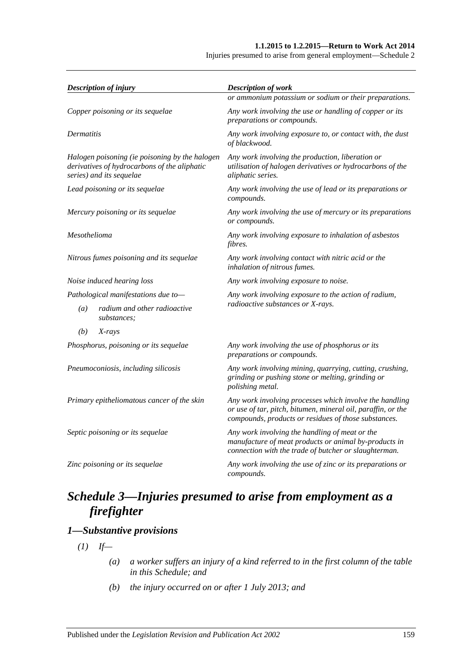#### **1.1.2015 to 1.2.2015—Return to Work Act 2014**

Injuries presumed to arise from general employment—Schedule 2

| <b>Description of injury</b>                                                                                               | <b>Description of work</b>                                                                                                                                                      |  |
|----------------------------------------------------------------------------------------------------------------------------|---------------------------------------------------------------------------------------------------------------------------------------------------------------------------------|--|
|                                                                                                                            | or ammonium potassium or sodium or their preparations.                                                                                                                          |  |
| Copper poisoning or its sequelae                                                                                           | Any work involving the use or handling of copper or its<br>preparations or compounds.                                                                                           |  |
| Dermatitis                                                                                                                 | Any work involving exposure to, or contact with, the dust<br>of blackwood.                                                                                                      |  |
| Halogen poisoning (ie poisoning by the halogen<br>derivatives of hydrocarbons of the aliphatic<br>series) and its sequelae | Any work involving the production, liberation or<br>utilisation of halogen derivatives or hydrocarbons of the<br>aliphatic series.                                              |  |
| Lead poisoning or its sequelae                                                                                             | Any work involving the use of lead or its preparations or<br>compounds.                                                                                                         |  |
| Mercury poisoning or its sequelae                                                                                          | Any work involving the use of mercury or its preparations<br>or compounds.                                                                                                      |  |
| Mesothelioma                                                                                                               | Any work involving exposure to inhalation of asbestos<br>fibres.                                                                                                                |  |
| Nitrous fumes poisoning and its sequelae                                                                                   | Any work involving contact with nitric acid or the<br>inhalation of nitrous fumes.                                                                                              |  |
| Noise induced hearing loss                                                                                                 | Any work involving exposure to noise.                                                                                                                                           |  |
| Pathological manifestations due to-                                                                                        | Any work involving exposure to the action of radium,                                                                                                                            |  |
| radium and other radioactive<br>(a)<br>substances;                                                                         | radioactive substances or X-rays.                                                                                                                                               |  |
| (b)<br>X-rays                                                                                                              |                                                                                                                                                                                 |  |
| Phosphorus, poisoning or its sequelae                                                                                      | Any work involving the use of phosphorus or its<br>preparations or compounds.                                                                                                   |  |
| Pneumoconiosis, including silicosis                                                                                        | Any work involving mining, quarrying, cutting, crushing,<br>grinding or pushing stone or melting, grinding or<br>polishing metal.                                               |  |
| Primary epitheliomatous cancer of the skin                                                                                 | Any work involving processes which involve the handling<br>or use of tar, pitch, bitumen, mineral oil, paraffin, or the<br>compounds, products or residues of those substances. |  |
| Septic poisoning or its sequelae                                                                                           | Any work involving the handling of meat or the<br>manufacture of meat products or animal by-products in<br>connection with the trade of butcher or slaughterman.                |  |
| Zinc poisoning or its sequelae                                                                                             | Any work involving the use of zinc or its preparations or<br>compounds.                                                                                                         |  |

## *Schedule 3—Injuries presumed to arise from employment as a firefighter*

## <span id="page-158-0"></span>*1—Substantive provisions*

 $(I)$  *If—* 

- *(a) a worker suffers an injury of a kind referred to in the first column of the table in this Schedule; and*
- *(b) the injury occurred on or after 1 July 2013; and*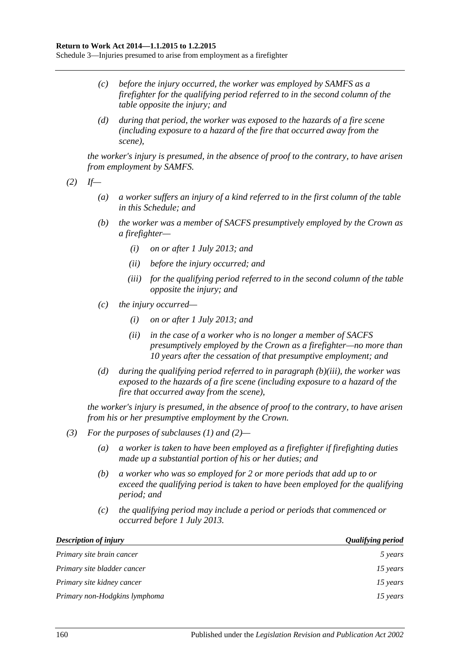Schedule 3—Injuries presumed to arise from employment as a firefighter

- *(c) before the injury occurred, the worker was employed by SAMFS as a firefighter for the qualifying period referred to in the second column of the table opposite the injury; and*
- *(d) during that period, the worker was exposed to the hazards of a fire scene (including exposure to a hazard of the fire that occurred away from the scene),*

*the worker's injury is presumed, in the absence of proof to the contrary, to have arisen from employment by SAMFS.*

<span id="page-159-1"></span>*(2) If—*

- *(a) a worker suffers an injury of a kind referred to in the first column of the table in this Schedule; and*
- *(b) the worker was a member of SACFS presumptively employed by the Crown as a firefighter—*
	- *(i) on or after 1 July 2013; and*
	- *(ii) before the injury occurred; and*
	- *(iii) for the qualifying period referred to in the second column of the table opposite the injury; and*
- <span id="page-159-0"></span>*(c) the injury occurred—*
	- *(i) on or after 1 July 2013; and*
	- *(ii) in the case of a worker who is no longer a member of SACFS presumptively employed by the Crown as a firefighter—no more than 10 years after the cessation of that presumptive employment; and*
- *(d) during the qualifying period referred to in [paragraph](#page-159-0) (b)(iii), the worker was exposed to the hazards of a fire scene (including exposure to a hazard of the fire that occurred away from the scene),*

*the worker's injury is presumed, in the absence of proof to the contrary, to have arisen from his or her presumptive employment by the Crown.*

- *(3) For the purposes of [subclauses \(1\)](#page-158-0) and [\(2\)—](#page-159-1)*
	- *(a) a worker is taken to have been employed as a firefighter if firefighting duties made up a substantial portion of his or her duties; and*
	- *(b) a worker who was so employed for 2 or more periods that add up to or exceed the qualifying period is taken to have been employed for the qualifying period; and*
	- *(c) the qualifying period may include a period or periods that commenced or occurred before 1 July 2013.*

| <b>Description of injury</b>  | <b>Qualifying period</b> |
|-------------------------------|--------------------------|
| Primary site brain cancer     | 5 years                  |
| Primary site bladder cancer   | 15 years                 |
| Primary site kidney cancer    | 15 years                 |
| Primary non-Hodgkins lymphoma | 15 years                 |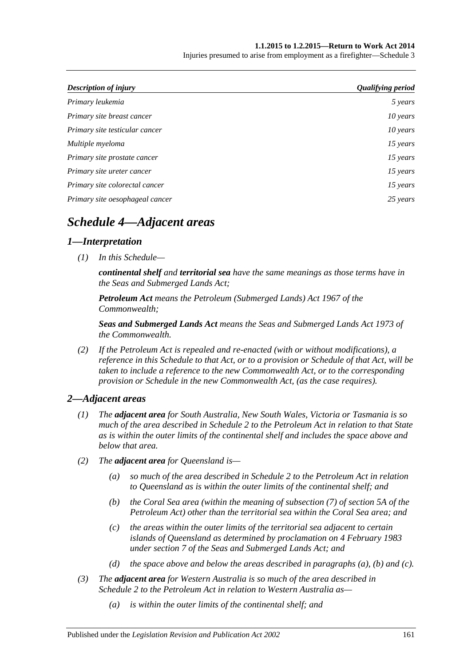#### **1.1.2015 to 1.2.2015—Return to Work Act 2014**

Injuries presumed to arise from employment as a firefighter—Schedule 3

| Description of injury           | <b>Qualifying period</b> |
|---------------------------------|--------------------------|
| Primary leukemia                | 5 years                  |
| Primary site breast cancer      | 10 years                 |
| Primary site testicular cancer  | 10 years                 |
| Multiple myeloma                | 15 years                 |
| Primary site prostate cancer    | 15 years                 |
| Primary site ureter cancer      | 15 years                 |
| Primary site colorectal cancer  | 15 years                 |
| Primary site oesophageal cancer | 25 years                 |

## *Schedule 4—Adjacent areas*

## *1—Interpretation*

*(1) In this Schedule—*

*continental shelf and territorial sea have the same meanings as those terms have in the Seas and Submerged Lands Act;*

*Petroleum Act means the Petroleum (Submerged Lands) Act 1967 of the Commonwealth;*

*Seas and Submerged Lands Act means the Seas and Submerged Lands Act 1973 of the Commonwealth.*

*(2) If the Petroleum Act is repealed and re-enacted (with or without modifications), a reference in this Schedule to that Act, or to a provision or Schedule of that Act, will be taken to include a reference to the new Commonwealth Act, or to the corresponding provision or Schedule in the new Commonwealth Act, (as the case requires).*

## *2—Adjacent areas*

- *(1) The adjacent area for South Australia, New South Wales, Victoria or Tasmania is so much of the area described in Schedule 2 to the Petroleum Act in relation to that State as is within the outer limits of the continental shelf and includes the space above and below that area.*
- <span id="page-160-1"></span><span id="page-160-0"></span>*(2) The adjacent area for Queensland is—*
	- *(a) so much of the area described in Schedule 2 to the Petroleum Act in relation to Queensland as is within the outer limits of the continental shelf; and*
	- *(b) the Coral Sea area (within the meaning of subsection (7) of section 5A of the Petroleum Act) other than the territorial sea within the Coral Sea area; and*
	- *(c) the areas within the outer limits of the territorial sea adjacent to certain islands of Queensland as determined by proclamation on 4 February 1983 under section 7 of the Seas and Submerged Lands Act; and*
	- *(d) the space above and below the areas described in [paragraphs](#page-160-0) (a), [\(b\)](#page-160-1) and [\(c\).](#page-160-2)*
- <span id="page-160-2"></span>*(3) The adjacent area for Western Australia is so much of the area described in Schedule 2 to the Petroleum Act in relation to Western Australia as—*
	- *(a) is within the outer limits of the continental shelf; and*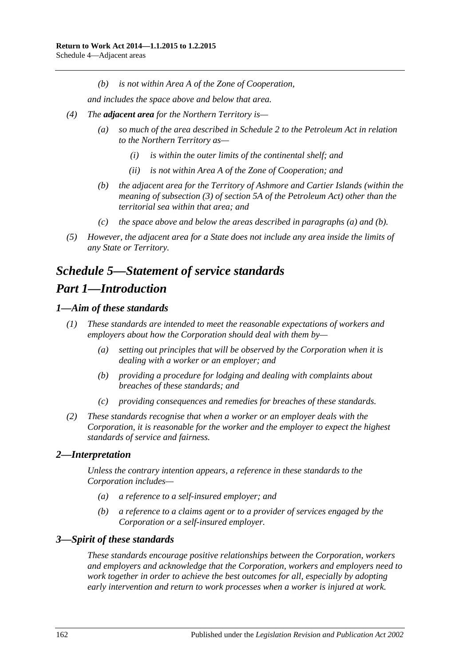*(b) is not within Area A of the Zone of Cooperation,*

*and includes the space above and below that area.*

- <span id="page-161-0"></span>*(4) The adjacent area for the Northern Territory is—*
	- *(a) so much of the area described in Schedule 2 to the Petroleum Act in relation to the Northern Territory as—*
		- *(i) is within the outer limits of the continental shelf; and*
		- *(ii) is not within Area A of the Zone of Cooperation; and*
	- *(b) the adjacent area for the Territory of Ashmore and Cartier Islands (within the meaning of subsection (3) of section 5A of the Petroleum Act) other than the territorial sea within that area; and*
	- *(c) the space above and below the areas described in [paragraphs](#page-161-0) (a) and [\(b\).](#page-161-1)*
- <span id="page-161-1"></span>*(5) However, the adjacent area for a State does not include any area inside the limits of any State or Territory.*

## *Schedule 5—Statement of service standards Part 1—Introduction*

## *1—Aim of these standards*

- *(1) These standards are intended to meet the reasonable expectations of workers and employers about how the Corporation should deal with them by—*
	- *(a) setting out principles that will be observed by the Corporation when it is dealing with a worker or an employer; and*
	- *(b) providing a procedure for lodging and dealing with complaints about breaches of these standards; and*
	- *(c) providing consequences and remedies for breaches of these standards.*
- *(2) These standards recognise that when a worker or an employer deals with the Corporation, it is reasonable for the worker and the employer to expect the highest standards of service and fairness.*

## *2—Interpretation*

*Unless the contrary intention appears, a reference in these standards to the Corporation includes—*

- *(a) a reference to a self-insured employer; and*
- *(b) a reference to a claims agent or to a provider of services engaged by the Corporation or a self-insured employer.*

## *3—Spirit of these standards*

*These standards encourage positive relationships between the Corporation, workers and employers and acknowledge that the Corporation, workers and employers need to work together in order to achieve the best outcomes for all, especially by adopting early intervention and return to work processes when a worker is injured at work.*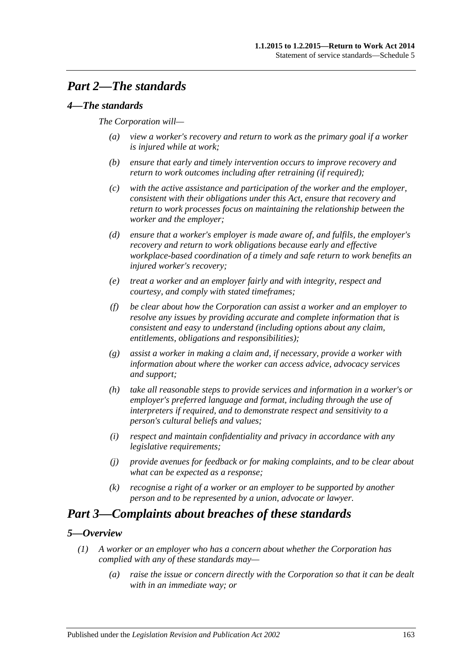## *Part 2—The standards*

## *4—The standards*

#### *The Corporation will—*

- *(a) view a worker's recovery and return to work as the primary goal if a worker is injured while at work;*
- *(b) ensure that early and timely intervention occurs to improve recovery and return to work outcomes including after retraining (if required);*
- *(c) with the active assistance and participation of the worker and the employer, consistent with their obligations under this Act, ensure that recovery and return to work processes focus on maintaining the relationship between the worker and the employer;*
- *(d) ensure that a worker's employer is made aware of, and fulfils, the employer's recovery and return to work obligations because early and effective workplace-based coordination of a timely and safe return to work benefits an injured worker's recovery;*
- *(e) treat a worker and an employer fairly and with integrity, respect and courtesy, and comply with stated timeframes;*
- *(f) be clear about how the Corporation can assist a worker and an employer to resolve any issues by providing accurate and complete information that is consistent and easy to understand (including options about any claim, entitlements, obligations and responsibilities);*
- *(g) assist a worker in making a claim and, if necessary, provide a worker with information about where the worker can access advice, advocacy services and support;*
- *(h) take all reasonable steps to provide services and information in a worker's or employer's preferred language and format, including through the use of interpreters if required, and to demonstrate respect and sensitivity to a person's cultural beliefs and values;*
- *(i) respect and maintain confidentiality and privacy in accordance with any legislative requirements;*
- *(j) provide avenues for feedback or for making complaints, and to be clear about what can be expected as a response;*
- *(k) recognise a right of a worker or an employer to be supported by another person and to be represented by a union, advocate or lawyer.*

## *Part 3—Complaints about breaches of these standards*

## <span id="page-162-0"></span>*5—Overview*

- *(1) A worker or an employer who has a concern about whether the Corporation has complied with any of these standards may—*
	- *(a) raise the issue or concern directly with the Corporation so that it can be dealt with in an immediate way; or*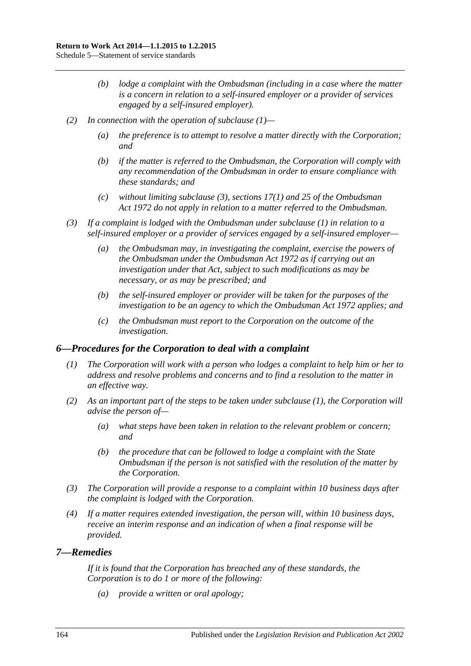- *(b) lodge a complaint with the Ombudsman (including in a case where the matter is a concern in relation to a self-insured employer or a provider of services engaged by a self-insured employer).*
- *(2) In connection with the operation of [subclause](#page-162-0) (1)—*
	- *(a) the preference is to attempt to resolve a matter directly with the Corporation; and*
	- *(b) if the matter is referred to the Ombudsman, the Corporation will comply with any recommendation of the Ombudsman in order to ensure compliance with these standards; and*
	- *(c) without limiting [subclause](#page-163-0) (3), sections 17(1) and 25 of the [Ombudsman](http://www.legislation.sa.gov.au/index.aspx?action=legref&type=act&legtitle=Ombudsman%20Act%201972)  Act [1972](http://www.legislation.sa.gov.au/index.aspx?action=legref&type=act&legtitle=Ombudsman%20Act%201972) do not apply in relation to a matter referred to the Ombudsman.*
- <span id="page-163-0"></span>*(3) If a complaint is lodged with the Ombudsman under [subclause](#page-162-0) (1) in relation to a self-insured employer or a provider of services engaged by a self-insured employer—*
	- *(a) the Ombudsman may, in investigating the complaint, exercise the powers of the Ombudsman under the [Ombudsman Act](http://www.legislation.sa.gov.au/index.aspx?action=legref&type=act&legtitle=Ombudsman%20Act%201972) 1972 as if carrying out an investigation under that Act, subject to such modifications as may be necessary, or as may be prescribed; and*
	- *(b) the self-insured employer or provider will be taken for the purposes of the investigation to be an agency to which the [Ombudsman Act](http://www.legislation.sa.gov.au/index.aspx?action=legref&type=act&legtitle=Ombudsman%20Act%201972) 1972 applies; and*
	- *(c) the Ombudsman must report to the Corporation on the outcome of the investigation.*

#### <span id="page-163-1"></span>*6—Procedures for the Corporation to deal with a complaint*

- *(1) The Corporation will work with a person who lodges a complaint to help him or her to address and resolve problems and concerns and to find a resolution to the matter in an effective way.*
- *(2) As an important part of the steps to be taken under [subclause](#page-163-1) (1), the Corporation will advise the person of—*
	- *(a) what steps have been taken in relation to the relevant problem or concern; and*
	- *(b) the procedure that can be followed to lodge a complaint with the State Ombudsman if the person is not satisfied with the resolution of the matter by the Corporation.*
- *(3) The Corporation will provide a response to a complaint within 10 business days after the complaint is lodged with the Corporation.*
- *(4) If a matter requires extended investigation, the person will, within 10 business days, receive an interim response and an indication of when a final response will be provided.*

#### *7—Remedies*

*If it is found that the Corporation has breached any of these standards, the Corporation is to do 1 or more of the following:*

*(a) provide a written or oral apology;*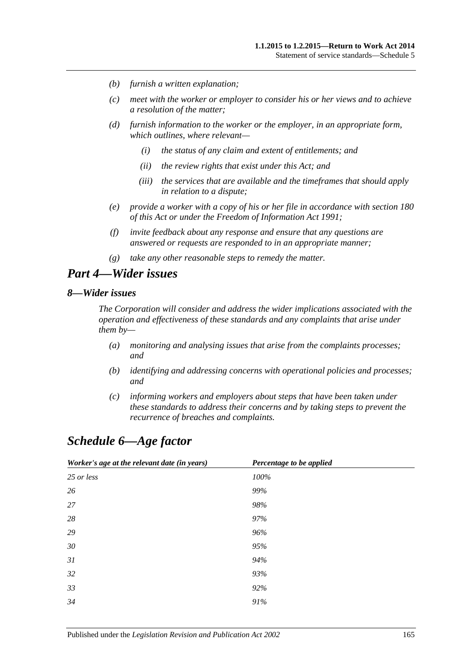- *(b) furnish a written explanation;*
- *(c) meet with the worker or employer to consider his or her views and to achieve a resolution of the matter;*
- *(d) furnish information to the worker or the employer, in an appropriate form, which outlines, where relevant—*
	- *(i) the status of any claim and extent of entitlements; and*
	- *(ii) the review rights that exist under this Act; and*
	- *(iii) the services that are available and the timeframes that should apply in relation to a dispute;*
- *(e) provide a worker with a copy of his or her file in accordance with [section](#page-142-0) 180 of this Act or under the [Freedom of Information Act](http://www.legislation.sa.gov.au/index.aspx?action=legref&type=act&legtitle=Freedom%20of%20Information%20Act%201991) 1991;*
- *(f) invite feedback about any response and ensure that any questions are answered or requests are responded to in an appropriate manner;*
- *(g) take any other reasonable steps to remedy the matter.*

## *Part 4—Wider issues*

#### *8—Wider issues*

*The Corporation will consider and address the wider implications associated with the operation and effectiveness of these standards and any complaints that arise under them by—*

- *(a) monitoring and analysing issues that arise from the complaints processes; and*
- *(b) identifying and addressing concerns with operational policies and processes; and*
- *(c) informing workers and employers about steps that have been taken under these standards to address their concerns and by taking steps to prevent the recurrence of breaches and complaints.*

## *Schedule 6—Age factor*

| Worker's age at the relevant date (in years) | Percentage to be applied |
|----------------------------------------------|--------------------------|
| 25 or less                                   | 100%                     |
| 26                                           | 99%                      |
| 27                                           | 98%                      |
| 28                                           | 97%                      |
| 29                                           | 96%                      |
| 30                                           | 95%                      |
| 31                                           | 94%                      |
| 32                                           | 93%                      |
| 33                                           | 92%                      |
| 34                                           | 91%                      |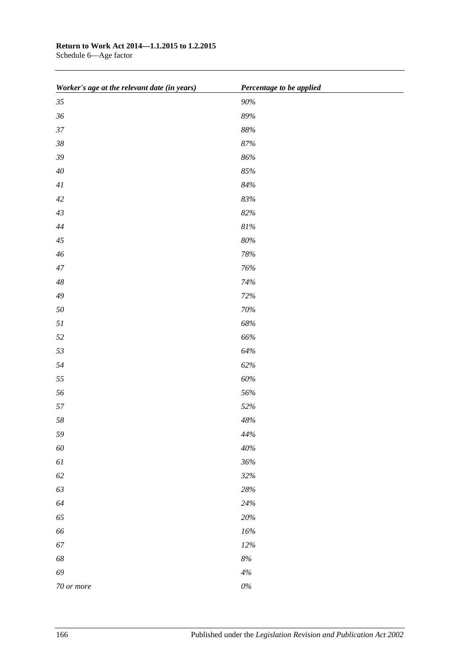## **Return to Work Act 2014—1.1.2015 to 1.2.2015**

Schedule 6—Age factor

| Worker's age at the relevant date (in years) | Percentage to be applied |
|----------------------------------------------|--------------------------|
| $35\,$                                       | 90%                      |
| $36\,$                                       | 89%                      |
| $37\,$                                       | $88\%$                   |
| $38\,$                                       | $87\%$                   |
| $39\,$                                       | $86\%$                   |
| $40\,$                                       | $85\%$                   |
| $4\mathcal{I}$                               | $84\%$                   |
| $42\,$                                       | $83\%$                   |
| 43                                           | $82\%$                   |
| $44\,$                                       | $81\%$                   |
| $45\,$                                       | $80\%$                   |
| $46\,$                                       | $78\%$                   |
| $47\,$                                       | 76%                      |
| $\sqrt{48}$                                  | 74%                      |
| $\sqrt{49}$                                  | 72%                      |
| $50\,$                                       | $70\%$                   |
| $5\mathfrak{l}$                              | $68\%$                   |
| 52                                           | $66\%$                   |
| 53                                           | $64\%$                   |
| 54                                           | 62%                      |
| 55                                           | $60\%$                   |
| 56                                           | 56%                      |
| 57                                           | 52%                      |
| $58\,$                                       | $48\%$                   |
| 59                                           | $44\%$                   |
| $60\,$                                       | $40\%$                   |
| $6\mathcal{I}$                               | 36%                      |
| $62\,$                                       | 32%                      |
| 63                                           | $28\%$                   |
| 64                                           | $24\%$                   |
| 65                                           | $20\%$                   |
| 66                                           | $16\%$                   |
| $67\,$                                       | $12\%$                   |
| $68\,$                                       | $8\%$                    |
| 69                                           | $4\%$                    |
| 70 or more                                   | $0\%$                    |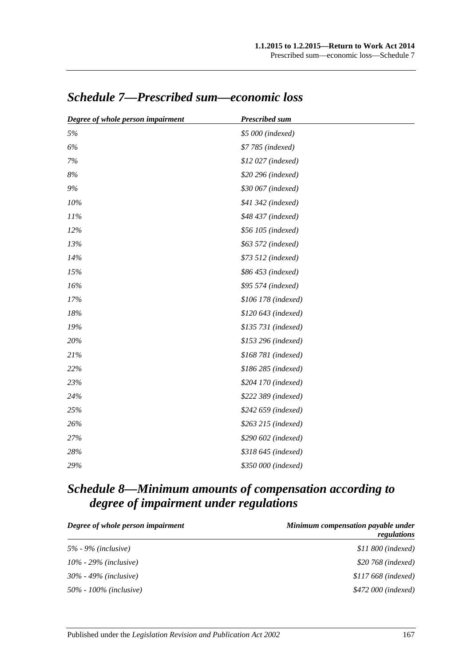| Degree of whole person impairment | <b>Prescribed sum</b> |
|-----------------------------------|-----------------------|
| 5%                                | \$5 000 (indexed)     |
| 6%                                | \$7 785 (indexed)     |
| 7%                                | \$12 027 (indexed)    |
| $8\%$                             | \$20 296 (indexed)    |
| 9%                                | \$30 067 (indexed)    |
| 10%                               | \$41 342 (indexed)    |
| 11%                               | \$48 437 (indexed)    |
| 12%                               | \$56 105 (indexed)    |
| 13%                               | \$63 572 (indexed)    |
| 14%                               | \$73 512 (indexed)    |
| 15%                               | \$86 453 (indexed)    |
| 16%                               | \$95 574 (indexed)    |
| 17%                               | \$106 178 (indexed)   |
| 18%                               | \$120 643 (indexed)   |
| 19%                               | \$135 731 (indexed)   |
| 20%                               | \$153 296 (indexed)   |
| 21%                               | \$168 781 (indexed)   |
| 22%                               | \$186 285 (indexed)   |
| 23%                               | \$204 170 (indexed)   |
| 24%                               | \$222 389 (indexed)   |
| 25%                               | \$242 659 (indexed)   |
| 26%                               | \$263 215 (indexed)   |
| 27%                               | \$290 602 (indexed)   |
| 28%                               | \$318 645 (indexed)   |
| 29%                               | \$350 000 (indexed)   |

## *Schedule 7—Prescribed sum—economic loss*

## *Schedule 8—Minimum amounts of compensation according to degree of impairment under regulations*

| Degree of whole person impairment | Minimum compensation payable under<br>regulations |
|-----------------------------------|---------------------------------------------------|
| $5\%$ - 9% (inclusive)            | $$11\,800$ (indexed)                              |
| $10\%$ - 29% (inclusive)          | \$20 768 (indexed)                                |
| $30\%$ - 49% (inclusive)          | $$117\,668$ (indexed)                             |
| 50% - 100% ( <i>inclusive</i> )   | \$472 000 (indexed)                               |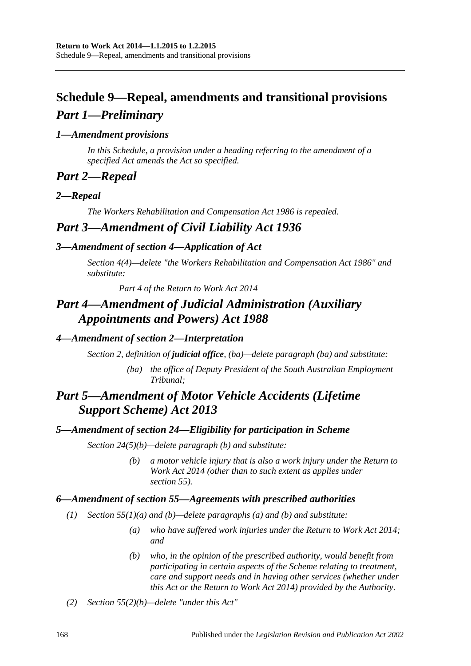## **Schedule 9—Repeal, amendments and transitional provisions** *Part 1—Preliminary*

## *1—Amendment provisions*

*In this Schedule, a provision under a heading referring to the amendment of a specified Act amends the Act so specified.*

## *Part 2—Repeal*

## *2—Repeal*

*The [Workers Rehabilitation and Compensation Act](http://www.legislation.sa.gov.au/index.aspx?action=legref&type=act&legtitle=Workers%20Rehabilitation%20and%20Compensation%20Act%201986) 1986 is repealed.*

## *Part 3—Amendment of Civil Liability Act 1936*

## *3—Amendment of section 4—Application of Act*

*Section 4(4)—delete "the [Workers Rehabilitation and Compensation Act](http://www.legislation.sa.gov.au/index.aspx?action=legref&type=act&legtitle=Workers%20Rehabilitation%20and%20Compensation%20Act%201986) 1986" and substitute:*

*Part 4 of the [Return to Work Act](http://www.legislation.sa.gov.au/index.aspx?action=legref&type=act&legtitle=Return%20to%20Work%20Act%202014) 2014*

## *Part 4—Amendment of Judicial Administration (Auxiliary Appointments and Powers) Act 1988*

## *4—Amendment of section 2—Interpretation*

*Section 2, definition of judicial office, (ba)—delete paragraph (ba) and substitute:*

*(ba) the office of Deputy President of the South Australian Employment Tribunal;*

## *Part 5—Amendment of Motor Vehicle Accidents (Lifetime Support Scheme) Act 2013*

## *5—Amendment of section 24—Eligibility for participation in Scheme*

*Section 24(5)(b)—delete paragraph (b) and substitute:*

*(b) a motor vehicle injury that is also a work injury under the [Return to](http://www.legislation.sa.gov.au/index.aspx?action=legref&type=act&legtitle=Return%20to%20Work%20Act%202014)  [Work Act](http://www.legislation.sa.gov.au/index.aspx?action=legref&type=act&legtitle=Return%20to%20Work%20Act%202014) 2014 (other than to such extent as applies under section 55).*

## *6—Amendment of section 55—Agreements with prescribed authorities*

- *(1) Section 55(1)(a) and (b)—delete paragraphs (a) and (b) and substitute:*
	- *(a) who have suffered work injuries under the [Return to Work Act](http://www.legislation.sa.gov.au/index.aspx?action=legref&type=act&legtitle=Return%20to%20Work%20Act%202014) 2014; and*
	- *(b) who, in the opinion of the prescribed authority, would benefit from participating in certain aspects of the Scheme relating to treatment, care and support needs and in having other services (whether under this Act or the [Return to Work Act](http://www.legislation.sa.gov.au/index.aspx?action=legref&type=act&legtitle=Return%20to%20Work%20Act%202014) 2014) provided by the Authority.*
- *(2) Section 55(2)(b)—delete "under this Act"*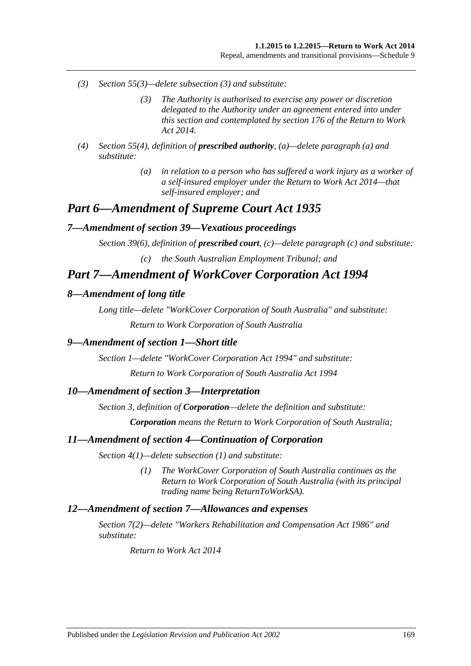- *(3) Section 55(3)—delete subsection (3) and substitute:*
	- *(3) The Authority is authorised to exercise any power or discretion delegated to the Authority under an agreement entered into under this section and contemplated by section 176 of the [Return to Work](http://www.legislation.sa.gov.au/index.aspx?action=legref&type=act&legtitle=Return%20to%20Work%20Act%202014)  Act [2014.](http://www.legislation.sa.gov.au/index.aspx?action=legref&type=act&legtitle=Return%20to%20Work%20Act%202014)*
- *(4) Section 55(4), definition of prescribed authority, (a)—delete paragraph (a) and substitute:*
	- *(a) in relation to a person who has suffered a work injury as a worker of a self-insured employer under the [Return to Work Act](http://www.legislation.sa.gov.au/index.aspx?action=legref&type=act&legtitle=Return%20to%20Work%20Act%202014) 2014—that self-insured employer; and*

## *Part 6—Amendment of Supreme Court Act 1935*

#### *7—Amendment of section 39—Vexatious proceedings*

*Section 39(6), definition of prescribed court, (c)—delete paragraph (c) and substitute:*

*(c) the South Australian Employment Tribunal; and*

## *Part 7—Amendment of WorkCover Corporation Act 1994*

#### *8—Amendment of long title*

*Long title—delete "WorkCover Corporation of South Australia" and substitute:*

*Return to Work Corporation of South Australia*

#### *9—Amendment of section 1—Short title*

*Section 1—delete ["WorkCover Corporation Act](http://www.legislation.sa.gov.au/index.aspx?action=legref&type=act&legtitle=WorkCover%20Corporation%20Act%201994) 1994" and substitute:*

*[Return to Work Corporation of South Australia Act](http://www.legislation.sa.gov.au/index.aspx?action=legref&type=act&legtitle=Return%20to%20Work%20Corporation%20of%20South%20Australia%20Act%201994) 1994*

#### *10—Amendment of section 3—Interpretation*

*Section 3, definition of Corporation—delete the definition and substitute:*

*Corporation means the Return to Work Corporation of South Australia;*

#### *11—Amendment of section 4—Continuation of Corporation*

*Section 4(1)—delete subsection (1) and substitute:*

*(1) The WorkCover Corporation of South Australia continues as the Return to Work Corporation of South Australia (with its principal trading name being ReturnToWorkSA).*

#### *12—Amendment of section 7—Allowances and expenses*

*Section 7(2)—delete ["Workers Rehabilitation and Compensation Act](http://www.legislation.sa.gov.au/index.aspx?action=legref&type=act&legtitle=Workers%20Rehabilitation%20and%20Compensation%20Act%201986) 1986" and substitute:*

*[Return to Work Act](http://www.legislation.sa.gov.au/index.aspx?action=legref&type=act&legtitle=Return%20to%20Work%20Act%202014) 2014*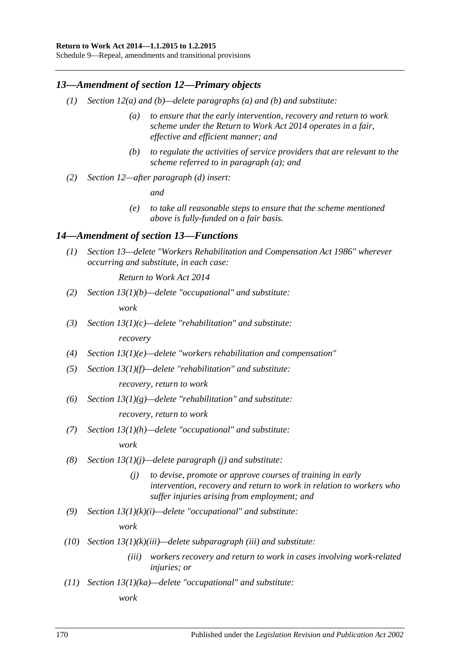#### **Return to Work Act 2014—1.1.2015 to 1.2.2015**

Schedule 9—Repeal, amendments and transitional provisions

#### *13—Amendment of section 12—Primary objects*

- *(1) Section 12(a) and (b)—delete paragraphs (a) and (b) and substitute:*
	- *(a) to ensure that the early intervention, recovery and return to work scheme under the [Return to Work Act](http://www.legislation.sa.gov.au/index.aspx?action=legref&type=act&legtitle=Return%20to%20Work%20Act%202014) 2014 operates in a fair, effective and efficient manner; and*
	- *(b) to regulate the activities of service providers that are relevant to the scheme referred to in paragraph (a); and*
- *(2) Section 12—after paragraph (d) insert:*

*and*

*(e) to take all reasonable steps to ensure that the scheme mentioned above is fully-funded on a fair basis.*

#### *14—Amendment of section 13—Functions*

*(1) Section 13—delete ["Workers Rehabilitation and Compensation Act](http://www.legislation.sa.gov.au/index.aspx?action=legref&type=act&legtitle=Workers%20Rehabilitation%20and%20Compensation%20Act%201986) 1986" wherever occurring and substitute, in each case:*

*[Return to Work Act](http://www.legislation.sa.gov.au/index.aspx?action=legref&type=act&legtitle=Return%20to%20Work%20Act%202014) 2014*

*(2) Section 13(1)(b)—delete "occupational" and substitute:*

*work*

- *(3) Section 13(1)(c)—delete "rehabilitation" and substitute: recovery*
- *(4) Section 13(1)(e)—delete "workers rehabilitation and compensation"*
- *(5) Section 13(1)(f)—delete "rehabilitation" and substitute:*

*recovery, return to work*

*(6) Section 13(1)(g)—delete "rehabilitation" and substitute:*

*recovery, return to work*

*(7) Section 13(1)(h)—delete "occupational" and substitute:*

*work*

- *(8) Section 13(1)(j)—delete paragraph (j) and substitute:*
	- *(j) to devise, promote or approve courses of training in early intervention, recovery and return to work in relation to workers who suffer injuries arising from employment; and*
- *(9) Section 13(1)(k)(i)—delete "occupational" and substitute:*

*work*

- *(10) Section 13(1)(k)(iii)—delete subparagraph (iii) and substitute:*
	- *(iii) workers recovery and return to work in cases involving work-related injuries; or*
- *(11) Section 13(1)(ka)—delete "occupational" and substitute:*

*work*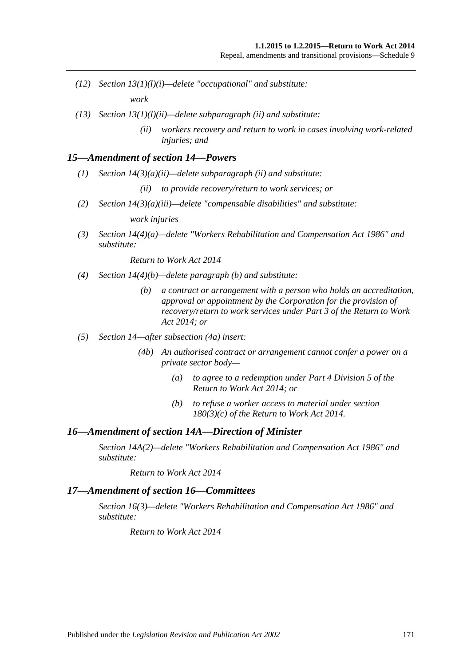- *(12) Section 13(1)(l)(i)—delete "occupational" and substitute: work*
- *(13) Section 13(1)(l)(ii)—delete subparagraph (ii) and substitute:*
	- *(ii) workers recovery and return to work in cases involving work-related injuries; and*

#### *15—Amendment of section 14—Powers*

- *(1) Section 14(3)(a)(ii)—delete subparagraph (ii) and substitute:*
	- *(ii) to provide recovery/return to work services; or*
- *(2) Section 14(3)(a)(iii)—delete "compensable disabilities" and substitute:*

*work injuries*

*(3) Section 14(4)(a)—delete ["Workers Rehabilitation and Compensation Act](http://www.legislation.sa.gov.au/index.aspx?action=legref&type=act&legtitle=Workers%20Rehabilitation%20and%20Compensation%20Act%201986) 1986" and substitute:*

*[Return to Work Act](http://www.legislation.sa.gov.au/index.aspx?action=legref&type=act&legtitle=Return%20to%20Work%20Act%202014) 2014*

- *(4) Section 14(4)(b)—delete paragraph (b) and substitute:*
	- *(b) a contract or arrangement with a person who holds an accreditation, approval or appointment by the Corporation for the provision of recovery/return to work services under Part 3 of the [Return to Work](http://www.legislation.sa.gov.au/index.aspx?action=legref&type=act&legtitle=Return%20to%20Work%20Act%202014)  Act [2014;](http://www.legislation.sa.gov.au/index.aspx?action=legref&type=act&legtitle=Return%20to%20Work%20Act%202014) or*
- *(5) Section 14—after subsection (4a) insert:*
	- *(4b) An authorised contract or arrangement cannot confer a power on a private sector body—*
		- *(a) to agree to a redemption under Part 4 Division 5 of the [Return to Work Act](http://www.legislation.sa.gov.au/index.aspx?action=legref&type=act&legtitle=Return%20to%20Work%20Act%202014) 2014; or*
		- *(b) to refuse a worker access to material under section 180(3)(c) of the [Return to Work Act](http://www.legislation.sa.gov.au/index.aspx?action=legref&type=act&legtitle=Return%20to%20Work%20Act%202014) 2014.*

#### *16—Amendment of section 14A—Direction of Minister*

*Section 14A(2)—delete ["Workers Rehabilitation and Compensation Act](http://www.legislation.sa.gov.au/index.aspx?action=legref&type=act&legtitle=Workers%20Rehabilitation%20and%20Compensation%20Act%201986) 1986" and substitute:*

*[Return to Work Act](http://www.legislation.sa.gov.au/index.aspx?action=legref&type=act&legtitle=Return%20to%20Work%20Act%202014) 2014*

#### *17—Amendment of section 16—Committees*

*Section 16(3)—delete ["Workers Rehabilitation and Compensation Act](http://www.legislation.sa.gov.au/index.aspx?action=legref&type=act&legtitle=Workers%20Rehabilitation%20and%20Compensation%20Act%201986) 1986" and substitute:*

*[Return to Work Act](http://www.legislation.sa.gov.au/index.aspx?action=legref&type=act&legtitle=Return%20to%20Work%20Act%202014) 2014*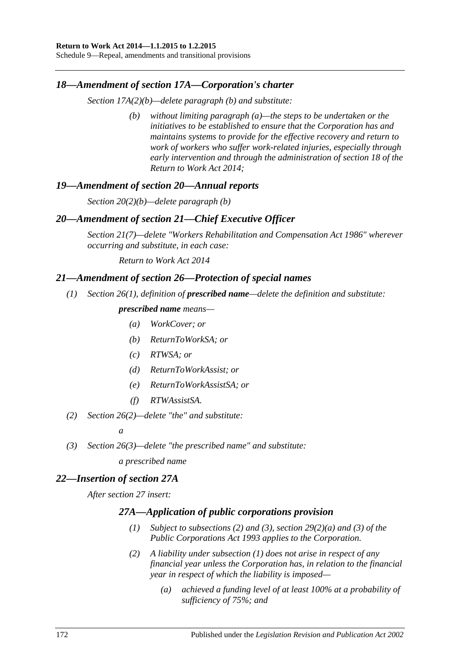Schedule 9—Repeal, amendments and transitional provisions

#### *18—Amendment of section 17A—Corporation's charter*

*Section 17A(2)(b)—delete paragraph (b) and substitute:*

*(b) without limiting paragraph (a)—the steps to be undertaken or the initiatives to be established to ensure that the Corporation has and maintains systems to provide for the effective recovery and return to work of workers who suffer work-related injuries, especially through early intervention and through the administration of section 18 of the [Return to Work Act](http://www.legislation.sa.gov.au/index.aspx?action=legref&type=act&legtitle=Return%20to%20Work%20Act%202014) 2014;*

#### *19—Amendment of section 20—Annual reports*

*Section 20(2)(b)—delete paragraph (b)*

#### *20—Amendment of section 21—Chief Executive Officer*

*Section 21(7)—delete ["Workers Rehabilitation and Compensation Act](http://www.legislation.sa.gov.au/index.aspx?action=legref&type=act&legtitle=Workers%20Rehabilitation%20and%20Compensation%20Act%201986) 1986" wherever occurring and substitute, in each case:*

*[Return to Work Act](http://www.legislation.sa.gov.au/index.aspx?action=legref&type=act&legtitle=Return%20to%20Work%20Act%202014) 2014*

#### *21—Amendment of section 26—Protection of special names*

*(1) Section 26(1), definition of prescribed name—delete the definition and substitute:*

## *prescribed name means—*

- *(a) WorkCover; or*
- *(b) ReturnToWorkSA; or*
- *(c) RTWSA; or*
- *(d) ReturnToWorkAssist; or*
- *(e) ReturnToWorkAssistSA; or*
- *(f) RTWAssistSA.*
- *(2) Section 26(2)—delete "the" and substitute:*

*a*

*(3) Section 26(3)—delete "the prescribed name" and substitute:*

*a prescribed name*

#### *22—Insertion of section 27A*

<span id="page-171-1"></span><span id="page-171-0"></span>*After section 27 insert:*

#### *27A—Application of public corporations provision*

- *(1) Subject to [subsections](#page-171-0) (2) and [\(3\),](#page-172-0) section 29(2)(a) and (3) of the [Public Corporations Act](http://www.legislation.sa.gov.au/index.aspx?action=legref&type=act&legtitle=Public%20Corporations%20Act%201993) 1993 applies to the Corporation.*
- *(2) A liability under [subsection](#page-171-1) (1) does not arise in respect of any financial year unless the Corporation has, in relation to the financial year in respect of which the liability is imposed—*
	- *(a) achieved a funding level of at least 100% at a probability of sufficiency of 75%; and*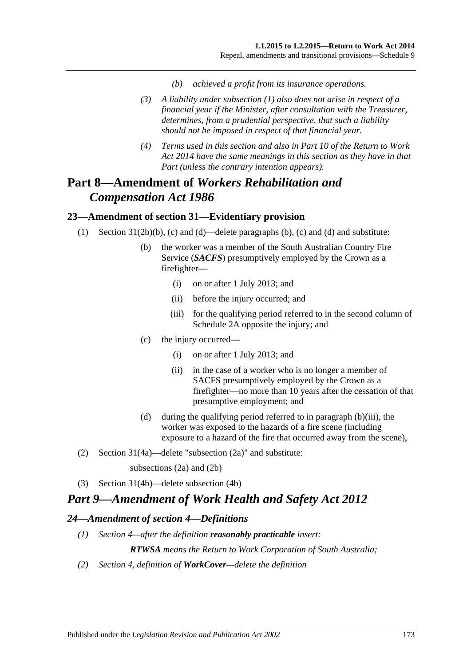- *(b) achieved a profit from its insurance operations.*
- <span id="page-172-0"></span>*(3) A liability under [subsection](#page-171-1) (1) also does not arise in respect of a financial year if the Minister, after consultation with the Treasurer, determines, from a prudential perspective, that such a liability should not be imposed in respect of that financial year.*
- *(4) Terms used in this section and also in Part 10 of the [Return to Work](http://www.legislation.sa.gov.au/index.aspx?action=legref&type=act&legtitle=Return%20to%20Work%20Act%202014)  Act [2014](http://www.legislation.sa.gov.au/index.aspx?action=legref&type=act&legtitle=Return%20to%20Work%20Act%202014) have the same meanings in this section as they have in that Part (unless the contrary intention appears).*

## **Part 8—Amendment of** *Workers Rehabilitation and Compensation Act 1986*

## **23—Amendment of section 31—Evidentiary provision**

- (1) Section 31(2b)(b), (c) and (d)—delete paragraphs (b), (c) and (d) and substitute:
	- (b) the worker was a member of the South Australian Country Fire Service (*SACFS*) presumptively employed by the Crown as a firefighter—
		- (i) on or after 1 July 2013; and
		- (ii) before the injury occurred; and
		- (iii) for the qualifying period referred to in the second column of Schedule 2A opposite the injury; and
	- (c) the injury occurred—
		- (i) on or after 1 July 2013; and
		- (ii) in the case of a worker who is no longer a member of SACFS presumptively employed by the Crown as a firefighter—no more than 10 years after the cessation of that presumptive employment; and
	- (d) during the qualifying period referred to in paragraph (b)(iii), the worker was exposed to the hazards of a fire scene (including exposure to a hazard of the fire that occurred away from the scene),
- (2) Section 31(4a)—delete "subsection (2a)" and substitute:

subsections (2a) and (2b)

(3) Section 31(4b)—delete subsection (4b)

## *Part 9—Amendment of Work Health and Safety Act 2012*

#### *24—Amendment of section 4—Definitions*

*(1) Section 4—after the definition reasonably practicable insert:*

*RTWSA means the Return to Work Corporation of South Australia;*

*(2) Section 4, definition of WorkCover—delete the definition*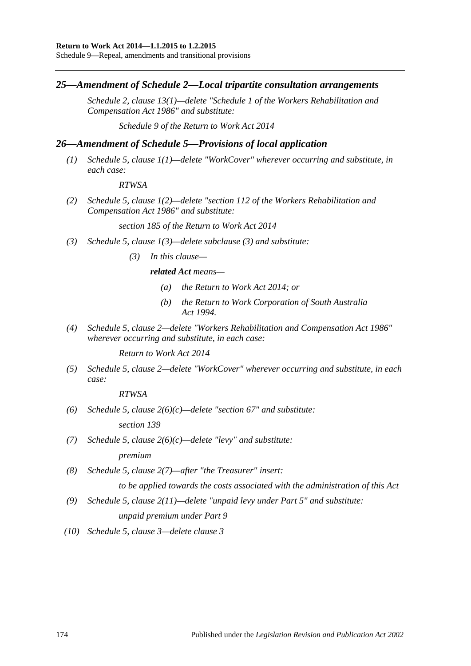Schedule 9—Repeal, amendments and transitional provisions

#### *25—Amendment of Schedule 2—Local tripartite consultation arrangements*

*Schedule 2, clause 13(1)—delete "Schedule 1 of the [Workers Rehabilitation and](http://www.legislation.sa.gov.au/index.aspx?action=legref&type=act&legtitle=Workers%20Rehabilitation%20and%20Compensation%20Act%201986)  [Compensation Act](http://www.legislation.sa.gov.au/index.aspx?action=legref&type=act&legtitle=Workers%20Rehabilitation%20and%20Compensation%20Act%201986) 1986" and substitute:*

*Schedule 9 of the [Return to Work Act](http://www.legislation.sa.gov.au/index.aspx?action=legref&type=act&legtitle=Return%20to%20Work%20Act%202014) 2014*

#### *26—Amendment of Schedule 5—Provisions of local application*

*(1) Schedule 5, clause 1(1)—delete "WorkCover" wherever occurring and substitute, in each case:*

#### *RTWSA*

*(2) Schedule 5, clause 1(2)—delete "section 112 of the [Workers Rehabilitation and](http://www.legislation.sa.gov.au/index.aspx?action=legref&type=act&legtitle=Workers%20Rehabilitation%20and%20Compensation%20Act%201986)  [Compensation Act](http://www.legislation.sa.gov.au/index.aspx?action=legref&type=act&legtitle=Workers%20Rehabilitation%20and%20Compensation%20Act%201986) 1986" and substitute:*

*section 185 of the [Return to Work Act](http://www.legislation.sa.gov.au/index.aspx?action=legref&type=act&legtitle=Return%20to%20Work%20Act%202014) 2014*

- *(3) Schedule 5, clause 1(3)—delete subclause (3) and substitute:*
	- *(3) In this clause—*

#### *related Act means—*

- *(a) the [Return to Work Act](http://www.legislation.sa.gov.au/index.aspx?action=legref&type=act&legtitle=Return%20to%20Work%20Act%202014) 2014; or*
- *(b) the [Return to Work Corporation of South Australia](http://www.legislation.sa.gov.au/index.aspx?action=legref&type=act&legtitle=Return%20to%20Work%20Corporation%20of%20South%20Australia%20Act%201994)  Act [1994.](http://www.legislation.sa.gov.au/index.aspx?action=legref&type=act&legtitle=Return%20to%20Work%20Corporation%20of%20South%20Australia%20Act%201994)*
- *(4) Schedule 5, clause 2—delete ["Workers Rehabilitation and Compensation Act](http://www.legislation.sa.gov.au/index.aspx?action=legref&type=act&legtitle=Workers%20Rehabilitation%20and%20Compensation%20Act%201986) 1986" wherever occurring and substitute, in each case:*

*[Return to Work Act](http://www.legislation.sa.gov.au/index.aspx?action=legref&type=act&legtitle=Return%20to%20Work%20Act%202014) 2014*

*(5) Schedule 5, clause 2—delete "WorkCover" wherever occurring and substitute, in each case:*

*RTWSA*

*(6) Schedule 5, clause 2(6)(c)—delete "section 67" and substitute:*

*section 139*

*(7) Schedule 5, clause 2(6)(c)—delete "levy" and substitute:*

*premium*

*(8) Schedule 5, clause 2(7)—after "the Treasurer" insert:*

*to be applied towards the costs associated with the administration of this Act*

- *(9) Schedule 5, clause 2(11)—delete "unpaid levy under Part 5" and substitute: unpaid premium under Part 9*
- *(10) Schedule 5, clause 3—delete clause 3*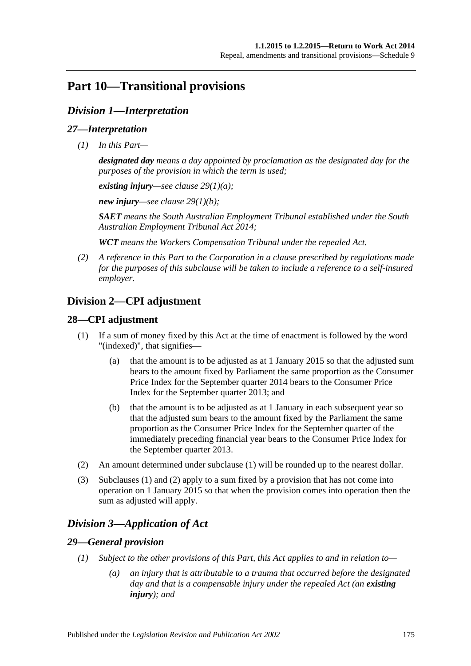## **Part 10—Transitional provisions**

## *Division 1—Interpretation*

### *27—Interpretation*

*(1) In this Part—*

*designated day means a day appointed by proclamation as the designated day for the purposes of the provision in which the term is used;*

*existing injury—see clause [29\(1\)\(a\);](#page-174-0)*

*new injury—see clause [29\(1\)\(b\);](#page-175-0)*

*SAET means the South Australian Employment Tribunal established under the [South](http://www.legislation.sa.gov.au/index.aspx?action=legref&type=act&legtitle=South%20Australian%20Employment%20Tribunal%20Act%202014)  [Australian Employment Tribunal Act](http://www.legislation.sa.gov.au/index.aspx?action=legref&type=act&legtitle=South%20Australian%20Employment%20Tribunal%20Act%202014) 2014;*

*WCT means the Workers Compensation Tribunal under the repealed Act.*

*(2) A reference in this Part to the Corporation in a clause prescribed by regulations made for the purposes of this subclause will be taken to include a reference to a self-insured employer.*

## **Division 2—CPI adjustment**

## <span id="page-174-1"></span>**28—CPI adjustment**

- (1) If a sum of money fixed by this Act at the time of enactment is followed by the word "(indexed)", that signifies—
	- (a) that the amount is to be adjusted as at 1 January 2015 so that the adjusted sum bears to the amount fixed by Parliament the same proportion as the Consumer Price Index for the September quarter 2014 bears to the Consumer Price Index for the September quarter 2013; and
	- (b) that the amount is to be adjusted as at 1 January in each subsequent year so that the adjusted sum bears to the amount fixed by the Parliament the same proportion as the Consumer Price Index for the September quarter of the immediately preceding financial year bears to the Consumer Price Index for the September quarter 2013.
- <span id="page-174-2"></span>(2) An amount determined under [subclause](#page-174-1) (1) will be rounded up to the nearest dollar.
- (3) [Subclauses](#page-174-1) (1) and [\(2\)](#page-174-2) apply to a sum fixed by a provision that has not come into operation on 1 January 2015 so that when the provision comes into operation then the sum as adjusted will apply.

## *Division 3—Application of Act*

## <span id="page-174-3"></span>*29—General provision*

- <span id="page-174-0"></span>*(1) Subject to the other provisions of this Part, this Act applies to and in relation to—*
	- *(a) an injury that is attributable to a trauma that occurred before the designated day and that is a compensable injury under the repealed Act (an existing injury); and*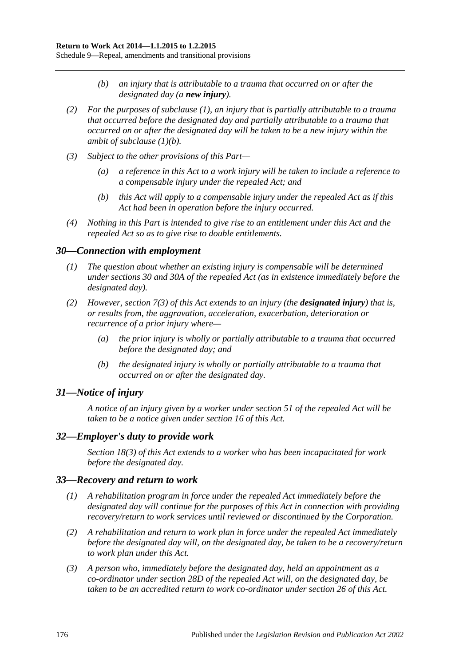- *(b) an injury that is attributable to a trauma that occurred on or after the designated day (a new injury).*
- <span id="page-175-0"></span>*(2) For the purposes of [subclause](#page-174-3) (1), an injury that is partially attributable to a trauma that occurred before the designated day and partially attributable to a trauma that occurred on or after the designated day will be taken to be a new injury within the ambit of [subclause](#page-175-0) (1)(b).*
- *(3) Subject to the other provisions of this Part—*
	- *(a) a reference in this Act to a work injury will be taken to include a reference to a compensable injury under the repealed Act; and*
	- *(b) this Act will apply to a compensable injury under the repealed Act as if this Act had been in operation before the injury occurred.*
- *(4) Nothing in this Part is intended to give rise to an entitlement under this Act and the repealed Act so as to give rise to double entitlements.*

#### *30—Connection with employment*

- *(1) The question about whether an existing injury is compensable will be determined under sections 30 and 30A of the repealed Act (as in existence immediately before the designated day).*
- *(2) However, [section](#page-24-0) 7(3) of this Act extends to an injury (the designated injury) that is, or results from, the aggravation, acceleration, exacerbation, deterioration or recurrence of a prior injury where—*
	- *(a) the prior injury is wholly or partially attributable to a trauma that occurred before the designated day; and*
	- *(b) the designated injury is wholly or partially attributable to a trauma that occurred on or after the designated day.*

#### *31—Notice of injury*

*A notice of an injury given by a worker under section 51 of the repealed Act will be taken to be a notice given under [section](#page-30-0) 16 of this Act.*

## *32—Employer's duty to provide work*

*[Section](#page-33-0) 18(3) of this Act extends to a worker who has been incapacitated for work before the designated day.*

#### *33—Recovery and return to work*

- *(1) A rehabilitation program in force under the repealed Act immediately before the designated day will continue for the purposes of this Act in connection with providing recovery/return to work services until reviewed or discontinued by the Corporation.*
- *(2) A rehabilitation and return to work plan in force under the repealed Act immediately before the designated day will, on the designated day, be taken to be a recovery/return to work plan under this Act.*
- *(3) A person who, immediately before the designated day, held an appointment as a co-ordinator under section 28D of the repealed Act will, on the designated day, be taken to be an accredited return to work co-ordinator under [section](#page-42-0) 26 of this Act.*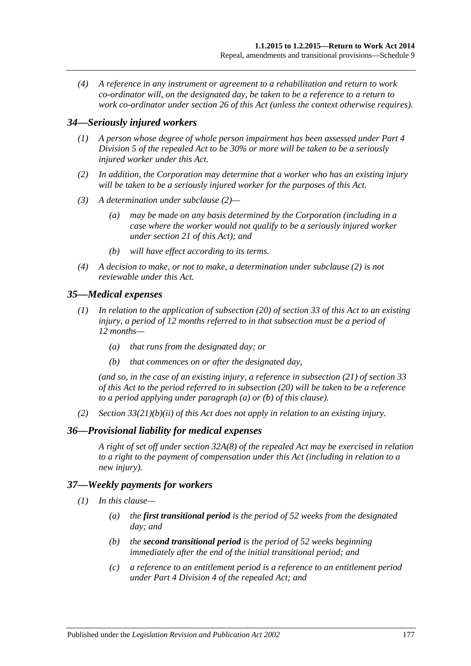*(4) A reference in any instrument or agreement to a rehabilitation and return to work co-ordinator will, on the designated day, be taken to be a reference to a return to work co-ordinator under [section](#page-42-0) 26 of this Act (unless the context otherwise requires).*

#### *34—Seriously injured workers*

- *(1) A person whose degree of whole person impairment has been assessed under Part 4 Division 5 of the repealed Act to be 30% or more will be taken to be a seriously injured worker under this Act.*
- <span id="page-176-0"></span>*(2) In addition, the Corporation may determine that a worker who has an existing injury will be taken to be a seriously injured worker for the purposes of this Act.*
- *(3) A determination under [subclause](#page-176-0) (2)—*
	- *(a) may be made on any basis determined by the Corporation (including in a case where the worker would not qualify to be a seriously injured worker under [section](#page-35-0) 21 of this Act); and*
	- *(b) will have effect according to its terms.*
- *(4) A decision to make, or not to make, a determination under [subclause](#page-176-0) (2) is not reviewable under this Act.*

#### *35—Medical expenses*

- <span id="page-176-1"></span>*(1) In relation to the application of [subsection](#page-50-0) (20) of [section](#page-47-0) 33 of this Act to an existing injury, a period of 12 months referred to in that subsection must be a period of 12 months—*
	- *(a) that runs from the designated day; or*
	- *(b) that commences on or after the designated day,*

<span id="page-176-2"></span>*(and so, in the case of an existing injury, a reference in [subsection](#page-50-1) (21) of [section](#page-47-0) 33 of this Act to the period referred to in [subsection](#page-50-0) (20) will be taken to be a reference to a period applying under [paragraph](#page-176-1) (a) or [\(b\)](#page-176-2) of this clause).*

*(2) Section [33\(21\)\(b\)\(ii\)](#page-50-2) of this Act does not apply in relation to an existing injury.*

#### *36—Provisional liability for medical expenses*

*A right of set off under section 32A(8) of the repealed Act may be exercised in relation to a right to the payment of compensation under this Act (including in relation to a new injury).*

#### <span id="page-176-3"></span>*37—Weekly payments for workers*

- *(1) In this clause—*
	- *(a) the first transitional period is the period of 52 weeks from the designated day; and*
	- *(b) the second transitional period is the period of 52 weeks beginning immediately after the end of the initial transitional period; and*
	- *(c) a reference to an entitlement period is a reference to an entitlement period under Part 4 Division 4 of the repealed Act; and*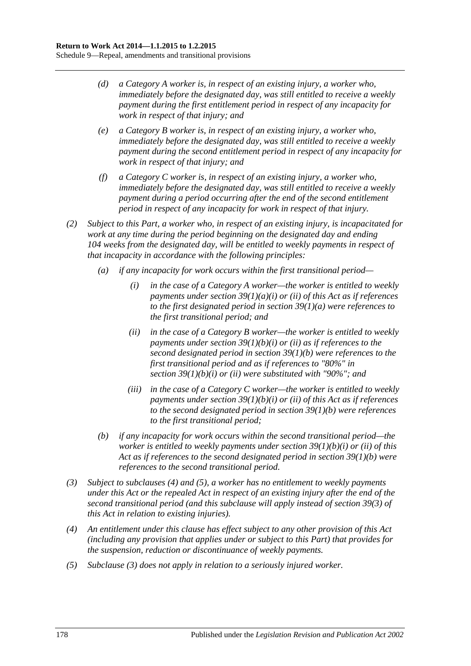- *(d) a Category A worker is, in respect of an existing injury, a worker who, immediately before the designated day, was still entitled to receive a weekly payment during the first entitlement period in respect of any incapacity for work in respect of that injury; and*
- *(e) a Category B worker is, in respect of an existing injury, a worker who, immediately before the designated day, was still entitled to receive a weekly payment during the second entitlement period in respect of any incapacity for work in respect of that injury; and*
- *(f) a Category C worker is, in respect of an existing injury, a worker who, immediately before the designated day, was still entitled to receive a weekly payment during a period occurring after the end of the second entitlement period in respect of any incapacity for work in respect of that injury.*
- *(2) Subject to this Part, a worker who, in respect of an existing injury, is incapacitated for work at any time during the period beginning on the designated day and ending 104 weeks from the designated day, will be entitled to weekly payments in respect of that incapacity in accordance with the following principles:*
	- *(a) if any incapacity for work occurs within the first transitional period—*
		- *(i) in the case of a Category A worker—the worker is entitled to weekly payments under section [39\(1\)\(a\)\(i\)](#page-52-0) or [\(ii\)](#page-52-1) of this Act as if references to the first designated period in section [39\(1\)\(a\)](#page-52-2) were references to the first transitional period; and*
		- *(ii) in the case of a Category B worker—the worker is entitled to weekly payments under section [39\(1\)\(b\)\(i\)](#page-52-3) or [\(ii\)](#page-53-0) as if references to the second designated period in section [39\(1\)\(b\)](#page-52-4) were references to the first transitional period and as if references to "80%" in section [39\(1\)\(b\)\(i\)](#page-52-3) or [\(ii\)](#page-53-0) were substituted with "90%"; and*
		- *(iii) in the case of a Category C worker—the worker is entitled to weekly payments under section [39\(1\)\(b\)\(i\)](#page-52-3) or [\(ii\)](#page-53-0) of this Act as if references to the second designated period in section [39\(1\)\(b\)](#page-52-4) were references to the first transitional period;*
	- *(b) if any incapacity for work occurs within the second transitional period—the worker is entitled to weekly payments under section [39\(1\)\(b\)\(i\)](#page-52-3) or [\(ii\)](#page-53-0) of this Act as if references to the second designated period in section [39\(1\)\(b\)](#page-52-4) were references to the second transitional period.*
- <span id="page-177-2"></span>*(3) Subject to [subclauses](#page-177-0) (4) and [\(5\),](#page-177-1) a worker has no entitlement to weekly payments under this Act or the repealed Act in respect of an existing injury after the end of the second transitional period (and this subclause will apply instead of [section](#page-53-1) 39(3) of this Act in relation to existing injuries).*
- <span id="page-177-0"></span>*(4) An entitlement under this clause has effect subject to any other provision of this Act (including any provision that applies under or subject to this Part) that provides for the suspension, reduction or discontinuance of weekly payments.*
- <span id="page-177-1"></span>*(5) [Subclause](#page-177-2) (3) does not apply in relation to a seriously injured worker.*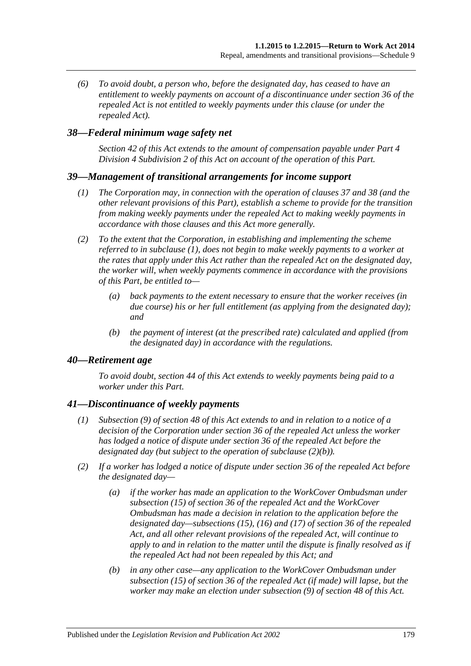*(6) To avoid doubt, a person who, before the designated day, has ceased to have an entitlement to weekly payments on account of a discontinuance under section 36 of the repealed Act is not entitled to weekly payments under this clause (or under the repealed Act).*

### <span id="page-178-0"></span>*38—Federal minimum wage safety net*

*[Section](#page-54-0) 42 of this Act extends to the amount of compensation payable under [Part](#page-52-5) 4 Division [4 Subdivision](#page-52-5) 2 of this Act on account of the operation of this Part.*

#### <span id="page-178-1"></span>*39—Management of transitional arrangements for income support*

- *(1) The Corporation may, in connection with the operation of [clauses](#page-176-3) 37 and [38](#page-178-0) (and the other relevant provisions of this Part), establish a scheme to provide for the transition from making weekly payments under the repealed Act to making weekly payments in accordance with those clauses and this Act more generally.*
- *(2) To the extent that the Corporation, in establishing and implementing the scheme referred to in [subclause](#page-178-1) (1), does not begin to make weekly payments to a worker at the rates that apply under this Act rather than the repealed Act on the designated day, the worker will, when weekly payments commence in accordance with the provisions of this Part, be entitled to—*
	- *(a) back payments to the extent necessary to ensure that the worker receives (in due course) his or her full entitlement (as applying from the designated day); and*
	- *(b) the payment of interest (at the prescribed rate) calculated and applied (from the designated day) in accordance with the regulations.*

#### *40—Retirement age*

*To avoid doubt, [section](#page-55-0) 44 of this Act extends to weekly payments being paid to a worker under this Part.*

#### *41—Discontinuance of weekly payments*

- *(1) [Subsection](#page-61-0) (9) of [section](#page-58-0) 48 of this Act extends to and in relation to a notice of a decision of the Corporation under section 36 of the repealed Act unless the worker has lodged a notice of dispute under section 36 of the repealed Act before the designated day (but subject to the operation of [subclause](#page-178-2) (2)(b)).*
- <span id="page-178-2"></span>*(2) If a worker has lodged a notice of dispute under section 36 of the repealed Act before the designated day—*
	- *(a) if the worker has made an application to the WorkCover Ombudsman under subsection (15) of section 36 of the repealed Act and the WorkCover Ombudsman has made a decision in relation to the application before the designated day—subsections (15), (16) and (17) of section 36 of the repealed Act, and all other relevant provisions of the repealed Act, will continue to apply to and in relation to the matter until the dispute is finally resolved as if the repealed Act had not been repealed by this Act; and*
	- *(b) in any other case—any application to the WorkCover Ombudsman under subsection (15) of section 36 of the repealed Act (if made) will lapse, but the worker may make an election under [subsection](#page-61-0) (9) of [section](#page-58-0) 48 of this Act.*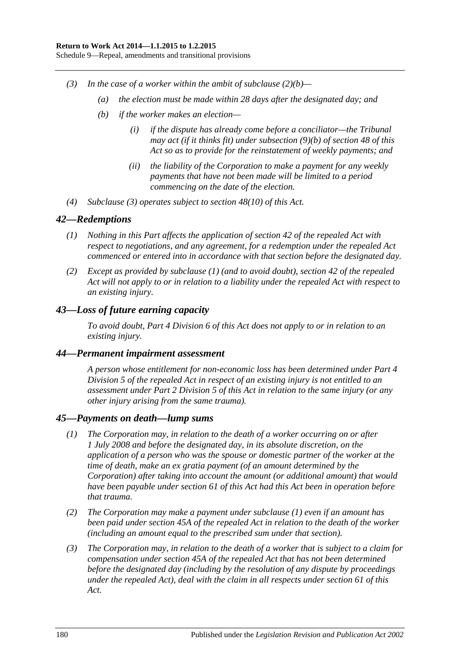- <span id="page-179-0"></span>*(3) In the case of a worker within the ambit of [subclause](#page-178-2) (2)(b)—*
	- *(a) the election must be made within 28 days after the designated day; and*
	- *(b) if the worker makes an election—*
		- *(i) if the dispute has already come before a conciliator—the Tribunal may act (if it thinks fit) under [subsection](#page-62-0) (9)(b) of [section](#page-58-0) 48 of this Act so as to provide for the reinstatement of weekly payments; and*
		- *(ii) the liability of the Corporation to make a payment for any weekly payments that have not been made will be limited to a period commencing on the date of the election.*
- *(4) [Subclause](#page-179-0) (3) operates subject to [section](#page-62-1) 48(10) of this Act.*

#### <span id="page-179-1"></span>*42—Redemptions*

- *(1) Nothing in this Part affects the application of section 42 of the repealed Act with respect to negotiations, and any agreement, for a redemption under the repealed Act commenced or entered into in accordance with that section before the designated day.*
- *(2) Except as provided by [subclause](#page-179-1) (1) (and to avoid doubt), section 42 of the repealed Act will not apply to or in relation to a liability under the repealed Act with respect to an existing injury.*

## *43—Loss of future earning capacity*

*To avoid doubt, Part [4 Division](#page-67-0) 6 of this Act does not apply to or in relation to an existing injury.*

#### *44—Permanent impairment assessment*

*A person whose entitlement for non-economic loss has been determined under Part 4 Division 5 of the repealed Act in respect of an existing injury is not entitled to an assessment under Part [2 Division](#page-36-0) 5 of this Act in relation to the same injury (or any other injury arising from the same trauma).*

#### <span id="page-179-2"></span>*45—Payments on death—lump sums*

- *(1) The Corporation may, in relation to the death of a worker occurring on or after 1 July 2008 and before the designated day, in its absolute discretion, on the application of a person who was the spouse or domestic partner of the worker at the time of death, make an ex gratia payment (of an amount determined by the Corporation) after taking into account the amount (or additional amount) that would have been payable under [section](#page-73-0) 61 of this Act had this Act been in operation before that trauma.*
- *(2) The Corporation may make a payment under [subclause](#page-179-2) (1) even if an amount has been paid under section 45A of the repealed Act in relation to the death of the worker (including an amount equal to the prescribed sum under that section).*
- *(3) The Corporation may, in relation to the death of a worker that is subject to a claim for compensation under section 45A of the repealed Act that has not been determined before the designated day (including by the resolution of any dispute by proceedings under the repealed Act), deal with the claim in all respects under [section](#page-73-0) 61 of this Act.*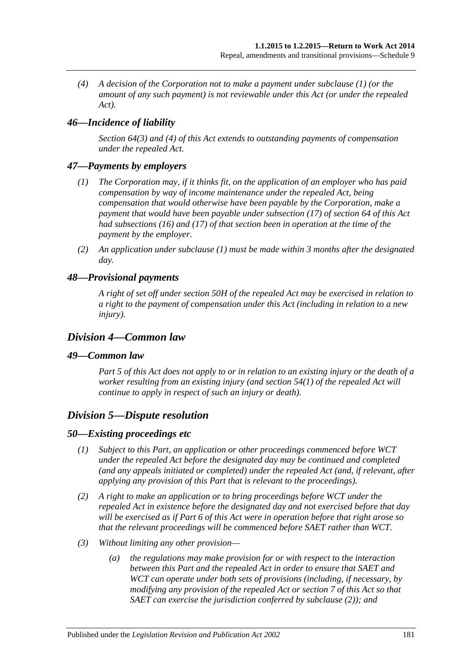*(4) A decision of the Corporation not to make a payment under [subclause](#page-179-0) (1) (or the amount of any such payment) is not reviewable under this Act (or under the repealed Act).*

## *46—Incidence of liability*

*[Section](#page-76-0) 64(3) and [\(4\)](#page-76-1) of this Act extends to outstanding payments of compensation under the repealed Act.*

#### <span id="page-180-0"></span>*47—Payments by employers*

- *(1) The Corporation may, if it thinks fit, on the application of an employer who has paid compensation by way of income maintenance under the repealed Act, being compensation that would otherwise have been payable by the Corporation, make a payment that would have been payable under [subsection](#page-78-0) (17) of [section](#page-76-2) 64 of this Act had [subsections](#page-77-0) (16) and [\(17\)](#page-78-0) of that section been in operation at the time of the payment by the employer.*
- *(2) An application under [subclause](#page-180-0) (1) must be made within 3 months after the designated day.*

#### *48—Provisional payments*

*A right of set off under section 50H of the repealed Act may be exercised in relation to a right to the payment of compensation under this Act (including in relation to a new injury).*

#### *Division 4—Common law*

#### *49—Common law*

*[Part](#page-83-0) 5 of this Act does not apply to or in relation to an existing injury or the death of a worker resulting from an existing injury (and section 54(1) of the repealed Act will continue to apply in respect of such an injury or death).*

#### *Division 5—Dispute resolution*

#### *50—Existing proceedings etc*

- *(1) Subject to this Part, an application or other proceedings commenced before WCT under the repealed Act before the designated day may be continued and completed (and any appeals initiated or completed) under the repealed Act (and, if relevant, after applying any provision of this Part that is relevant to the proceedings).*
- <span id="page-180-1"></span>*(2) A right to make an application or to bring proceedings before WCT under the repealed Act in existence before the designated day and not exercised before that day will be exercised as if [Part](#page-95-0) 6 of this Act were in operation before that right arose so that the relevant proceedings will be commenced before SAET rather than WCT.*
- *(3) Without limiting any other provision—*
	- *(a) the regulations may make provision for or with respect to the interaction between this Part and the repealed Act in order to ensure that SAET and WCT can operate under both sets of provisions (including, if necessary, by modifying any provision of the repealed Act or [section](#page-23-0) 7 of this Act so that SAET can exercise the jurisdiction conferred by [subclause](#page-180-1) (2)); and*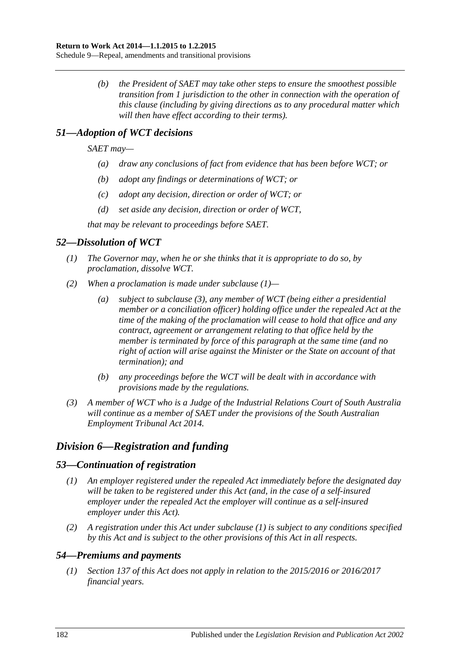*(b) the President of SAET may take other steps to ensure the smoothest possible transition from 1 jurisdiction to the other in connection with the operation of this clause (including by giving directions as to any procedural matter which will then have effect according to their terms).*

## *51—Adoption of WCT decisions*

*SAET may—*

- *(a) draw any conclusions of fact from evidence that has been before WCT; or*
- *(b) adopt any findings or determinations of WCT; or*
- *(c) adopt any decision, direction or order of WCT; or*
- *(d) set aside any decision, direction or order of WCT,*

*that may be relevant to proceedings before SAET.*

## <span id="page-181-0"></span>*52—Dissolution of WCT*

- *(1) The Governor may, when he or she thinks that it is appropriate to do so, by proclamation, dissolve WCT.*
- *(2) When a proclamation is made under [subclause](#page-181-0) (1)—*
	- *(a) subject to subclause (3), any member of WCT (being either a presidential member or a conciliation officer) holding office under the repealed Act at the time of the making of the proclamation will cease to hold that office and any contract, agreement or arrangement relating to that office held by the member is terminated by force of this paragraph at the same time (and no right of action will arise against the Minister or the State on account of that termination); and*
	- *(b) any proceedings before the WCT will be dealt with in accordance with provisions made by the regulations.*
- *(3) A member of WCT who is a Judge of the Industrial Relations Court of South Australia will continue as a member of SAET under the provisions of the South Australian Employment Tribunal Act 2014.*

## *Division 6—Registration and funding*

#### <span id="page-181-1"></span>*53—Continuation of registration*

- *(1) An employer registered under the repealed Act immediately before the designated day will be taken to be registered under this Act (and, in the case of a self-insured employer under the repealed Act the employer will continue as a self-insured employer under this Act).*
- *(2) A registration under this Act under [subclause](#page-181-1) (1) is subject to any conditions specified by this Act and is subject to the other provisions of this Act in all respects.*

### *54—Premiums and payments*

*(1) [Section](#page-117-0) 137 of this Act does not apply in relation to the 2015/2016 or 2016/2017 financial years.*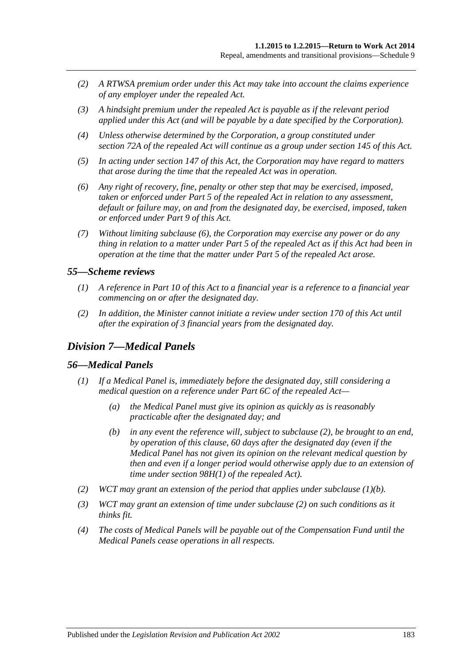- *(2) A RTWSA premium order under this Act may take into account the claims experience of any employer under the repealed Act.*
- *(3) A hindsight premium under the repealed Act is payable as if the relevant period applied under this Act (and will be payable by a date specified by the Corporation).*
- *(4) Unless otherwise determined by the Corporation, a group constituted under section 72A of the repealed Act will continue as a group under [section](#page-123-0) 145 of this Act.*
- *(5) In acting under [section](#page-125-0) 147 of this Act, the Corporation may have regard to matters that arose during the time that the repealed Act was in operation.*
- <span id="page-182-0"></span>*(6) Any right of recovery, fine, penalty or other step that may be exercised, imposed, taken or enforced under Part 5 of the repealed Act in relation to any assessment, default or failure may, on and from the designated day, be exercised, imposed, taken or enforced under [Part](#page-108-0) 9 of this Act.*
- *(7) Without limiting [subclause](#page-182-0) (6), the Corporation may exercise any power or do any thing in relation to a matter under Part 5 of the repealed Act as if this Act had been in operation at the time that the matter under Part 5 of the repealed Act arose.*

#### *55—Scheme reviews*

- *(1) A reference in [Part](#page-135-0) 10 of this Act to a financial year is a reference to a financial year commencing on or after the designated day.*
- *(2) In addition, the Minister cannot initiate a review under [section](#page-137-0) 170 of this Act until after the expiration of 3 financial years from the designated day.*

#### *Division 7—Medical Panels*

#### *56—Medical Panels*

- <span id="page-182-2"></span>*(1) If a Medical Panel is, immediately before the designated day, still considering a medical question on a reference under Part 6C of the repealed Act—*
	- *(a) the Medical Panel must give its opinion as quickly as is reasonably practicable after the designated day; and*
	- *(b) in any event the reference will, subject to [subclause](#page-182-1) (2), be brought to an end, by operation of this clause, 60 days after the designated day (even if the Medical Panel has not given its opinion on the relevant medical question by then and even if a longer period would otherwise apply due to an extension of time under section 98H(1) of the repealed Act).*
- <span id="page-182-1"></span>*(2) WCT may grant an extension of the period that applies under [subclause](#page-182-2) (1)(b).*
- *(3) WCT may grant an extension of time under [subclause](#page-182-1) (2) on such conditions as it thinks fit.*
- *(4) The costs of Medical Panels will be payable out of the Compensation Fund until the Medical Panels cease operations in all respects.*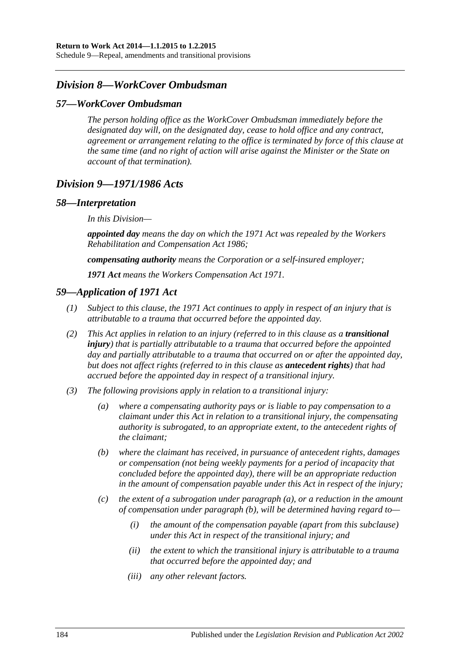Schedule 9—Repeal, amendments and transitional provisions

#### *Division 8—WorkCover Ombudsman*

#### *57—WorkCover Ombudsman*

*The person holding office as the WorkCover Ombudsman immediately before the designated day will, on the designated day, cease to hold office and any contract, agreement or arrangement relating to the office is terminated by force of this clause at the same time (and no right of action will arise against the Minister or the State on account of that termination).*

#### *Division 9—1971/1986 Acts*

#### *58—Interpretation*

*In this Division—*

*appointed day means the day on which the 1971 Act was repealed by the [Workers](http://www.legislation.sa.gov.au/index.aspx?action=legref&type=act&legtitle=Workers%20Rehabilitation%20and%20Compensation%20Act%201986)  [Rehabilitation and Compensation Act](http://www.legislation.sa.gov.au/index.aspx?action=legref&type=act&legtitle=Workers%20Rehabilitation%20and%20Compensation%20Act%201986) 1986;*

*compensating authority means the Corporation or a self-insured employer;*

*1971 Act means the [Workers Compensation Act](http://www.legislation.sa.gov.au/index.aspx?action=legref&type=act&legtitle=Workers%20Compensation%20Act%201971) 1971.*

#### *59—Application of 1971 Act*

- *(1) Subject to this clause, the 1971 Act continues to apply in respect of an injury that is attributable to a trauma that occurred before the appointed day.*
- *(2) This Act applies in relation to an injury (referred to in this clause as a transitional injury) that is partially attributable to a trauma that occurred before the appointed day and partially attributable to a trauma that occurred on or after the appointed day, but does not affect rights (referred to in this clause as antecedent rights) that had accrued before the appointed day in respect of a transitional injury.*
- <span id="page-183-1"></span><span id="page-183-0"></span>*(3) The following provisions apply in relation to a transitional injury:*
	- *(a) where a compensating authority pays or is liable to pay compensation to a claimant under this Act in relation to a transitional injury, the compensating authority is subrogated, to an appropriate extent, to the antecedent rights of the claimant;*
	- *(b) where the claimant has received, in pursuance of antecedent rights, damages or compensation (not being weekly payments for a period of incapacity that concluded before the appointed day), there will be an appropriate reduction in the amount of compensation payable under this Act in respect of the injury;*
	- *(c) the extent of a subrogation under [paragraph](#page-183-0) (a), or a reduction in the amount of compensation under [paragraph](#page-183-1) (b), will be determined having regard to—*
		- *(i) the amount of the compensation payable (apart from this subclause) under this Act in respect of the transitional injury; and*
		- *(ii) the extent to which the transitional injury is attributable to a trauma that occurred before the appointed day; and*
		- *(iii) any other relevant factors.*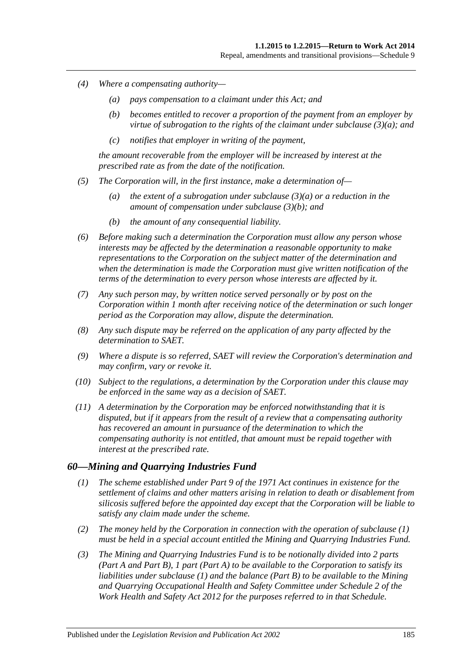- *(4) Where a compensating authority—*
	- *(a) pays compensation to a claimant under this Act; and*
	- *(b) becomes entitled to recover a proportion of the payment from an employer by virtue of subrogation to the rights of the claimant under [subclause](#page-183-0) (3)(a); and*
	- *(c) notifies that employer in writing of the payment,*

*the amount recoverable from the employer will be increased by interest at the prescribed rate as from the date of the notification.*

- *(5) The Corporation will, in the first instance, make a determination of—*
	- *(a) the extent of a subrogation under [subclause](#page-183-0) (3)(a) or a reduction in the amount of compensation under [subclause](#page-183-1) (3)(b); and*
	- *(b) the amount of any consequential liability.*
- *(6) Before making such a determination the Corporation must allow any person whose interests may be affected by the determination a reasonable opportunity to make representations to the Corporation on the subject matter of the determination and when the determination is made the Corporation must give written notification of the terms of the determination to every person whose interests are affected by it.*
- *(7) Any such person may, by written notice served personally or by post on the Corporation within 1 month after receiving notice of the determination or such longer period as the Corporation may allow, dispute the determination.*
- *(8) Any such dispute may be referred on the application of any party affected by the determination to SAET.*
- *(9) Where a dispute is so referred, SAET will review the Corporation's determination and may confirm, vary or revoke it.*
- *(10) Subject to the regulations, a determination by the Corporation under this clause may be enforced in the same way as a decision of SAET.*
- *(11) A determination by the Corporation may be enforced notwithstanding that it is disputed, but if it appears from the result of a review that a compensating authority has recovered an amount in pursuance of the determination to which the compensating authority is not entitled, that amount must be repaid together with interest at the prescribed rate.*

#### <span id="page-184-0"></span>*60—Mining and Quarrying Industries Fund*

- *(1) The scheme established under Part 9 of the 1971 Act continues in existence for the settlement of claims and other matters arising in relation to death or disablement from silicosis suffered before the appointed day except that the Corporation will be liable to satisfy any claim made under the scheme.*
- *(2) The money held by the Corporation in connection with the operation of [subclause](#page-184-0) (1) must be held in a special account entitled the Mining and Quarrying Industries Fund.*
- *(3) The Mining and Quarrying Industries Fund is to be notionally divided into 2 parts (Part A and Part B), 1 part (Part A) to be available to the Corporation to satisfy its liabilities under [subclause](#page-184-0) (1) and the balance (Part B) to be available to the Mining and Quarrying Occupational Health and Safety Committee under Schedule 2 of the [Work Health and Safety Act](http://www.legislation.sa.gov.au/index.aspx?action=legref&type=act&legtitle=Work%20Health%20and%20Safety%20Act%202012) 2012 for the purposes referred to in that Schedule.*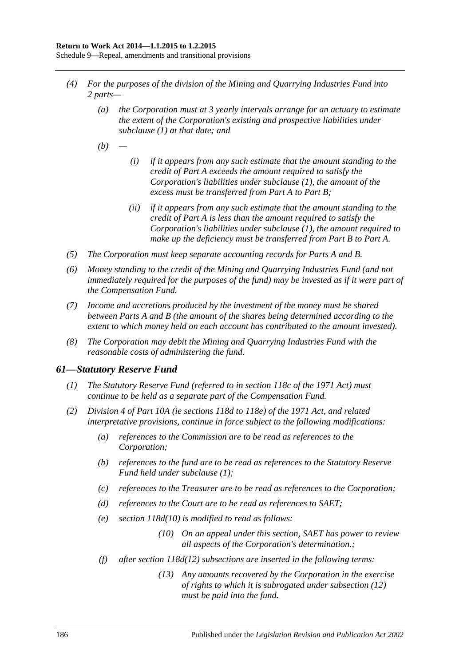Schedule 9—Repeal, amendments and transitional provisions

- *(4) For the purposes of the division of the Mining and Quarrying Industries Fund into 2 parts—*
	- *(a) the Corporation must at 3 yearly intervals arrange for an actuary to estimate the extent of the Corporation's existing and prospective liabilities under [subclause](#page-184-0) (1) at that date; and*
	- *(b) —*
- *(i) if it appears from any such estimate that the amount standing to the credit of Part A exceeds the amount required to satisfy the Corporation's liabilities under [subclause](#page-184-0) (1), the amount of the excess must be transferred from Part A to Part B;*
- *(ii) if it appears from any such estimate that the amount standing to the credit of Part A is less than the amount required to satisfy the Corporation's liabilities under [subclause](#page-184-0) (1), the amount required to make up the deficiency must be transferred from Part B to Part A.*
- *(5) The Corporation must keep separate accounting records for Parts A and B.*
- *(6) Money standing to the credit of the Mining and Quarrying Industries Fund (and not immediately required for the purposes of the fund) may be invested as if it were part of the Compensation Fund.*
- *(7) Income and accretions produced by the investment of the money must be shared between Parts A and B (the amount of the shares being determined according to the extent to which money held on each account has contributed to the amount invested).*
- *(8) The Corporation may debit the Mining and Quarrying Industries Fund with the reasonable costs of administering the fund.*

#### <span id="page-185-0"></span>*61—Statutory Reserve Fund*

- *(1) The Statutory Reserve Fund (referred to in section 118c of the 1971 Act) must continue to be held as a separate part of the Compensation Fund.*
- *(2) Division 4 of Part 10A (ie sections 118d to 118e) of the 1971 Act, and related interpretative provisions, continue in force subject to the following modifications:*
	- *(a) references to the Commission are to be read as references to the Corporation;*
	- *(b) references to the fund are to be read as references to the Statutory Reserve Fund held under [subclause](#page-185-0) (1);*
	- *(c) references to the Treasurer are to be read as references to the Corporation;*
	- *(d) references to the Court are to be read as references to SAET;*
	- *(e) section 118d(10) is modified to read as follows:*
		- *(10) On an appeal under this section, SAET has power to review all aspects of the Corporation's determination.;*
	- *(f) after section 118d(12) subsections are inserted in the following terms:*
		- *(13) Any amounts recovered by the Corporation in the exercise of rights to which it is subrogated under subsection (12) must be paid into the fund.*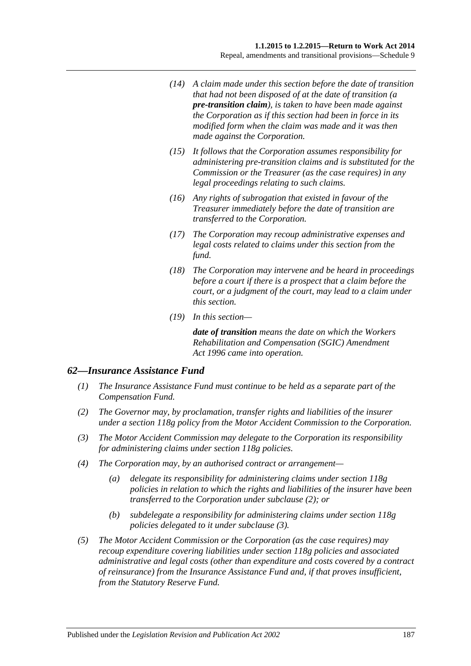- *(14) A claim made under this section before the date of transition that had not been disposed of at the date of transition (a pre-transition claim), is taken to have been made against the Corporation as if this section had been in force in its modified form when the claim was made and it was then made against the Corporation.*
- *(15) It follows that the Corporation assumes responsibility for administering pre-transition claims and is substituted for the Commission or the Treasurer (as the case requires) in any legal proceedings relating to such claims.*
- *(16) Any rights of subrogation that existed in favour of the Treasurer immediately before the date of transition are transferred to the Corporation.*
- *(17) The Corporation may recoup administrative expenses and legal costs related to claims under this section from the fund.*
- *(18) The Corporation may intervene and be heard in proceedings before a court if there is a prospect that a claim before the court, or a judgment of the court, may lead to a claim under this section.*
- *(19) In this section—*

*date of transition means the date on which the [Workers](http://www.legislation.sa.gov.au/index.aspx?action=legref&type=act&legtitle=Workers%20Rehabilitation%20and%20Compensation%20(SGIC)%20Amendment%20Act%201996)  [Rehabilitation and Compensation \(SGIC\) Amendment](http://www.legislation.sa.gov.au/index.aspx?action=legref&type=act&legtitle=Workers%20Rehabilitation%20and%20Compensation%20(SGIC)%20Amendment%20Act%201996)  Act [1996](http://www.legislation.sa.gov.au/index.aspx?action=legref&type=act&legtitle=Workers%20Rehabilitation%20and%20Compensation%20(SGIC)%20Amendment%20Act%201996) came into operation.*

#### *62—Insurance Assistance Fund*

- *(1) The Insurance Assistance Fund must continue to be held as a separate part of the Compensation Fund.*
- <span id="page-186-0"></span>*(2) The Governor may, by proclamation, transfer rights and liabilities of the insurer under a section 118g policy from the Motor Accident Commission to the Corporation.*
- <span id="page-186-1"></span>*(3) The Motor Accident Commission may delegate to the Corporation its responsibility for administering claims under section 118g policies.*
- *(4) The Corporation may, by an authorised contract or arrangement—*
	- *(a) delegate its responsibility for administering claims under section 118g policies in relation to which the rights and liabilities of the insurer have been transferred to the Corporation under [subclause](#page-186-0) (2); or*
	- *(b) subdelegate a responsibility for administering claims under section 118g policies delegated to it under [subclause](#page-186-1) (3).*
- *(5) The Motor Accident Commission or the Corporation (as the case requires) may recoup expenditure covering liabilities under section 118g policies and associated administrative and legal costs (other than expenditure and costs covered by a contract of reinsurance) from the Insurance Assistance Fund and, if that proves insufficient, from the Statutory Reserve Fund.*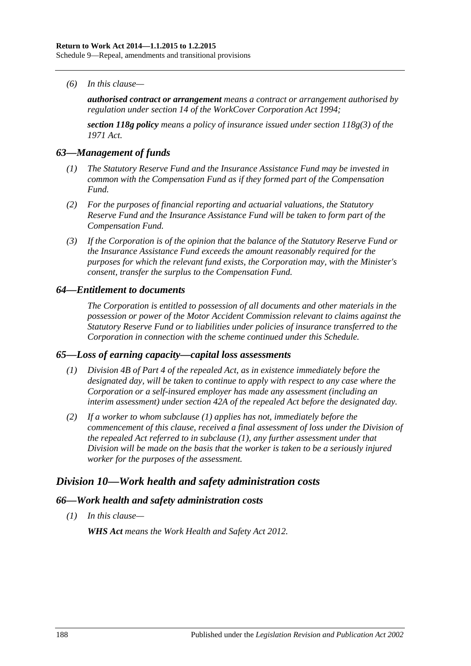*(6) In this clause—*

*authorised contract or arrangement means a contract or arrangement authorised by regulation under section 14 of the [WorkCover Corporation Act](http://www.legislation.sa.gov.au/index.aspx?action=legref&type=act&legtitle=WorkCover%20Corporation%20Act%201994) 1994;*

*section 118g policy means a policy of insurance issued under section 118g(3) of the 1971 Act.*

#### *63—Management of funds*

- *(1) The Statutory Reserve Fund and the Insurance Assistance Fund may be invested in common with the Compensation Fund as if they formed part of the Compensation Fund.*
- *(2) For the purposes of financial reporting and actuarial valuations, the Statutory Reserve Fund and the Insurance Assistance Fund will be taken to form part of the Compensation Fund.*
- *(3) If the Corporation is of the opinion that the balance of the Statutory Reserve Fund or the Insurance Assistance Fund exceeds the amount reasonably required for the purposes for which the relevant fund exists, the Corporation may, with the Minister's consent, transfer the surplus to the Compensation Fund.*

#### *64—Entitlement to documents*

*The Corporation is entitled to possession of all documents and other materials in the possession or power of the Motor Accident Commission relevant to claims against the Statutory Reserve Fund or to liabilities under policies of insurance transferred to the Corporation in connection with the scheme continued under this Schedule.*

#### <span id="page-187-0"></span>*65—Loss of earning capacity—capital loss assessments*

- *(1) Division 4B of Part 4 of the repealed Act, as in existence immediately before the designated day, will be taken to continue to apply with respect to any case where the Corporation or a self-insured employer has made any assessment (including an interim assessment) under section 42A of the repealed Act before the designated day.*
- *(2) If a worker to whom [subclause](#page-187-0) (1) applies has not, immediately before the commencement of this clause, received a final assessment of loss under the Division of the repealed Act referred to in [subclause](#page-187-0) (1), any further assessment under that Division will be made on the basis that the worker is taken to be a seriously injured worker for the purposes of the assessment.*

## *Division 10—Work health and safety administration costs*

#### *66—Work health and safety administration costs*

*(1) In this clause—*

*WHS Act means the [Work Health and Safety Act](http://www.legislation.sa.gov.au/index.aspx?action=legref&type=act&legtitle=Work%20Health%20and%20Safety%20Act%202012) 2012.*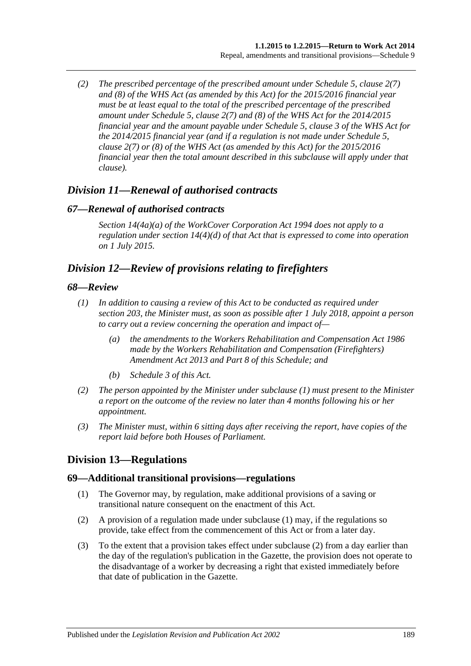*(2) The prescribed percentage of the prescribed amount under Schedule 5, clause 2(7) and (8) of the WHS Act (as amended by this Act) for the 2015/2016 financial year must be at least equal to the total of the prescribed percentage of the prescribed amount under Schedule 5, clause 2(7) and (8) of the WHS Act for the 2014/2015 financial year and the amount payable under Schedule 5, clause 3 of the WHS Act for the 2014/2015 financial year (and if a regulation is not made under Schedule 5, clause 2(7) or (8) of the WHS Act (as amended by this Act) for the 2015/2016 financial year then the total amount described in this subclause will apply under that clause).*

## *Division 11—Renewal of authorised contracts*

#### *67—Renewal of authorised contracts*

*Section 14(4a)(a) of the [WorkCover Corporation Act](http://www.legislation.sa.gov.au/index.aspx?action=legref&type=act&legtitle=WorkCover%20Corporation%20Act%201994) 1994 does not apply to a regulation under section 14(4)(d) of that Act that is expressed to come into operation on 1 July 2015.*

## *Division 12—Review of provisions relating to firefighters*

#### <span id="page-188-0"></span>*68—Review*

- *(1) In addition to causing a review of this Act to be conducted as required under [section](#page-155-0) 203, the Minister must, as soon as possible after 1 July 2018, appoint a person to carry out a review concerning the operation and impact of—*
	- *(a) the amendments to the [Workers Rehabilitation and Compensation Act](http://www.legislation.sa.gov.au/index.aspx?action=legref&type=act&legtitle=Workers%20Rehabilitation%20and%20Compensation%20Act%201986) 1986 made by the [Workers Rehabilitation and Compensation \(Firefighters\)](http://www.legislation.sa.gov.au/index.aspx?action=legref&type=act&legtitle=Workers%20Rehabilitation%20and%20Compensation%20(Firefighters)%20Amendment%20Act%202013)  [Amendment Act 2013](http://www.legislation.sa.gov.au/index.aspx?action=legref&type=act&legtitle=Workers%20Rehabilitation%20and%20Compensation%20(Firefighters)%20Amendment%20Act%202013) and Part 8 of this Schedule; and*
	- *(b) [Schedule](#page-158-0) 3 of this Act.*
- *(2) The person appointed by the Minister under [subclause](#page-188-0) (1) must present to the Minister a report on the outcome of the review no later than 4 months following his or her appointment.*
- *(3) The Minister must, within 6 sitting days after receiving the report, have copies of the report laid before both Houses of Parliament.*

## **Division 13—Regulations**

#### <span id="page-188-1"></span>**69—Additional transitional provisions—regulations**

- (1) The Governor may, by regulation, make additional provisions of a saving or transitional nature consequent on the enactment of this Act.
- <span id="page-188-2"></span>(2) A provision of a regulation made under [subclause](#page-188-1) (1) may, if the regulations so provide, take effect from the commencement of this Act or from a later day.
- (3) To the extent that a provision takes effect under [subclause](#page-188-2) (2) from a day earlier than the day of the regulation's publication in the Gazette, the provision does not operate to the disadvantage of a worker by decreasing a right that existed immediately before that date of publication in the Gazette.